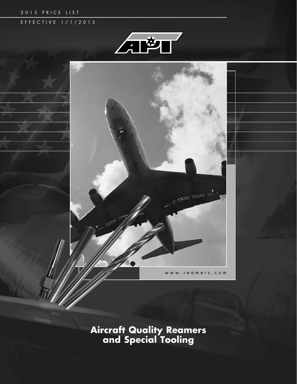#### 2013 PRICE LIST

## E F F E C T I V E 1 / 1 / 2 0 1 3





**Aircraft Quality Reamers and Special Tooling**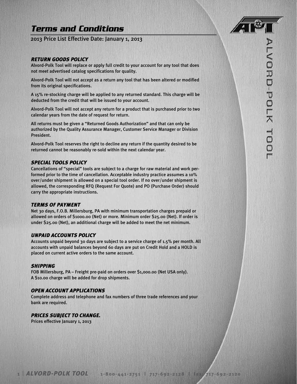## **Terms and Conditions**

2013 Price List Effective Date: January 1, 2013

#### *Return Goods Policy*

Alvord-Polk Tool will replace or apply full credit to your account for any tool that does not meet advertised catalog specifications for quality.

Alvord-Polk Tool will not accept as a return any tool that has been altered or modified from its original specifications.

A 15% re-stocking charge will be applied to any returned standard. This charge will be deducted from the credit that will be issued to your account.

Alvord-Polk Tool will not accept any return for a product that is purchased prior to two calendar years from the date of request for return.

All returns must be given a "Returned Goods Authorization" and that can only be authorized by the Quality Assurance Manager, Customer Service Manager or Division President.

Alvord-Polk Tool reserves the right to decline any return if the quantity desired to be returned cannot be reasonably re-sold within the next calendar year.

### *SPECIAL TOOLS POLICY*

Cancellations of "special" tools are subject to a charge for raw material and work performed prior to the time of cancellation. Acceptable industry practice assumes a 10% over/under shipment is allowed on a special tool order. If no over/under shipment is allowed, the corresponding RFQ (Request For Quote) and PO (Purchase Order) should carry the appropriate instructions.

#### *TERMS OF PAYMENT*

Net 30 days, F.O.B. Millersburg, PA with minimum transportation charges prepaid or allowed on orders of \$1000.00 (Net) or more. Minimum order \$25.00 (Net). If order is under \$25.00 (Net), an additional charge will be added to meet the net minimum.

#### *UNPAID ACCOUNTS POLICY*

Accounts unpaid beyond 30 days are subject to a service charge of 1.5% per month. All accounts with unpaid balances beyond 60 days are put on Credit Hold and a HOLD is placed on current active orders to the same account.

#### *SHIPPING*

FOB Millersburg, PA – Freight pre-paid on orders over \$1,000.00 (Net USA only). A \$10.00 charge will be added for drop shipments.

#### *OPEN ACCOUNT APPLICATIONS*

Complete address and telephone and fax numbers of three trade references and your bank are required.

#### *PRICES SUBJECT TO CHANGE.*

Prices effective January 1, 2013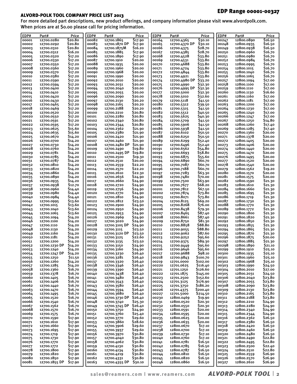### EDP Range 00001-00327

### ALVORD-POLK TOOL COMPANY PRICE LIST 2013

For more detailed part descriptions, new product offerings, and company information please visit www.alvordpolk.com. When prices are at \$0.00 please call for pricing information.

| EDP#           | Part#                    | Price              | EDP#           | Part#                       | Price              | EDP#           | Part#                       | Price                     | EDP#           | Part#                    | Price              |
|----------------|--------------------------|--------------------|----------------|-----------------------------|--------------------|----------------|-----------------------------|---------------------------|----------------|--------------------------|--------------------|
| 00001          | 12700.0280               | S20.80             | 00082          | 12700.1865                  | \$17.90            | 00164          | 12700.4365                  | \$30.10                   | 00247          | 12800.0890               | \$16.50            |
| 00002          | 12700.0292               | \$20.80            | 00083          | 12700.1870 DP               | \$17.90            | 00165          | 12700.4370 DP               | \$30.10                   | 00248          | 12800.0935               | \$16.50            |
| 00003<br>00004 | 12700.0310<br>12700.0312 | S20.80<br>\$16.20  | 00084<br>00085 | 12700.1875M<br>12700.1885   | \$16.20<br>\$17.90 | 00166<br>00167 | 12700.4375<br>12700.4385    | \$28.70<br>\$28.70        | 00249<br>00250 | 12800.0938<br>12800.0960 | \$16.50<br>S16.70  |
| 00005          | 12700.0320               | \$17.20            | 00086          | 12700.1890                  | \$17.90            | 00168          | 12700.4528                  | 533.80                    | 00251          | 12800.0980               | S16.70             |
| 00006          | 12700.0330               | \$17.20            | 00087          | 12700.1910                  | \$20.00            | 00169          | 12700.4531                  | \$33.80                   | 00252          | 12800.0984               | \$16.70            |
| 00007          | 12700.0350               | \$17.20            | 00088          | 12700.1935                  | S20.00             | 00170          | 12700.4688                  | \$33.80                   | 00253          | 12800.0995               | \$16.70            |
| 00008          | 12700.0360               | \$17.20            | 00089          | 12700.1960                  | S20.00             | 00171          | 12700.4724                  | \$33.80                   | 00254          | 12800.1015               | S16.70             |
| 00009          | 12700.0370               | \$17.20            | 00090          | 12700.1968                  | S20.00             | 00172          | 12700.4844                  | \$33.80                   | 00255          | 12800.1040               | S16.70             |
| 00010          | 12700.0380               | \$17.20            | 00091          | 12700.1990                  | \$20.00            | 00173          | 12700.4921                  | 533.80                    | 00256          | 12800.1065               | S16.70             |
| 00011<br>00012 | 12700.0390<br>12700.0394 | \$17.20<br>\$17.20 | 00092<br>00093 | 12700.2010<br>12700.2031    | S20.00<br>\$20.00  | 00174<br>00175 | 12700.4980 DP<br>12700.4990 | \$33.20<br>\$32.30        | 00257<br>00258 | 12800.1094<br>12800.1100 | \$17.00<br>\$17.00 |
| 00013          | 12700.0400               | \$17.20            | 00094          | 12700.2040                  | \$20.00            | 00176          | 12700.4995 DP               | \$32.30                   | 00259          | 12800.1110               | \$17.00            |
| 00014          | 12700.0410               | \$17.20            | 00095          | 12700.2055                  | S20.00             | 00177          | 12700.5000                  | 532.30                    | 00260          | 12800.1130               | S <sub>16.60</sub> |
| 00015          | 12700.0420               | \$17.20            | 00096          | 12700.2090                  | \$20.00            | 00178          | 12700.5010                  | 532.60                    | 00261          | 12800.1160               | \$17.00            |
| 00016          | 12700.0430               | \$17.20            | 00097          | 12700.2130                  | S20.20             | 00179          | 12700.5118                  | \$41.50                   | 00262          | 12800.1181               | \$17.00            |
| 00017          | 12700.0465               | \$17.20            | 00098          | 12700.2165                  | \$20.20            | 00180          | 12700.5312                  | \$39.50                   | 00263          | 12800.1200               | \$17.00            |
| 00018<br>00019 | 12700.0469               | \$17.20            | 00099<br>00100 | 12700.2188                  | S20.20<br>\$20.80  | 00181<br>00182 | 12700.5315                  | \$41.50                   | 00264<br>00265 | 12800.1230<br>12800.1240 | \$17.00<br>\$17.00 |
| 00020          | 12700.0520<br>12700.0550 | \$17.20<br>\$17.20 | 00101          | 12700.2210<br>12700.2280    | <b>S20.80</b>      | 00183          | 12700.5512<br>12700.5625    | 540.50<br>\$40.30         | 00266          | 12800.1247               | \$17.00            |
| 00021          | 12700.0591               | \$17.20            | 00102          | 12700.2340                  | <b>S20.80</b>      | 00184          | 12700.5709                  | \$41.50                   | 00267          | 12800.1250               | \$14.80            |
| 00022          | 12700.0595               | \$17.20            | 00103          | 12700.2344                  | <b>S20.80</b>      | 00185          | 12700.5906                  | \$41.50                   | 00268          | 12800.1260               | \$17.40            |
| 00023          | 12700.0625               | <b>S</b> 15.60     | 00104          | 12700.2362                  | \$21.90            | 00186          | 12700.5938                  | \$41.50                   | 00269          | 12800.1285               | \$17.40            |
| 00024          | 12700.0635               | \$15.60            | 00105          | 12700.2380                  | \$21.90            | 00187          | 12700.6102                  | \$50.50                   | 00270          | 12800.1360               | \$20.00            |
| 00025          | 12700.0670               | \$14.20            | 00106          | 12700.2420                  | \$21.90            | 00188          | 12700.6250                  | \$50.50                   | 00271          | 12800.1378               | \$20.00            |
| 00026          | 12700.0700               | \$14.20<br>\$14.20 | 00107<br>00108 | 12700.2460                  | \$21.90<br>\$21.90 | 00189          | 12700.6299<br>12700.6496    | \$52.40                   | 00272          | 12800.1405<br>12800.1406 | \$20.00<br>\$20.00 |
| 00027<br>00028 | 12700.0730<br>12700.0760 | \$14.20            | 00109          | 12700.2480 DP<br>12700.2490 | <b>S19.80</b>      | 00190<br>00191 | 12700.6562                  | \$52.40<br>\$54.80        | 00273<br>00274 | 12800.1440               | \$20.00            |
| 00029          | 12700.0781               | \$14.20            | 00110          | 12700.2495 DP               | \$19.80            | 00192          | 12700.6693                  | <b>\$58.80</b>            | 00275          | 12800.1470               | \$20.00            |
| 00030          | 12700.0785               | \$14.20            | 00111          | 12700.2500                  | \$19.30            | 00193          | 12700.6875                  | <b>S55.60</b>             | 00276          | 12800.1495               | \$20.00            |
| 00031          | 12700.0787               | \$14.20            | 00112          | 12700.2510                  | \$20.00            | 00194          | 12700.6890                  | \$60.70                   | 00277          | 12800.1520               | \$20.00            |
| 00032          | 12700.0810               | \$14.20            | 00113          | 12700.2559                  | \$22.20            | 00195          | 12700.7087                  | \$60.70                   | 00278          | 12800.1540               | \$20.00            |
| 00033          | 12700.0820               | \$14.20            | 00114          | 12700.2570                  | \$22.20            | 00196          | 12700.7188                  | \$60.70                   | 00279          | 12800.1562               | \$19.20            |
| 00034<br>00035 | 12700.0860<br>12700.0890 | \$14.20<br>\$14.20 | 00115<br>00116 | 12700.2610<br>12700.2656    | \$22.30<br>\$24.90 | 00197<br>00198 | 12700.7283<br>12700.7480    | 563.30<br>\$70.00         | 00280<br>00281 | 12800.1570<br>12800.1575 | \$20.00<br>\$20.00 |
| 00036          | 12700.0935               | \$14.20            | 00117          | 12700.2660                  | \$24.90            | 00199          | 12700.7500                  | 563.90                    | 00282          | 12800.1590               | \$21.30            |
| 00037          | 12700.0938               | \$12.70            | 00118          | 12700.2720                  | \$24.90            | 00200          | 12700.7677                  | \$68.20                   | 00283          | 12800.1610               | \$21.30            |
| 00038          | 12700.0960               | \$14.40            | 00119          | 12700.2756                  | \$24.90            | 00201          | 12700.7812                  | \$67.50                   | 00284          | 12800.1660               | \$21.30            |
| 00039          | 12700.0980               | \$14.40            | 00120          | 12700.2770                  | 524.90             | 00202          | 12700.7874                  | \$73.80                   | 00285          | 12800.1695               | \$21.30            |
| 00040          | 12700.0984               | \$14.40            | 00121          | 12700.2810                  | \$24.90            | 00203          | 12700.8071                  | \$73.80                   | 00286          | 12800.1719               | \$21.30            |
| 00041<br>00042 | 12700.0995<br>12700.1015 | \$13.60<br>\$13.60 | 00122<br>00123 | 12700.2812<br>12700.2900    | \$23.50<br>\$24.90 | 00204<br>00205 | 12700.8125<br>12700.8268    | \$69.20<br>\$76.00        | 00287<br>00288 | 12800.1730<br>12800.1770 | \$21.30<br>\$21.30 |
| 00043          | 12700.1040               | \$13.60            | 00124          | 12700.2950                  | \$24.90            | 00206          | 12700.8438                  | \$79.30                   | 00289          | 12800.1772               | \$21.30            |
| 00044          | 12700.1065               | \$13.60            | 00125          | 12700.2953                  | \$24.90            | 00207          | 12700.8465                  | 587.40                    | 00290          | 12800.1800               | \$21.30            |
| 00045          | 12700.1094               | \$14.20            | 00126          | 12700.2969                  | 524.90             | 00208          | 12700.8661                  | \$87.40                   | 00291          | 12800.1820               | \$21.30            |
| 00046          | 12700.1100               | \$14.20            | 00127          | 12700.3020                  | \$24.90            | 00209          | 12700.8750                  | \$81.30                   | 00292          | 12800.1850               | \$21.30            |
| 00047          | 12700.1110               | \$14.20            | 00128          | 12700.3105 DP               | \$24.90            | 00210          | 12700.8858                  | <b>588.80</b>             | 00293          | 12800.1855               | \$21.30            |
| 00048          | 12700.1130               | \$14.20<br>\$14.20 | 00129          | 12700.3115                  | \$23.50<br>\$23.50 | 00211          | 12700.9055                  | <b>\$88.80</b><br>\$87.60 | 00294          | 12800.1865<br>12800.1870 | \$21.30            |
| 00049<br>00050 | 12700.1160<br>12700.1181 | \$14.20            | 00130<br>00131 | 12700.3120 DP<br>12700.3125 | \$22.60            | 00212<br>00213 | 12700.9062<br>12700.9252    | \$95.60                   | 00295<br>00296 | 12800.1875               | \$21.30<br>\$20.00 |
| 00051          | 12700.1200               | \$14.20            | 00132          | 12700.3135                  | \$23.50            | 00214          | 12700.9375                  | \$89.30                   | 00297          | 12800.1885               | \$21.30            |
| 00052          | 12700.1230 DP            | \$14.20            | 00133          | 12700.3150                  | 524.90             | 00215          | 12700.9449                  | \$95.60                   | 00298          | 12800.1890               | \$21.10            |
| 00053          | 12700.1240               | \$14.20            | 00134          | 12700.3160                  | \$24.90            | 00216          | 12700.9646                  | S95.60                    | 00299          | 12800.1910               | S25.10             |
| 00054          | 12700.1247 DP            | \$14.20            | 00135          | 12700.3230                  | \$26.40            | 00217          | 12700.9688                  | \$98.10                   | 00300          | 12800.1935               | \$25.10            |
| 00055<br>00056 | 12700.1250<br>12700.1260 | \$11.50<br>\$14.20 | 00136          | 12700.3281                  | \$26.40<br>\$26.40 | 00218          | 12700.9843<br>12701.0000    | \$100.70<br>\$102.00      | 00301          | 12800.1960<br>12800.1968 | \$25.10<br>\$25.10 |
| 00057          | 12700.1285               | \$14.20            | 00137<br>00138 | 12700.3320<br>12700.3346    | \$26.40            | 00219<br>00220 | 12701.0625                  | \$116.40                  | 00302<br>00303 | 12800.1990               | \$24.50            |
| 00058          | 12700.1360               | \$16.70            | 00139          | 12700.3390                  | \$26.40            | 00221          | 12701.1250                  | \$126.60                  | 00304          | 12800.2010               | \$27.00            |
| 00059          | 12700.1378               | \$16.70            | 00140          | 12700.3438                  | \$26.40            | 00222          | 12701.1875                  | \$145.00                  | 00305          | 12800.2031               | \$24.50            |
| 00060          | 12700.1405               | \$16.70            | 00141          | 12700.3480                  | \$26.40            | 00223          | 12701.2500                  | \$152.60                  | 00306          | 12800.2040               | \$23.80            |
| 00061          | 12700.1406               | <b>\$16.70</b>     | 00142          | 12700.3543                  | \$26.40            | 00224          | 12701.3125                  | \$176.90                  | 00307          | 12800.2055               | \$23.80            |
| 00062<br>00063 | 12700.1440               | \$16.70<br>\$16.70 | 00143          | 12700.3580<br>12700.3594    | \$26.40<br>\$26.40 | 00225<br>00226 | 12701.3750                  | \$186.20                  | 00308          | 12800.2090<br>12800.2130 | \$23.80<br>\$23.80 |
| 00064          | 12700.1470<br>12700.1495 | \$16.70            | 00144<br>00145 | 12700.3680                  | \$26.40            | 00227          | 12701.4375<br>12701.5000    | \$200.40<br>\$214.50      | 00309<br>00310 | 12800.2165               | \$23.80            |
| 00065          | 12700.1520               | \$16.70            | 00146          | 12700.3730 DP               | \$26.40            | 00230          | 12800.0469                  | \$19.90                   | 00311          | 12800.2188               | \$23.80            |
| 00066          | 12700.1540               | <b>\$16.70</b>     | 00148          | 12700.3740                  | \$25.30            | 00231          | 12800.0520                  | \$20.30                   | 00312          | 12800.2210               | \$24.90            |
| 00067          | 12700.1562               | \$16.70            | 00149          | 12700.3745 DP               | \$26.40            | 00232          | 12800.0550                  | \$20.30                   | 00313          | 12800.2280               | \$24.90            |
| 00068          | 12700.1570               | \$16.70            | 00150          | 12700.3750                  | \$24.90            | 00233          | 12800.0591                  | \$20.00                   | 00314          | 12800.2340               | \$24.90            |
| 00069          | 12700.1575               | <b>\$16.70</b>     | 00151          | 12700.3760                  | \$25.40            | 00234          | 12800.0595                  | \$20.00                   | 00315          | 12800.2344               | \$24.90            |
| 00070<br>00071 | 12700.1590<br>12700.1610 | \$17.90<br>\$17.90 | 00152<br>00153 | 12700.3770<br>12700.3860    | \$29.60<br>\$28.60 | 00235<br>00236 | 12800.0625<br>12800.0635    | \$20.00<br>\$20.00        | 00316<br>00317 | 12800.2362<br>12800.2380 | \$26.50<br>\$26.50 |
| 00072          | 12700.1660               | \$17.90            | 00154          | 12700.3906                  | \$29.60            | 00237          | 12800.0670                  | \$17.10                   | 00318          | 12800.2420               | \$26.50            |
| 00073          | 12700.1695               | \$17.90            | 00155          | 12700.3937                  | \$29.60            | 00238          | 12800.0700                  | \$17.10                   | 00319          | 12800.2460               | \$26.50            |
| 00074          | 12700.1719               | \$17.90            | 00156          | 12700.3970                  | \$30.80            | 00239          | 12800.0730                  | \$17.10                   | 00320          | 12800.2480               | \$26.50            |
| 00075          | 12700.1730               | \$17.90            | 00157          | 12700.4040                  | \$30.80            | 00240          | 12800.0760                  | \$17.10                   | 00321          | 12800.2490               | \$22.80            |
| 00076          | 12700.1770               | \$17.90            | 00158          | 12700.4062                  | \$30.80            | 00241          | 12800.0781                  | \$16.50                   | 00322          | 12800.2495               | \$22.80            |
| 00077          | 12700.1772               | \$17.90            | 00159          | 12700.4130                  | \$30.80            | 00242          | 12800.0785                  | \$16.50                   | 00323          | 12800.2500               | \$22.40            |
| 00078<br>00079 | 12700.1800<br>12700.1820 | \$17.90<br>\$17.90 | 00160<br>00161 | 12700.4134<br>12700.4219    | 530.80<br>\$30.80  | 00243<br>00244 | 12800.0787<br>12800.0810    | \$16.50<br>\$16.50        | 00324<br>00325 | 12800.2510<br>12800.2559 | \$22.80<br>\$26.90 |
| 00080          | 12700.1850               | \$17.90            | 00162          | 12700.4331                  | 530.80             | 00245          | 12800.0820                  | \$16.50                   | 00326          | 12800.2570               | \$26.90            |
| 00081          | 12700.1855 DP            | \$17.90            | 00163          | 12700.4355 DP               | \$30.10            | 00246          | 12800.0860                  | \$16.50                   | 00327          | 12800.2610               | Ş26.90             |
|                |                          |                    |                |                             |                    |                |                             |                           |                |                          |                    |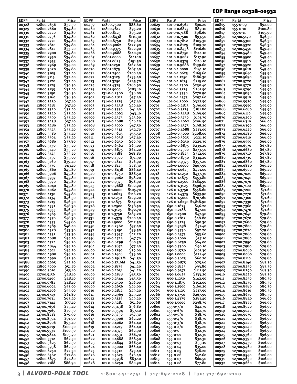## EDP Range 00328-00932

| EDP#           | Part#                    | Price                | EDP#           | Part#                        | Price                | EDP#           | Part#                        | Price                | EDP#           | Part#                    | Price              |
|----------------|--------------------------|----------------------|----------------|------------------------------|----------------------|----------------|------------------------------|----------------------|----------------|--------------------------|--------------------|
| 00328          | 12800.2656               | \$32.50              | 00459          | 12800.7500                   | \$88.60              | 00629          | 101-0-0.6562                 | \$90.20              | 00815          | 155-0-09                 | \$92.00            |
| 00329          | 12800.2660               | \$34.80              | 00460          | 12800.7812                   | \$95.20              | 00630          | 101-0-0.6875                 | S89.10               | 00816          | 155-0-10                 | S100.80            |
| 00330          | 12800.2720               | \$34.80              | 00461          | 12800.8125                   | \$95.20              | 00631          | 101-0-0.7188                 | <b>\$98.60</b>       | 00817          | 155-0-11                 | \$105.90           |
| 00331          | 12800.2756               | \$34.80              | 00462          | 12800.8438                   | \$111.30             | 00632          | 101-0-0.7500                 | \$93.50              | 00850          | 12700.5170               | \$46.30            |
| 00332          | 12800.2770               | \$34.80              | 00463          | 12800.8750                   | \$113.60             | 00633          | 101-0-0.7812                 | \$105.30             | 00851          | 12700.5300               | \$46.30            |
| 00333          | 12800.2810               | \$34.80              | 00464          | 12800.9062                   | \$122.90             | 00634          | 101-0-0.8125                 | <b>S</b> 109.70      | 00852          | 12700.5320               | \$46.30            |
| 00334          | 12800.2812               | \$33.20              | 00465          | 12800.9375                   | \$122.90             | 00635          | 101-0-0.8438                 | \$116.60             | 00853          | 12700.5450               | 549.40             |
| 00335          | 12800.2900               | \$34.80              | 00466          | 12800.9688                   | 5140.30              | 00636          | 101-0-0.8750                 | \$114.10             | 00854          | 12700.5480               | \$49.40            |
| 00336          | 12800.2950               | \$34.80              | 00467          | 12801.0000                   | \$141.10             | 00637          | 101-0-0.9062                 | \$117.90             | 00855          | 12700.5500               | 549.40             |
| 00337          | 12800.2953               | \$34.80              | 00468          | 12801.0625                   | \$151.50             | 00638          | 101-0-0.9375                 | \$116.10             | 00856          | 12700.5510               | 549.40             |
| 00338          | 12800.2969               | \$34.00              | 00469          | 12801.1250                   | 5162.60              | 00639          | 101-0-0.9688                 | \$139.60             | 00857          | 12700.5520               | 549.40             |
| 00339          | 12800.3020               | \$34.80              | 00470          | 12801.1875                   | \$187.40             | 00640          | 101-0-1.0000                 | \$141.10             | 00858          | 12700.5610               | 549.40             |
| 00340          | 12800.3105               | \$32.40              | 00471          | 12801.2500                   | \$200.40             | 00641          | 101-0-1.0625                 | \$165.60             | 00859          | 12700.5640               | \$55.90            |
| 00341          | 12800.3115               | \$32.40              | 00472          | 12801.3125                   | \$235.40             | 00642          | 101-0-1.1250                 | \$186.30             | 00860          | 12700.5690               | \$55.90            |
| 00342          | 12800.3120               | \$32.40              | 00473          | 12801.3750                   | \$245.70             | 00643          | 101-0-1.1875                 | \$215.00             | 00861          | 12700.5720               | 555.90             |
| 00343          | 12800.3125               | \$30.50              | 00474          | 12801.4375                   | \$260.90             | 00644          | 101-0-1.2500                 | \$230.40             | 00862          | 12700.5770               | 555.90             |
| 00344          | 12800.3135               | \$32.40              | 00475          | 12801.5000                   | \$283.10             | 00645          | 101-0-1.3125                 | \$261.50             | 00863          | 12700.5790               | \$55.90            |
| 00345          | 12800.3150               | \$36.50              | 00500          | 131-0-0.2500                 | \$36.00              | 00646          | 101-0-1.3750                 | \$270.90             | 00864          | 12700.5890               | 555.90             |
| 00346          | 12800.3160               | \$36.50              | 00501          | 131-0-0.2812                 | \$37.40              | 00647          | 101-0-1.4375                 | \$297.60             | 00865          | 12700.5910               | 555.90             |
| 00347          | 12800.3230               | 537.10               | 00502          | 131-0-0.3125                 | \$37.40              | 00648          | 101-0-1.5000                 | \$322.50             | 00866          | 12700.5920               | 555.90             |
| 00348          | 12800.3281               | \$37.10              | 00503          | 131-0-0.3438                 | \$40.40              | 00701          | 126-0-0.2813                 | \$190.00             | 00867          | 12700.5950               | 555.90             |
| 00349          | 12800.3320               | \$37.40              | 00504          | 131-0-0.3750                 | \$41.40              | 00702          | 126-0-0.3125                 | \$181.80             | 00868          | 12700.6080               | \$55.90            |
| 00350          | 12800.3346               | \$37.40              | 00505          | 131-0-0.4062                 | \$43.10              | 00703          | 126-0-0.3438                 | \$199.90             | 00869          | 12700.6110               | 555.90             |
| 00351          | 12800.3390               | \$37.40              | 00506          | 131-0-0.4375                 | 543.60               | 00704          | 126-0-0.3750                 | \$191.70             | 00870          | 12700.6290               | \$66.00            |
| 00352          | 12800.3438               | \$37.10              | 00507          | 131-0-0.4688                 | \$46.20              | 00705          | 126-0-0.4062                 | \$206.50             | 00871          | 12700.6310               | \$66.00            |
| 00353          | 12800.3480               | \$37.40              | 00508          | 131-0-0.5000                 | \$47.50              | 00706          | 126-0-0.4375                 | \$198.20             | 00872          | 12700.6390               | \$66.00            |
| 00354          | 12800.3543               | \$37.40              | 00509          | 131-0-0.5312                 | \$52.70              | 00707          | 126-0-0.4688                 | 5213.00              | 00873          | 12700.6420               | \$66.00            |
| 00355          | 12800.3580               | \$37.40              | 00510          | 131-0-0.5625                 | \$55.50              | 00708          | 126-0-0.5000                 | \$208.00             | 00874          | 12700.6480               | \$66.00            |
| 00356          | 12800.3594               | \$37.40              | 00511          | 131-0-0.5938                 | 557.40               | 00709          | 126-0-0.5625                 | \$221.10             | 00875          | 12700.6510               | \$66.00            |
| 00357          | 12800.3680               | \$37.80              | 00512          | 131-0-0.6250                 | \$60.90              | 00710          | 126-0-0.6250                 | \$229.30             | 00876          | 12700.6550               | \$66.00            |
| 00358          | 12800.3730               | \$35.20              | 00513          | 131-0-0.6562                 | 563.00               | 00711          | 126-0-0.6875                 | \$239.20             | 00877          | 12700.6570               | S67.80             |
| 00360          | 12800.3740               | \$35.20              | 00514          | 131-0-0.6875                 | \$64.20              | 00712          | 126-0-0.7500                 | \$273.50             | 00878          | 12700.6680               | S67.80             |
| 00361          | 12800.3745               | \$35.20              | 00515          | 131-0-0.7188                 | <b>568.80</b>        | 00713          | 126-0-0.8125                 | \$312.90             | 00879          | 12700.6710               | S67.80             |
| 00362          | 12800.3750               | \$35.00              | 00516          | 131-0-0.7500                 | \$71.90              | 00714          | 126-0-0.8750                 | \$334.20             | 00880          | 12700.6730               | \$67.80            |
| 00363          | 12800.3760               | \$39.40              | 00517          | 131-0-0.7812                 | \$76.90              | 00715          | 126-0-0.9375                 | \$357.20             | 00881          | 12700.6860               | \$67.80            |
| 00364          | 12800.3770               | \$43.10              | 00518          | 131-0-0.8125                 | 578.30               | 00716          | 126-0-1.0000                 | \$407.90             | 00882          | 12700.6880               | \$69.20            |
| 00365          | 12800.3860               | \$45.80              | 00519          | 131-0-0.8438                 | \$86.40              | 00717          | 126-0-1.0625                 | \$421.00             | 00883          | 12700.6900               | \$69.20            |
| 00366          | 12800.3906               | \$45.80              | 00520          | 131-0-0.8750                 | \$88.50              | 00718          | 126-0-1.1250                 | \$437.30             | 00884          | 12700.7020               | \$69.20            |
| 00367          | 12800.3937               | \$45.80              | 00521          | 131-0-0.9062                 | \$98.20              | 00719          | 126-0-1.1875                 | \$453.80             | 00885<br>00886 | 12700.7040               | \$69.20<br>\$69.20 |
| 00368          | 12800.3970               | \$45.80              | 00522          | 131-0-0.9375                 | \$98.90              | 00720          | 126-0-1.2500                 | \$484.90             |                | 12700.7070               |                    |
| 00369<br>00370 | 12800.4040<br>12800.4062 | \$45.80<br>\$45.80   | 00523          | 131-0-0.9688<br>131-0-1.0000 | \$102.90<br>\$105.70 | 00721<br>00722 | 126-0-1.3125<br>126-0-1.3750 | \$496.30<br>\$558.60 | 00887<br>00889 | 12700.7100               | \$69.20<br>\$71.60 |
| 00371          | 12800.4130               | \$45.80              | 00524          | 131-0-1.0625                 | \$116.20             | 00723          | 126-0-1.4375                 | \$633.90             | 00890          | 12700.7200               | \$71.60            |
| 00372          | 12800.4134               | \$46.30              | 00525<br>00526 | 131-0-1.1250                 | \$129.20             | 00724          | 126-0-1.5000                 | \$707.60             | 00891          | 12700.7270<br>12700.7300 | \$71.60            |
| 00373          | 12800.4219               | \$46.30              | 00527          | 131-0-1.1875                 | \$147.20             | 00726          | 126-0-1.6250 \$1,818.90      |                      | 00892          | 12700.7330               | S71.60             |
| 00374          | 12800.4331               | \$46.30              | 00528          | 131-0-1.2500                 | \$158.50             | 00744          | 650-0.1875                   | \$46.20              | 00893          | 12700.7360               | \$71.60            |
| 00375          | 12800.4355               | \$46.30              | 00529          | 131-0-1.3125                 | \$172.70             | 00745          | 650-0.2188                   | \$47.00              | 00894          | 12700.7470               | \$71.60            |
| 00376          | 12800.4365               | \$46.30              | 00530          | 131-0-1.3750                 | \$183.20             | 00746          | 650-0.2500                   | \$47.50              | 00895          | 12700.7640               | S79.80             |
| 00377          | 12800.4370               | \$46.30              | 00531          | 131-0-1.4375                 | \$200.40             | 00747          | 650-0.2812                   | \$48.80              | 00896          | 12700.7670               | 579.80             |
| 00378          | 12800.4375               | \$45.80              | 00532          | 131-0-1.5000                 | \$212.50             | 00748          | 650-0.3125                   | \$50.30              | 00897          | 12700.7680               | S79.80             |
| 00379          | 12800.4385               | \$48.40              | 00550          | 131-0-0.2362                 | \$37.40              | 00749          | 650-0.3438                   | 551.40               | 00898          | 12700.7800               | S79.80             |
| 00380          | 12800.4528               | \$53.30              | 00552          | 131-0-0.3150                 | 539.50               | 00750          | 650-0.3750                   | \$52.20              | 00899          | 12700.7820               | 579.80             |
| 00381          | 12800.4531               | \$53.30              | 00554          | 131-0-0.3937                 | 542.20               | 00751          | 650-0.4375                   | \$53.60              | 00900          | 12700.7860               | \$79.80            |
| 00382          | 12800.4688               | \$54.20              | 00556          | 131-0-0.4724                 | \$47.70              | 00752          | 650-0.5000                   | \$57.10              | 00901          | 12700.7880               | \$79.80            |
| 00383          | 12800.4724               | \$54.20              | 00560          | 131-0-0.6299                 | \$60.30              | 00753          | 650-0.6250                   | \$64.00              | 00902          | 12700.7950               | \$79.80            |
| 00384          | 12800.4844               | \$54.20              | 00564          | 131-0-0.7874                 | \$77.40              | 00754          | 650-0.7500                   | \$90.10              | 00903          | 12700.7980               | \$79.80            |
| 00385          | 12800.4921               | \$54.20              | 00600          | 101-0-0.1250                 | \$39.00              | 00755          | 650-0.8750                   | \$101.30             | 00904          | 12700.8060               | \$79.80            |
| 00386          | 12800.4980               | \$54.20              | 00601          | 101-0-0.1406                 | \$39.00              | 00756          | 650-1.0000                   | \$121.40             | 00905          | 12700.8080               | \$79.80            |
| 00387          | 12800.4990               | \$52.50              | 00602          | 101-0-0.1562M                | \$41.50              | 00757          | 650-0.5625                   | \$60.70              | 00906          | 12700.8110               | \$79.80            |
| 00388          | 12800.4995               | \$52.50              | 00603          | 101-0-0.1719M                | \$41.50              | 00758          | 650-0.6875                   | \$75.60              | 00907          | 12700.8140               | \$87.30            |
| 00389          | 12800.5000               | \$51.70              | 00604          | 101-0-0.1875                 | \$41.20              | 00759          | 650-0.8125                   | \$93.80              | 00908          | 12700.8250               | \$87.30            |
| 00390          | 12800.5010               | \$53.10              | 00605          | 101-0-0.2031                 | \$41.20              | 00760          | 650-0.9375                   | \$111.50             | 00909          | 12700.8290               | 587.30             |
| 00400          | 12700.5156               | \$48.10              | 00606          | 101-0-0.2188                 | \$45.50              | 00761          | 650-1.0625                   | \$133.20             | 00910          | 12700.8420               | 587.30             |
| 00401          | 12700.5469               | \$48.10              | 00607          | 101-0-0.2344                 | \$45.50              | 00762          | 650-1.1250                   | \$142.90             | 00911          | 12700.8450               | \$89.30            |
| 00402          | 12700.5781               | \$48.10              | 00608          | 101-0-0.2500                 | \$46.00              | 00763          | 650-1.1875                   | \$152.00             | 00912          | 12700.8470               | 589.30             |
| 00403          | 12700.6094               | \$53.00              | 00609          | 101-0-0.2656                 | \$46.00              | 00764          | 650-1.2500                   | \$160.20             | 00913          | 12700.8580               | \$89.30            |
| 00404          | 12700.6406               | \$55.00              | 00610          | 101-0-0.2812                 | \$49.20              | 00765          | 650-1.3125                   | \$217.90             | 00914          | 12700.8610               | \$89.30            |
| 00405          | 12700.6719               | \$61.80              | 00611          | 101-0-0.2969                 | \$49.20              | 00766          | 650-1.3750                   | \$267.90             | 00915          | 12700.8670               | \$89.30            |
| 00406          | 12700.7031               | \$63.40              | 00612          | 101-0-0.3125                 | \$49.20              | 00767          | 650-1.4375                   | \$281.40             | 00916          | 12700.8840               | \$96.90            |
| 00407          | 12700.7344               | \$77.10              | 00613          | 101-0-0.3281                 | \$51.60              | 00768          | 650-1.5000                   | \$298.70             | 00917          | 12700.8870               | \$96.90            |
| 00408          | 12700.7656               | \$75.40              | 00614          | 101-0-0.3438                 | \$56.80              | 00800          | $155 - 0 - 7/0$              | \$42.70              | 00918          | 12700.8920               | \$96.90            |
| 00409          | 12700.7969               | \$79.50              | 00615          | 101-0-0.3594                 | \$57.10              | 00801          | $155 - 0 - 6/0$              | \$42.70              | 00919          | 12700.9040               | \$96.90            |
| 00410          | 12700.8281               | \$79.90              | 00616          | 101-0-0.3750                 | \$57.30              | 00802          | $155 - 0 - 5/0$              | \$38.70              | 00920          | 12700.9070               | \$96.90            |
| 00411          | 12700.8594               | \$91.90              | 00617          | 101-0-0.3906                 | \$62.20              | 00803          | $155 - 0 - 4/0$              | \$38.70              | 00921          | 12700.9200               | \$96.90            |
| 00412          | 12700.8906               | \$93.40              | 00618          | 101-0-0.4062                 | \$64.40              | 00804          | $155 - 0 - 3/0$              | \$38.70              | 00922          | 12700.9220               | \$96.90            |
| 00413          | 12700.9219               | \$100.50             | 00619          | 101-0-0.4219                 | \$64.40              | 00805          | $155 - 0 - 2/0$              | \$35.20              | 00923          | 12700.9240               | \$96.90            |
| 00414          | 12700.9531               | \$100.50<br>\$105.70 | 00620<br>00621 | 101-0-0.4375                 | \$62.90<br>\$66.70   | 00806<br>00807 | 155-0-0                      | \$32.30              | 00924          | 12700.9260               | \$96.90<br>\$96.90 |
| 00415<br>00452 | 12700.9844<br>12800.5312 | \$62.50              | 00622          | 101-0-0.4531<br>101-0-0.4688 | \$68.50              | 00808          | 155-0-01<br>155-0-02         | \$32.30              | 00925<br>00926 | 12700.9360               | \$106.00           |
| 00453          | 12800.5625               | \$62.50              | 00623          | 101-0-0.4844                 | \$68.50              | 00809          |                              | \$32.30<br>\$33.10   | 00927          | 12700.9390<br>12700.9430 | \$106.00           |
| 00454          | 12800.5938               | \$62.50              | 00624          | 101-0-0.5000                 | \$66.40              | 00810          | 155-0-03<br>155-0-04         | \$35.00              | 00928          | 12700.9460               | \$106.00           |
| 00455          | 12800.6250               | \$72.30              | 00625          | 101-0-0.5312                 | \$73.40              | 00811          | 155-0-05                     | \$38.20              | 00929          | 12700.9520               | \$106.00           |
| 00456          | 12800.6562               | \$77.80              | 00626          | 101-0-0.5625                 | \$76.40              | 00812          | 155-0-06                     | \$42.60              | 00930          | 12700.9540               | \$106.00           |
| 00457          | 12800.6875               | \$77.80              | 00627          | 101-0-0.5938                 | \$83.10              | 00813          | 155-0-07                     | \$60.50              | 00931          | 12700.9630               | \$106.00           |
| 00458          | 12800.7188               | 586.90               | 00628          | 101-0-0.6250                 | \$80.90              | 00814          | 155-0-08                     | \$77.80              | 00932          | 12700.9660               | \$106.00           |
|                |                          |                      |                |                              |                      |                |                              |                      |                |                          |                    |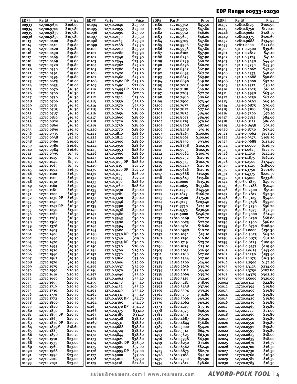## EDP Range 00933-02030

| 12700.9670<br>01180<br>00933<br>01094<br>12710.2040<br>12710.5312<br>01437<br>\$107.80<br>\$23.00<br>01181<br>\$47.80<br>12810.8750<br>\$120.10<br>00934<br>12700.9700<br>01095<br>12710.2055<br>12710.5315<br>01443<br>\$107.80<br>\$23.00<br>\$46.60<br>12810.9062<br>\$128.50<br>12700.9830<br>01096<br>12710.2090<br>01182<br>12710.5512<br>00935<br>01446<br>12700.9850<br>\$107.80<br>\$23.30<br>\$46.20<br>12810.9375<br>\$120.60<br>00936<br>01097<br>12710.2130<br>01183<br>12710.5625<br>01449<br>\$19.80<br>\$23.30<br>12810.9688<br>\$134.90<br>12710.0400<br>01098<br>12710.2165<br>01184<br>12710.5709<br>\$47.80<br>01452<br>01013<br><b>S19.80</b><br>\$23.30<br>01185<br>\$47.80<br>12811.0000<br>\$221.60<br>01014<br>12710.0410<br>01099<br>12710.2188<br>12710.5906<br>01455<br><b>S19.80</b><br>\$23.90<br>\$39.60<br>01015<br>12710.0420<br>01100<br>12710.2210<br>01186<br>12710.5938<br>\$47.80<br>01500<br>131-1-0.2500<br><b>S19.80</b><br>\$23.90<br>131-1-0.2812<br>\$41.10<br>01016<br>12710.0430<br>12710.2280<br>01187<br>12710.6102<br>557.90<br>01101<br>01501<br><b>S19.80</b><br>\$23.90<br>01188<br>12710.6250<br>\$41.10<br>01017<br>12710.0465<br>01102<br>12710.2340<br>557.90<br>01502<br>131-1-0.3125<br><b>S19.80</b><br>\$23.90<br>12710.6299<br>\$60.20<br>\$44.40<br>01018<br>12710.0469<br>12710.2344<br>01189<br>01503<br>131-1-0.3438<br>01103<br>01019<br>12710.0520<br>\$19.80<br>12710.2362<br>\$25.20<br>01190<br>12710.6496<br>\$60.20<br>01504<br>131-1-0.3750<br>\$45.50<br>01104<br><b>S19.80</b><br>12710.6562<br>\$62.90<br>12710.0550<br>12710.2380<br>\$25.20<br>01191<br>01505<br>131-1-0.4062<br>\$47.40<br>01020<br>01105<br><b>S19.80</b><br>\$25.20<br>12710.6693<br>\$67.70<br>\$48.00<br>01021<br>12710.0591<br>01106<br>12710.2420<br>01192<br>01506<br>131-1-0.4375<br><b>S19.80</b><br>\$25.20<br>12710.6875<br>\$63.90<br><b>\$50.80</b><br>01022<br>12710.0595<br>12710.2460<br>01193<br>01507<br>131-1-0.4688<br>01107<br>\$18.00<br>\$25.20<br>12710.6890<br>\$52.20<br>01023<br>12710.0625<br>01108<br>12710.2480 DP<br>01194<br>\$69.80<br>01508<br>131-1-0.5000<br><b>S18.00</b><br>Ş22.80<br><b>\$69.80</b><br>\$58.10<br>01024<br>12710.0635<br>01109<br>12710.2490<br>01195<br>12710.7087<br>131-1-0.5312<br>01509<br>\$16.30<br>12710.2495 DP<br>\$22.80<br><b>\$69.80</b><br>\$61.10<br>01025<br>12710.0670<br>01110<br>01196<br>12710.7188<br>01510<br>131-1-0.5625<br>\$16.30<br>\$22.10<br>\$63.40<br>01026<br>12710.0700<br>01111<br>12710.2500<br>01197<br>12710.7283<br>\$72.70<br>01511<br>131-1-0.5938<br>\$16.30<br>\$23.00<br>\$80.60<br>\$67.00<br>01027<br>12710.0730<br>01112<br>12710.2510<br>01198<br>12710.7480<br>01512<br>131-1-0.6250<br>\$69.50<br>\$16.30<br>\$25.50<br>\$73.40<br>131-1-0.6562<br>01028<br>12710.0760<br>01113<br>12710.2559<br>01199<br>12710.7500<br>01513<br>12710.0781<br>\$16.30<br>131-1-0.6875<br>\$70.60<br>01029<br>12710.2570<br>\$25.50<br>01200<br>12710.7677<br>578.40<br>01114<br>01514<br>\$16.30<br>\$25.60<br>\$75.60<br>01030<br>12710.0785<br>01115<br>12710.2610<br>01201<br>12710.7812<br>\$77.60<br>01515<br>131-1-0.7188<br>\$28.60<br>\$16.30<br>12710.2656<br>12710.7874<br>\$84.90<br>\$79.10<br>01031<br>12710.0787<br>01116<br>01202<br>01516<br>131-1-0.7500<br>\$28.60<br>\$84.60<br>01032<br>12710.0810<br>\$16.30<br>12710.2660<br>01203<br>12710.8071<br>\$84.90<br>01517<br>131-1-0.7812<br>01117<br>\$28.60<br>12710.0820<br>\$16.30<br>\$79.60<br>\$86.00<br>01118<br>12710.2720<br>01204<br>12710.8125<br>01518<br>131-1-0.8125<br>01033<br>\$95.10<br>12710.0860<br>\$16.30<br>\$28.60<br>12710.8268<br>\$87.60<br>131-1-0.8438<br>01034<br>01119<br>12710.2756<br>01205<br>01519<br>\$28.60<br>12710.0890<br>\$16.30<br>01206<br>12710.8438<br>\$91.10<br>131-1-0.8750<br>\$97.40<br>01035<br>01120<br>12710.2770<br>01520<br>\$16.30<br>\$28.60<br>12710.8465<br>\$100.60<br>\$108.10<br>01036<br>12710.0935<br>01121<br>12710.2810<br>01207<br>01521<br>131-1-0.9062<br>\$27.20<br>12710.8661<br>\$100.60<br>\$108.70<br>01037<br>12710.0938<br>\$14.70<br>12710.2812<br>01208<br>01522<br>131-1-0.9375<br>01122<br>12710.0960<br>S16.60<br>\$28.60<br>12710.8750<br>\$93.60<br>\$113.20<br>01038<br>01123<br>12710.2900<br>01209<br>01523<br>131-1-0.9688<br>\$28.60<br>S16.60<br>12710.8858<br>\$116.30<br>12710.0980<br>12710.2950<br>01210<br>\$102.30<br>01524<br>131-1-1.0000<br>01039<br>01124<br>\$16.60<br>\$28.60<br>\$102.30<br>\$127.70<br>01040<br>12710.0984<br>01125<br>12710.2953<br>01211<br>12710.9055<br>01525<br>131-1-1.0625<br>\$28.60<br>\$15.70<br>12710.2969<br>01212<br>12710.9062<br>\$100.70<br>01526<br>131-1-1.1250<br>\$142.10<br>01041<br>12710.0995<br>01126<br>\$28.60<br>\$162.10<br>\$15.70<br>\$110.10<br>131-1-1.1875<br>01042<br>12710.1015<br>12710.3020<br>01213<br>12710.9252<br>01527<br>01127<br>\$28.60<br>\$102.70<br>\$174.40<br>01043<br>12710.1040<br>\$15.70<br>01128<br>12710.3105 DP<br>01214<br>12710.9375<br>01528<br>131-1-1.2500<br>\$15.70<br>\$27.20<br>\$110.10<br>\$189.90<br>01044<br>12710.1065<br>01129<br>01215<br>12710.9449<br>01529<br>131-1-1.3125<br>12710.3115<br>\$27.20<br>\$110.10<br>\$201.60<br>01045<br>12710.1094<br>\$16.30<br>12710.3120 DP<br>01216<br>12710.9646<br>01530<br>131-1-1.3750<br>01130<br>\$16.30<br>\$26.00<br>12710.9688<br>\$220.50<br>12710.1100<br>12710.3125<br>01217<br>\$112.90<br>01531<br>01046<br>01131<br>131-1-1.4375<br>\$16.30<br>\$27.20<br>\$233.60<br>01047<br>12710.1110<br>01132<br>01218<br>12710.9843<br>\$115.80<br>01532<br>131-1-1.5000<br>12710.3135<br>\$16.30<br>\$28.60<br>650-F 0.1875<br>\$49.70<br>01048<br>01219<br>12711.0000<br>\$115.30<br>01744<br>12710.1130<br>01133<br>12710.3150<br>\$16.30<br>\$28.60<br>12711.0625<br>\$133.80<br>650-F 0.2188<br>\$50.40<br>01049<br>12710.1160<br>01134<br>12710.3160<br>01220<br>01745<br>\$16.30<br>650-F 0.2500<br>\$51.10<br>01050<br>12710.1181<br>530.40<br>01221<br>12711.1250<br>\$145.50<br>01746<br>01135<br>12710.3230<br>\$16.30<br>\$166.70<br>650-Г о.2812<br>01051<br>12710.1200<br>01136<br>12710.3281<br>530.40<br>01222<br>12711.1875<br>01747<br>\$52.30<br>12710.1230 DP<br>\$16.30<br>\$175.30<br>650-F 0.3125<br>\$54.00<br>01052<br>530.40<br>01223<br>12711.2500<br>01748<br>01137<br>12710.3320<br>\$16.30<br>650-F 0.3438<br>01053<br>12710.1240<br>01138<br>12710.3346<br>530.40<br>01224<br>12711.3125<br>\$203.40<br>01749<br>\$55.00<br>12710.1247 DP<br>\$16.30<br>650-F 0.3750<br>\$56.20<br>530.40<br>01225<br>\$214.10<br>01054<br>01139<br>12710.3390<br>12711.3750<br>01750<br>\$13.20<br>650-F 0.4375<br>12710.1250<br>12710.3438<br>530.40<br>01226<br>12711.4375<br>\$230.50<br>\$57.50<br>01055<br>01140<br>01751<br>12710.1260<br>\$16.30<br>\$246.70<br>650-F 0.5000<br>\$61.40<br>01056<br>01141<br>12710.3480<br>\$30.40<br>01227<br>12711.5000<br>01752<br>\$68.80<br>12710.1285<br>\$16.30<br>\$30.40<br>12810.0469<br>\$22.70<br>650-F 0.6250<br>01057<br>01230<br>01753<br>01142<br>12710.3543<br>650-F 0.7500<br>Ş96.80<br>01058<br>12710.1360<br>\$19.30<br>12710.3580<br>530.40<br>01235<br>12810.0625<br><b>S22.70</b><br>01143<br>01754<br>\$108.90<br>\$19.30<br>12810.0781<br>\$18.60<br>650-F 0.8750<br>01059<br>12710.1378<br>530.40<br>01241<br>01144<br>12710.3594<br>01755<br>\$130.30<br>\$18.20<br>650-F 1.0000<br>01060<br>12710.1405<br>\$19.30<br>12710.3680<br>530.40<br>01249<br>12810.0938<br>01145<br>01756<br>01061<br>\$19.30<br>12710.3730 DP<br>\$30.40<br>12810.1094<br>S19.10<br>01757<br>650-F 0.5625<br>\$65.20<br>12710.1406<br>01146<br>01257<br>\$29.10<br>\$16.80<br>650-F 0.6875<br>\$81.20<br>01062<br>\$19.30<br>01148<br>01267<br>12810.1250<br>01758<br>12710.1440<br>12710.3740<br>\$30.40<br>\$23.70<br>650-F 0.8125<br>\$100.90<br>01063<br>\$19.30<br>12710.3745 DP<br>01286<br>12810.1719<br>01759<br>12710.1470<br>01149<br>\$28.60<br>650-F 0.9375<br>\$119.90<br>01064<br>12710.1495<br>\$19.30<br>01150<br>01296<br>12810.1875<br>\$23.10<br>01760<br>12710.3750<br>650-F 1.0625<br>\$143.00<br>01065<br>12710.1520<br>\$19.30<br>\$29.20<br>12810.2031<br>\$26.50<br>01761<br>01151<br>12710.3760<br>01305<br>01066<br>12710.1540<br>\$19.30<br>\$34.00<br>01311<br>12810.2188<br>\$27.00<br>01762<br>650-F 1.1250<br>\$153.40<br>01152<br>12710.3770<br>650-F 1.1875<br>\$163.30<br>01067<br>\$19.30<br>\$33.00<br>\$27.90<br>01763<br>12710.1562<br>01153<br>12710.3860<br>01315<br>12810.2344<br>01068<br>\$19.30<br>12810.2500<br>\$24.90<br>650-F 1.2500<br>\$172.10<br>12710.1570<br>12710.3906<br>534.00<br>01323<br>01764<br>01154<br>\$19.30<br>12810.2656<br>650-F 1.3125<br>\$234.00<br>01069<br>\$34.00<br>01328<br>\$35.70<br>01765<br>12710.1575<br>01155<br>12710.3937<br>\$287.80<br>01070<br>12710.1590<br>S20.70<br>\$35.40<br>12810.2812<br>\$34.90<br>01766<br>650-F 1.3750<br>01156<br>12710.3970<br>01334<br>\$302.20<br>01071<br>S20.70<br>12810.2969<br>650-F 1.4375<br>12710.1610<br>01157<br>12710.4040<br>\$35.40<br>01338<br>\$35.70<br>01767<br>01072<br>12710.1660<br>Ş20.70<br>\$35.40<br>12810.3125<br>\$32.40<br>01768<br>650-F 1.5000<br>\$320.90<br>01158<br>12710.4062<br>01343<br>\$22.80<br>12710.1695<br>S20.70<br>\$35.40<br>12810.3281<br>\$38.90<br>01073<br>01159<br>12710.4130<br>01348<br>02004<br>12720.0312<br>\$19.80<br>S20.70<br>01160<br>\$35.40<br>\$37.90<br>02012<br>01074<br>12710.1719<br>12710.4134<br>01352<br>12810.3438<br>12720.0394<br>S20.70<br>\$19.80<br>01075<br>12710.1730<br>01161<br>12710.4219<br>\$35.40<br>01356<br>12810.3594<br>\$39.20<br>02013<br>12720.0400<br>\$19.80<br>01076<br>Ş20.70<br>01162<br>12710.1770<br>12710.4331<br>\$35.40<br>01362<br>12810.3750<br>\$34.80<br>02014<br>12720.0410<br>\$19.80<br>Ş20.70<br>01163<br>12710.4355 DP<br>01366<br>12810.3906<br>\$49.20<br>12720.0420<br>01077<br>12710.1772<br>\$34.70<br>02015<br>\$19.80<br>01078<br>12710.1800<br>S20.70<br>\$34.70<br>12810.4062<br>\$49.20<br>01164<br>12710.4365<br>01370<br>02016<br>12720.0430<br>01079<br>12710.1820<br>Ş20.70<br>12710.4370 DP<br>\$34.70<br>12810.4219<br>\$50.10<br>\$19.80<br>01165<br>01373<br>02017<br>12720.0465<br>\$21.00<br>01080<br>12710.1850<br>Ş20.70<br>\$33.10<br>\$46.50<br>01166<br>12710.4375<br>01378<br>12810.4375<br>02017<br>12720.1772<br>\$19.80<br>01081<br>12710.1855 DP<br>S20.70<br>\$33.10<br>\$55.90<br>01167<br>12710.4385<br>01381<br>12810.4531<br>02018<br>12720.0469<br>01082<br>\$38.80<br>\$19.80<br>12710.1865<br>Ş20.70<br>01168<br>12710.4528<br>01382<br>12810.4687<br>\$56.40<br>02019<br>12720.0520<br>01083<br>12710.1870 DP<br>\$38.80<br>\$19.80<br>Ş20.70<br>01169<br>01384<br>12810.4844<br>S56.80<br>02020<br>12710.4531<br>12720.0550<br>\$19.80<br>01084<br>12710.1875M<br><b>\$18.60</b><br><b>Ş38.80</b><br>01170<br>12710.4688<br>01389<br>12810.5000<br>554.20<br>02021<br>12720.0591<br>\$38.80<br>\$19.80<br>01085<br>12710.1885<br>S20.70<br>01410<br>12810.5312<br>\$64.70<br>02022<br>01171<br>12710.4724<br>12720.0595<br>\$18.00<br>01086<br>12710.1890<br>S20.70<br><b>Ş38.80</b><br>12810.5625<br>563.30<br>01172<br>12710.4844<br>01413<br>02023<br>12720.0625<br>\$18.00<br>01087<br>\$23.00<br>\$38.80<br>01416<br>12810.5938<br>563.90<br>02024<br>12710.1910<br>01173<br>12710.4921<br>12720.0635<br>\$16.30<br>01088<br>\$23.00<br>12710.4980 DP<br>\$38.30<br>\$71.60<br>12710.1935<br>01174<br>01419<br>12810.6250<br>02025<br>12720.0670<br>01089<br>\$23.00<br>\$37.00<br>12810.6562<br>\$82.40<br>\$16.30<br>12710.1960<br>12710.4990<br>01422<br>02026<br>12720.0700<br>01175<br>\$23.00<br>\$82.70<br>\$16.30<br>01090<br>12710.1968<br>12710.4995 DP<br>\$37.00<br>01425<br>12810.6875<br>02027<br>12720.0730<br>01176<br>\$16.30<br>01091<br>\$23.00<br>12710.5000<br>\$37.00<br>01428<br>12810.7188<br>\$94.10<br>02028<br>12720.0760<br>12710.1990<br>01177<br>01092<br>\$23.00<br>01431<br>12810.7500<br>\$91.90<br>\$16.30<br>12710.2010<br>01178<br>12710.5010<br>\$37.50<br>02029<br>12720.0781<br>\$23.00<br>12810.7812<br>\$98.60<br>12720.0785<br>\$16.30<br>01093<br>12710.2031<br>01179<br>12710.5118<br>\$47.80<br>01434<br>02030 | EDP# | Part# | Price    | EDP# | Part# | Price   | EDP# | Part# | Price  | EDP# | Part#      | Price    |
|-------------------------------------------------------------------------------------------------------------------------------------------------------------------------------------------------------------------------------------------------------------------------------------------------------------------------------------------------------------------------------------------------------------------------------------------------------------------------------------------------------------------------------------------------------------------------------------------------------------------------------------------------------------------------------------------------------------------------------------------------------------------------------------------------------------------------------------------------------------------------------------------------------------------------------------------------------------------------------------------------------------------------------------------------------------------------------------------------------------------------------------------------------------------------------------------------------------------------------------------------------------------------------------------------------------------------------------------------------------------------------------------------------------------------------------------------------------------------------------------------------------------------------------------------------------------------------------------------------------------------------------------------------------------------------------------------------------------------------------------------------------------------------------------------------------------------------------------------------------------------------------------------------------------------------------------------------------------------------------------------------------------------------------------------------------------------------------------------------------------------------------------------------------------------------------------------------------------------------------------------------------------------------------------------------------------------------------------------------------------------------------------------------------------------------------------------------------------------------------------------------------------------------------------------------------------------------------------------------------------------------------------------------------------------------------------------------------------------------------------------------------------------------------------------------------------------------------------------------------------------------------------------------------------------------------------------------------------------------------------------------------------------------------------------------------------------------------------------------------------------------------------------------------------------------------------------------------------------------------------------------------------------------------------------------------------------------------------------------------------------------------------------------------------------------------------------------------------------------------------------------------------------------------------------------------------------------------------------------------------------------------------------------------------------------------------------------------------------------------------------------------------------------------------------------------------------------------------------------------------------------------------------------------------------------------------------------------------------------------------------------------------------------------------------------------------------------------------------------------------------------------------------------------------------------------------------------------------------------------------------------------------------------------------------------------------------------------------------------------------------------------------------------------------------------------------------------------------------------------------------------------------------------------------------------------------------------------------------------------------------------------------------------------------------------------------------------------------------------------------------------------------------------------------------------------------------------------------------------------------------------------------------------------------------------------------------------------------------------------------------------------------------------------------------------------------------------------------------------------------------------------------------------------------------------------------------------------------------------------------------------------------------------------------------------------------------------------------------------------------------------------------------------------------------------------------------------------------------------------------------------------------------------------------------------------------------------------------------------------------------------------------------------------------------------------------------------------------------------------------------------------------------------------------------------------------------------------------------------------------------------------------------------------------------------------------------------------------------------------------------------------------------------------------------------------------------------------------------------------------------------------------------------------------------------------------------------------------------------------------------------------------------------------------------------------------------------------------------------------------------------------------------------------------------------------------------------------------------------------------------------------------------------------------------------------------------------------------------------------------------------------------------------------------------------------------------------------------------------------------------------------------------------------------------------------------------------------------------------------------------------------------------------------------------------------------------------------------------------------------------------------------------------------------------------------------------------------------------------------------------------------------------------------------------------------------------------------------------------------------------------------------------------------------------------------------------------------------------------------------------------------------------------------------------------------------------------------------------------------------------------------------------------------------------------------------------------------------------------------------------------------------------------------------------------------------------------------------------------------------------------------------------------------------------------------------------------------------------------------------------------------------------------------------------------------------------------------------------------------------------------------------------------------------------------------------------------------------------------------------------------------------------------------------------------------------------------------------------------------------------------------------------------------------------------------------------------------------------------------------------------------------------------------------------------------------------------------------------------------------------------------------------------------------------------------------------------------------------------------------------------------------------------------------------------------------------------------------------------------------------------------------------------------------------------------------------------------------------------------------------------------------------------------------------------------------------------------------------------------------------------------------------------------------------------------------------------------------------------------------------------------------------------------------------------------------------------------------------------------------------------------------------------------------------------------------------------------------------------------------------------------------------------------------------------------------------------------------------------------------------------------------------------------------------------------------------------------------------------------------------------------------------------------------------------------------------------------------------------------------------------------------------------------------------------------------------------------------------------------------------------------------------------------------------------------------------------------------------------------------------------------------------------------------------------------------------------------------------------------------------------------------------------------------------------------------------------------------------------------------------------------------------------------------------------------------------------------------------------------------------------------------------------------------------------------------------------------------------------------------------------------------------------------------------------------------------------------------------------------------------------------------------------------------------------------------------------------------------------------------------------------------------------------------------------------------------------------------------------------------------------------------------------------------------------------------------------------------------------------------------------------------------------------------------------------------------------------------------------------------------------------------------------------------------------------------------------------------------------------------------------------------------------------------------------------------------------------------------------------------------------------------------------------------------------------------------------------------------------------------------------------------------------------------------------------------------------------------------------------------------------------------------------------------------------------------------------------------------------------------------------------------------------------------------------------------------------------------------------------------------------------------------------------------------------------------------------------------------------------------------------------------------------------------------------------------------------------------------------------------------------------------------------------------------------------------------------------------------------------------------------------|------|-------|----------|------|-------|---------|------|-------|--------|------|------------|----------|
|                                                                                                                                                                                                                                                                                                                                                                                                                                                                                                                                                                                                                                                                                                                                                                                                                                                                                                                                                                                                                                                                                                                                                                                                                                                                                                                                                                                                                                                                                                                                                                                                                                                                                                                                                                                                                                                                                                                                                                                                                                                                                                                                                                                                                                                                                                                                                                                                                                                                                                                                                                                                                                                                                                                                                                                                                                                                                                                                                                                                                                                                                                                                                                                                                                                                                                                                                                                                                                                                                                                                                                                                                                                                                                                                                                                                                                                                                                                                                                                                                                                                                                                                                                                                                                                                                                                                                                                                                                                                                                                                                                                                                                                                                                                                                                                                                                                                                                                                                                                                                                                                                                                                                                                                                                                                                                                                                                                                                                                                                                                                                                                                                                                                                                                                                                                                                                                                                                                                                                                                                                                                                                                                                                                                                                                                                                                                                                                                                                                                                                                                                                                                                                                                                                                                                                                                                                                                                                                                                                                                                                                                                                                                                                                                                                                                                                                                                                                                                                                                                                                                                                                                                                                                                                                                                                                                                                                                                                                                                                                                                                                                                                                                                                                                                                                                                                                                                                                                                                                                                                                                                                                                                                                                                                                                                                                                                                                                                                                                                                                                                                                                                                                                                                                                                                                                                                                                                                                                                                                                                                                                                                                                                                                                                                                                                                                                                                                                                                                                                                                                                                                                                                                                                                                                                                                                                                                                                                                                                                                                                                                                                                                                                                                                                                                                                                                                                                                                                                                                                                                                                                                                                                                                                                                                                                                                                                                                                                                                                                                                                                                                                                                                                                                                                                                                                                                                                                                                                                                                                                                                                                                                                                                                                                                                                                                             |      |       | \$106.00 |      |       | \$23.00 |      |       | 545.50 |      | 12810.8125 | \$100.90 |
|                                                                                                                                                                                                                                                                                                                                                                                                                                                                                                                                                                                                                                                                                                                                                                                                                                                                                                                                                                                                                                                                                                                                                                                                                                                                                                                                                                                                                                                                                                                                                                                                                                                                                                                                                                                                                                                                                                                                                                                                                                                                                                                                                                                                                                                                                                                                                                                                                                                                                                                                                                                                                                                                                                                                                                                                                                                                                                                                                                                                                                                                                                                                                                                                                                                                                                                                                                                                                                                                                                                                                                                                                                                                                                                                                                                                                                                                                                                                                                                                                                                                                                                                                                                                                                                                                                                                                                                                                                                                                                                                                                                                                                                                                                                                                                                                                                                                                                                                                                                                                                                                                                                                                                                                                                                                                                                                                                                                                                                                                                                                                                                                                                                                                                                                                                                                                                                                                                                                                                                                                                                                                                                                                                                                                                                                                                                                                                                                                                                                                                                                                                                                                                                                                                                                                                                                                                                                                                                                                                                                                                                                                                                                                                                                                                                                                                                                                                                                                                                                                                                                                                                                                                                                                                                                                                                                                                                                                                                                                                                                                                                                                                                                                                                                                                                                                                                                                                                                                                                                                                                                                                                                                                                                                                                                                                                                                                                                                                                                                                                                                                                                                                                                                                                                                                                                                                                                                                                                                                                                                                                                                                                                                                                                                                                                                                                                                                                                                                                                                                                                                                                                                                                                                                                                                                                                                                                                                                                                                                                                                                                                                                                                                                                                                                                                                                                                                                                                                                                                                                                                                                                                                                                                                                                                                                                                                                                                                                                                                                                                                                                                                                                                                                                                                                                                                                                                                                                                                                                                                                                                                                                                                                                                                                                                                                                             |      |       |          |      |       |         |      |       |        |      |            |          |
|                                                                                                                                                                                                                                                                                                                                                                                                                                                                                                                                                                                                                                                                                                                                                                                                                                                                                                                                                                                                                                                                                                                                                                                                                                                                                                                                                                                                                                                                                                                                                                                                                                                                                                                                                                                                                                                                                                                                                                                                                                                                                                                                                                                                                                                                                                                                                                                                                                                                                                                                                                                                                                                                                                                                                                                                                                                                                                                                                                                                                                                                                                                                                                                                                                                                                                                                                                                                                                                                                                                                                                                                                                                                                                                                                                                                                                                                                                                                                                                                                                                                                                                                                                                                                                                                                                                                                                                                                                                                                                                                                                                                                                                                                                                                                                                                                                                                                                                                                                                                                                                                                                                                                                                                                                                                                                                                                                                                                                                                                                                                                                                                                                                                                                                                                                                                                                                                                                                                                                                                                                                                                                                                                                                                                                                                                                                                                                                                                                                                                                                                                                                                                                                                                                                                                                                                                                                                                                                                                                                                                                                                                                                                                                                                                                                                                                                                                                                                                                                                                                                                                                                                                                                                                                                                                                                                                                                                                                                                                                                                                                                                                                                                                                                                                                                                                                                                                                                                                                                                                                                                                                                                                                                                                                                                                                                                                                                                                                                                                                                                                                                                                                                                                                                                                                                                                                                                                                                                                                                                                                                                                                                                                                                                                                                                                                                                                                                                                                                                                                                                                                                                                                                                                                                                                                                                                                                                                                                                                                                                                                                                                                                                                                                                                                                                                                                                                                                                                                                                                                                                                                                                                                                                                                                                                                                                                                                                                                                                                                                                                                                                                                                                                                                                                                                                                                                                                                                                                                                                                                                                                                                                                                                                                                                                                                                             |      |       |          |      |       |         |      |       |        |      |            |          |
|                                                                                                                                                                                                                                                                                                                                                                                                                                                                                                                                                                                                                                                                                                                                                                                                                                                                                                                                                                                                                                                                                                                                                                                                                                                                                                                                                                                                                                                                                                                                                                                                                                                                                                                                                                                                                                                                                                                                                                                                                                                                                                                                                                                                                                                                                                                                                                                                                                                                                                                                                                                                                                                                                                                                                                                                                                                                                                                                                                                                                                                                                                                                                                                                                                                                                                                                                                                                                                                                                                                                                                                                                                                                                                                                                                                                                                                                                                                                                                                                                                                                                                                                                                                                                                                                                                                                                                                                                                                                                                                                                                                                                                                                                                                                                                                                                                                                                                                                                                                                                                                                                                                                                                                                                                                                                                                                                                                                                                                                                                                                                                                                                                                                                                                                                                                                                                                                                                                                                                                                                                                                                                                                                                                                                                                                                                                                                                                                                                                                                                                                                                                                                                                                                                                                                                                                                                                                                                                                                                                                                                                                                                                                                                                                                                                                                                                                                                                                                                                                                                                                                                                                                                                                                                                                                                                                                                                                                                                                                                                                                                                                                                                                                                                                                                                                                                                                                                                                                                                                                                                                                                                                                                                                                                                                                                                                                                                                                                                                                                                                                                                                                                                                                                                                                                                                                                                                                                                                                                                                                                                                                                                                                                                                                                                                                                                                                                                                                                                                                                                                                                                                                                                                                                                                                                                                                                                                                                                                                                                                                                                                                                                                                                                                                                                                                                                                                                                                                                                                                                                                                                                                                                                                                                                                                                                                                                                                                                                                                                                                                                                                                                                                                                                                                                                                                                                                                                                                                                                                                                                                                                                                                                                                                                                                                                                             |      |       |          |      |       |         |      |       |        |      |            |          |
|                                                                                                                                                                                                                                                                                                                                                                                                                                                                                                                                                                                                                                                                                                                                                                                                                                                                                                                                                                                                                                                                                                                                                                                                                                                                                                                                                                                                                                                                                                                                                                                                                                                                                                                                                                                                                                                                                                                                                                                                                                                                                                                                                                                                                                                                                                                                                                                                                                                                                                                                                                                                                                                                                                                                                                                                                                                                                                                                                                                                                                                                                                                                                                                                                                                                                                                                                                                                                                                                                                                                                                                                                                                                                                                                                                                                                                                                                                                                                                                                                                                                                                                                                                                                                                                                                                                                                                                                                                                                                                                                                                                                                                                                                                                                                                                                                                                                                                                                                                                                                                                                                                                                                                                                                                                                                                                                                                                                                                                                                                                                                                                                                                                                                                                                                                                                                                                                                                                                                                                                                                                                                                                                                                                                                                                                                                                                                                                                                                                                                                                                                                                                                                                                                                                                                                                                                                                                                                                                                                                                                                                                                                                                                                                                                                                                                                                                                                                                                                                                                                                                                                                                                                                                                                                                                                                                                                                                                                                                                                                                                                                                                                                                                                                                                                                                                                                                                                                                                                                                                                                                                                                                                                                                                                                                                                                                                                                                                                                                                                                                                                                                                                                                                                                                                                                                                                                                                                                                                                                                                                                                                                                                                                                                                                                                                                                                                                                                                                                                                                                                                                                                                                                                                                                                                                                                                                                                                                                                                                                                                                                                                                                                                                                                                                                                                                                                                                                                                                                                                                                                                                                                                                                                                                                                                                                                                                                                                                                                                                                                                                                                                                                                                                                                                                                                                                                                                                                                                                                                                                                                                                                                                                                                                                                                                                                             |      |       |          |      |       |         |      |       |        |      |            |          |
|                                                                                                                                                                                                                                                                                                                                                                                                                                                                                                                                                                                                                                                                                                                                                                                                                                                                                                                                                                                                                                                                                                                                                                                                                                                                                                                                                                                                                                                                                                                                                                                                                                                                                                                                                                                                                                                                                                                                                                                                                                                                                                                                                                                                                                                                                                                                                                                                                                                                                                                                                                                                                                                                                                                                                                                                                                                                                                                                                                                                                                                                                                                                                                                                                                                                                                                                                                                                                                                                                                                                                                                                                                                                                                                                                                                                                                                                                                                                                                                                                                                                                                                                                                                                                                                                                                                                                                                                                                                                                                                                                                                                                                                                                                                                                                                                                                                                                                                                                                                                                                                                                                                                                                                                                                                                                                                                                                                                                                                                                                                                                                                                                                                                                                                                                                                                                                                                                                                                                                                                                                                                                                                                                                                                                                                                                                                                                                                                                                                                                                                                                                                                                                                                                                                                                                                                                                                                                                                                                                                                                                                                                                                                                                                                                                                                                                                                                                                                                                                                                                                                                                                                                                                                                                                                                                                                                                                                                                                                                                                                                                                                                                                                                                                                                                                                                                                                                                                                                                                                                                                                                                                                                                                                                                                                                                                                                                                                                                                                                                                                                                                                                                                                                                                                                                                                                                                                                                                                                                                                                                                                                                                                                                                                                                                                                                                                                                                                                                                                                                                                                                                                                                                                                                                                                                                                                                                                                                                                                                                                                                                                                                                                                                                                                                                                                                                                                                                                                                                                                                                                                                                                                                                                                                                                                                                                                                                                                                                                                                                                                                                                                                                                                                                                                                                                                                                                                                                                                                                                                                                                                                                                                                                                                                                                                                                             |      |       |          |      |       |         |      |       |        |      |            |          |
|                                                                                                                                                                                                                                                                                                                                                                                                                                                                                                                                                                                                                                                                                                                                                                                                                                                                                                                                                                                                                                                                                                                                                                                                                                                                                                                                                                                                                                                                                                                                                                                                                                                                                                                                                                                                                                                                                                                                                                                                                                                                                                                                                                                                                                                                                                                                                                                                                                                                                                                                                                                                                                                                                                                                                                                                                                                                                                                                                                                                                                                                                                                                                                                                                                                                                                                                                                                                                                                                                                                                                                                                                                                                                                                                                                                                                                                                                                                                                                                                                                                                                                                                                                                                                                                                                                                                                                                                                                                                                                                                                                                                                                                                                                                                                                                                                                                                                                                                                                                                                                                                                                                                                                                                                                                                                                                                                                                                                                                                                                                                                                                                                                                                                                                                                                                                                                                                                                                                                                                                                                                                                                                                                                                                                                                                                                                                                                                                                                                                                                                                                                                                                                                                                                                                                                                                                                                                                                                                                                                                                                                                                                                                                                                                                                                                                                                                                                                                                                                                                                                                                                                                                                                                                                                                                                                                                                                                                                                                                                                                                                                                                                                                                                                                                                                                                                                                                                                                                                                                                                                                                                                                                                                                                                                                                                                                                                                                                                                                                                                                                                                                                                                                                                                                                                                                                                                                                                                                                                                                                                                                                                                                                                                                                                                                                                                                                                                                                                                                                                                                                                                                                                                                                                                                                                                                                                                                                                                                                                                                                                                                                                                                                                                                                                                                                                                                                                                                                                                                                                                                                                                                                                                                                                                                                                                                                                                                                                                                                                                                                                                                                                                                                                                                                                                                                                                                                                                                                                                                                                                                                                                                                                                                                                                                                                                             |      |       |          |      |       |         |      |       |        |      |            |          |
|                                                                                                                                                                                                                                                                                                                                                                                                                                                                                                                                                                                                                                                                                                                                                                                                                                                                                                                                                                                                                                                                                                                                                                                                                                                                                                                                                                                                                                                                                                                                                                                                                                                                                                                                                                                                                                                                                                                                                                                                                                                                                                                                                                                                                                                                                                                                                                                                                                                                                                                                                                                                                                                                                                                                                                                                                                                                                                                                                                                                                                                                                                                                                                                                                                                                                                                                                                                                                                                                                                                                                                                                                                                                                                                                                                                                                                                                                                                                                                                                                                                                                                                                                                                                                                                                                                                                                                                                                                                                                                                                                                                                                                                                                                                                                                                                                                                                                                                                                                                                                                                                                                                                                                                                                                                                                                                                                                                                                                                                                                                                                                                                                                                                                                                                                                                                                                                                                                                                                                                                                                                                                                                                                                                                                                                                                                                                                                                                                                                                                                                                                                                                                                                                                                                                                                                                                                                                                                                                                                                                                                                                                                                                                                                                                                                                                                                                                                                                                                                                                                                                                                                                                                                                                                                                                                                                                                                                                                                                                                                                                                                                                                                                                                                                                                                                                                                                                                                                                                                                                                                                                                                                                                                                                                                                                                                                                                                                                                                                                                                                                                                                                                                                                                                                                                                                                                                                                                                                                                                                                                                                                                                                                                                                                                                                                                                                                                                                                                                                                                                                                                                                                                                                                                                                                                                                                                                                                                                                                                                                                                                                                                                                                                                                                                                                                                                                                                                                                                                                                                                                                                                                                                                                                                                                                                                                                                                                                                                                                                                                                                                                                                                                                                                                                                                                                                                                                                                                                                                                                                                                                                                                                                                                                                                                                                                             |      |       |          |      |       |         |      |       |        |      |            |          |
|                                                                                                                                                                                                                                                                                                                                                                                                                                                                                                                                                                                                                                                                                                                                                                                                                                                                                                                                                                                                                                                                                                                                                                                                                                                                                                                                                                                                                                                                                                                                                                                                                                                                                                                                                                                                                                                                                                                                                                                                                                                                                                                                                                                                                                                                                                                                                                                                                                                                                                                                                                                                                                                                                                                                                                                                                                                                                                                                                                                                                                                                                                                                                                                                                                                                                                                                                                                                                                                                                                                                                                                                                                                                                                                                                                                                                                                                                                                                                                                                                                                                                                                                                                                                                                                                                                                                                                                                                                                                                                                                                                                                                                                                                                                                                                                                                                                                                                                                                                                                                                                                                                                                                                                                                                                                                                                                                                                                                                                                                                                                                                                                                                                                                                                                                                                                                                                                                                                                                                                                                                                                                                                                                                                                                                                                                                                                                                                                                                                                                                                                                                                                                                                                                                                                                                                                                                                                                                                                                                                                                                                                                                                                                                                                                                                                                                                                                                                                                                                                                                                                                                                                                                                                                                                                                                                                                                                                                                                                                                                                                                                                                                                                                                                                                                                                                                                                                                                                                                                                                                                                                                                                                                                                                                                                                                                                                                                                                                                                                                                                                                                                                                                                                                                                                                                                                                                                                                                                                                                                                                                                                                                                                                                                                                                                                                                                                                                                                                                                                                                                                                                                                                                                                                                                                                                                                                                                                                                                                                                                                                                                                                                                                                                                                                                                                                                                                                                                                                                                                                                                                                                                                                                                                                                                                                                                                                                                                                                                                                                                                                                                                                                                                                                                                                                                                                                                                                                                                                                                                                                                                                                                                                                                                                                                                                                             |      |       |          |      |       |         |      |       |        |      |            |          |
|                                                                                                                                                                                                                                                                                                                                                                                                                                                                                                                                                                                                                                                                                                                                                                                                                                                                                                                                                                                                                                                                                                                                                                                                                                                                                                                                                                                                                                                                                                                                                                                                                                                                                                                                                                                                                                                                                                                                                                                                                                                                                                                                                                                                                                                                                                                                                                                                                                                                                                                                                                                                                                                                                                                                                                                                                                                                                                                                                                                                                                                                                                                                                                                                                                                                                                                                                                                                                                                                                                                                                                                                                                                                                                                                                                                                                                                                                                                                                                                                                                                                                                                                                                                                                                                                                                                                                                                                                                                                                                                                                                                                                                                                                                                                                                                                                                                                                                                                                                                                                                                                                                                                                                                                                                                                                                                                                                                                                                                                                                                                                                                                                                                                                                                                                                                                                                                                                                                                                                                                                                                                                                                                                                                                                                                                                                                                                                                                                                                                                                                                                                                                                                                                                                                                                                                                                                                                                                                                                                                                                                                                                                                                                                                                                                                                                                                                                                                                                                                                                                                                                                                                                                                                                                                                                                                                                                                                                                                                                                                                                                                                                                                                                                                                                                                                                                                                                                                                                                                                                                                                                                                                                                                                                                                                                                                                                                                                                                                                                                                                                                                                                                                                                                                                                                                                                                                                                                                                                                                                                                                                                                                                                                                                                                                                                                                                                                                                                                                                                                                                                                                                                                                                                                                                                                                                                                                                                                                                                                                                                                                                                                                                                                                                                                                                                                                                                                                                                                                                                                                                                                                                                                                                                                                                                                                                                                                                                                                                                                                                                                                                                                                                                                                                                                                                                                                                                                                                                                                                                                                                                                                                                                                                                                                                                                                             |      |       |          |      |       |         |      |       |        |      |            |          |
|                                                                                                                                                                                                                                                                                                                                                                                                                                                                                                                                                                                                                                                                                                                                                                                                                                                                                                                                                                                                                                                                                                                                                                                                                                                                                                                                                                                                                                                                                                                                                                                                                                                                                                                                                                                                                                                                                                                                                                                                                                                                                                                                                                                                                                                                                                                                                                                                                                                                                                                                                                                                                                                                                                                                                                                                                                                                                                                                                                                                                                                                                                                                                                                                                                                                                                                                                                                                                                                                                                                                                                                                                                                                                                                                                                                                                                                                                                                                                                                                                                                                                                                                                                                                                                                                                                                                                                                                                                                                                                                                                                                                                                                                                                                                                                                                                                                                                                                                                                                                                                                                                                                                                                                                                                                                                                                                                                                                                                                                                                                                                                                                                                                                                                                                                                                                                                                                                                                                                                                                                                                                                                                                                                                                                                                                                                                                                                                                                                                                                                                                                                                                                                                                                                                                                                                                                                                                                                                                                                                                                                                                                                                                                                                                                                                                                                                                                                                                                                                                                                                                                                                                                                                                                                                                                                                                                                                                                                                                                                                                                                                                                                                                                                                                                                                                                                                                                                                                                                                                                                                                                                                                                                                                                                                                                                                                                                                                                                                                                                                                                                                                                                                                                                                                                                                                                                                                                                                                                                                                                                                                                                                                                                                                                                                                                                                                                                                                                                                                                                                                                                                                                                                                                                                                                                                                                                                                                                                                                                                                                                                                                                                                                                                                                                                                                                                                                                                                                                                                                                                                                                                                                                                                                                                                                                                                                                                                                                                                                                                                                                                                                                                                                                                                                                                                                                                                                                                                                                                                                                                                                                                                                                                                                                                                                                                             |      |       |          |      |       |         |      |       |        |      |            |          |
|                                                                                                                                                                                                                                                                                                                                                                                                                                                                                                                                                                                                                                                                                                                                                                                                                                                                                                                                                                                                                                                                                                                                                                                                                                                                                                                                                                                                                                                                                                                                                                                                                                                                                                                                                                                                                                                                                                                                                                                                                                                                                                                                                                                                                                                                                                                                                                                                                                                                                                                                                                                                                                                                                                                                                                                                                                                                                                                                                                                                                                                                                                                                                                                                                                                                                                                                                                                                                                                                                                                                                                                                                                                                                                                                                                                                                                                                                                                                                                                                                                                                                                                                                                                                                                                                                                                                                                                                                                                                                                                                                                                                                                                                                                                                                                                                                                                                                                                                                                                                                                                                                                                                                                                                                                                                                                                                                                                                                                                                                                                                                                                                                                                                                                                                                                                                                                                                                                                                                                                                                                                                                                                                                                                                                                                                                                                                                                                                                                                                                                                                                                                                                                                                                                                                                                                                                                                                                                                                                                                                                                                                                                                                                                                                                                                                                                                                                                                                                                                                                                                                                                                                                                                                                                                                                                                                                                                                                                                                                                                                                                                                                                                                                                                                                                                                                                                                                                                                                                                                                                                                                                                                                                                                                                                                                                                                                                                                                                                                                                                                                                                                                                                                                                                                                                                                                                                                                                                                                                                                                                                                                                                                                                                                                                                                                                                                                                                                                                                                                                                                                                                                                                                                                                                                                                                                                                                                                                                                                                                                                                                                                                                                                                                                                                                                                                                                                                                                                                                                                                                                                                                                                                                                                                                                                                                                                                                                                                                                                                                                                                                                                                                                                                                                                                                                                                                                                                                                                                                                                                                                                                                                                                                                                                                                                                                             |      |       |          |      |       |         |      |       |        |      |            |          |
|                                                                                                                                                                                                                                                                                                                                                                                                                                                                                                                                                                                                                                                                                                                                                                                                                                                                                                                                                                                                                                                                                                                                                                                                                                                                                                                                                                                                                                                                                                                                                                                                                                                                                                                                                                                                                                                                                                                                                                                                                                                                                                                                                                                                                                                                                                                                                                                                                                                                                                                                                                                                                                                                                                                                                                                                                                                                                                                                                                                                                                                                                                                                                                                                                                                                                                                                                                                                                                                                                                                                                                                                                                                                                                                                                                                                                                                                                                                                                                                                                                                                                                                                                                                                                                                                                                                                                                                                                                                                                                                                                                                                                                                                                                                                                                                                                                                                                                                                                                                                                                                                                                                                                                                                                                                                                                                                                                                                                                                                                                                                                                                                                                                                                                                                                                                                                                                                                                                                                                                                                                                                                                                                                                                                                                                                                                                                                                                                                                                                                                                                                                                                                                                                                                                                                                                                                                                                                                                                                                                                                                                                                                                                                                                                                                                                                                                                                                                                                                                                                                                                                                                                                                                                                                                                                                                                                                                                                                                                                                                                                                                                                                                                                                                                                                                                                                                                                                                                                                                                                                                                                                                                                                                                                                                                                                                                                                                                                                                                                                                                                                                                                                                                                                                                                                                                                                                                                                                                                                                                                                                                                                                                                                                                                                                                                                                                                                                                                                                                                                                                                                                                                                                                                                                                                                                                                                                                                                                                                                                                                                                                                                                                                                                                                                                                                                                                                                                                                                                                                                                                                                                                                                                                                                                                                                                                                                                                                                                                                                                                                                                                                                                                                                                                                                                                                                                                                                                                                                                                                                                                                                                                                                                                                                                                                                                             |      |       |          |      |       |         |      |       |        |      |            |          |
|                                                                                                                                                                                                                                                                                                                                                                                                                                                                                                                                                                                                                                                                                                                                                                                                                                                                                                                                                                                                                                                                                                                                                                                                                                                                                                                                                                                                                                                                                                                                                                                                                                                                                                                                                                                                                                                                                                                                                                                                                                                                                                                                                                                                                                                                                                                                                                                                                                                                                                                                                                                                                                                                                                                                                                                                                                                                                                                                                                                                                                                                                                                                                                                                                                                                                                                                                                                                                                                                                                                                                                                                                                                                                                                                                                                                                                                                                                                                                                                                                                                                                                                                                                                                                                                                                                                                                                                                                                                                                                                                                                                                                                                                                                                                                                                                                                                                                                                                                                                                                                                                                                                                                                                                                                                                                                                                                                                                                                                                                                                                                                                                                                                                                                                                                                                                                                                                                                                                                                                                                                                                                                                                                                                                                                                                                                                                                                                                                                                                                                                                                                                                                                                                                                                                                                                                                                                                                                                                                                                                                                                                                                                                                                                                                                                                                                                                                                                                                                                                                                                                                                                                                                                                                                                                                                                                                                                                                                                                                                                                                                                                                                                                                                                                                                                                                                                                                                                                                                                                                                                                                                                                                                                                                                                                                                                                                                                                                                                                                                                                                                                                                                                                                                                                                                                                                                                                                                                                                                                                                                                                                                                                                                                                                                                                                                                                                                                                                                                                                                                                                                                                                                                                                                                                                                                                                                                                                                                                                                                                                                                                                                                                                                                                                                                                                                                                                                                                                                                                                                                                                                                                                                                                                                                                                                                                                                                                                                                                                                                                                                                                                                                                                                                                                                                                                                                                                                                                                                                                                                                                                                                                                                                                                                                                                                                             |      |       |          |      |       |         |      |       |        |      |            |          |
|                                                                                                                                                                                                                                                                                                                                                                                                                                                                                                                                                                                                                                                                                                                                                                                                                                                                                                                                                                                                                                                                                                                                                                                                                                                                                                                                                                                                                                                                                                                                                                                                                                                                                                                                                                                                                                                                                                                                                                                                                                                                                                                                                                                                                                                                                                                                                                                                                                                                                                                                                                                                                                                                                                                                                                                                                                                                                                                                                                                                                                                                                                                                                                                                                                                                                                                                                                                                                                                                                                                                                                                                                                                                                                                                                                                                                                                                                                                                                                                                                                                                                                                                                                                                                                                                                                                                                                                                                                                                                                                                                                                                                                                                                                                                                                                                                                                                                                                                                                                                                                                                                                                                                                                                                                                                                                                                                                                                                                                                                                                                                                                                                                                                                                                                                                                                                                                                                                                                                                                                                                                                                                                                                                                                                                                                                                                                                                                                                                                                                                                                                                                                                                                                                                                                                                                                                                                                                                                                                                                                                                                                                                                                                                                                                                                                                                                                                                                                                                                                                                                                                                                                                                                                                                                                                                                                                                                                                                                                                                                                                                                                                                                                                                                                                                                                                                                                                                                                                                                                                                                                                                                                                                                                                                                                                                                                                                                                                                                                                                                                                                                                                                                                                                                                                                                                                                                                                                                                                                                                                                                                                                                                                                                                                                                                                                                                                                                                                                                                                                                                                                                                                                                                                                                                                                                                                                                                                                                                                                                                                                                                                                                                                                                                                                                                                                                                                                                                                                                                                                                                                                                                                                                                                                                                                                                                                                                                                                                                                                                                                                                                                                                                                                                                                                                                                                                                                                                                                                                                                                                                                                                                                                                                                                                                                                                             |      |       |          |      |       |         |      |       |        |      |            |          |
|                                                                                                                                                                                                                                                                                                                                                                                                                                                                                                                                                                                                                                                                                                                                                                                                                                                                                                                                                                                                                                                                                                                                                                                                                                                                                                                                                                                                                                                                                                                                                                                                                                                                                                                                                                                                                                                                                                                                                                                                                                                                                                                                                                                                                                                                                                                                                                                                                                                                                                                                                                                                                                                                                                                                                                                                                                                                                                                                                                                                                                                                                                                                                                                                                                                                                                                                                                                                                                                                                                                                                                                                                                                                                                                                                                                                                                                                                                                                                                                                                                                                                                                                                                                                                                                                                                                                                                                                                                                                                                                                                                                                                                                                                                                                                                                                                                                                                                                                                                                                                                                                                                                                                                                                                                                                                                                                                                                                                                                                                                                                                                                                                                                                                                                                                                                                                                                                                                                                                                                                                                                                                                                                                                                                                                                                                                                                                                                                                                                                                                                                                                                                                                                                                                                                                                                                                                                                                                                                                                                                                                                                                                                                                                                                                                                                                                                                                                                                                                                                                                                                                                                                                                                                                                                                                                                                                                                                                                                                                                                                                                                                                                                                                                                                                                                                                                                                                                                                                                                                                                                                                                                                                                                                                                                                                                                                                                                                                                                                                                                                                                                                                                                                                                                                                                                                                                                                                                                                                                                                                                                                                                                                                                                                                                                                                                                                                                                                                                                                                                                                                                                                                                                                                                                                                                                                                                                                                                                                                                                                                                                                                                                                                                                                                                                                                                                                                                                                                                                                                                                                                                                                                                                                                                                                                                                                                                                                                                                                                                                                                                                                                                                                                                                                                                                                                                                                                                                                                                                                                                                                                                                                                                                                                                                                                                                             |      |       |          |      |       |         |      |       |        |      |            |          |
|                                                                                                                                                                                                                                                                                                                                                                                                                                                                                                                                                                                                                                                                                                                                                                                                                                                                                                                                                                                                                                                                                                                                                                                                                                                                                                                                                                                                                                                                                                                                                                                                                                                                                                                                                                                                                                                                                                                                                                                                                                                                                                                                                                                                                                                                                                                                                                                                                                                                                                                                                                                                                                                                                                                                                                                                                                                                                                                                                                                                                                                                                                                                                                                                                                                                                                                                                                                                                                                                                                                                                                                                                                                                                                                                                                                                                                                                                                                                                                                                                                                                                                                                                                                                                                                                                                                                                                                                                                                                                                                                                                                                                                                                                                                                                                                                                                                                                                                                                                                                                                                                                                                                                                                                                                                                                                                                                                                                                                                                                                                                                                                                                                                                                                                                                                                                                                                                                                                                                                                                                                                                                                                                                                                                                                                                                                                                                                                                                                                                                                                                                                                                                                                                                                                                                                                                                                                                                                                                                                                                                                                                                                                                                                                                                                                                                                                                                                                                                                                                                                                                                                                                                                                                                                                                                                                                                                                                                                                                                                                                                                                                                                                                                                                                                                                                                                                                                                                                                                                                                                                                                                                                                                                                                                                                                                                                                                                                                                                                                                                                                                                                                                                                                                                                                                                                                                                                                                                                                                                                                                                                                                                                                                                                                                                                                                                                                                                                                                                                                                                                                                                                                                                                                                                                                                                                                                                                                                                                                                                                                                                                                                                                                                                                                                                                                                                                                                                                                                                                                                                                                                                                                                                                                                                                                                                                                                                                                                                                                                                                                                                                                                                                                                                                                                                                                                                                                                                                                                                                                                                                                                                                                                                                                                                                                                                             |      |       |          |      |       |         |      |       |        |      |            |          |
|                                                                                                                                                                                                                                                                                                                                                                                                                                                                                                                                                                                                                                                                                                                                                                                                                                                                                                                                                                                                                                                                                                                                                                                                                                                                                                                                                                                                                                                                                                                                                                                                                                                                                                                                                                                                                                                                                                                                                                                                                                                                                                                                                                                                                                                                                                                                                                                                                                                                                                                                                                                                                                                                                                                                                                                                                                                                                                                                                                                                                                                                                                                                                                                                                                                                                                                                                                                                                                                                                                                                                                                                                                                                                                                                                                                                                                                                                                                                                                                                                                                                                                                                                                                                                                                                                                                                                                                                                                                                                                                                                                                                                                                                                                                                                                                                                                                                                                                                                                                                                                                                                                                                                                                                                                                                                                                                                                                                                                                                                                                                                                                                                                                                                                                                                                                                                                                                                                                                                                                                                                                                                                                                                                                                                                                                                                                                                                                                                                                                                                                                                                                                                                                                                                                                                                                                                                                                                                                                                                                                                                                                                                                                                                                                                                                                                                                                                                                                                                                                                                                                                                                                                                                                                                                                                                                                                                                                                                                                                                                                                                                                                                                                                                                                                                                                                                                                                                                                                                                                                                                                                                                                                                                                                                                                                                                                                                                                                                                                                                                                                                                                                                                                                                                                                                                                                                                                                                                                                                                                                                                                                                                                                                                                                                                                                                                                                                                                                                                                                                                                                                                                                                                                                                                                                                                                                                                                                                                                                                                                                                                                                                                                                                                                                                                                                                                                                                                                                                                                                                                                                                                                                                                                                                                                                                                                                                                                                                                                                                                                                                                                                                                                                                                                                                                                                                                                                                                                                                                                                                                                                                                                                                                                                                                                                                                             |      |       |          |      |       |         |      |       |        |      |            |          |
|                                                                                                                                                                                                                                                                                                                                                                                                                                                                                                                                                                                                                                                                                                                                                                                                                                                                                                                                                                                                                                                                                                                                                                                                                                                                                                                                                                                                                                                                                                                                                                                                                                                                                                                                                                                                                                                                                                                                                                                                                                                                                                                                                                                                                                                                                                                                                                                                                                                                                                                                                                                                                                                                                                                                                                                                                                                                                                                                                                                                                                                                                                                                                                                                                                                                                                                                                                                                                                                                                                                                                                                                                                                                                                                                                                                                                                                                                                                                                                                                                                                                                                                                                                                                                                                                                                                                                                                                                                                                                                                                                                                                                                                                                                                                                                                                                                                                                                                                                                                                                                                                                                                                                                                                                                                                                                                                                                                                                                                                                                                                                                                                                                                                                                                                                                                                                                                                                                                                                                                                                                                                                                                                                                                                                                                                                                                                                                                                                                                                                                                                                                                                                                                                                                                                                                                                                                                                                                                                                                                                                                                                                                                                                                                                                                                                                                                                                                                                                                                                                                                                                                                                                                                                                                                                                                                                                                                                                                                                                                                                                                                                                                                                                                                                                                                                                                                                                                                                                                                                                                                                                                                                                                                                                                                                                                                                                                                                                                                                                                                                                                                                                                                                                                                                                                                                                                                                                                                                                                                                                                                                                                                                                                                                                                                                                                                                                                                                                                                                                                                                                                                                                                                                                                                                                                                                                                                                                                                                                                                                                                                                                                                                                                                                                                                                                                                                                                                                                                                                                                                                                                                                                                                                                                                                                                                                                                                                                                                                                                                                                                                                                                                                                                                                                                                                                                                                                                                                                                                                                                                                                                                                                                                                                                                                                                                             |      |       |          |      |       |         |      |       |        |      |            |          |
|                                                                                                                                                                                                                                                                                                                                                                                                                                                                                                                                                                                                                                                                                                                                                                                                                                                                                                                                                                                                                                                                                                                                                                                                                                                                                                                                                                                                                                                                                                                                                                                                                                                                                                                                                                                                                                                                                                                                                                                                                                                                                                                                                                                                                                                                                                                                                                                                                                                                                                                                                                                                                                                                                                                                                                                                                                                                                                                                                                                                                                                                                                                                                                                                                                                                                                                                                                                                                                                                                                                                                                                                                                                                                                                                                                                                                                                                                                                                                                                                                                                                                                                                                                                                                                                                                                                                                                                                                                                                                                                                                                                                                                                                                                                                                                                                                                                                                                                                                                                                                                                                                                                                                                                                                                                                                                                                                                                                                                                                                                                                                                                                                                                                                                                                                                                                                                                                                                                                                                                                                                                                                                                                                                                                                                                                                                                                                                                                                                                                                                                                                                                                                                                                                                                                                                                                                                                                                                                                                                                                                                                                                                                                                                                                                                                                                                                                                                                                                                                                                                                                                                                                                                                                                                                                                                                                                                                                                                                                                                                                                                                                                                                                                                                                                                                                                                                                                                                                                                                                                                                                                                                                                                                                                                                                                                                                                                                                                                                                                                                                                                                                                                                                                                                                                                                                                                                                                                                                                                                                                                                                                                                                                                                                                                                                                                                                                                                                                                                                                                                                                                                                                                                                                                                                                                                                                                                                                                                                                                                                                                                                                                                                                                                                                                                                                                                                                                                                                                                                                                                                                                                                                                                                                                                                                                                                                                                                                                                                                                                                                                                                                                                                                                                                                                                                                                                                                                                                                                                                                                                                                                                                                                                                                                                                                                                             |      |       |          |      |       |         |      |       |        |      |            |          |
|                                                                                                                                                                                                                                                                                                                                                                                                                                                                                                                                                                                                                                                                                                                                                                                                                                                                                                                                                                                                                                                                                                                                                                                                                                                                                                                                                                                                                                                                                                                                                                                                                                                                                                                                                                                                                                                                                                                                                                                                                                                                                                                                                                                                                                                                                                                                                                                                                                                                                                                                                                                                                                                                                                                                                                                                                                                                                                                                                                                                                                                                                                                                                                                                                                                                                                                                                                                                                                                                                                                                                                                                                                                                                                                                                                                                                                                                                                                                                                                                                                                                                                                                                                                                                                                                                                                                                                                                                                                                                                                                                                                                                                                                                                                                                                                                                                                                                                                                                                                                                                                                                                                                                                                                                                                                                                                                                                                                                                                                                                                                                                                                                                                                                                                                                                                                                                                                                                                                                                                                                                                                                                                                                                                                                                                                                                                                                                                                                                                                                                                                                                                                                                                                                                                                                                                                                                                                                                                                                                                                                                                                                                                                                                                                                                                                                                                                                                                                                                                                                                                                                                                                                                                                                                                                                                                                                                                                                                                                                                                                                                                                                                                                                                                                                                                                                                                                                                                                                                                                                                                                                                                                                                                                                                                                                                                                                                                                                                                                                                                                                                                                                                                                                                                                                                                                                                                                                                                                                                                                                                                                                                                                                                                                                                                                                                                                                                                                                                                                                                                                                                                                                                                                                                                                                                                                                                                                                                                                                                                                                                                                                                                                                                                                                                                                                                                                                                                                                                                                                                                                                                                                                                                                                                                                                                                                                                                                                                                                                                                                                                                                                                                                                                                                                                                                                                                                                                                                                                                                                                                                                                                                                                                                                                                                                                                             |      |       |          |      |       |         |      |       |        |      |            |          |
|                                                                                                                                                                                                                                                                                                                                                                                                                                                                                                                                                                                                                                                                                                                                                                                                                                                                                                                                                                                                                                                                                                                                                                                                                                                                                                                                                                                                                                                                                                                                                                                                                                                                                                                                                                                                                                                                                                                                                                                                                                                                                                                                                                                                                                                                                                                                                                                                                                                                                                                                                                                                                                                                                                                                                                                                                                                                                                                                                                                                                                                                                                                                                                                                                                                                                                                                                                                                                                                                                                                                                                                                                                                                                                                                                                                                                                                                                                                                                                                                                                                                                                                                                                                                                                                                                                                                                                                                                                                                                                                                                                                                                                                                                                                                                                                                                                                                                                                                                                                                                                                                                                                                                                                                                                                                                                                                                                                                                                                                                                                                                                                                                                                                                                                                                                                                                                                                                                                                                                                                                                                                                                                                                                                                                                                                                                                                                                                                                                                                                                                                                                                                                                                                                                                                                                                                                                                                                                                                                                                                                                                                                                                                                                                                                                                                                                                                                                                                                                                                                                                                                                                                                                                                                                                                                                                                                                                                                                                                                                                                                                                                                                                                                                                                                                                                                                                                                                                                                                                                                                                                                                                                                                                                                                                                                                                                                                                                                                                                                                                                                                                                                                                                                                                                                                                                                                                                                                                                                                                                                                                                                                                                                                                                                                                                                                                                                                                                                                                                                                                                                                                                                                                                                                                                                                                                                                                                                                                                                                                                                                                                                                                                                                                                                                                                                                                                                                                                                                                                                                                                                                                                                                                                                                                                                                                                                                                                                                                                                                                                                                                                                                                                                                                                                                                                                                                                                                                                                                                                                                                                                                                                                                                                                                                                                                                             |      |       |          |      |       |         |      |       |        |      |            |          |
|                                                                                                                                                                                                                                                                                                                                                                                                                                                                                                                                                                                                                                                                                                                                                                                                                                                                                                                                                                                                                                                                                                                                                                                                                                                                                                                                                                                                                                                                                                                                                                                                                                                                                                                                                                                                                                                                                                                                                                                                                                                                                                                                                                                                                                                                                                                                                                                                                                                                                                                                                                                                                                                                                                                                                                                                                                                                                                                                                                                                                                                                                                                                                                                                                                                                                                                                                                                                                                                                                                                                                                                                                                                                                                                                                                                                                                                                                                                                                                                                                                                                                                                                                                                                                                                                                                                                                                                                                                                                                                                                                                                                                                                                                                                                                                                                                                                                                                                                                                                                                                                                                                                                                                                                                                                                                                                                                                                                                                                                                                                                                                                                                                                                                                                                                                                                                                                                                                                                                                                                                                                                                                                                                                                                                                                                                                                                                                                                                                                                                                                                                                                                                                                                                                                                                                                                                                                                                                                                                                                                                                                                                                                                                                                                                                                                                                                                                                                                                                                                                                                                                                                                                                                                                                                                                                                                                                                                                                                                                                                                                                                                                                                                                                                                                                                                                                                                                                                                                                                                                                                                                                                                                                                                                                                                                                                                                                                                                                                                                                                                                                                                                                                                                                                                                                                                                                                                                                                                                                                                                                                                                                                                                                                                                                                                                                                                                                                                                                                                                                                                                                                                                                                                                                                                                                                                                                                                                                                                                                                                                                                                                                                                                                                                                                                                                                                                                                                                                                                                                                                                                                                                                                                                                                                                                                                                                                                                                                                                                                                                                                                                                                                                                                                                                                                                                                                                                                                                                                                                                                                                                                                                                                                                                                                                                                                             |      |       |          |      |       |         |      |       |        |      |            |          |
|                                                                                                                                                                                                                                                                                                                                                                                                                                                                                                                                                                                                                                                                                                                                                                                                                                                                                                                                                                                                                                                                                                                                                                                                                                                                                                                                                                                                                                                                                                                                                                                                                                                                                                                                                                                                                                                                                                                                                                                                                                                                                                                                                                                                                                                                                                                                                                                                                                                                                                                                                                                                                                                                                                                                                                                                                                                                                                                                                                                                                                                                                                                                                                                                                                                                                                                                                                                                                                                                                                                                                                                                                                                                                                                                                                                                                                                                                                                                                                                                                                                                                                                                                                                                                                                                                                                                                                                                                                                                                                                                                                                                                                                                                                                                                                                                                                                                                                                                                                                                                                                                                                                                                                                                                                                                                                                                                                                                                                                                                                                                                                                                                                                                                                                                                                                                                                                                                                                                                                                                                                                                                                                                                                                                                                                                                                                                                                                                                                                                                                                                                                                                                                                                                                                                                                                                                                                                                                                                                                                                                                                                                                                                                                                                                                                                                                                                                                                                                                                                                                                                                                                                                                                                                                                                                                                                                                                                                                                                                                                                                                                                                                                                                                                                                                                                                                                                                                                                                                                                                                                                                                                                                                                                                                                                                                                                                                                                                                                                                                                                                                                                                                                                                                                                                                                                                                                                                                                                                                                                                                                                                                                                                                                                                                                                                                                                                                                                                                                                                                                                                                                                                                                                                                                                                                                                                                                                                                                                                                                                                                                                                                                                                                                                                                                                                                                                                                                                                                                                                                                                                                                                                                                                                                                                                                                                                                                                                                                                                                                                                                                                                                                                                                                                                                                                                                                                                                                                                                                                                                                                                                                                                                                                                                                                                                                             |      |       |          |      |       |         |      |       |        |      |            |          |
|                                                                                                                                                                                                                                                                                                                                                                                                                                                                                                                                                                                                                                                                                                                                                                                                                                                                                                                                                                                                                                                                                                                                                                                                                                                                                                                                                                                                                                                                                                                                                                                                                                                                                                                                                                                                                                                                                                                                                                                                                                                                                                                                                                                                                                                                                                                                                                                                                                                                                                                                                                                                                                                                                                                                                                                                                                                                                                                                                                                                                                                                                                                                                                                                                                                                                                                                                                                                                                                                                                                                                                                                                                                                                                                                                                                                                                                                                                                                                                                                                                                                                                                                                                                                                                                                                                                                                                                                                                                                                                                                                                                                                                                                                                                                                                                                                                                                                                                                                                                                                                                                                                                                                                                                                                                                                                                                                                                                                                                                                                                                                                                                                                                                                                                                                                                                                                                                                                                                                                                                                                                                                                                                                                                                                                                                                                                                                                                                                                                                                                                                                                                                                                                                                                                                                                                                                                                                                                                                                                                                                                                                                                                                                                                                                                                                                                                                                                                                                                                                                                                                                                                                                                                                                                                                                                                                                                                                                                                                                                                                                                                                                                                                                                                                                                                                                                                                                                                                                                                                                                                                                                                                                                                                                                                                                                                                                                                                                                                                                                                                                                                                                                                                                                                                                                                                                                                                                                                                                                                                                                                                                                                                                                                                                                                                                                                                                                                                                                                                                                                                                                                                                                                                                                                                                                                                                                                                                                                                                                                                                                                                                                                                                                                                                                                                                                                                                                                                                                                                                                                                                                                                                                                                                                                                                                                                                                                                                                                                                                                                                                                                                                                                                                                                                                                                                                                                                                                                                                                                                                                                                                                                                                                                                                                                                                                             |      |       |          |      |       |         |      |       |        |      |            |          |
|                                                                                                                                                                                                                                                                                                                                                                                                                                                                                                                                                                                                                                                                                                                                                                                                                                                                                                                                                                                                                                                                                                                                                                                                                                                                                                                                                                                                                                                                                                                                                                                                                                                                                                                                                                                                                                                                                                                                                                                                                                                                                                                                                                                                                                                                                                                                                                                                                                                                                                                                                                                                                                                                                                                                                                                                                                                                                                                                                                                                                                                                                                                                                                                                                                                                                                                                                                                                                                                                                                                                                                                                                                                                                                                                                                                                                                                                                                                                                                                                                                                                                                                                                                                                                                                                                                                                                                                                                                                                                                                                                                                                                                                                                                                                                                                                                                                                                                                                                                                                                                                                                                                                                                                                                                                                                                                                                                                                                                                                                                                                                                                                                                                                                                                                                                                                                                                                                                                                                                                                                                                                                                                                                                                                                                                                                                                                                                                                                                                                                                                                                                                                                                                                                                                                                                                                                                                                                                                                                                                                                                                                                                                                                                                                                                                                                                                                                                                                                                                                                                                                                                                                                                                                                                                                                                                                                                                                                                                                                                                                                                                                                                                                                                                                                                                                                                                                                                                                                                                                                                                                                                                                                                                                                                                                                                                                                                                                                                                                                                                                                                                                                                                                                                                                                                                                                                                                                                                                                                                                                                                                                                                                                                                                                                                                                                                                                                                                                                                                                                                                                                                                                                                                                                                                                                                                                                                                                                                                                                                                                                                                                                                                                                                                                                                                                                                                                                                                                                                                                                                                                                                                                                                                                                                                                                                                                                                                                                                                                                                                                                                                                                                                                                                                                                                                                                                                                                                                                                                                                                                                                                                                                                                                                                                                                                                             |      |       |          |      |       |         |      |       |        |      |            |          |
|                                                                                                                                                                                                                                                                                                                                                                                                                                                                                                                                                                                                                                                                                                                                                                                                                                                                                                                                                                                                                                                                                                                                                                                                                                                                                                                                                                                                                                                                                                                                                                                                                                                                                                                                                                                                                                                                                                                                                                                                                                                                                                                                                                                                                                                                                                                                                                                                                                                                                                                                                                                                                                                                                                                                                                                                                                                                                                                                                                                                                                                                                                                                                                                                                                                                                                                                                                                                                                                                                                                                                                                                                                                                                                                                                                                                                                                                                                                                                                                                                                                                                                                                                                                                                                                                                                                                                                                                                                                                                                                                                                                                                                                                                                                                                                                                                                                                                                                                                                                                                                                                                                                                                                                                                                                                                                                                                                                                                                                                                                                                                                                                                                                                                                                                                                                                                                                                                                                                                                                                                                                                                                                                                                                                                                                                                                                                                                                                                                                                                                                                                                                                                                                                                                                                                                                                                                                                                                                                                                                                                                                                                                                                                                                                                                                                                                                                                                                                                                                                                                                                                                                                                                                                                                                                                                                                                                                                                                                                                                                                                                                                                                                                                                                                                                                                                                                                                                                                                                                                                                                                                                                                                                                                                                                                                                                                                                                                                                                                                                                                                                                                                                                                                                                                                                                                                                                                                                                                                                                                                                                                                                                                                                                                                                                                                                                                                                                                                                                                                                                                                                                                                                                                                                                                                                                                                                                                                                                                                                                                                                                                                                                                                                                                                                                                                                                                                                                                                                                                                                                                                                                                                                                                                                                                                                                                                                                                                                                                                                                                                                                                                                                                                                                                                                                                                                                                                                                                                                                                                                                                                                                                                                                                                                                                                                                             |      |       |          |      |       |         |      |       |        |      |            |          |
|                                                                                                                                                                                                                                                                                                                                                                                                                                                                                                                                                                                                                                                                                                                                                                                                                                                                                                                                                                                                                                                                                                                                                                                                                                                                                                                                                                                                                                                                                                                                                                                                                                                                                                                                                                                                                                                                                                                                                                                                                                                                                                                                                                                                                                                                                                                                                                                                                                                                                                                                                                                                                                                                                                                                                                                                                                                                                                                                                                                                                                                                                                                                                                                                                                                                                                                                                                                                                                                                                                                                                                                                                                                                                                                                                                                                                                                                                                                                                                                                                                                                                                                                                                                                                                                                                                                                                                                                                                                                                                                                                                                                                                                                                                                                                                                                                                                                                                                                                                                                                                                                                                                                                                                                                                                                                                                                                                                                                                                                                                                                                                                                                                                                                                                                                                                                                                                                                                                                                                                                                                                                                                                                                                                                                                                                                                                                                                                                                                                                                                                                                                                                                                                                                                                                                                                                                                                                                                                                                                                                                                                                                                                                                                                                                                                                                                                                                                                                                                                                                                                                                                                                                                                                                                                                                                                                                                                                                                                                                                                                                                                                                                                                                                                                                                                                                                                                                                                                                                                                                                                                                                                                                                                                                                                                                                                                                                                                                                                                                                                                                                                                                                                                                                                                                                                                                                                                                                                                                                                                                                                                                                                                                                                                                                                                                                                                                                                                                                                                                                                                                                                                                                                                                                                                                                                                                                                                                                                                                                                                                                                                                                                                                                                                                                                                                                                                                                                                                                                                                                                                                                                                                                                                                                                                                                                                                                                                                                                                                                                                                                                                                                                                                                                                                                                                                                                                                                                                                                                                                                                                                                                                                                                                                                                                                                                             |      |       |          |      |       |         |      |       |        |      |            |          |
|                                                                                                                                                                                                                                                                                                                                                                                                                                                                                                                                                                                                                                                                                                                                                                                                                                                                                                                                                                                                                                                                                                                                                                                                                                                                                                                                                                                                                                                                                                                                                                                                                                                                                                                                                                                                                                                                                                                                                                                                                                                                                                                                                                                                                                                                                                                                                                                                                                                                                                                                                                                                                                                                                                                                                                                                                                                                                                                                                                                                                                                                                                                                                                                                                                                                                                                                                                                                                                                                                                                                                                                                                                                                                                                                                                                                                                                                                                                                                                                                                                                                                                                                                                                                                                                                                                                                                                                                                                                                                                                                                                                                                                                                                                                                                                                                                                                                                                                                                                                                                                                                                                                                                                                                                                                                                                                                                                                                                                                                                                                                                                                                                                                                                                                                                                                                                                                                                                                                                                                                                                                                                                                                                                                                                                                                                                                                                                                                                                                                                                                                                                                                                                                                                                                                                                                                                                                                                                                                                                                                                                                                                                                                                                                                                                                                                                                                                                                                                                                                                                                                                                                                                                                                                                                                                                                                                                                                                                                                                                                                                                                                                                                                                                                                                                                                                                                                                                                                                                                                                                                                                                                                                                                                                                                                                                                                                                                                                                                                                                                                                                                                                                                                                                                                                                                                                                                                                                                                                                                                                                                                                                                                                                                                                                                                                                                                                                                                                                                                                                                                                                                                                                                                                                                                                                                                                                                                                                                                                                                                                                                                                                                                                                                                                                                                                                                                                                                                                                                                                                                                                                                                                                                                                                                                                                                                                                                                                                                                                                                                                                                                                                                                                                                                                                                                                                                                                                                                                                                                                                                                                                                                                                                                                                                                                                                             |      |       |          |      |       |         |      |       |        |      |            |          |
|                                                                                                                                                                                                                                                                                                                                                                                                                                                                                                                                                                                                                                                                                                                                                                                                                                                                                                                                                                                                                                                                                                                                                                                                                                                                                                                                                                                                                                                                                                                                                                                                                                                                                                                                                                                                                                                                                                                                                                                                                                                                                                                                                                                                                                                                                                                                                                                                                                                                                                                                                                                                                                                                                                                                                                                                                                                                                                                                                                                                                                                                                                                                                                                                                                                                                                                                                                                                                                                                                                                                                                                                                                                                                                                                                                                                                                                                                                                                                                                                                                                                                                                                                                                                                                                                                                                                                                                                                                                                                                                                                                                                                                                                                                                                                                                                                                                                                                                                                                                                                                                                                                                                                                                                                                                                                                                                                                                                                                                                                                                                                                                                                                                                                                                                                                                                                                                                                                                                                                                                                                                                                                                                                                                                                                                                                                                                                                                                                                                                                                                                                                                                                                                                                                                                                                                                                                                                                                                                                                                                                                                                                                                                                                                                                                                                                                                                                                                                                                                                                                                                                                                                                                                                                                                                                                                                                                                                                                                                                                                                                                                                                                                                                                                                                                                                                                                                                                                                                                                                                                                                                                                                                                                                                                                                                                                                                                                                                                                                                                                                                                                                                                                                                                                                                                                                                                                                                                                                                                                                                                                                                                                                                                                                                                                                                                                                                                                                                                                                                                                                                                                                                                                                                                                                                                                                                                                                                                                                                                                                                                                                                                                                                                                                                                                                                                                                                                                                                                                                                                                                                                                                                                                                                                                                                                                                                                                                                                                                                                                                                                                                                                                                                                                                                                                                                                                                                                                                                                                                                                                                                                                                                                                                                                                                                                                             |      |       |          |      |       |         |      |       |        |      |            |          |
|                                                                                                                                                                                                                                                                                                                                                                                                                                                                                                                                                                                                                                                                                                                                                                                                                                                                                                                                                                                                                                                                                                                                                                                                                                                                                                                                                                                                                                                                                                                                                                                                                                                                                                                                                                                                                                                                                                                                                                                                                                                                                                                                                                                                                                                                                                                                                                                                                                                                                                                                                                                                                                                                                                                                                                                                                                                                                                                                                                                                                                                                                                                                                                                                                                                                                                                                                                                                                                                                                                                                                                                                                                                                                                                                                                                                                                                                                                                                                                                                                                                                                                                                                                                                                                                                                                                                                                                                                                                                                                                                                                                                                                                                                                                                                                                                                                                                                                                                                                                                                                                                                                                                                                                                                                                                                                                                                                                                                                                                                                                                                                                                                                                                                                                                                                                                                                                                                                                                                                                                                                                                                                                                                                                                                                                                                                                                                                                                                                                                                                                                                                                                                                                                                                                                                                                                                                                                                                                                                                                                                                                                                                                                                                                                                                                                                                                                                                                                                                                                                                                                                                                                                                                                                                                                                                                                                                                                                                                                                                                                                                                                                                                                                                                                                                                                                                                                                                                                                                                                                                                                                                                                                                                                                                                                                                                                                                                                                                                                                                                                                                                                                                                                                                                                                                                                                                                                                                                                                                                                                                                                                                                                                                                                                                                                                                                                                                                                                                                                                                                                                                                                                                                                                                                                                                                                                                                                                                                                                                                                                                                                                                                                                                                                                                                                                                                                                                                                                                                                                                                                                                                                                                                                                                                                                                                                                                                                                                                                                                                                                                                                                                                                                                                                                                                                                                                                                                                                                                                                                                                                                                                                                                                                                                                                                                                             |      |       |          |      |       |         |      |       |        |      |            |          |
|                                                                                                                                                                                                                                                                                                                                                                                                                                                                                                                                                                                                                                                                                                                                                                                                                                                                                                                                                                                                                                                                                                                                                                                                                                                                                                                                                                                                                                                                                                                                                                                                                                                                                                                                                                                                                                                                                                                                                                                                                                                                                                                                                                                                                                                                                                                                                                                                                                                                                                                                                                                                                                                                                                                                                                                                                                                                                                                                                                                                                                                                                                                                                                                                                                                                                                                                                                                                                                                                                                                                                                                                                                                                                                                                                                                                                                                                                                                                                                                                                                                                                                                                                                                                                                                                                                                                                                                                                                                                                                                                                                                                                                                                                                                                                                                                                                                                                                                                                                                                                                                                                                                                                                                                                                                                                                                                                                                                                                                                                                                                                                                                                                                                                                                                                                                                                                                                                                                                                                                                                                                                                                                                                                                                                                                                                                                                                                                                                                                                                                                                                                                                                                                                                                                                                                                                                                                                                                                                                                                                                                                                                                                                                                                                                                                                                                                                                                                                                                                                                                                                                                                                                                                                                                                                                                                                                                                                                                                                                                                                                                                                                                                                                                                                                                                                                                                                                                                                                                                                                                                                                                                                                                                                                                                                                                                                                                                                                                                                                                                                                                                                                                                                                                                                                                                                                                                                                                                                                                                                                                                                                                                                                                                                                                                                                                                                                                                                                                                                                                                                                                                                                                                                                                                                                                                                                                                                                                                                                                                                                                                                                                                                                                                                                                                                                                                                                                                                                                                                                                                                                                                                                                                                                                                                                                                                                                                                                                                                                                                                                                                                                                                                                                                                                                                                                                                                                                                                                                                                                                                                                                                                                                                                                                                                                                                             |      |       |          |      |       |         |      |       |        |      |            |          |
|                                                                                                                                                                                                                                                                                                                                                                                                                                                                                                                                                                                                                                                                                                                                                                                                                                                                                                                                                                                                                                                                                                                                                                                                                                                                                                                                                                                                                                                                                                                                                                                                                                                                                                                                                                                                                                                                                                                                                                                                                                                                                                                                                                                                                                                                                                                                                                                                                                                                                                                                                                                                                                                                                                                                                                                                                                                                                                                                                                                                                                                                                                                                                                                                                                                                                                                                                                                                                                                                                                                                                                                                                                                                                                                                                                                                                                                                                                                                                                                                                                                                                                                                                                                                                                                                                                                                                                                                                                                                                                                                                                                                                                                                                                                                                                                                                                                                                                                                                                                                                                                                                                                                                                                                                                                                                                                                                                                                                                                                                                                                                                                                                                                                                                                                                                                                                                                                                                                                                                                                                                                                                                                                                                                                                                                                                                                                                                                                                                                                                                                                                                                                                                                                                                                                                                                                                                                                                                                                                                                                                                                                                                                                                                                                                                                                                                                                                                                                                                                                                                                                                                                                                                                                                                                                                                                                                                                                                                                                                                                                                                                                                                                                                                                                                                                                                                                                                                                                                                                                                                                                                                                                                                                                                                                                                                                                                                                                                                                                                                                                                                                                                                                                                                                                                                                                                                                                                                                                                                                                                                                                                                                                                                                                                                                                                                                                                                                                                                                                                                                                                                                                                                                                                                                                                                                                                                                                                                                                                                                                                                                                                                                                                                                                                                                                                                                                                                                                                                                                                                                                                                                                                                                                                                                                                                                                                                                                                                                                                                                                                                                                                                                                                                                                                                                                                                                                                                                                                                                                                                                                                                                                                                                                                                                                                                                             |      |       |          |      |       |         |      |       |        |      |            |          |
|                                                                                                                                                                                                                                                                                                                                                                                                                                                                                                                                                                                                                                                                                                                                                                                                                                                                                                                                                                                                                                                                                                                                                                                                                                                                                                                                                                                                                                                                                                                                                                                                                                                                                                                                                                                                                                                                                                                                                                                                                                                                                                                                                                                                                                                                                                                                                                                                                                                                                                                                                                                                                                                                                                                                                                                                                                                                                                                                                                                                                                                                                                                                                                                                                                                                                                                                                                                                                                                                                                                                                                                                                                                                                                                                                                                                                                                                                                                                                                                                                                                                                                                                                                                                                                                                                                                                                                                                                                                                                                                                                                                                                                                                                                                                                                                                                                                                                                                                                                                                                                                                                                                                                                                                                                                                                                                                                                                                                                                                                                                                                                                                                                                                                                                                                                                                                                                                                                                                                                                                                                                                                                                                                                                                                                                                                                                                                                                                                                                                                                                                                                                                                                                                                                                                                                                                                                                                                                                                                                                                                                                                                                                                                                                                                                                                                                                                                                                                                                                                                                                                                                                                                                                                                                                                                                                                                                                                                                                                                                                                                                                                                                                                                                                                                                                                                                                                                                                                                                                                                                                                                                                                                                                                                                                                                                                                                                                                                                                                                                                                                                                                                                                                                                                                                                                                                                                                                                                                                                                                                                                                                                                                                                                                                                                                                                                                                                                                                                                                                                                                                                                                                                                                                                                                                                                                                                                                                                                                                                                                                                                                                                                                                                                                                                                                                                                                                                                                                                                                                                                                                                                                                                                                                                                                                                                                                                                                                                                                                                                                                                                                                                                                                                                                                                                                                                                                                                                                                                                                                                                                                                                                                                                                                                                                                                                             |      |       |          |      |       |         |      |       |        |      |            |          |
|                                                                                                                                                                                                                                                                                                                                                                                                                                                                                                                                                                                                                                                                                                                                                                                                                                                                                                                                                                                                                                                                                                                                                                                                                                                                                                                                                                                                                                                                                                                                                                                                                                                                                                                                                                                                                                                                                                                                                                                                                                                                                                                                                                                                                                                                                                                                                                                                                                                                                                                                                                                                                                                                                                                                                                                                                                                                                                                                                                                                                                                                                                                                                                                                                                                                                                                                                                                                                                                                                                                                                                                                                                                                                                                                                                                                                                                                                                                                                                                                                                                                                                                                                                                                                                                                                                                                                                                                                                                                                                                                                                                                                                                                                                                                                                                                                                                                                                                                                                                                                                                                                                                                                                                                                                                                                                                                                                                                                                                                                                                                                                                                                                                                                                                                                                                                                                                                                                                                                                                                                                                                                                                                                                                                                                                                                                                                                                                                                                                                                                                                                                                                                                                                                                                                                                                                                                                                                                                                                                                                                                                                                                                                                                                                                                                                                                                                                                                                                                                                                                                                                                                                                                                                                                                                                                                                                                                                                                                                                                                                                                                                                                                                                                                                                                                                                                                                                                                                                                                                                                                                                                                                                                                                                                                                                                                                                                                                                                                                                                                                                                                                                                                                                                                                                                                                                                                                                                                                                                                                                                                                                                                                                                                                                                                                                                                                                                                                                                                                                                                                                                                                                                                                                                                                                                                                                                                                                                                                                                                                                                                                                                                                                                                                                                                                                                                                                                                                                                                                                                                                                                                                                                                                                                                                                                                                                                                                                                                                                                                                                                                                                                                                                                                                                                                                                                                                                                                                                                                                                                                                                                                                                                                                                                                                                                                             |      |       |          |      |       |         |      |       |        |      |            |          |
|                                                                                                                                                                                                                                                                                                                                                                                                                                                                                                                                                                                                                                                                                                                                                                                                                                                                                                                                                                                                                                                                                                                                                                                                                                                                                                                                                                                                                                                                                                                                                                                                                                                                                                                                                                                                                                                                                                                                                                                                                                                                                                                                                                                                                                                                                                                                                                                                                                                                                                                                                                                                                                                                                                                                                                                                                                                                                                                                                                                                                                                                                                                                                                                                                                                                                                                                                                                                                                                                                                                                                                                                                                                                                                                                                                                                                                                                                                                                                                                                                                                                                                                                                                                                                                                                                                                                                                                                                                                                                                                                                                                                                                                                                                                                                                                                                                                                                                                                                                                                                                                                                                                                                                                                                                                                                                                                                                                                                                                                                                                                                                                                                                                                                                                                                                                                                                                                                                                                                                                                                                                                                                                                                                                                                                                                                                                                                                                                                                                                                                                                                                                                                                                                                                                                                                                                                                                                                                                                                                                                                                                                                                                                                                                                                                                                                                                                                                                                                                                                                                                                                                                                                                                                                                                                                                                                                                                                                                                                                                                                                                                                                                                                                                                                                                                                                                                                                                                                                                                                                                                                                                                                                                                                                                                                                                                                                                                                                                                                                                                                                                                                                                                                                                                                                                                                                                                                                                                                                                                                                                                                                                                                                                                                                                                                                                                                                                                                                                                                                                                                                                                                                                                                                                                                                                                                                                                                                                                                                                                                                                                                                                                                                                                                                                                                                                                                                                                                                                                                                                                                                                                                                                                                                                                                                                                                                                                                                                                                                                                                                                                                                                                                                                                                                                                                                                                                                                                                                                                                                                                                                                                                                                                                                                                                                                                             |      |       |          |      |       |         |      |       |        |      |            |          |
|                                                                                                                                                                                                                                                                                                                                                                                                                                                                                                                                                                                                                                                                                                                                                                                                                                                                                                                                                                                                                                                                                                                                                                                                                                                                                                                                                                                                                                                                                                                                                                                                                                                                                                                                                                                                                                                                                                                                                                                                                                                                                                                                                                                                                                                                                                                                                                                                                                                                                                                                                                                                                                                                                                                                                                                                                                                                                                                                                                                                                                                                                                                                                                                                                                                                                                                                                                                                                                                                                                                                                                                                                                                                                                                                                                                                                                                                                                                                                                                                                                                                                                                                                                                                                                                                                                                                                                                                                                                                                                                                                                                                                                                                                                                                                                                                                                                                                                                                                                                                                                                                                                                                                                                                                                                                                                                                                                                                                                                                                                                                                                                                                                                                                                                                                                                                                                                                                                                                                                                                                                                                                                                                                                                                                                                                                                                                                                                                                                                                                                                                                                                                                                                                                                                                                                                                                                                                                                                                                                                                                                                                                                                                                                                                                                                                                                                                                                                                                                                                                                                                                                                                                                                                                                                                                                                                                                                                                                                                                                                                                                                                                                                                                                                                                                                                                                                                                                                                                                                                                                                                                                                                                                                                                                                                                                                                                                                                                                                                                                                                                                                                                                                                                                                                                                                                                                                                                                                                                                                                                                                                                                                                                                                                                                                                                                                                                                                                                                                                                                                                                                                                                                                                                                                                                                                                                                                                                                                                                                                                                                                                                                                                                                                                                                                                                                                                                                                                                                                                                                                                                                                                                                                                                                                                                                                                                                                                                                                                                                                                                                                                                                                                                                                                                                                                                                                                                                                                                                                                                                                                                                                                                                                                                                                                                                                             |      |       |          |      |       |         |      |       |        |      |            |          |
|                                                                                                                                                                                                                                                                                                                                                                                                                                                                                                                                                                                                                                                                                                                                                                                                                                                                                                                                                                                                                                                                                                                                                                                                                                                                                                                                                                                                                                                                                                                                                                                                                                                                                                                                                                                                                                                                                                                                                                                                                                                                                                                                                                                                                                                                                                                                                                                                                                                                                                                                                                                                                                                                                                                                                                                                                                                                                                                                                                                                                                                                                                                                                                                                                                                                                                                                                                                                                                                                                                                                                                                                                                                                                                                                                                                                                                                                                                                                                                                                                                                                                                                                                                                                                                                                                                                                                                                                                                                                                                                                                                                                                                                                                                                                                                                                                                                                                                                                                                                                                                                                                                                                                                                                                                                                                                                                                                                                                                                                                                                                                                                                                                                                                                                                                                                                                                                                                                                                                                                                                                                                                                                                                                                                                                                                                                                                                                                                                                                                                                                                                                                                                                                                                                                                                                                                                                                                                                                                                                                                                                                                                                                                                                                                                                                                                                                                                                                                                                                                                                                                                                                                                                                                                                                                                                                                                                                                                                                                                                                                                                                                                                                                                                                                                                                                                                                                                                                                                                                                                                                                                                                                                                                                                                                                                                                                                                                                                                                                                                                                                                                                                                                                                                                                                                                                                                                                                                                                                                                                                                                                                                                                                                                                                                                                                                                                                                                                                                                                                                                                                                                                                                                                                                                                                                                                                                                                                                                                                                                                                                                                                                                                                                                                                                                                                                                                                                                                                                                                                                                                                                                                                                                                                                                                                                                                                                                                                                                                                                                                                                                                                                                                                                                                                                                                                                                                                                                                                                                                                                                                                                                                                                                                                                                                                                                             |      |       |          |      |       |         |      |       |        |      |            |          |
|                                                                                                                                                                                                                                                                                                                                                                                                                                                                                                                                                                                                                                                                                                                                                                                                                                                                                                                                                                                                                                                                                                                                                                                                                                                                                                                                                                                                                                                                                                                                                                                                                                                                                                                                                                                                                                                                                                                                                                                                                                                                                                                                                                                                                                                                                                                                                                                                                                                                                                                                                                                                                                                                                                                                                                                                                                                                                                                                                                                                                                                                                                                                                                                                                                                                                                                                                                                                                                                                                                                                                                                                                                                                                                                                                                                                                                                                                                                                                                                                                                                                                                                                                                                                                                                                                                                                                                                                                                                                                                                                                                                                                                                                                                                                                                                                                                                                                                                                                                                                                                                                                                                                                                                                                                                                                                                                                                                                                                                                                                                                                                                                                                                                                                                                                                                                                                                                                                                                                                                                                                                                                                                                                                                                                                                                                                                                                                                                                                                                                                                                                                                                                                                                                                                                                                                                                                                                                                                                                                                                                                                                                                                                                                                                                                                                                                                                                                                                                                                                                                                                                                                                                                                                                                                                                                                                                                                                                                                                                                                                                                                                                                                                                                                                                                                                                                                                                                                                                                                                                                                                                                                                                                                                                                                                                                                                                                                                                                                                                                                                                                                                                                                                                                                                                                                                                                                                                                                                                                                                                                                                                                                                                                                                                                                                                                                                                                                                                                                                                                                                                                                                                                                                                                                                                                                                                                                                                                                                                                                                                                                                                                                                                                                                                                                                                                                                                                                                                                                                                                                                                                                                                                                                                                                                                                                                                                                                                                                                                                                                                                                                                                                                                                                                                                                                                                                                                                                                                                                                                                                                                                                                                                                                                                                                                                                             |      |       |          |      |       |         |      |       |        |      |            |          |
|                                                                                                                                                                                                                                                                                                                                                                                                                                                                                                                                                                                                                                                                                                                                                                                                                                                                                                                                                                                                                                                                                                                                                                                                                                                                                                                                                                                                                                                                                                                                                                                                                                                                                                                                                                                                                                                                                                                                                                                                                                                                                                                                                                                                                                                                                                                                                                                                                                                                                                                                                                                                                                                                                                                                                                                                                                                                                                                                                                                                                                                                                                                                                                                                                                                                                                                                                                                                                                                                                                                                                                                                                                                                                                                                                                                                                                                                                                                                                                                                                                                                                                                                                                                                                                                                                                                                                                                                                                                                                                                                                                                                                                                                                                                                                                                                                                                                                                                                                                                                                                                                                                                                                                                                                                                                                                                                                                                                                                                                                                                                                                                                                                                                                                                                                                                                                                                                                                                                                                                                                                                                                                                                                                                                                                                                                                                                                                                                                                                                                                                                                                                                                                                                                                                                                                                                                                                                                                                                                                                                                                                                                                                                                                                                                                                                                                                                                                                                                                                                                                                                                                                                                                                                                                                                                                                                                                                                                                                                                                                                                                                                                                                                                                                                                                                                                                                                                                                                                                                                                                                                                                                                                                                                                                                                                                                                                                                                                                                                                                                                                                                                                                                                                                                                                                                                                                                                                                                                                                                                                                                                                                                                                                                                                                                                                                                                                                                                                                                                                                                                                                                                                                                                                                                                                                                                                                                                                                                                                                                                                                                                                                                                                                                                                                                                                                                                                                                                                                                                                                                                                                                                                                                                                                                                                                                                                                                                                                                                                                                                                                                                                                                                                                                                                                                                                                                                                                                                                                                                                                                                                                                                                                                                                                                                                                                             |      |       |          |      |       |         |      |       |        |      |            |          |
|                                                                                                                                                                                                                                                                                                                                                                                                                                                                                                                                                                                                                                                                                                                                                                                                                                                                                                                                                                                                                                                                                                                                                                                                                                                                                                                                                                                                                                                                                                                                                                                                                                                                                                                                                                                                                                                                                                                                                                                                                                                                                                                                                                                                                                                                                                                                                                                                                                                                                                                                                                                                                                                                                                                                                                                                                                                                                                                                                                                                                                                                                                                                                                                                                                                                                                                                                                                                                                                                                                                                                                                                                                                                                                                                                                                                                                                                                                                                                                                                                                                                                                                                                                                                                                                                                                                                                                                                                                                                                                                                                                                                                                                                                                                                                                                                                                                                                                                                                                                                                                                                                                                                                                                                                                                                                                                                                                                                                                                                                                                                                                                                                                                                                                                                                                                                                                                                                                                                                                                                                                                                                                                                                                                                                                                                                                                                                                                                                                                                                                                                                                                                                                                                                                                                                                                                                                                                                                                                                                                                                                                                                                                                                                                                                                                                                                                                                                                                                                                                                                                                                                                                                                                                                                                                                                                                                                                                                                                                                                                                                                                                                                                                                                                                                                                                                                                                                                                                                                                                                                                                                                                                                                                                                                                                                                                                                                                                                                                                                                                                                                                                                                                                                                                                                                                                                                                                                                                                                                                                                                                                                                                                                                                                                                                                                                                                                                                                                                                                                                                                                                                                                                                                                                                                                                                                                                                                                                                                                                                                                                                                                                                                                                                                                                                                                                                                                                                                                                                                                                                                                                                                                                                                                                                                                                                                                                                                                                                                                                                                                                                                                                                                                                                                                                                                                                                                                                                                                                                                                                                                                                                                                                                                                                                                                                                             |      |       |          |      |       |         |      |       |        |      |            |          |
|                                                                                                                                                                                                                                                                                                                                                                                                                                                                                                                                                                                                                                                                                                                                                                                                                                                                                                                                                                                                                                                                                                                                                                                                                                                                                                                                                                                                                                                                                                                                                                                                                                                                                                                                                                                                                                                                                                                                                                                                                                                                                                                                                                                                                                                                                                                                                                                                                                                                                                                                                                                                                                                                                                                                                                                                                                                                                                                                                                                                                                                                                                                                                                                                                                                                                                                                                                                                                                                                                                                                                                                                                                                                                                                                                                                                                                                                                                                                                                                                                                                                                                                                                                                                                                                                                                                                                                                                                                                                                                                                                                                                                                                                                                                                                                                                                                                                                                                                                                                                                                                                                                                                                                                                                                                                                                                                                                                                                                                                                                                                                                                                                                                                                                                                                                                                                                                                                                                                                                                                                                                                                                                                                                                                                                                                                                                                                                                                                                                                                                                                                                                                                                                                                                                                                                                                                                                                                                                                                                                                                                                                                                                                                                                                                                                                                                                                                                                                                                                                                                                                                                                                                                                                                                                                                                                                                                                                                                                                                                                                                                                                                                                                                                                                                                                                                                                                                                                                                                                                                                                                                                                                                                                                                                                                                                                                                                                                                                                                                                                                                                                                                                                                                                                                                                                                                                                                                                                                                                                                                                                                                                                                                                                                                                                                                                                                                                                                                                                                                                                                                                                                                                                                                                                                                                                                                                                                                                                                                                                                                                                                                                                                                                                                                                                                                                                                                                                                                                                                                                                                                                                                                                                                                                                                                                                                                                                                                                                                                                                                                                                                                                                                                                                                                                                                                                                                                                                                                                                                                                                                                                                                                                                                                                                                                                                             |      |       |          |      |       |         |      |       |        |      |            |          |
|                                                                                                                                                                                                                                                                                                                                                                                                                                                                                                                                                                                                                                                                                                                                                                                                                                                                                                                                                                                                                                                                                                                                                                                                                                                                                                                                                                                                                                                                                                                                                                                                                                                                                                                                                                                                                                                                                                                                                                                                                                                                                                                                                                                                                                                                                                                                                                                                                                                                                                                                                                                                                                                                                                                                                                                                                                                                                                                                                                                                                                                                                                                                                                                                                                                                                                                                                                                                                                                                                                                                                                                                                                                                                                                                                                                                                                                                                                                                                                                                                                                                                                                                                                                                                                                                                                                                                                                                                                                                                                                                                                                                                                                                                                                                                                                                                                                                                                                                                                                                                                                                                                                                                                                                                                                                                                                                                                                                                                                                                                                                                                                                                                                                                                                                                                                                                                                                                                                                                                                                                                                                                                                                                                                                                                                                                                                                                                                                                                                                                                                                                                                                                                                                                                                                                                                                                                                                                                                                                                                                                                                                                                                                                                                                                                                                                                                                                                                                                                                                                                                                                                                                                                                                                                                                                                                                                                                                                                                                                                                                                                                                                                                                                                                                                                                                                                                                                                                                                                                                                                                                                                                                                                                                                                                                                                                                                                                                                                                                                                                                                                                                                                                                                                                                                                                                                                                                                                                                                                                                                                                                                                                                                                                                                                                                                                                                                                                                                                                                                                                                                                                                                                                                                                                                                                                                                                                                                                                                                                                                                                                                                                                                                                                                                                                                                                                                                                                                                                                                                                                                                                                                                                                                                                                                                                                                                                                                                                                                                                                                                                                                                                                                                                                                                                                                                                                                                                                                                                                                                                                                                                                                                                                                                                                                                                                             |      |       |          |      |       |         |      |       |        |      |            |          |
|                                                                                                                                                                                                                                                                                                                                                                                                                                                                                                                                                                                                                                                                                                                                                                                                                                                                                                                                                                                                                                                                                                                                                                                                                                                                                                                                                                                                                                                                                                                                                                                                                                                                                                                                                                                                                                                                                                                                                                                                                                                                                                                                                                                                                                                                                                                                                                                                                                                                                                                                                                                                                                                                                                                                                                                                                                                                                                                                                                                                                                                                                                                                                                                                                                                                                                                                                                                                                                                                                                                                                                                                                                                                                                                                                                                                                                                                                                                                                                                                                                                                                                                                                                                                                                                                                                                                                                                                                                                                                                                                                                                                                                                                                                                                                                                                                                                                                                                                                                                                                                                                                                                                                                                                                                                                                                                                                                                                                                                                                                                                                                                                                                                                                                                                                                                                                                                                                                                                                                                                                                                                                                                                                                                                                                                                                                                                                                                                                                                                                                                                                                                                                                                                                                                                                                                                                                                                                                                                                                                                                                                                                                                                                                                                                                                                                                                                                                                                                                                                                                                                                                                                                                                                                                                                                                                                                                                                                                                                                                                                                                                                                                                                                                                                                                                                                                                                                                                                                                                                                                                                                                                                                                                                                                                                                                                                                                                                                                                                                                                                                                                                                                                                                                                                                                                                                                                                                                                                                                                                                                                                                                                                                                                                                                                                                                                                                                                                                                                                                                                                                                                                                                                                                                                                                                                                                                                                                                                                                                                                                                                                                                                                                                                                                                                                                                                                                                                                                                                                                                                                                                                                                                                                                                                                                                                                                                                                                                                                                                                                                                                                                                                                                                                                                                                                                                                                                                                                                                                                                                                                                                                                                                                                                                                                                                                             |      |       |          |      |       |         |      |       |        |      |            |          |
|                                                                                                                                                                                                                                                                                                                                                                                                                                                                                                                                                                                                                                                                                                                                                                                                                                                                                                                                                                                                                                                                                                                                                                                                                                                                                                                                                                                                                                                                                                                                                                                                                                                                                                                                                                                                                                                                                                                                                                                                                                                                                                                                                                                                                                                                                                                                                                                                                                                                                                                                                                                                                                                                                                                                                                                                                                                                                                                                                                                                                                                                                                                                                                                                                                                                                                                                                                                                                                                                                                                                                                                                                                                                                                                                                                                                                                                                                                                                                                                                                                                                                                                                                                                                                                                                                                                                                                                                                                                                                                                                                                                                                                                                                                                                                                                                                                                                                                                                                                                                                                                                                                                                                                                                                                                                                                                                                                                                                                                                                                                                                                                                                                                                                                                                                                                                                                                                                                                                                                                                                                                                                                                                                                                                                                                                                                                                                                                                                                                                                                                                                                                                                                                                                                                                                                                                                                                                                                                                                                                                                                                                                                                                                                                                                                                                                                                                                                                                                                                                                                                                                                                                                                                                                                                                                                                                                                                                                                                                                                                                                                                                                                                                                                                                                                                                                                                                                                                                                                                                                                                                                                                                                                                                                                                                                                                                                                                                                                                                                                                                                                                                                                                                                                                                                                                                                                                                                                                                                                                                                                                                                                                                                                                                                                                                                                                                                                                                                                                                                                                                                                                                                                                                                                                                                                                                                                                                                                                                                                                                                                                                                                                                                                                                                                                                                                                                                                                                                                                                                                                                                                                                                                                                                                                                                                                                                                                                                                                                                                                                                                                                                                                                                                                                                                                                                                                                                                                                                                                                                                                                                                                                                                                                                                                                                                                             |      |       |          |      |       |         |      |       |        |      |            |          |
|                                                                                                                                                                                                                                                                                                                                                                                                                                                                                                                                                                                                                                                                                                                                                                                                                                                                                                                                                                                                                                                                                                                                                                                                                                                                                                                                                                                                                                                                                                                                                                                                                                                                                                                                                                                                                                                                                                                                                                                                                                                                                                                                                                                                                                                                                                                                                                                                                                                                                                                                                                                                                                                                                                                                                                                                                                                                                                                                                                                                                                                                                                                                                                                                                                                                                                                                                                                                                                                                                                                                                                                                                                                                                                                                                                                                                                                                                                                                                                                                                                                                                                                                                                                                                                                                                                                                                                                                                                                                                                                                                                                                                                                                                                                                                                                                                                                                                                                                                                                                                                                                                                                                                                                                                                                                                                                                                                                                                                                                                                                                                                                                                                                                                                                                                                                                                                                                                                                                                                                                                                                                                                                                                                                                                                                                                                                                                                                                                                                                                                                                                                                                                                                                                                                                                                                                                                                                                                                                                                                                                                                                                                                                                                                                                                                                                                                                                                                                                                                                                                                                                                                                                                                                                                                                                                                                                                                                                                                                                                                                                                                                                                                                                                                                                                                                                                                                                                                                                                                                                                                                                                                                                                                                                                                                                                                                                                                                                                                                                                                                                                                                                                                                                                                                                                                                                                                                                                                                                                                                                                                                                                                                                                                                                                                                                                                                                                                                                                                                                                                                                                                                                                                                                                                                                                                                                                                                                                                                                                                                                                                                                                                                                                                                                                                                                                                                                                                                                                                                                                                                                                                                                                                                                                                                                                                                                                                                                                                                                                                                                                                                                                                                                                                                                                                                                                                                                                                                                                                                                                                                                                                                                                                                                                                                                                                             |      |       |          |      |       |         |      |       |        |      |            |          |
|                                                                                                                                                                                                                                                                                                                                                                                                                                                                                                                                                                                                                                                                                                                                                                                                                                                                                                                                                                                                                                                                                                                                                                                                                                                                                                                                                                                                                                                                                                                                                                                                                                                                                                                                                                                                                                                                                                                                                                                                                                                                                                                                                                                                                                                                                                                                                                                                                                                                                                                                                                                                                                                                                                                                                                                                                                                                                                                                                                                                                                                                                                                                                                                                                                                                                                                                                                                                                                                                                                                                                                                                                                                                                                                                                                                                                                                                                                                                                                                                                                                                                                                                                                                                                                                                                                                                                                                                                                                                                                                                                                                                                                                                                                                                                                                                                                                                                                                                                                                                                                                                                                                                                                                                                                                                                                                                                                                                                                                                                                                                                                                                                                                                                                                                                                                                                                                                                                                                                                                                                                                                                                                                                                                                                                                                                                                                                                                                                                                                                                                                                                                                                                                                                                                                                                                                                                                                                                                                                                                                                                                                                                                                                                                                                                                                                                                                                                                                                                                                                                                                                                                                                                                                                                                                                                                                                                                                                                                                                                                                                                                                                                                                                                                                                                                                                                                                                                                                                                                                                                                                                                                                                                                                                                                                                                                                                                                                                                                                                                                                                                                                                                                                                                                                                                                                                                                                                                                                                                                                                                                                                                                                                                                                                                                                                                                                                                                                                                                                                                                                                                                                                                                                                                                                                                                                                                                                                                                                                                                                                                                                                                                                                                                                                                                                                                                                                                                                                                                                                                                                                                                                                                                                                                                                                                                                                                                                                                                                                                                                                                                                                                                                                                                                                                                                                                                                                                                                                                                                                                                                                                                                                                                                                                                                                                                             |      |       |          |      |       |         |      |       |        |      |            |          |
|                                                                                                                                                                                                                                                                                                                                                                                                                                                                                                                                                                                                                                                                                                                                                                                                                                                                                                                                                                                                                                                                                                                                                                                                                                                                                                                                                                                                                                                                                                                                                                                                                                                                                                                                                                                                                                                                                                                                                                                                                                                                                                                                                                                                                                                                                                                                                                                                                                                                                                                                                                                                                                                                                                                                                                                                                                                                                                                                                                                                                                                                                                                                                                                                                                                                                                                                                                                                                                                                                                                                                                                                                                                                                                                                                                                                                                                                                                                                                                                                                                                                                                                                                                                                                                                                                                                                                                                                                                                                                                                                                                                                                                                                                                                                                                                                                                                                                                                                                                                                                                                                                                                                                                                                                                                                                                                                                                                                                                                                                                                                                                                                                                                                                                                                                                                                                                                                                                                                                                                                                                                                                                                                                                                                                                                                                                                                                                                                                                                                                                                                                                                                                                                                                                                                                                                                                                                                                                                                                                                                                                                                                                                                                                                                                                                                                                                                                                                                                                                                                                                                                                                                                                                                                                                                                                                                                                                                                                                                                                                                                                                                                                                                                                                                                                                                                                                                                                                                                                                                                                                                                                                                                                                                                                                                                                                                                                                                                                                                                                                                                                                                                                                                                                                                                                                                                                                                                                                                                                                                                                                                                                                                                                                                                                                                                                                                                                                                                                                                                                                                                                                                                                                                                                                                                                                                                                                                                                                                                                                                                                                                                                                                                                                                                                                                                                                                                                                                                                                                                                                                                                                                                                                                                                                                                                                                                                                                                                                                                                                                                                                                                                                                                                                                                                                                                                                                                                                                                                                                                                                                                                                                                                                                                                                                                                                             |      |       |          |      |       |         |      |       |        |      |            |          |
|                                                                                                                                                                                                                                                                                                                                                                                                                                                                                                                                                                                                                                                                                                                                                                                                                                                                                                                                                                                                                                                                                                                                                                                                                                                                                                                                                                                                                                                                                                                                                                                                                                                                                                                                                                                                                                                                                                                                                                                                                                                                                                                                                                                                                                                                                                                                                                                                                                                                                                                                                                                                                                                                                                                                                                                                                                                                                                                                                                                                                                                                                                                                                                                                                                                                                                                                                                                                                                                                                                                                                                                                                                                                                                                                                                                                                                                                                                                                                                                                                                                                                                                                                                                                                                                                                                                                                                                                                                                                                                                                                                                                                                                                                                                                                                                                                                                                                                                                                                                                                                                                                                                                                                                                                                                                                                                                                                                                                                                                                                                                                                                                                                                                                                                                                                                                                                                                                                                                                                                                                                                                                                                                                                                                                                                                                                                                                                                                                                                                                                                                                                                                                                                                                                                                                                                                                                                                                                                                                                                                                                                                                                                                                                                                                                                                                                                                                                                                                                                                                                                                                                                                                                                                                                                                                                                                                                                                                                                                                                                                                                                                                                                                                                                                                                                                                                                                                                                                                                                                                                                                                                                                                                                                                                                                                                                                                                                                                                                                                                                                                                                                                                                                                                                                                                                                                                                                                                                                                                                                                                                                                                                                                                                                                                                                                                                                                                                                                                                                                                                                                                                                                                                                                                                                                                                                                                                                                                                                                                                                                                                                                                                                                                                                                                                                                                                                                                                                                                                                                                                                                                                                                                                                                                                                                                                                                                                                                                                                                                                                                                                                                                                                                                                                                                                                                                                                                                                                                                                                                                                                                                                                                                                                                                                                                                                             |      |       |          |      |       |         |      |       |        |      |            |          |
|                                                                                                                                                                                                                                                                                                                                                                                                                                                                                                                                                                                                                                                                                                                                                                                                                                                                                                                                                                                                                                                                                                                                                                                                                                                                                                                                                                                                                                                                                                                                                                                                                                                                                                                                                                                                                                                                                                                                                                                                                                                                                                                                                                                                                                                                                                                                                                                                                                                                                                                                                                                                                                                                                                                                                                                                                                                                                                                                                                                                                                                                                                                                                                                                                                                                                                                                                                                                                                                                                                                                                                                                                                                                                                                                                                                                                                                                                                                                                                                                                                                                                                                                                                                                                                                                                                                                                                                                                                                                                                                                                                                                                                                                                                                                                                                                                                                                                                                                                                                                                                                                                                                                                                                                                                                                                                                                                                                                                                                                                                                                                                                                                                                                                                                                                                                                                                                                                                                                                                                                                                                                                                                                                                                                                                                                                                                                                                                                                                                                                                                                                                                                                                                                                                                                                                                                                                                                                                                                                                                                                                                                                                                                                                                                                                                                                                                                                                                                                                                                                                                                                                                                                                                                                                                                                                                                                                                                                                                                                                                                                                                                                                                                                                                                                                                                                                                                                                                                                                                                                                                                                                                                                                                                                                                                                                                                                                                                                                                                                                                                                                                                                                                                                                                                                                                                                                                                                                                                                                                                                                                                                                                                                                                                                                                                                                                                                                                                                                                                                                                                                                                                                                                                                                                                                                                                                                                                                                                                                                                                                                                                                                                                                                                                                                                                                                                                                                                                                                                                                                                                                                                                                                                                                                                                                                                                                                                                                                                                                                                                                                                                                                                                                                                                                                                                                                                                                                                                                                                                                                                                                                                                                                                                                                                                                                                             |      |       |          |      |       |         |      |       |        |      |            |          |
|                                                                                                                                                                                                                                                                                                                                                                                                                                                                                                                                                                                                                                                                                                                                                                                                                                                                                                                                                                                                                                                                                                                                                                                                                                                                                                                                                                                                                                                                                                                                                                                                                                                                                                                                                                                                                                                                                                                                                                                                                                                                                                                                                                                                                                                                                                                                                                                                                                                                                                                                                                                                                                                                                                                                                                                                                                                                                                                                                                                                                                                                                                                                                                                                                                                                                                                                                                                                                                                                                                                                                                                                                                                                                                                                                                                                                                                                                                                                                                                                                                                                                                                                                                                                                                                                                                                                                                                                                                                                                                                                                                                                                                                                                                                                                                                                                                                                                                                                                                                                                                                                                                                                                                                                                                                                                                                                                                                                                                                                                                                                                                                                                                                                                                                                                                                                                                                                                                                                                                                                                                                                                                                                                                                                                                                                                                                                                                                                                                                                                                                                                                                                                                                                                                                                                                                                                                                                                                                                                                                                                                                                                                                                                                                                                                                                                                                                                                                                                                                                                                                                                                                                                                                                                                                                                                                                                                                                                                                                                                                                                                                                                                                                                                                                                                                                                                                                                                                                                                                                                                                                                                                                                                                                                                                                                                                                                                                                                                                                                                                                                                                                                                                                                                                                                                                                                                                                                                                                                                                                                                                                                                                                                                                                                                                                                                                                                                                                                                                                                                                                                                                                                                                                                                                                                                                                                                                                                                                                                                                                                                                                                                                                                                                                                                                                                                                                                                                                                                                                                                                                                                                                                                                                                                                                                                                                                                                                                                                                                                                                                                                                                                                                                                                                                                                                                                                                                                                                                                                                                                                                                                                                                                                                                                                                                                                             |      |       |          |      |       |         |      |       |        |      |            |          |
|                                                                                                                                                                                                                                                                                                                                                                                                                                                                                                                                                                                                                                                                                                                                                                                                                                                                                                                                                                                                                                                                                                                                                                                                                                                                                                                                                                                                                                                                                                                                                                                                                                                                                                                                                                                                                                                                                                                                                                                                                                                                                                                                                                                                                                                                                                                                                                                                                                                                                                                                                                                                                                                                                                                                                                                                                                                                                                                                                                                                                                                                                                                                                                                                                                                                                                                                                                                                                                                                                                                                                                                                                                                                                                                                                                                                                                                                                                                                                                                                                                                                                                                                                                                                                                                                                                                                                                                                                                                                                                                                                                                                                                                                                                                                                                                                                                                                                                                                                                                                                                                                                                                                                                                                                                                                                                                                                                                                                                                                                                                                                                                                                                                                                                                                                                                                                                                                                                                                                                                                                                                                                                                                                                                                                                                                                                                                                                                                                                                                                                                                                                                                                                                                                                                                                                                                                                                                                                                                                                                                                                                                                                                                                                                                                                                                                                                                                                                                                                                                                                                                                                                                                                                                                                                                                                                                                                                                                                                                                                                                                                                                                                                                                                                                                                                                                                                                                                                                                                                                                                                                                                                                                                                                                                                                                                                                                                                                                                                                                                                                                                                                                                                                                                                                                                                                                                                                                                                                                                                                                                                                                                                                                                                                                                                                                                                                                                                                                                                                                                                                                                                                                                                                                                                                                                                                                                                                                                                                                                                                                                                                                                                                                                                                                                                                                                                                                                                                                                                                                                                                                                                                                                                                                                                                                                                                                                                                                                                                                                                                                                                                                                                                                                                                                                                                                                                                                                                                                                                                                                                                                                                                                                                                                                                                                                                             |      |       |          |      |       |         |      |       |        |      |            |          |
|                                                                                                                                                                                                                                                                                                                                                                                                                                                                                                                                                                                                                                                                                                                                                                                                                                                                                                                                                                                                                                                                                                                                                                                                                                                                                                                                                                                                                                                                                                                                                                                                                                                                                                                                                                                                                                                                                                                                                                                                                                                                                                                                                                                                                                                                                                                                                                                                                                                                                                                                                                                                                                                                                                                                                                                                                                                                                                                                                                                                                                                                                                                                                                                                                                                                                                                                                                                                                                                                                                                                                                                                                                                                                                                                                                                                                                                                                                                                                                                                                                                                                                                                                                                                                                                                                                                                                                                                                                                                                                                                                                                                                                                                                                                                                                                                                                                                                                                                                                                                                                                                                                                                                                                                                                                                                                                                                                                                                                                                                                                                                                                                                                                                                                                                                                                                                                                                                                                                                                                                                                                                                                                                                                                                                                                                                                                                                                                                                                                                                                                                                                                                                                                                                                                                                                                                                                                                                                                                                                                                                                                                                                                                                                                                                                                                                                                                                                                                                                                                                                                                                                                                                                                                                                                                                                                                                                                                                                                                                                                                                                                                                                                                                                                                                                                                                                                                                                                                                                                                                                                                                                                                                                                                                                                                                                                                                                                                                                                                                                                                                                                                                                                                                                                                                                                                                                                                                                                                                                                                                                                                                                                                                                                                                                                                                                                                                                                                                                                                                                                                                                                                                                                                                                                                                                                                                                                                                                                                                                                                                                                                                                                                                                                                                                                                                                                                                                                                                                                                                                                                                                                                                                                                                                                                                                                                                                                                                                                                                                                                                                                                                                                                                                                                                                                                                                                                                                                                                                                                                                                                                                                                                                                                                                                                                                                             |      |       |          |      |       |         |      |       |        |      |            |          |
|                                                                                                                                                                                                                                                                                                                                                                                                                                                                                                                                                                                                                                                                                                                                                                                                                                                                                                                                                                                                                                                                                                                                                                                                                                                                                                                                                                                                                                                                                                                                                                                                                                                                                                                                                                                                                                                                                                                                                                                                                                                                                                                                                                                                                                                                                                                                                                                                                                                                                                                                                                                                                                                                                                                                                                                                                                                                                                                                                                                                                                                                                                                                                                                                                                                                                                                                                                                                                                                                                                                                                                                                                                                                                                                                                                                                                                                                                                                                                                                                                                                                                                                                                                                                                                                                                                                                                                                                                                                                                                                                                                                                                                                                                                                                                                                                                                                                                                                                                                                                                                                                                                                                                                                                                                                                                                                                                                                                                                                                                                                                                                                                                                                                                                                                                                                                                                                                                                                                                                                                                                                                                                                                                                                                                                                                                                                                                                                                                                                                                                                                                                                                                                                                                                                                                                                                                                                                                                                                                                                                                                                                                                                                                                                                                                                                                                                                                                                                                                                                                                                                                                                                                                                                                                                                                                                                                                                                                                                                                                                                                                                                                                                                                                                                                                                                                                                                                                                                                                                                                                                                                                                                                                                                                                                                                                                                                                                                                                                                                                                                                                                                                                                                                                                                                                                                                                                                                                                                                                                                                                                                                                                                                                                                                                                                                                                                                                                                                                                                                                                                                                                                                                                                                                                                                                                                                                                                                                                                                                                                                                                                                                                                                                                                                                                                                                                                                                                                                                                                                                                                                                                                                                                                                                                                                                                                                                                                                                                                                                                                                                                                                                                                                                                                                                                                                                                                                                                                                                                                                                                                                                                                                                                                                                                                                                                             |      |       |          |      |       |         |      |       |        |      |            |          |
|                                                                                                                                                                                                                                                                                                                                                                                                                                                                                                                                                                                                                                                                                                                                                                                                                                                                                                                                                                                                                                                                                                                                                                                                                                                                                                                                                                                                                                                                                                                                                                                                                                                                                                                                                                                                                                                                                                                                                                                                                                                                                                                                                                                                                                                                                                                                                                                                                                                                                                                                                                                                                                                                                                                                                                                                                                                                                                                                                                                                                                                                                                                                                                                                                                                                                                                                                                                                                                                                                                                                                                                                                                                                                                                                                                                                                                                                                                                                                                                                                                                                                                                                                                                                                                                                                                                                                                                                                                                                                                                                                                                                                                                                                                                                                                                                                                                                                                                                                                                                                                                                                                                                                                                                                                                                                                                                                                                                                                                                                                                                                                                                                                                                                                                                                                                                                                                                                                                                                                                                                                                                                                                                                                                                                                                                                                                                                                                                                                                                                                                                                                                                                                                                                                                                                                                                                                                                                                                                                                                                                                                                                                                                                                                                                                                                                                                                                                                                                                                                                                                                                                                                                                                                                                                                                                                                                                                                                                                                                                                                                                                                                                                                                                                                                                                                                                                                                                                                                                                                                                                                                                                                                                                                                                                                                                                                                                                                                                                                                                                                                                                                                                                                                                                                                                                                                                                                                                                                                                                                                                                                                                                                                                                                                                                                                                                                                                                                                                                                                                                                                                                                                                                                                                                                                                                                                                                                                                                                                                                                                                                                                                                                                                                                                                                                                                                                                                                                                                                                                                                                                                                                                                                                                                                                                                                                                                                                                                                                                                                                                                                                                                                                                                                                                                                                                                                                                                                                                                                                                                                                                                                                                                                                                                                                                                                             |      |       |          |      |       |         |      |       |        |      |            |          |
|                                                                                                                                                                                                                                                                                                                                                                                                                                                                                                                                                                                                                                                                                                                                                                                                                                                                                                                                                                                                                                                                                                                                                                                                                                                                                                                                                                                                                                                                                                                                                                                                                                                                                                                                                                                                                                                                                                                                                                                                                                                                                                                                                                                                                                                                                                                                                                                                                                                                                                                                                                                                                                                                                                                                                                                                                                                                                                                                                                                                                                                                                                                                                                                                                                                                                                                                                                                                                                                                                                                                                                                                                                                                                                                                                                                                                                                                                                                                                                                                                                                                                                                                                                                                                                                                                                                                                                                                                                                                                                                                                                                                                                                                                                                                                                                                                                                                                                                                                                                                                                                                                                                                                                                                                                                                                                                                                                                                                                                                                                                                                                                                                                                                                                                                                                                                                                                                                                                                                                                                                                                                                                                                                                                                                                                                                                                                                                                                                                                                                                                                                                                                                                                                                                                                                                                                                                                                                                                                                                                                                                                                                                                                                                                                                                                                                                                                                                                                                                                                                                                                                                                                                                                                                                                                                                                                                                                                                                                                                                                                                                                                                                                                                                                                                                                                                                                                                                                                                                                                                                                                                                                                                                                                                                                                                                                                                                                                                                                                                                                                                                                                                                                                                                                                                                                                                                                                                                                                                                                                                                                                                                                                                                                                                                                                                                                                                                                                                                                                                                                                                                                                                                                                                                                                                                                                                                                                                                                                                                                                                                                                                                                                                                                                                                                                                                                                                                                                                                                                                                                                                                                                                                                                                                                                                                                                                                                                                                                                                                                                                                                                                                                                                                                                                                                                                                                                                                                                                                                                                                                                                                                                                                                                                                                                                                                             |      |       |          |      |       |         |      |       |        |      |            |          |
|                                                                                                                                                                                                                                                                                                                                                                                                                                                                                                                                                                                                                                                                                                                                                                                                                                                                                                                                                                                                                                                                                                                                                                                                                                                                                                                                                                                                                                                                                                                                                                                                                                                                                                                                                                                                                                                                                                                                                                                                                                                                                                                                                                                                                                                                                                                                                                                                                                                                                                                                                                                                                                                                                                                                                                                                                                                                                                                                                                                                                                                                                                                                                                                                                                                                                                                                                                                                                                                                                                                                                                                                                                                                                                                                                                                                                                                                                                                                                                                                                                                                                                                                                                                                                                                                                                                                                                                                                                                                                                                                                                                                                                                                                                                                                                                                                                                                                                                                                                                                                                                                                                                                                                                                                                                                                                                                                                                                                                                                                                                                                                                                                                                                                                                                                                                                                                                                                                                                                                                                                                                                                                                                                                                                                                                                                                                                                                                                                                                                                                                                                                                                                                                                                                                                                                                                                                                                                                                                                                                                                                                                                                                                                                                                                                                                                                                                                                                                                                                                                                                                                                                                                                                                                                                                                                                                                                                                                                                                                                                                                                                                                                                                                                                                                                                                                                                                                                                                                                                                                                                                                                                                                                                                                                                                                                                                                                                                                                                                                                                                                                                                                                                                                                                                                                                                                                                                                                                                                                                                                                                                                                                                                                                                                                                                                                                                                                                                                                                                                                                                                                                                                                                                                                                                                                                                                                                                                                                                                                                                                                                                                                                                                                                                                                                                                                                                                                                                                                                                                                                                                                                                                                                                                                                                                                                                                                                                                                                                                                                                                                                                                                                                                                                                                                                                                                                                                                                                                                                                                                                                                                                                                                                                                                                                                                                             |      |       |          |      |       |         |      |       |        |      |            |          |
|                                                                                                                                                                                                                                                                                                                                                                                                                                                                                                                                                                                                                                                                                                                                                                                                                                                                                                                                                                                                                                                                                                                                                                                                                                                                                                                                                                                                                                                                                                                                                                                                                                                                                                                                                                                                                                                                                                                                                                                                                                                                                                                                                                                                                                                                                                                                                                                                                                                                                                                                                                                                                                                                                                                                                                                                                                                                                                                                                                                                                                                                                                                                                                                                                                                                                                                                                                                                                                                                                                                                                                                                                                                                                                                                                                                                                                                                                                                                                                                                                                                                                                                                                                                                                                                                                                                                                                                                                                                                                                                                                                                                                                                                                                                                                                                                                                                                                                                                                                                                                                                                                                                                                                                                                                                                                                                                                                                                                                                                                                                                                                                                                                                                                                                                                                                                                                                                                                                                                                                                                                                                                                                                                                                                                                                                                                                                                                                                                                                                                                                                                                                                                                                                                                                                                                                                                                                                                                                                                                                                                                                                                                                                                                                                                                                                                                                                                                                                                                                                                                                                                                                                                                                                                                                                                                                                                                                                                                                                                                                                                                                                                                                                                                                                                                                                                                                                                                                                                                                                                                                                                                                                                                                                                                                                                                                                                                                                                                                                                                                                                                                                                                                                                                                                                                                                                                                                                                                                                                                                                                                                                                                                                                                                                                                                                                                                                                                                                                                                                                                                                                                                                                                                                                                                                                                                                                                                                                                                                                                                                                                                                                                                                                                                                                                                                                                                                                                                                                                                                                                                                                                                                                                                                                                                                                                                                                                                                                                                                                                                                                                                                                                                                                                                                                                                                                                                                                                                                                                                                                                                                                                                                                                                                                                                                                                             |      |       |          |      |       |         |      |       |        |      |            |          |
|                                                                                                                                                                                                                                                                                                                                                                                                                                                                                                                                                                                                                                                                                                                                                                                                                                                                                                                                                                                                                                                                                                                                                                                                                                                                                                                                                                                                                                                                                                                                                                                                                                                                                                                                                                                                                                                                                                                                                                                                                                                                                                                                                                                                                                                                                                                                                                                                                                                                                                                                                                                                                                                                                                                                                                                                                                                                                                                                                                                                                                                                                                                                                                                                                                                                                                                                                                                                                                                                                                                                                                                                                                                                                                                                                                                                                                                                                                                                                                                                                                                                                                                                                                                                                                                                                                                                                                                                                                                                                                                                                                                                                                                                                                                                                                                                                                                                                                                                                                                                                                                                                                                                                                                                                                                                                                                                                                                                                                                                                                                                                                                                                                                                                                                                                                                                                                                                                                                                                                                                                                                                                                                                                                                                                                                                                                                                                                                                                                                                                                                                                                                                                                                                                                                                                                                                                                                                                                                                                                                                                                                                                                                                                                                                                                                                                                                                                                                                                                                                                                                                                                                                                                                                                                                                                                                                                                                                                                                                                                                                                                                                                                                                                                                                                                                                                                                                                                                                                                                                                                                                                                                                                                                                                                                                                                                                                                                                                                                                                                                                                                                                                                                                                                                                                                                                                                                                                                                                                                                                                                                                                                                                                                                                                                                                                                                                                                                                                                                                                                                                                                                                                                                                                                                                                                                                                                                                                                                                                                                                                                                                                                                                                                                                                                                                                                                                                                                                                                                                                                                                                                                                                                                                                                                                                                                                                                                                                                                                                                                                                                                                                                                                                                                                                                                                                                                                                                                                                                                                                                                                                                                                                                                                                                                                                                                             |      |       |          |      |       |         |      |       |        |      |            |          |
|                                                                                                                                                                                                                                                                                                                                                                                                                                                                                                                                                                                                                                                                                                                                                                                                                                                                                                                                                                                                                                                                                                                                                                                                                                                                                                                                                                                                                                                                                                                                                                                                                                                                                                                                                                                                                                                                                                                                                                                                                                                                                                                                                                                                                                                                                                                                                                                                                                                                                                                                                                                                                                                                                                                                                                                                                                                                                                                                                                                                                                                                                                                                                                                                                                                                                                                                                                                                                                                                                                                                                                                                                                                                                                                                                                                                                                                                                                                                                                                                                                                                                                                                                                                                                                                                                                                                                                                                                                                                                                                                                                                                                                                                                                                                                                                                                                                                                                                                                                                                                                                                                                                                                                                                                                                                                                                                                                                                                                                                                                                                                                                                                                                                                                                                                                                                                                                                                                                                                                                                                                                                                                                                                                                                                                                                                                                                                                                                                                                                                                                                                                                                                                                                                                                                                                                                                                                                                                                                                                                                                                                                                                                                                                                                                                                                                                                                                                                                                                                                                                                                                                                                                                                                                                                                                                                                                                                                                                                                                                                                                                                                                                                                                                                                                                                                                                                                                                                                                                                                                                                                                                                                                                                                                                                                                                                                                                                                                                                                                                                                                                                                                                                                                                                                                                                                                                                                                                                                                                                                                                                                                                                                                                                                                                                                                                                                                                                                                                                                                                                                                                                                                                                                                                                                                                                                                                                                                                                                                                                                                                                                                                                                                                                                                                                                                                                                                                                                                                                                                                                                                                                                                                                                                                                                                                                                                                                                                                                                                                                                                                                                                                                                                                                                                                                                                                                                                                                                                                                                                                                                                                                                                                                                                                                                                                                             |      |       |          |      |       |         |      |       |        |      |            |          |
|                                                                                                                                                                                                                                                                                                                                                                                                                                                                                                                                                                                                                                                                                                                                                                                                                                                                                                                                                                                                                                                                                                                                                                                                                                                                                                                                                                                                                                                                                                                                                                                                                                                                                                                                                                                                                                                                                                                                                                                                                                                                                                                                                                                                                                                                                                                                                                                                                                                                                                                                                                                                                                                                                                                                                                                                                                                                                                                                                                                                                                                                                                                                                                                                                                                                                                                                                                                                                                                                                                                                                                                                                                                                                                                                                                                                                                                                                                                                                                                                                                                                                                                                                                                                                                                                                                                                                                                                                                                                                                                                                                                                                                                                                                                                                                                                                                                                                                                                                                                                                                                                                                                                                                                                                                                                                                                                                                                                                                                                                                                                                                                                                                                                                                                                                                                                                                                                                                                                                                                                                                                                                                                                                                                                                                                                                                                                                                                                                                                                                                                                                                                                                                                                                                                                                                                                                                                                                                                                                                                                                                                                                                                                                                                                                                                                                                                                                                                                                                                                                                                                                                                                                                                                                                                                                                                                                                                                                                                                                                                                                                                                                                                                                                                                                                                                                                                                                                                                                                                                                                                                                                                                                                                                                                                                                                                                                                                                                                                                                                                                                                                                                                                                                                                                                                                                                                                                                                                                                                                                                                                                                                                                                                                                                                                                                                                                                                                                                                                                                                                                                                                                                                                                                                                                                                                                                                                                                                                                                                                                                                                                                                                                                                                                                                                                                                                                                                                                                                                                                                                                                                                                                                                                                                                                                                                                                                                                                                                                                                                                                                                                                                                                                                                                                                                                                                                                                                                                                                                                                                                                                                                                                                                                                                                                                                                             |      |       |          |      |       |         |      |       |        |      |            |          |
|                                                                                                                                                                                                                                                                                                                                                                                                                                                                                                                                                                                                                                                                                                                                                                                                                                                                                                                                                                                                                                                                                                                                                                                                                                                                                                                                                                                                                                                                                                                                                                                                                                                                                                                                                                                                                                                                                                                                                                                                                                                                                                                                                                                                                                                                                                                                                                                                                                                                                                                                                                                                                                                                                                                                                                                                                                                                                                                                                                                                                                                                                                                                                                                                                                                                                                                                                                                                                                                                                                                                                                                                                                                                                                                                                                                                                                                                                                                                                                                                                                                                                                                                                                                                                                                                                                                                                                                                                                                                                                                                                                                                                                                                                                                                                                                                                                                                                                                                                                                                                                                                                                                                                                                                                                                                                                                                                                                                                                                                                                                                                                                                                                                                                                                                                                                                                                                                                                                                                                                                                                                                                                                                                                                                                                                                                                                                                                                                                                                                                                                                                                                                                                                                                                                                                                                                                                                                                                                                                                                                                                                                                                                                                                                                                                                                                                                                                                                                                                                                                                                                                                                                                                                                                                                                                                                                                                                                                                                                                                                                                                                                                                                                                                                                                                                                                                                                                                                                                                                                                                                                                                                                                                                                                                                                                                                                                                                                                                                                                                                                                                                                                                                                                                                                                                                                                                                                                                                                                                                                                                                                                                                                                                                                                                                                                                                                                                                                                                                                                                                                                                                                                                                                                                                                                                                                                                                                                                                                                                                                                                                                                                                                                                                                                                                                                                                                                                                                                                                                                                                                                                                                                                                                                                                                                                                                                                                                                                                                                                                                                                                                                                                                                                                                                                                                                                                                                                                                                                                                                                                                                                                                                                                                                                                                                                                             |      |       |          |      |       |         |      |       |        |      |            |          |
|                                                                                                                                                                                                                                                                                                                                                                                                                                                                                                                                                                                                                                                                                                                                                                                                                                                                                                                                                                                                                                                                                                                                                                                                                                                                                                                                                                                                                                                                                                                                                                                                                                                                                                                                                                                                                                                                                                                                                                                                                                                                                                                                                                                                                                                                                                                                                                                                                                                                                                                                                                                                                                                                                                                                                                                                                                                                                                                                                                                                                                                                                                                                                                                                                                                                                                                                                                                                                                                                                                                                                                                                                                                                                                                                                                                                                                                                                                                                                                                                                                                                                                                                                                                                                                                                                                                                                                                                                                                                                                                                                                                                                                                                                                                                                                                                                                                                                                                                                                                                                                                                                                                                                                                                                                                                                                                                                                                                                                                                                                                                                                                                                                                                                                                                                                                                                                                                                                                                                                                                                                                                                                                                                                                                                                                                                                                                                                                                                                                                                                                                                                                                                                                                                                                                                                                                                                                                                                                                                                                                                                                                                                                                                                                                                                                                                                                                                                                                                                                                                                                                                                                                                                                                                                                                                                                                                                                                                                                                                                                                                                                                                                                                                                                                                                                                                                                                                                                                                                                                                                                                                                                                                                                                                                                                                                                                                                                                                                                                                                                                                                                                                                                                                                                                                                                                                                                                                                                                                                                                                                                                                                                                                                                                                                                                                                                                                                                                                                                                                                                                                                                                                                                                                                                                                                                                                                                                                                                                                                                                                                                                                                                                                                                                                                                                                                                                                                                                                                                                                                                                                                                                                                                                                                                                                                                                                                                                                                                                                                                                                                                                                                                                                                                                                                                                                                                                                                                                                                                                                                                                                                                                                                                                                                                                                                                             |      |       |          |      |       |         |      |       |        |      |            |          |
|                                                                                                                                                                                                                                                                                                                                                                                                                                                                                                                                                                                                                                                                                                                                                                                                                                                                                                                                                                                                                                                                                                                                                                                                                                                                                                                                                                                                                                                                                                                                                                                                                                                                                                                                                                                                                                                                                                                                                                                                                                                                                                                                                                                                                                                                                                                                                                                                                                                                                                                                                                                                                                                                                                                                                                                                                                                                                                                                                                                                                                                                                                                                                                                                                                                                                                                                                                                                                                                                                                                                                                                                                                                                                                                                                                                                                                                                                                                                                                                                                                                                                                                                                                                                                                                                                                                                                                                                                                                                                                                                                                                                                                                                                                                                                                                                                                                                                                                                                                                                                                                                                                                                                                                                                                                                                                                                                                                                                                                                                                                                                                                                                                                                                                                                                                                                                                                                                                                                                                                                                                                                                                                                                                                                                                                                                                                                                                                                                                                                                                                                                                                                                                                                                                                                                                                                                                                                                                                                                                                                                                                                                                                                                                                                                                                                                                                                                                                                                                                                                                                                                                                                                                                                                                                                                                                                                                                                                                                                                                                                                                                                                                                                                                                                                                                                                                                                                                                                                                                                                                                                                                                                                                                                                                                                                                                                                                                                                                                                                                                                                                                                                                                                                                                                                                                                                                                                                                                                                                                                                                                                                                                                                                                                                                                                                                                                                                                                                                                                                                                                                                                                                                                                                                                                                                                                                                                                                                                                                                                                                                                                                                                                                                                                                                                                                                                                                                                                                                                                                                                                                                                                                                                                                                                                                                                                                                                                                                                                                                                                                                                                                                                                                                                                                                                                                                                                                                                                                                                                                                                                                                                                                                                                                                                                                                                             |      |       |          |      |       |         |      |       |        |      |            |          |
|                                                                                                                                                                                                                                                                                                                                                                                                                                                                                                                                                                                                                                                                                                                                                                                                                                                                                                                                                                                                                                                                                                                                                                                                                                                                                                                                                                                                                                                                                                                                                                                                                                                                                                                                                                                                                                                                                                                                                                                                                                                                                                                                                                                                                                                                                                                                                                                                                                                                                                                                                                                                                                                                                                                                                                                                                                                                                                                                                                                                                                                                                                                                                                                                                                                                                                                                                                                                                                                                                                                                                                                                                                                                                                                                                                                                                                                                                                                                                                                                                                                                                                                                                                                                                                                                                                                                                                                                                                                                                                                                                                                                                                                                                                                                                                                                                                                                                                                                                                                                                                                                                                                                                                                                                                                                                                                                                                                                                                                                                                                                                                                                                                                                                                                                                                                                                                                                                                                                                                                                                                                                                                                                                                                                                                                                                                                                                                                                                                                                                                                                                                                                                                                                                                                                                                                                                                                                                                                                                                                                                                                                                                                                                                                                                                                                                                                                                                                                                                                                                                                                                                                                                                                                                                                                                                                                                                                                                                                                                                                                                                                                                                                                                                                                                                                                                                                                                                                                                                                                                                                                                                                                                                                                                                                                                                                                                                                                                                                                                                                                                                                                                                                                                                                                                                                                                                                                                                                                                                                                                                                                                                                                                                                                                                                                                                                                                                                                                                                                                                                                                                                                                                                                                                                                                                                                                                                                                                                                                                                                                                                                                                                                                                                                                                                                                                                                                                                                                                                                                                                                                                                                                                                                                                                                                                                                                                                                                                                                                                                                                                                                                                                                                                                                                                                                                                                                                                                                                                                                                                                                                                                                                                                                                                                                                                                             |      |       |          |      |       |         |      |       |        |      |            |          |
|                                                                                                                                                                                                                                                                                                                                                                                                                                                                                                                                                                                                                                                                                                                                                                                                                                                                                                                                                                                                                                                                                                                                                                                                                                                                                                                                                                                                                                                                                                                                                                                                                                                                                                                                                                                                                                                                                                                                                                                                                                                                                                                                                                                                                                                                                                                                                                                                                                                                                                                                                                                                                                                                                                                                                                                                                                                                                                                                                                                                                                                                                                                                                                                                                                                                                                                                                                                                                                                                                                                                                                                                                                                                                                                                                                                                                                                                                                                                                                                                                                                                                                                                                                                                                                                                                                                                                                                                                                                                                                                                                                                                                                                                                                                                                                                                                                                                                                                                                                                                                                                                                                                                                                                                                                                                                                                                                                                                                                                                                                                                                                                                                                                                                                                                                                                                                                                                                                                                                                                                                                                                                                                                                                                                                                                                                                                                                                                                                                                                                                                                                                                                                                                                                                                                                                                                                                                                                                                                                                                                                                                                                                                                                                                                                                                                                                                                                                                                                                                                                                                                                                                                                                                                                                                                                                                                                                                                                                                                                                                                                                                                                                                                                                                                                                                                                                                                                                                                                                                                                                                                                                                                                                                                                                                                                                                                                                                                                                                                                                                                                                                                                                                                                                                                                                                                                                                                                                                                                                                                                                                                                                                                                                                                                                                                                                                                                                                                                                                                                                                                                                                                                                                                                                                                                                                                                                                                                                                                                                                                                                                                                                                                                                                                                                                                                                                                                                                                                                                                                                                                                                                                                                                                                                                                                                                                                                                                                                                                                                                                                                                                                                                                                                                                                                                                                                                                                                                                                                                                                                                                                                                                                                                                                                                                                                                             |      |       |          |      |       |         |      |       |        |      |            |          |
|                                                                                                                                                                                                                                                                                                                                                                                                                                                                                                                                                                                                                                                                                                                                                                                                                                                                                                                                                                                                                                                                                                                                                                                                                                                                                                                                                                                                                                                                                                                                                                                                                                                                                                                                                                                                                                                                                                                                                                                                                                                                                                                                                                                                                                                                                                                                                                                                                                                                                                                                                                                                                                                                                                                                                                                                                                                                                                                                                                                                                                                                                                                                                                                                                                                                                                                                                                                                                                                                                                                                                                                                                                                                                                                                                                                                                                                                                                                                                                                                                                                                                                                                                                                                                                                                                                                                                                                                                                                                                                                                                                                                                                                                                                                                                                                                                                                                                                                                                                                                                                                                                                                                                                                                                                                                                                                                                                                                                                                                                                                                                                                                                                                                                                                                                                                                                                                                                                                                                                                                                                                                                                                                                                                                                                                                                                                                                                                                                                                                                                                                                                                                                                                                                                                                                                                                                                                                                                                                                                                                                                                                                                                                                                                                                                                                                                                                                                                                                                                                                                                                                                                                                                                                                                                                                                                                                                                                                                                                                                                                                                                                                                                                                                                                                                                                                                                                                                                                                                                                                                                                                                                                                                                                                                                                                                                                                                                                                                                                                                                                                                                                                                                                                                                                                                                                                                                                                                                                                                                                                                                                                                                                                                                                                                                                                                                                                                                                                                                                                                                                                                                                                                                                                                                                                                                                                                                                                                                                                                                                                                                                                                                                                                                                                                                                                                                                                                                                                                                                                                                                                                                                                                                                                                                                                                                                                                                                                                                                                                                                                                                                                                                                                                                                                                                                                                                                                                                                                                                                                                                                                                                                                                                                                                                                                                                             |      |       |          |      |       |         |      |       |        |      |            |          |
|                                                                                                                                                                                                                                                                                                                                                                                                                                                                                                                                                                                                                                                                                                                                                                                                                                                                                                                                                                                                                                                                                                                                                                                                                                                                                                                                                                                                                                                                                                                                                                                                                                                                                                                                                                                                                                                                                                                                                                                                                                                                                                                                                                                                                                                                                                                                                                                                                                                                                                                                                                                                                                                                                                                                                                                                                                                                                                                                                                                                                                                                                                                                                                                                                                                                                                                                                                                                                                                                                                                                                                                                                                                                                                                                                                                                                                                                                                                                                                                                                                                                                                                                                                                                                                                                                                                                                                                                                                                                                                                                                                                                                                                                                                                                                                                                                                                                                                                                                                                                                                                                                                                                                                                                                                                                                                                                                                                                                                                                                                                                                                                                                                                                                                                                                                                                                                                                                                                                                                                                                                                                                                                                                                                                                                                                                                                                                                                                                                                                                                                                                                                                                                                                                                                                                                                                                                                                                                                                                                                                                                                                                                                                                                                                                                                                                                                                                                                                                                                                                                                                                                                                                                                                                                                                                                                                                                                                                                                                                                                                                                                                                                                                                                                                                                                                                                                                                                                                                                                                                                                                                                                                                                                                                                                                                                                                                                                                                                                                                                                                                                                                                                                                                                                                                                                                                                                                                                                                                                                                                                                                                                                                                                                                                                                                                                                                                                                                                                                                                                                                                                                                                                                                                                                                                                                                                                                                                                                                                                                                                                                                                                                                                                                                                                                                                                                                                                                                                                                                                                                                                                                                                                                                                                                                                                                                                                                                                                                                                                                                                                                                                                                                                                                                                                                                                                                                                                                                                                                                                                                                                                                                                                                                                                                                                                                             |      |       |          |      |       |         |      |       |        |      |            |          |
|                                                                                                                                                                                                                                                                                                                                                                                                                                                                                                                                                                                                                                                                                                                                                                                                                                                                                                                                                                                                                                                                                                                                                                                                                                                                                                                                                                                                                                                                                                                                                                                                                                                                                                                                                                                                                                                                                                                                                                                                                                                                                                                                                                                                                                                                                                                                                                                                                                                                                                                                                                                                                                                                                                                                                                                                                                                                                                                                                                                                                                                                                                                                                                                                                                                                                                                                                                                                                                                                                                                                                                                                                                                                                                                                                                                                                                                                                                                                                                                                                                                                                                                                                                                                                                                                                                                                                                                                                                                                                                                                                                                                                                                                                                                                                                                                                                                                                                                                                                                                                                                                                                                                                                                                                                                                                                                                                                                                                                                                                                                                                                                                                                                                                                                                                                                                                                                                                                                                                                                                                                                                                                                                                                                                                                                                                                                                                                                                                                                                                                                                                                                                                                                                                                                                                                                                                                                                                                                                                                                                                                                                                                                                                                                                                                                                                                                                                                                                                                                                                                                                                                                                                                                                                                                                                                                                                                                                                                                                                                                                                                                                                                                                                                                                                                                                                                                                                                                                                                                                                                                                                                                                                                                                                                                                                                                                                                                                                                                                                                                                                                                                                                                                                                                                                                                                                                                                                                                                                                                                                                                                                                                                                                                                                                                                                                                                                                                                                                                                                                                                                                                                                                                                                                                                                                                                                                                                                                                                                                                                                                                                                                                                                                                                                                                                                                                                                                                                                                                                                                                                                                                                                                                                                                                                                                                                                                                                                                                                                                                                                                                                                                                                                                                                                                                                                                                                                                                                                                                                                                                                                                                                                                                                                                                                                                                             |      |       |          |      |       |         |      |       |        |      |            |          |
|                                                                                                                                                                                                                                                                                                                                                                                                                                                                                                                                                                                                                                                                                                                                                                                                                                                                                                                                                                                                                                                                                                                                                                                                                                                                                                                                                                                                                                                                                                                                                                                                                                                                                                                                                                                                                                                                                                                                                                                                                                                                                                                                                                                                                                                                                                                                                                                                                                                                                                                                                                                                                                                                                                                                                                                                                                                                                                                                                                                                                                                                                                                                                                                                                                                                                                                                                                                                                                                                                                                                                                                                                                                                                                                                                                                                                                                                                                                                                                                                                                                                                                                                                                                                                                                                                                                                                                                                                                                                                                                                                                                                                                                                                                                                                                                                                                                                                                                                                                                                                                                                                                                                                                                                                                                                                                                                                                                                                                                                                                                                                                                                                                                                                                                                                                                                                                                                                                                                                                                                                                                                                                                                                                                                                                                                                                                                                                                                                                                                                                                                                                                                                                                                                                                                                                                                                                                                                                                                                                                                                                                                                                                                                                                                                                                                                                                                                                                                                                                                                                                                                                                                                                                                                                                                                                                                                                                                                                                                                                                                                                                                                                                                                                                                                                                                                                                                                                                                                                                                                                                                                                                                                                                                                                                                                                                                                                                                                                                                                                                                                                                                                                                                                                                                                                                                                                                                                                                                                                                                                                                                                                                                                                                                                                                                                                                                                                                                                                                                                                                                                                                                                                                                                                                                                                                                                                                                                                                                                                                                                                                                                                                                                                                                                                                                                                                                                                                                                                                                                                                                                                                                                                                                                                                                                                                                                                                                                                                                                                                                                                                                                                                                                                                                                                                                                                                                                                                                                                                                                                                                                                                                                                                                                                                                                                                             |      |       |          |      |       |         |      |       |        |      |            |          |
|                                                                                                                                                                                                                                                                                                                                                                                                                                                                                                                                                                                                                                                                                                                                                                                                                                                                                                                                                                                                                                                                                                                                                                                                                                                                                                                                                                                                                                                                                                                                                                                                                                                                                                                                                                                                                                                                                                                                                                                                                                                                                                                                                                                                                                                                                                                                                                                                                                                                                                                                                                                                                                                                                                                                                                                                                                                                                                                                                                                                                                                                                                                                                                                                                                                                                                                                                                                                                                                                                                                                                                                                                                                                                                                                                                                                                                                                                                                                                                                                                                                                                                                                                                                                                                                                                                                                                                                                                                                                                                                                                                                                                                                                                                                                                                                                                                                                                                                                                                                                                                                                                                                                                                                                                                                                                                                                                                                                                                                                                                                                                                                                                                                                                                                                                                                                                                                                                                                                                                                                                                                                                                                                                                                                                                                                                                                                                                                                                                                                                                                                                                                                                                                                                                                                                                                                                                                                                                                                                                                                                                                                                                                                                                                                                                                                                                                                                                                                                                                                                                                                                                                                                                                                                                                                                                                                                                                                                                                                                                                                                                                                                                                                                                                                                                                                                                                                                                                                                                                                                                                                                                                                                                                                                                                                                                                                                                                                                                                                                                                                                                                                                                                                                                                                                                                                                                                                                                                                                                                                                                                                                                                                                                                                                                                                                                                                                                                                                                                                                                                                                                                                                                                                                                                                                                                                                                                                                                                                                                                                                                                                                                                                                                                                                                                                                                                                                                                                                                                                                                                                                                                                                                                                                                                                                                                                                                                                                                                                                                                                                                                                                                                                                                                                                                                                                                                                                                                                                                                                                                                                                                                                                                                                                                                                                                                             |      |       |          |      |       |         |      |       |        |      |            |          |
|                                                                                                                                                                                                                                                                                                                                                                                                                                                                                                                                                                                                                                                                                                                                                                                                                                                                                                                                                                                                                                                                                                                                                                                                                                                                                                                                                                                                                                                                                                                                                                                                                                                                                                                                                                                                                                                                                                                                                                                                                                                                                                                                                                                                                                                                                                                                                                                                                                                                                                                                                                                                                                                                                                                                                                                                                                                                                                                                                                                                                                                                                                                                                                                                                                                                                                                                                                                                                                                                                                                                                                                                                                                                                                                                                                                                                                                                                                                                                                                                                                                                                                                                                                                                                                                                                                                                                                                                                                                                                                                                                                                                                                                                                                                                                                                                                                                                                                                                                                                                                                                                                                                                                                                                                                                                                                                                                                                                                                                                                                                                                                                                                                                                                                                                                                                                                                                                                                                                                                                                                                                                                                                                                                                                                                                                                                                                                                                                                                                                                                                                                                                                                                                                                                                                                                                                                                                                                                                                                                                                                                                                                                                                                                                                                                                                                                                                                                                                                                                                                                                                                                                                                                                                                                                                                                                                                                                                                                                                                                                                                                                                                                                                                                                                                                                                                                                                                                                                                                                                                                                                                                                                                                                                                                                                                                                                                                                                                                                                                                                                                                                                                                                                                                                                                                                                                                                                                                                                                                                                                                                                                                                                                                                                                                                                                                                                                                                                                                                                                                                                                                                                                                                                                                                                                                                                                                                                                                                                                                                                                                                                                                                                                                                                                                                                                                                                                                                                                                                                                                                                                                                                                                                                                                                                                                                                                                                                                                                                                                                                                                                                                                                                                                                                                                                                                                                                                                                                                                                                                                                                                                                                                                                                                                                                                                                             |      |       |          |      |       |         |      |       |        |      |            |          |
|                                                                                                                                                                                                                                                                                                                                                                                                                                                                                                                                                                                                                                                                                                                                                                                                                                                                                                                                                                                                                                                                                                                                                                                                                                                                                                                                                                                                                                                                                                                                                                                                                                                                                                                                                                                                                                                                                                                                                                                                                                                                                                                                                                                                                                                                                                                                                                                                                                                                                                                                                                                                                                                                                                                                                                                                                                                                                                                                                                                                                                                                                                                                                                                                                                                                                                                                                                                                                                                                                                                                                                                                                                                                                                                                                                                                                                                                                                                                                                                                                                                                                                                                                                                                                                                                                                                                                                                                                                                                                                                                                                                                                                                                                                                                                                                                                                                                                                                                                                                                                                                                                                                                                                                                                                                                                                                                                                                                                                                                                                                                                                                                                                                                                                                                                                                                                                                                                                                                                                                                                                                                                                                                                                                                                                                                                                                                                                                                                                                                                                                                                                                                                                                                                                                                                                                                                                                                                                                                                                                                                                                                                                                                                                                                                                                                                                                                                                                                                                                                                                                                                                                                                                                                                                                                                                                                                                                                                                                                                                                                                                                                                                                                                                                                                                                                                                                                                                                                                                                                                                                                                                                                                                                                                                                                                                                                                                                                                                                                                                                                                                                                                                                                                                                                                                                                                                                                                                                                                                                                                                                                                                                                                                                                                                                                                                                                                                                                                                                                                                                                                                                                                                                                                                                                                                                                                                                                                                                                                                                                                                                                                                                                                                                                                                                                                                                                                                                                                                                                                                                                                                                                                                                                                                                                                                                                                                                                                                                                                                                                                                                                                                                                                                                                                                                                                                                                                                                                                                                                                                                                                                                                                                                                                                                                                                                             |      |       |          |      |       |         |      |       |        |      |            |          |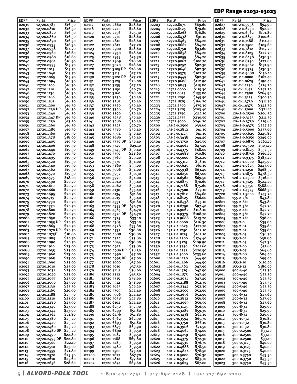## EDP Range 02031-03023

| EDP#           | Part#                       | Price              | EDP#           | Part#                       | Price                   | EDP#           | Part#                        | Price                     | EDP#           | Part#                            | Price                |
|----------------|-----------------------------|--------------------|----------------|-----------------------------|-------------------------|----------------|------------------------------|---------------------------|----------------|----------------------------------|----------------------|
| 02031          | 12720.0787                  | \$16.30            | 02117          | 12720.2660                  | \$28.60                 | 02203          | 12720.8071                   | \$69.60                   | 02627          | 101-2-0.5938                     | \$94.90              |
| 02032          | 12720.0810                  | \$16.30            | 02118          | 12720.2720                  | <b>S28.60</b>           | 02204          | 12720.8125                   | \$79.60                   | 02628          | 101-2-0.6250                     | \$92.20              |
| 02033<br>02034 | 12720.0820<br>12720.0860    | \$16.30<br>\$16.30 | 02119<br>02120 | 12720.2756<br>12720.2770    | \$25.30<br>\$28.60      | 02205<br>02206 | 12720.8268<br>12720.8438     | <b>\$76.80</b><br>\$91.10 | 02629<br>02630 | 101-2-0.6562<br>101-2-0.6875     | \$101.80<br>\$100.60 |
| 02035          | 12720.0890                  | \$16.30            | 02121          | 12720.2810                  | \$28.60                 | 02207          | 12720.8465                   | \$84.20                   | 02631          | 101-2-0.7188                     | \$111.40             |
| 02036          | 12720.0935                  | \$16.30            | 02122          | 12720.2812                  | \$27.20                 | 02208          | 12720.8661                   | \$84.20                   | 02632          | 101-2-0.7500                     | \$105.60             |
| 02037          | 12720.0938                  | \$14.70            | 02123          | 12720.2900                  | \$28.60                 | 02209          | 12720.8750                   | \$93.60                   | 02633          | 101-2-0.7812                     | \$117.70             |
| 02038          | 12720.0960                  | S16.60             | 02124          | 12720.2950                  | S <sub>28</sub> .60     | 02210          | 12720.8858                   | \$84.20                   | 02634          | 101-2-0.8125                     | \$122.70             |
| 02039          | 12720.0980                  | <b>\$16.60</b>     | 02125          | 12720.2953                  | \$25.30                 | 02211          | 12720.9055                   | \$84.20                   | 02635          | 101-2-0.8438                     | \$130.30             |
| 02040          | 12720.0984                  | \$16.90            | 02126          | 12720.2969                  | S28.60                  | 02212          | 12720.9062                   | \$100.70                  | 02636          | 101-2-0.8750                     | \$127.60             |
| 02041<br>02042 | 12720.0995                  | \$15.70<br>\$15.70 | 02127<br>02128 | 12720.3020<br>12720.3105 DP | Ş28.60<br><b>S28.60</b> | 02213<br>02213 | 12720.9252<br>12720.9646     | \$92.30<br>592.30         | 02637<br>02638 | 101-2-0.9062                     | \$131.90<br>\$130.30 |
| 02043          | 12720.1015<br>12720.1040    | \$15.70            | 02129          | 12720.3115                  | \$27.20                 | 02214          | 12720.9375                   | \$102.70                  | 02639          | 101-2-0.9375<br>101-2-0.9688     | \$156.10             |
| 02044          | 12720.1065                  | \$15.70            | 02130          | 12720.3120 DP               | \$27.20                 | 02215          | 12720.9449                   | \$92.30                   | 02640          | 101-2-1.0000                     | \$162.40             |
| 02045          | 12720.1094                  | \$16.30            | 02131          | 12720.3125                  | \$26.00                 | 02217          | 12720.9688                   | \$112.90                  | 02641          | 101-2-1.0625                     | \$190.40             |
| 02046          | 12720.1100                  | \$16.30            | 02132          | 12720.3135                  | \$27.20                 | 02218          | 12720.9843                   | \$115.80                  | 02642          | 101-2-1.1250                     | \$214.20             |
| 02047          | 12720.1110                  | \$16.30            | 02133          | 12720.3150                  | \$26.70                 | 02219          | 12721.0000                   | 5115.30                   | 02643          | 101-2-1.1875                     | \$247.20             |
| 02048          | 12720.1130                  | \$16.30            | 02134          | 12720.3160                  | \$28.60                 | 02220          | 12721.0625                   | \$133.80                  | 02644          | 101-2-1.2500                     | \$264.90             |
| 02049<br>02050 | 12720.1160<br>12720.1181    | \$16.30<br>\$16.30 | 02135<br>02136 | 12720.3230<br>12720.3281    | \$30.40<br>\$30.40      | 02221<br>02222 | 12721.1250<br>12721.1875     | \$145.50<br>\$166.70      | 02645<br>02646 | 101-2-1.3125<br>101-2-1.3750     | \$300.70<br>\$311.70 |
| 02051          | 12720.1200                  | \$16.30            | 02137          | 12720.3320                  | \$30.40                 | 02223          | 12721.2500                   | \$175.30                  | 02647          | 101-2-1.4375                     | \$342.30             |
| 02052          | 12720.1230 DP               | \$16.30            | 02138          | 12720.3346                  | \$26.70                 | 02224          | 12721.3125                   | \$203.40                  | 02648          | 101-2-1.5000                     | \$371.10             |
| 02053          | 12720.1240                  | \$16.30            | 02139          | 12720.3390                  | \$30.40                 | 02225          | 12721.3750                   | \$214.10                  | 02700          | 126-2-0.2500                     | \$206.50             |
| 02054          | 12720.1247 DP               | \$16.30            | 02140          | 12720.3438                  | \$30.40                 | 02226          | 12721.4375                   | \$230.50                  | 02701          | 126-2-0.3125                     | \$211.30             |
| 02055          | 12720.1250                  | \$13.20            | 02141          | 12720.3480                  | \$30.40                 | 02227          | 12721.5000                   | \$246.70                  | 02702          | 126-2-0.3750                     | \$219.60             |
| 02056          | 12720.1260                  | \$16.30            | 02142          | 12720.3543                  | \$26.70                 | 02500          | 131-2-0.2500<br>131-2-0.2812 | \$39.60                   | 02703          | 126-2-0.4375                     | \$227.70             |
| 02057<br>02058 | 12720.1285<br>12720.1360    | \$16.30<br>\$19.30 | 02143<br>02144 | 12720.3580<br>12720.3594    | \$30.40<br>\$30.40      | 02501<br>02502 | 131-2-0.3125                 | \$41.10<br>\$41.10        | 02704<br>02705 | 126-2-0.5000<br>126-2-0.5625     | \$237.60<br>\$245.80 |
| 02059          | 12720.1378                  | \$18.00            | 02145          | 12720.3680                  | \$30.40                 | 02503          | 131-2-0.3438                 | 544.40                    | 02706          | 126-2-0.6250                     | \$249.00             |
| 02060          | 12720.1405                  | \$19.30            | 02146          | 12720.3730 DP               | 530.40                  | 02504          | 131-2-0.3750                 | \$45.50                   | 02707          | 126-2-0.6875                     | \$262.10             |
| 02061          | 12720.1406                  | \$19.30            | 02148          | 12720.3740                  | \$29.10                 | 02505          | 131-2-0.4062                 | \$47.40                   | 02708          | 126-2-0.7500                     | \$303.10             |
| 02062          | 12720.1440                  | 519.30             | 02149          | 12720.3745 DP               | \$30.40                 | 02506          | 131-2-0.4375                 | \$48.00                   | 02709          | 126-2-0.8125                     | 5337.50              |
| 02063          | 12720.1470                  | \$19.30            | 02150          | 12720.3750                  | Ş28.60                  | 02507          | 131-2-0.4688                 | <b>\$50.80</b>            | 02710          | 126-2-0.8750                     | \$360.40             |
| 02064<br>02065 | 12720.1495                  | \$19.30<br>\$19.30 | 02151          | 12720.3760                  | \$29.20<br>\$34.00      | 02508          | 131-2-0.5000<br>131-2-0.5312 | \$52.20<br>\$58.10        | 02711<br>02712 | 126-2-0.9375<br>126-2-1.0000     | \$383.40<br>\$425.90 |
| 02066          | 12720.1520<br>12720.1540    | 519.30             | 02152<br>02153 | 12720.3770<br>12720.3860    | \$33.00                 | 02509<br>02510 | 131-2-0.5625                 | \$61.10                   | 02713          | 126-2-1.0625                     | \$443.90             |
| 02067          | 12720.1562                  | \$19.30            | 02154          | 12720.3906                  | \$34.00                 | 02511          | 131-2-0.5938                 | \$63.40                   | 02714          | 126-2-1.1250                     | \$468.50             |
| 02068          | 12720.1570                  | \$19.30            | 02155          | 12720.3937                  | \$30.30                 | 02512          | 131-2-0.6250                 | \$67.00                   | 02715          | 126-2-1.1875                     | \$478.30             |
| 02069          | 12720.1575                  | \$18.00            | 02156          | 12720.3970                  | \$34.00                 | 02513          | 131-2-0.6562                 | 569.50                    | 02716          | 126-2-1.2500                     | \$516.00             |
| 02070          | 12720.1590                  | \$20.70            | 02157          | 12720.4040                  | \$35.40                 | 02514          | 131-2-0.6875                 | \$70.60                   | 02717          | 126-2-1.3125                     | \$524.20             |
| 02071          | 12720.1610                  | \$20.70            | 02158          | 12720.4062                  | \$35.40                 | 02515          | 131-2-0.7188                 | \$75.60                   | 02718          | 126-2-1.3750                     | \$588.00             |
| 02072<br>02073 | 12720.1660<br>12720.1695    | \$20.70<br>\$20.70 | 02159<br>02160 | 12720.4130<br>12720.4134    | \$35.40<br>\$31.80      | 02516<br>02517 | 131-2-0.7500<br>131-2-0.7812 | \$79.10<br>584.60         | 02719<br>02720 | 126-2-1.4375<br>126-2-1.5000     | \$668.30<br>\$743.70 |
| 02074          | 12720.1719                  | \$20.70            | 02161          | 12720.4219                  | \$35.40                 | 02518          | 131-2-0.8125                 | \$86.00                   | 02800          | $155 - 2 - 7/0$                  | \$43.80              |
| 02075          | 12720.1730                  | \$20.70            | 02162          | 12720.4331                  | 531.80                  | 02519          | 131-2-0.8438                 | \$95.10                   | 02801          | $155 - 2 - 6/0$                  | \$43.80              |
| 02076          | 12720.1770                  | \$20.70            | 02163          | 12720.4355 DP               | \$34.70                 | 02520          | 131-2-0.8750                 | \$97.40                   | 02802          | $155 - 2 - 5/0$                  | \$42.70              |
| 02078          | 12720.1800                  | \$20.70            | 02164          | 12720.4365                  | \$34.70                 | 02521          | 131-2-0.9062                 | \$108.10                  | 02803          | $155 - 2 - 4/0$                  | S42.70               |
| 02079          | 12720.1820                  | \$20.70            | 02165          | 12720.4370 DP               | \$34.70                 | 02522          | 131-2-0.9375                 | S <sub>10</sub> 8.70      | 02804          | $155 - 2 - 3/0$                  | \$42.70              |
| 02080<br>02081 | 12720.1850<br>12720.1855 DP | \$20.70<br>\$20.70 | 02166<br>02167 | 12720.4375<br>12720.4385    | 533.10<br>533.10        | 02523<br>02524 | 131-2-0.9688<br>131-2-1.0000 | \$113.20<br>\$116.30      | 02805<br>02806 | $155 - 2 - 2/0$<br>$155 - 2 - 0$ | 538.00<br>535.80     |
| 02082          | 12720.1865                  | \$20.70            | 02168          | 12720.4528                  | \$33.80                 | 02525          | 131-2-1.0625                 | \$127.70                  | 02807          | 155-2-01                         | 535.80               |
| 02083          | 12720.1870 DP               | \$20.70            | 02169          | 12720.4531                  | 538.80                  | 02526          | 131-2-1.1250                 | \$142.10                  | 02808          | 155-2-02                         | \$35.80              |
| 02084          | 12720.1875F                 | \$18.60            | 02170          | 12720.4688                  | 538.80                  | 02527          | 131-2-1.1875                 | \$162.10                  | 02809          | 155-2-03                         | 536.70               |
| 02085          | 12720.1885                  | \$20.70            | 02171          | 12720.4724                  | \$33.80                 | 02528          | 131-2-1.2500                 | \$174.40                  | 02810          | 155-2-04                         | \$38.80              |
| 02086          | 12720.1890                  | \$20.70            | 02172          | 12720.4844                  | \$38.80                 | 02529          | 131-2-1.3125                 | \$189.90                  | 02811          | 155-2-05                         | \$42.30              |
| 02087<br>02088 | 12720.1910<br>12720.1935    | \$23.00<br>\$23.00 | 02173<br>02174 | 12720.4921<br>12720.4980 DP | \$33.80<br>\$38.30      | 02530          | 131-2-1.3750<br>131-2-1.4375 | \$201.60<br>\$220.50      | 02812<br>02813 | $155 - 2 - 06$<br>155-2-07       | \$51.60<br>\$64.60   |
| 02089          | 12720.1960                  | \$23.00            | 02175          | 12720.4990                  | \$37.00                 | 02531<br>02532 | 131-2-1.5000                 | \$233.60                  | 02814          | 155-2-08                         | \$84.40              |
| 02090          | 12720.1968                  | \$23.00            | 02176          | 12720.4995 DP               | \$37.00                 | 02600          | 101-2-0.1250                 | \$44.90                   | 02815          | 155-2-09                         | \$99.00              |
| 02091          | 12720.1990                  | \$23.00            | 02177          | 12720.5000                  | \$37.00                 | 02601          | 101-2-0.1406                 | \$44.90                   | 02816          | 155-2-10                         | \$110.40             |
| 02092          | 12720.2010                  | \$23.00            | 02178          | 12720.5010                  | \$37.50                 | 02602          | 101-2-0.1562                 | \$47.90                   | 02818          | $155 - 2 - 12$                   | \$180.00             |
| 02093<br>02094 | 12720.2031<br>12720.2040    | \$23.00            | 02179<br>02180 | 12720.5118                  | \$38.00<br>\$45.50      | 02603<br>02604 | 101-2-0.1719                 | \$47.90<br>\$47.40        | 03000          | 500-4-40                         | \$27.30              |
| 02095          | 12720.2055                  | \$23.00<br>\$23.00 | 02181          | 12720.5312<br>12720.5315    | \$38.00                 | 02605          | 101-2-0.1875<br>101-2-0.2031 | \$47.40                   | 03001<br>03002 | 400-4-40<br>300-4-40             | \$27.30<br>\$27.30   |
| 02096          | 12720.2090                  | \$23.00            | 02182          | 12720.5512                  | \$38.00                 | 02606          | 101-2-0.2188                 | \$52.30                   | 03003          | 500-5-40                         | \$27.30              |
| 02097          | 12720.2130                  | \$23.30            | 02183          | 12720.5625                  | \$46.20                 | 02607          | 101-2-0.2344                 | 552.30                    | 03004          | 400-5-40                         | \$27.30              |
| 02098          | 12720.2165                  | \$20.90            | 02184          | 12720.5709                  | \$44.40                 | 02608          | 101-2-0.2500                 | \$52.90                   | 03005          | 300-5-40                         | \$27.30              |
| 02099          | 12720.2188                  | \$23.30            | 02185          | 12720.5906                  | \$44.40                 | 02609          | 101-2-0.2656                 | \$52.90                   | 03006          | 500-6-32                         | \$27.60              |
| 02100          | 12720.2210                  | \$23.90            | 02186          | 12720.5938                  | \$47.80                 | 02610          | 101-2-0.2812                 | \$56.50                   | 03007          | 400-6-32                         | \$27.60              |
| 02101<br>02102 | 12720.2280<br>12720.2340    | \$23.90<br>\$23.90 | 02187<br>02188 | 12720.6102<br>12720.6250    | \$44.40<br>\$57.90      | 02611<br>02612 | 101-2-0.2969<br>101-2-0.3125 | \$56.50<br>\$56.50        | 03008<br>03009 | 300-6-32<br>500-8-32             | \$27.60<br>\$29.90   |
| 02103          | 12720.2344                  | \$23.90            | 02189          | 12720.6299                  | \$51.80                 | 02613          | 101-2-0.3281                 | \$59.30                   | 03010          | 400-8-32                         | \$29.90              |
| 02104          | 12720.2362                  | \$21.80            | 02190          | 12720.6496                  | \$51.80                 | 02614          | 101-2-0.3438                 | \$64.10                   | 03011          | 300-8-32                         | \$29.90              |
| 02105          | 12720.2380                  | \$25.20            | 02191          | 12720.6562                  | \$62.90                 | 02615          | 101-2-0.3594                 | \$65.70                   | 03012          | 500-10-32                        | \$30.80              |
| 02106          | 12720.2420                  | \$25.20            | 02192          | 12720.6693                  | \$51.80                 | 02616          | 101-2-0.3750                 | \$66.10                   | 03013          | 400-10-32                        | \$30.80              |
| 02107          | 12720.2460                  | \$25.20            | 02193          | 12720.6875                  | \$63.90                 | 02617          | 101-2-0.3906                 | \$71.50                   | 03014          | 300-10-32                        | \$30.80              |
| 02108<br>02109 | 12720.2480 DP<br>12720.2490 | \$25.20<br>\$22.80 | 02194<br>02195 | 12720.6890<br>12720.7087    | \$59.50<br>\$59.50      | 02618<br>02619 | 101-2-0.4062<br>101-2-0.4219 | \$74.00<br>\$74.00        | 03015<br>03016 | 500-0.2500<br>400-0.2500         | \$33.10<br>\$33.10   |
| 02110          | 12720.2495 DP               | \$22.80            | 02196          | 12720.7188                  | \$69.80                 | 02620          | 101-2-0.4375                 | 572.30                    | 03017          | 300-0.2500                       | \$33.10              |
| 02111          | 12720.2500                  | \$22.10            | 02197          | 12720.7283                  | \$59.50                 | 02621          | 101-2-0.4531                 | S76.70                    | 03018          | 500-0.3125                       | \$40.00              |
| 02112          | 12720.2510                  | \$23.00            | 02198          | 12720.7480                  | \$59.50                 | 02622          | 101-2-0.4688                 | \$78.50                   | 03019          | 400-0.3125                       | \$40.00              |
| 02113          | 12720.2559                  | \$21.80            | 02199          | 12720.7500                  | \$73.40                 | 02623          | 101-2-0.4844                 | \$78.50                   | 03020          | 300-0.3125                       | \$40.00              |
| 02114          | 12720.2570                  | \$25.50            | 02200          | 12720.7677                  | \$67.70                 | 02624          | 101-2-0.5000                 | \$76.30                   | 03021          | 500-0.3750                       | \$43.50              |
| 02115          | 12720.2610                  | \$25.60<br>\$28.60 | 02201          | 12720.7812<br>12720.7874    | \$77.60<br>\$69.60      | 02625<br>02626 | 101-2-0.5312                 | \$83.70<br>\$87.00        | 03022          | 400-0.3750                       | 543.50               |
| 02116          | 12720.2656                  |                    | 02202          |                             |                         |                | 101-2-0.5625                 |                           | 03023          | 300-0.3750                       | \$43.50              |

| *Alvord-polk tool* **1 - 8 0 0 - 4 4 1 - 2 7 5 1 | 7 1 7 - 6 9 2 - 2 1 2 8 | f a x : 7 1 7 - 6 9 2 - 2 1 2 0**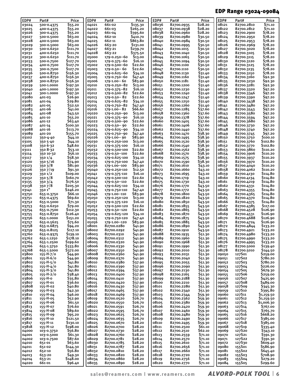## EDP Range 03024-09084

| EDP#           | Part#      | Price          | EDP#  | Part#         | Price               | EDP#  | Part#      | Price         | EDP#  | Part#      | Price          |
|----------------|------------|----------------|-------|---------------|---------------------|-------|------------|---------------|-------|------------|----------------|
| 03024          | 500-0.4375 | \$55.20        | 04021 | 661-02        | \$135.30            | 08036 | 82700.0935 | <b>S28.20</b> | 08121 | 82700.2810 | \$71.10        |
| 03025          | 400-0.4375 | \$55.20        | 04022 | 661-03        | \$265.20            | 08037 | 82700.0938 | \$28.20       | 08122 | 82700.2812 | \$71.10        |
| 03026          | 300-0.4375 | \$55.20        | 04023 | 661-04        | \$395.60            | 08038 | 82700.0960 | \$28.20       | 08123 | 82700.2900 | \$78.20        |
| 03027          | 500-0.5000 | \$63.00        | 04024 | 662-10        | \$410.70            | 08039 | 82700.0980 | 530.50        | 08124 | 82700.2950 | \$78.20        |
| 03028          | 400-0.5000 | 563.00         | 04025 | 662-11        | \$863.80            | 08040 | 82700.0984 | 530.50        | 08125 | 82700.2953 | <b>\$78.20</b> |
| 03029          | 300-0.5000 | \$63.00        | 04026 | 663-20        | \$131.00            | 08041 | 82700.0995 | 530.50        | 08126 | 82700.2969 | \$78.20        |
|                | 500-0.6250 | \$111.70       |       | 663-21        | \$239.70            | 08042 | 82700.1015 | \$30.50       | 08127 | 82700.3020 | \$78.20        |
| 03030          | 400-0.6250 |                | 04027 |               |                     |       |            |               |       |            | \$78.20        |
| 03031          |            | \$111.70       | 04028 | 663-22        | \$375.50            | 08043 | 82700.1040 | 530.50        | 08128 | 82700.3105 |                |
| 03032          | 300-0.6250 | \$111.70       | 05000 | 179-0.250--60 | \$13.00             | 08044 | 82700.1065 | \$30.50       | 08129 | 82700.3115 | \$78.20        |
| 03033          | 500-0.7500 | \$127.70       | 05001 | 179-0.375--60 | \$16.10             | 08045 | 82700.1094 | 530.50        | 08130 | 82700.3120 | <b>\$78.20</b> |
| 03034          | 400-0.7500 | \$127.70       | 05002 | 179-0.500--60 | <b>S22.60</b>       | 08046 | 82700.1100 | \$30.50       | 08131 | 82700.3125 | \$78.20        |
| 03035          | 300-0.7500 | \$127.70       | 05003 | 179-0.50-- 60 | \$22.60             | 08047 | 82700.1110 | 530.50        | 08132 | 82700.3135 | \$78.20        |
| 03036          | 500-0.8750 | \$156.30       | 05004 | 179-0.625--60 | \$34.10             | 08048 | 82700.1130 | \$31.40       | 08133 | 82700.3150 | \$78.20        |
| 03037          | 400-0.8750 | \$156.30       | 05005 | 179-0.750--60 | \$47.40             | 08049 | 82700.1160 | \$31.40       | 08134 | 82700.3160 | 592.30         |
| 03038          | 300-0.8750 | \$156.30       | 05006 | 179-1.00-- 60 | \$83.90             | 08050 | 82700.1181 | \$31.40       | 08135 | 82700.3230 | 592.30         |
| 03039          | 500-1.0000 | \$197.30       | 05010 | 179-0.250--82 | \$13.00             | 08051 | 82700.1200 | \$31.40       | 08136 | 82700.3281 | 592.30         |
| 03040          | 400-1.0000 | \$197.30       | 05011 | 179-0.375--82 | \$16.10             | 08052 | 82700.1230 | \$31.40       | 08137 | 82700.3320 | 597.20         |
| 03041          | 300-1.0000 | \$197.30       | 05012 | 179-0.500--82 | 522.60              | 08053 | 82700.1240 | \$31.40       | 08138 | 82700.3346 | 597.20         |
| 03080          | 401-03     | \$26.90        | 05013 | 179-0.50-- 82 | \$22.60             | 08054 | 82700.1247 | \$31.40       | 08139 | 82700.3390 | 597.20         |
| 03081          | 401-04     | \$29.80        | 05014 | 179-0.625--82 | \$34.10             | 08055 | 82700.1250 | \$31.40       | 08140 | 82700.3438 | 597.20         |
| 03082          | 401-05     | \$32.50        | 05015 | 179-0.750--82 | \$47.40             | 08056 | 82700.1260 | \$31.40       | 08141 | 82700.3480 | \$97.20        |
|                | 401-06     |                |       |               | <b>S66.60</b>       | 08057 |            |               | 08142 |            |                |
| 03083<br>03084 |            | \$41.00        | 05016 | 179-1.00-- 82 |                     |       | 82700.1285 | \$37.60       |       | 82700.3543 | \$97.20        |
|                | 401-08     | \$43.50        | 05020 | 179-0.250--90 | \$13.00             | 08058 | 82700.1360 | \$37.60       | 08143 | 82700.3580 | 597.20         |
| 03085          | 401-10     | \$55.20        | 05021 | 179-0.375--90 | \$16.10             | 08059 | 82700.1378 | \$37.60       | 08144 | 82700.3594 | \$97.20        |
| 03086          | 401-12     | \$63.40        | 05022 | 179-0.500--90 | \$22.60             | 08060 | 82700.1405 | \$37.60       | 08145 | 82700.3680 | 597.20         |
| 03087          | 401-14     | \$100.30       | 05023 | 179-0.50-- 90 | <b>S22.60</b>       | 08061 | 82700.1406 | \$37.60       | 08146 | 82700.3730 | \$97.20        |
| 03088          | 401-16     | \$113.70       | 05024 | 179-0.625--90 | \$34.10             | 08062 | 82700.1440 | \$37.60       | 08148 | 82700.3740 | 597.20         |
| 03089          | 401-20     | \$155.70       | 05025 | 179-0.750--90 | \$47.40             | 08063 | 82700.1470 | \$38.30       | 08149 | 82700.3745 | \$97.20        |
| 03102          | 350-4-40   | \$44.10        | 05026 | 179-1.00-- 90 | 583.90              | 08064 | 82700.1495 | 538.30        | 08150 | 82700.3750 | \$100.10       |
| 03105          | 350 5-40   | \$44.10        | 05030 | 179-0.250-100 | \$13.00             | 08065 | 82700.1520 | 538.30        | 08151 | 82700.3760 | \$102.80       |
| 03108          | 350 6-32   | \$48.60        | 05031 | 179-0.375-100 | S <sub>16</sub> .10 | 08066 | 82700.1540 | 538.30        | 08152 | 82700.3770 | \$102.80       |
| 03111          | 350 8-32   | \$53.10        | 05032 | 179-0.500-100 | \$22.60             | 08067 | 82700.1562 | 538.30        | 08153 | 82700.3860 | \$110.20       |
| 03114          | 350 10-32  | \$56.10        | 05033 | 179-0.50--100 | S22.60              | 08068 | 82700.1570 | 538.30        | 08154 | 82700.3906 | \$110.20       |
| 03117          | 350 1/4    | \$58.30        | 05034 | 179-0.625-100 | \$34.10             | 08069 | 82700.1575 | 538.30        | 08155 | 82700.3937 | \$110.20       |
| 03120          | 350 5/16   | 574.90         | 05035 | 179-0.750-100 | \$47.40             | 08070 | 82700.1590 | 538.30        | 08156 | 82700.3970 | \$110.20       |
|                |            | \$81.90        |       |               |                     |       |            |               |       |            |                |
| 03123          | 350 3/8    |                | 05036 | 179-1.00--100 | 583.90              | 08071 | 82700.1610 | \$43.10       | 08157 | 82700.4040 | \$110.20       |
| 03126          | 350 7/19   | \$91.30        | 05040 | 179-0.250-110 | \$12.50             | 08072 | 82700.1660 | \$43.10       | 08158 | 82700.4062 | \$110.20       |
| 03129          | 350 1/2    | \$109.00       | 05041 | 179-0.375-110 | \$16.10             | 08073 | 82700.1695 | \$43.10       | 08159 | 82700.4130 | \$114.80       |
| 03132          | 350 5/8    | \$160.70       | 05042 | 179-0.500-110 | 522.60              | 08074 | 82700.1719 | \$43.10       | 08160 | 82700.4134 | \$114.80       |
| 03135          | 3503/4     | \$176.50       | 05043 | 179-0.50--110 | \$22.60             | 08075 | 82700.1730 | \$43.10       | 08161 | 82700.4219 | \$114.80       |
| 03138          | 350 7/8    | \$205.30       | 05044 | 179-0.625-110 | \$34.10             | 08076 | 82700.1770 | 543.50        | 08162 | 82700.4331 | \$114.80       |
| 03141          | 350 1"     | \$246.20       | 05045 | 179-0.750-110 | \$47.40             | 08077 | 82700.1772 | 543.50        | 08163 | 82700.4355 | \$114.80       |
| 03750          | 655-0.3750 | \$66.10        | 05046 | 179-1.00--110 | 583.90              | 08078 | 82700.1800 | 543.50        | 08164 | 82700.4365 | \$114.80       |
| 03751          | 655-0.4375 | \$69.60        | 05050 | 179-0.250-120 | \$13.00             | 08079 | 82700.1820 | \$43.50       | 08165 | 82700.4370 | \$114.80       |
| 03752          | 655-0.5000 | \$71.30        | 05051 | 179-0.375-120 | \$16.10             | 08080 | 82700.1850 | \$43.50       | 08166 | 82700.4375 | \$114.80       |
| 03753          | 655-0.6250 | \$79.00        | 05052 | 179-0.500-120 | 522.60              | 08081 | 82700.1855 | 543.50        | 08167 | 82700.4385 | \$117.00       |
| 03754          | 655-0.7500 | \$112.30       | 05053 | 179-0.50--120 | \$22.60             | 08082 | 82700.1865 | 543.50        | 08168 | 82700.4528 | \$126.90       |
| 03755          | 655-0.8750 | \$126.40       | 05054 | 179-0.625-120 | \$34.10             | 08083 | 82700.1870 | \$43.50       | 08169 | 82700.4531 | \$126.90       |
| 03756          | 655-1.0000 | \$151.20       | 05055 | 179-0.750-120 | \$47.40             | 08084 | 82700.1875 | 543.50        | 08170 | 82700.4688 | \$126.90       |
|                | 655-0.5625 | \$75.60        | 05056 | 179-1.00--120 | 583.90              | 08085 | 82700.1885 | \$43.50       | 08171 | 82700.4724 | \$126.90       |
| 03757          |            |                |       |               |                     |       | 82700.1890 |               |       |            |                |
| 03758          | 655-0.6875 | 594.20         | 08001 | 82700.0280    | \$41.90             | 08086 |            | 543.50        | 08172 | 82700.4844 | \$133.20       |
| 03759          | 655-0.8125 | \$117.10       | 08002 | 82700.0292    | \$41.90             | 08087 | 82700.1910 | 543.50        | 08173 | 82700.4921 | \$133.20       |
| 03760          | 655-0.9375 | 5139.10        | 08003 | 82700.0310    | 541.90              | 08088 | 82700.1935 | \$51.30       | 08174 | 82700.4980 | \$133.20       |
| 03762          | 655-1.1250 | \$178.10       | 08004 | 82700.0312    | \$41.90             | 08089 | 82700.1960 | \$51.30       | 08175 | 82700.4990 | \$133.20       |
| 03764          | 655-1.2500 | \$199.60       | 08005 | 82700.0320    | \$41.90             | 08090 | 82700.1968 | \$51.30       | 08176 | 82700.4995 | \$133.20       |
| 03766          | 655-1.3750 | \$333.80       | 08006 | 82700.0330    | 541.90              | 08091 | 82700.1990 | \$51.30       | 08177 | 82700.5000 | \$139.40       |
| 03768          | 655-1.5000 | \$372.00       | 08007 | 82700.0350    | \$41.90             | 08092 | 82700.2010 | \$51.30       | 08178 | 82700.5010 | \$144.50       |
| 03800          | 155-H-7/0  | \$44.90        | 08008 | 82700.0360    | \$41.90             | 08093 | 82700.2031 | \$51.30       | 09050 | 127S01     | \$259.00       |
| 03801          | 155-H-6/0  | \$44.90        | 08009 | 82700.0370    | \$41.90             | 08094 | 82700.2040 | \$51.30       | 09051 | 127S02     | \$780.20       |
| 03802          | 155-H-5/0  | \$41.80        | 08010 | 82700.0380    | \$37.90             | 08095 | 82700.2055 | \$51.30       | 09052 | 127503     | \$780.20       |
| 03803          | 155-H-4/0  | \$41.80        | 08011 | 82700.0390    | \$37.90             | 08096 | 82700.2090 | 551.30        | 09053 | 127S04     | \$226.00       |
| 03804          | 155-H-3/0  | \$41.80        | 08012 | 82700.0394    | \$37.90             | 08097 | 82700.2130 | \$51.30       | 09054 | 127S05     | \$679.30       |
| 03805          | 155-H-2/0  | \$38.40        | 08013 | 82700.0400    | \$37.90             | 08098 | 82700.2165 | \$51.30       | 09055 | 127S06     | \$259.00       |
| 03806          | 155-H-0    | \$35.80        | 08014 | 82700.0410    | \$37.90             | 08099 | 82700.2188 | \$51.30       | 09056 | 127S07     | \$425.90       |
| 03807          | 155-H-01   | \$36.60        | 08015 | 82700.0420    | \$37.90             | 08100 | 82700.2210 | 551.30        | 09057 | 127S08     | \$489.00       |
| 03808          | 155-H-02   | \$40.80        | 08016 | 82700.0430    | \$37.90             | 08101 | 82700.2280 | 551.30        | 09058 | 127S09     | \$345.30       |
| 03809          | 155-H-03   | \$42.30        | 08017 | 82700.0465    | \$37.90             | 08102 | 82700.2340 | \$51.30       | 09059 | 127S10     | \$395.80       |
| 03810          |            | \$46.00        | 08018 | 82700.0469    |                     | 08103 |            |               |       |            |                |
|                | 155-H-04   |                | 08019 |               | \$37.90             | 08104 | 82700.2344 | \$59.30       | 09060 | 127S11     | \$1,159.50     |
| 03811          | 155-H-05   | \$52.90        |       | 82700.0520    | <b>\$26.70</b>      |       | 82700.2362 | 559.30        | 09061 | 127S12     | \$1,159.50     |
| 03812          | 155-H-06   | \$61.50        | 08020 | 82700.0550    | <b>\$26.70</b>      | 08105 | 82700.2380 | 559.30        | 09062 | 127S13     | \$1,006.30     |
| 03813          | 155-H-07   | <b>\$76.60</b> | 08021 | 82700.0591    | \$26.70             | 08106 | 82700.2420 | 559.30        | 09063 | 127S14     | \$767.00       |
| 03814          | 155-H-08   | S89.60         | 08022 | 82700.0595    | \$26.70             | 08107 | 82700.2460 | 559.30        | 09064 | 127S15     | \$765.70       |
| 03815          | 155-H-09   | \$95.20        | 08023 | 82700.0625    | \$26.70             | 08108 | 82700.2480 | \$59.30       | 09065 | 127S16     | \$668.20       |
| 03816          | 155-H-10   | \$121.50       | 08024 | 82700.0635    | <b>\$26.70</b>      | 08109 | 82700.2490 | 559.30        | 09066 | 127S17     | \$385.00       |
| 03817          | 155-H-11   | \$130.10       | 08025 | 82700.0670    | \$28.20             | 08110 | 82700.2495 | 559.30        | 09067 | 127S18     | \$385.00       |
| 03818          | 155-H-12   | \$198.00       | 08026 | 82700.0700    | \$28.20             | 08111 | 82700.2500 | \$61.10       | 09068 | 127S19     | \$335.40       |
| 04000          | 103-0.3750 | S56.80         | 08027 | 82700.0730    | <b>\$28.20</b>      | 08112 | 82700.2510 | \$62.10       | 09069 | 127S20     | \$343.10       |
| 04001          | 103-0.5000 | \$61.30        | 08028 | 82700.0760    | \$28.20             | 08113 | 82700.2559 | \$71.10       | 09070 | 127S21     | \$391.30       |
| 04002          | 103-0.7500 | \$87.60        | 08029 | 82700.0781    | <b>\$28.20</b>      | 08114 | 82700.2570 | \$71.10       | 09071 | 127S22     | \$391.30       |
| 04010          | 651-01     | \$63.60        | 08030 | 82700.0785    | \$28.20             | 08115 | 82700.2610 | \$71.10       | 09072 | 127S30     | \$609.40       |
| 04011          | 651-02     | \$144.30       | 08031 | 82700.0787    | <b>\$28.20</b>      | 08116 | 82700.2656 | \$71.10       | 09080 | 155S01     | \$586.90       |
| 04012          | 652-10     | S56.80         | 08032 | 82700.0810    | <b>\$28.20</b>      | 08117 | 82700.2660 | \$71.10       | 09081 | 155S02     | \$645.40       |
| 04013          | 653-20     | \$49.30        | 08033 | 82700.0820    | \$28.20             | 08118 | 82700.2720 | \$71.10       | 09082 | 155S03     | \$708.90       |
|                |            | \$148.00       |       | 82700.0860    | <b>\$28.20</b>      | 08119 | 82700.2756 |               |       |            |                |
| 04014          | 653-21     |                | 08034 |               | \$28.20             | 08120 |            | \$71.10       | 09083 | 155504     | \$279.20       |
| 04020          | 661-01     | \$96.40        | 08035 | 82700.0890    |                     |       | 82700.2770 | \$71.10       | 09084 | 155S05     | \$299.60       |

. .

- -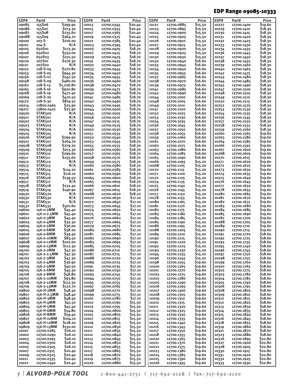## EDP Range 09085-10333

| EDP#           | Part#                  | Price              | EDP#           | Part#                    | Price               | EDP#           | Part#                    | Price              | EDP#           | Part#                    | Price                         |
|----------------|------------------------|--------------------|----------------|--------------------------|---------------------|----------------|--------------------------|--------------------|----------------|--------------------------|-------------------------------|
| 09085          | 155S06                 | \$299.90           | 10013          | 12700.0345               | \$20.40             | 10121          | 12700.0885               | \$15.50            | 10227          | 12700.1400               | \$19.60                       |
| 09086          | 155507                 | \$213.30           | 10015          | 12700.0355               | \$20.40             | 10123          | 12700.0895               | \$15.50            | 10229          | 12700.1410               | \$18.30                       |
| 09087          | 155S08                 | \$235.60           | 10017          | 12700.0365               | \$20.40             | 10124          | 12700.0900               | \$15.50            | 10230          | 12700.1415               | \$18.30                       |
| 09088          | 155509                 | \$264.70           | 10019          | 12700.0375               | \$20.40             | 10125          | 12700.0905               | \$15.50            | 10231          | 12700.1420               | \$18.30                       |
| 09100          | 103-S                  | \$216.00           | 10021          | 12700.0385               | \$20.40             | 10126          | 12700.0910               | \$15.50            | 10232          | 12700.1425               | \$18.30                       |
| 09101          | $104 - S$              | N/A                | 10023          | 12700.0395               | \$20.40             | 10127          | 12700.0915               | \$15.50            | 10233          | 12700.1430               | \$18.30                       |
| 09105          | 650S01                 | \$173.30           | 10025          | 12700.0405               | \$18.70             | 10128          | 12700.0920               | \$15.50            | 10234          | 12700.1435               | \$18.30                       |
| 09106          | 650502                 | \$550.00           | 10027          | 12700.0415               | \$18.70             | 10129          | 12700.0925               | \$15.50            | 10236          | 12700.1445               | \$18.30                       |
| 09107          | 650503                 | \$221.50           | 10029          | 12700.0425               | \$18.70             | 10130          | 12700.0930               | \$15.50            | 10237          | 12700.1450               | \$18.30                       |
| 09120          | 207S01                 | \$276.30           | 10031          | 12700.0435               | <b>\$18.70</b>      | 10132          | 12700.0940               | \$16.60            | 10238          | 12700.1455               | \$18.30                       |
| 09121          | 207502                 | N/A                | 10032          | 12700.0440               | \$18.70             | 10133          | 12700.0945               | \$16.60            | 10239          | 12700.1460               | \$18.30                       |
| 09152          | 128-S-04               | \$270.80           | 10033          | 12700.0445               | \$18.70             | 10134          | 12700.0950               | \$16.60            | 10240          | 12700.1465               | \$18.30                       |
| 09153          | 128-S-05               | \$944.30           | 10034          | 12700.0450               | <b>\$18.70</b>      | 10135          | 12700.0955               | <b>S16.60</b>      | 10242          | 12700.1475               | \$18.30                       |
| 09156          | 128-S-07               | \$547.50           | 10035          | 12700.0455               | <b>\$18.70</b>      | 10137          | 12700.0965               | <b>S16.60</b>      | 10243          | 12700.1480               | \$18.30                       |
| 09158          | 128-S-09               | \$480.00           | 10036          | 12700.0460               | \$18.70             | 10138          | 12700.0970               | \$16.60            | 10244          | 12700.1485               | \$18.30                       |
| 09162          | $128 - S - 13$         | \$1,226.80         | 10038          | 12700.0470               | \$18.70             | 10139          | 12700.0975               | <b>S16.60</b>      | 10245          | 12700.1490               | \$18.30                       |
| 09165          | 128-S-16               | \$920.80           | 10039          | 12700.0475               | \$18.70             | 10141          | 12700.0985               | \$16.60            | 10247          | 12700.1500               | \$18.30                       |
| 09168          | $128 - S - 19$         | \$472.40           | 10040          | 12700.0480               | <b>\$18.70</b>      | 10142          | 12700.0990               | <b>S16.60</b>      | 10248          | 12700.1505               | \$18.30                       |
| 09169          | 128-S-20               | \$470.50           | 10041          | 12700.0485               | \$18.70             | 10144          | 12700.1000               | \$16.60            | 10249          | 12700.1510               | \$18.30                       |
| 09172          | 128-S-30               | \$819.50           | 10042          | 12700.0490               | <b>\$18.70</b>      | 10148          | 12700.1005               | <b>S16.60</b>      | 10250          | 12700.1515               | \$18.30                       |
| 09214          | 12800.0465             | \$25.90            | 10043          | 12700.0495               | \$18.70             | 10149          | 12700.1010               | \$16.60            | 10252          | 12700.1525               | \$18.30                       |
| 09217          | 12800.0410             | \$25.90            | 10044          | 12700.0500               | \$18.70             | 10151          | 12700.1020               | <b>S16.60</b>      | 10253          | 12700.1530               | \$18.30                       |
| 09500          | STAK500                | N/A                | 10045          | 12700.0505               | <b>\$18.70</b>      | 10152          | 12700.1025               | \$16.60            | 10254          | 12700.1535               | \$18.30                       |
| 09501          | STAK501                | N/A                | 10046          | 12700.0510               | \$18.70             | 10153          | 12700.1030               | <b>S16.60</b>      | 10256          | 12700.1545               | \$18.30                       |
| 09502          | STAK502                | N/A                | 10047          | 12700.0515               | <b>\$18.70</b>      | 10154          | 12700.1035               | <b>S16.60</b>      | 10257          | 12700.1550               | \$18.30                       |
| 09503          | STAK503                | N/A                | 10049          | 12700.0525               | <b>\$18.70</b>      | 10156          | 12700.1045               | \$16.60            | 10258          | 12700.1555               | \$18.30                       |
| 09504          | STAK504                | N/A                | 10050          | 12700.0530               | <b>\$18.70</b>      | 10157          | 12700.1050               | <b>S16.60</b>      | 10259          | 12700.1560               | \$18.30                       |
| 09505          | <b>STAK505</b>         | N/A                | 10051          | 12700.0535               | \$18.70             | 10158          | 12700.1055               | \$16.60            | 10260          | 12700.1565               | \$19.60                       |
| 09506          | STAK506                | \$299.90           | 10052          | 12700.0540               | \$18.70             | 10159          | 12700.1060               | <b>S16.60</b>      | 10263          | 12700.1580               | \$19.60                       |
| 09507          | STAK507                | \$264.70           | 10053          | 12700.0545               | \$18.70             | 10161          | 12700.1070               | \$16.60            | 10264          | 12700.1585               | \$19.60                       |
| 09508          | STAK <sub>508</sub>    | \$279.20           | 10055          | 12700.0555               | \$18.70             | 10162          | 12700.1075               | <b>S16.60</b>      | 10266          | 12700.1595               | S19.60                        |
| 09509          | STAK509                | \$213.30           | 10056          | 12700.0560               | S <sub>1</sub> 8.70 | 10163          | 12700.1080               | \$16.60            | 10267          | 12700.1600               | \$19.60                       |
| 09510          | STAK510                | \$299.60           | 10057          | 12700.0565               | \$18.70             | 10164          | 12700.1085               | \$16.60            | 10268          | 12700.1605               | S19.60                        |
| 09511          | STAK <sub>511</sub>    | \$235.60           | 10058          | 12700.0570               | \$18.70             | 10165          | 12700.1090               | \$16.60            | 10270          | 12700.1615               | \$19.60                       |
| 09512          | STAK <sub>512</sub>    | N/A                | 10059          | 12700.0575               | \$18.70             | 10166          | 12700.1095               | \$15.20            | 10271          | 12700.1620               | \$19.60                       |
| 09513          | STAK <sub>513</sub>    | N/A                | 10060          | 12700.0580               | <b>\$18.70</b>      | 10168          | 12700.1105               | \$15.20            | 10272          | 12700.1625               | \$19.60                       |
| 09514          | STAK514                | \$114.20           | 10061          | 12700.0585               | \$18.70             | 10170          | 12700.1115               | \$15.20            | 10273          | 12700.1630               | \$19.60                       |
| 09515          | STAK <sub>515</sub>    | \$116.10           | 10062          | 12700.0590               | <b>\$18.70</b>      | 10171          | 12700.1120               | \$15.20            | 10274          | 12700.1635               | \$19.60                       |
| 09516          | STAK <sub>516</sub>    | \$139.50           | 10064          | 12700.0600               | \$18.70             | 10172          | 12700.1125               | \$15.20            | 10275          | 12700.1640               | \$19.60                       |
| 09517          | STAK <sub>517</sub>    | N/A                | 10065          | 12700.0605               | \$18.70             | 10174          | 12700.1135               | \$15.20            | 10276          | 12700.1645               | \$19.60                       |
| 09518          | <b>STAK518</b>         | \$132.40           | 10066          | 12700.0610               | <b>\$18.70</b>      | 10175          | 12700.1140               | \$15.20            | 10277          | 12700.1650               | \$19.60                       |
| 09519          | STAK519                | \$146.90           | 10067          | 12700.0615               | <b>\$18.70</b>      | 10176          | 12700.1145               | \$15.20            | 10278          | 12700.1655               | \$19.60                       |
| 09520          | STAK520                | N/A                | 10068          | 12700.0620               | \$18.70             | 10177          | 12700.1150               | \$15.20            | 10280          | 12700.1665               | \$19.60                       |
| 09530          | STAK530                | N/A                | 10070          | 12700.0630               | \$17.10             | 10178          | 12700.1155               | \$15.20            | 10281          | 12700.1670               | S19.60                        |
| 09531          | STAK531                | N/A                | 10072          | 12700.0640               | \$17.10             | 10180          | 12700.1165               | \$15.20            | 10282          | 12700.1675               | \$19.60                       |
| 09532          | STAK532                | \$301.60           | 10073          | 12700.0645               | \$17.10             | 10181          | 12700.1170               | \$15.20            | 10283          | 12700.1680               | S19.60                        |
| 09600          | 156-0-2MM              | \$45.40            | 10074          | 12700.0650               | \$17.10             | 10182          | 12700.1175               | \$15.20            | 10284          | 12700.1685               | \$19.60                       |
| 09601          | 156-0-2.5MM            | \$45.40            | 10075          | 12700.0655               | \$17.10             | 10183          | 12700.1180               | \$15.20            | 10285          | 12700.1690               | \$19.60                       |
| 09602          | 156-0-3MM              | \$45.40            | 10076          | 12700.0660               | \$17.10             | 10184          | 12700.1185               | \$15.20            | 10287          | 12700.1700               | \$19.60                       |
| 09603          | 156-0-4MM              | \$32.30            | 10077          | 12700.0665               | \$17.10             | 10185          | 12700.1190               | \$15.20            | 10288          | 12700.1705               | \$19.60                       |
| 09604          | 156-0-5MM<br>156-0-6MM | \$36.00            | 10079          | 12700.0675               | \$17.10             | 10186<br>10188 | 12700.1195               | \$15.20            | 10289          | 12700.1710               | \$19.60                       |
| 09605          | 156-0-8MM              | \$38.20<br>\$39.40 | 10080<br>10081 | 12700.0680               | \$17.10             | 10189          | 12700.1205               | \$15.20            | 10290          | 12700.1715               | \$19.60<br>S <sub>18.60</sub> |
| 09606<br>09607 | 156-0-10MM             | \$83.50            | 10082          | 12700.0685<br>12700.0690 | \$17.10<br>\$17.10  | 10190          | 12700.1210               | \$15.20<br>\$15.20 | 10291          | 12700.1720               | \$18.60                       |
| 09608          | 156-0-12MM             | \$102.00           |                |                          |                     |                | 12700.1215               |                    | 10292          | 12700.1725               | \$18.60                       |
|                | 156-0-13MM             | \$112.30           | 10083          | 12700.0695               | \$17.10             | 10191          | 12700.1220               | \$15.20<br>\$15.20 | 10293          | 12700.1735               | \$18.60                       |
| 09609          | 156-2-2MM              |                    | 10085          | 12700.0705               | \$17.10             | 10192          | 12700.1225               |                    | 10295          | 12700.1740               | \$18.60                       |
| 09700<br>09701 | 156-2-2.5MM            | \$47.30<br>\$47.30 | 10086<br>10087 | 12700.0710<br>12700.0715 | \$17.10<br>\$17.10  | 10193<br>10194 | 12700.1230<br>12700.1235 | \$15.20<br>\$15.20 | 10296<br>10297 | 12700.1745<br>12700.1750 | \$18.60                       |
| 09702          | 156-2-3MM              | \$47.30            | 10088          | 12700.0720               | \$17.10             | 10196          | 12700.1245               | \$15.20            | 10298          |                          | \$18.60                       |
| 09703          | 156-2-4MM              | \$36.90            | 10089          | 12700.0725               | \$17.10             | 10198          | 12700.1255               | \$19.60            | 10299          | 12700.1755<br>12700.1760 | \$18.60                       |
| 09704          | 156-2-5MM              | \$40.50            | 10091          | 12700.0735               | \$17.10             | 10200          | 12700.1265               | \$19.60            | 10300          | 12700.1765               | \$18.60                       |
| 09705          | 156-2-6MM              | \$45.30            | 10092          | 12700.0740               | \$17.10             | 10201          | 12700.1270               | \$19.60            | 10302          | 12700.1775               | \$18.60                       |
| 09706          | 156-2-8MM              | \$48.80            | 10093          | 12700.0745               | \$17.10             | 10202          | 12700.1275               | \$19.60            | 10303          | 12700.1780               | \$18.60                       |
| 09707          | 156-2-10MM             | \$93.80            | 10094          | 12700.0750               | \$17.10             | 10203          | 12700.1280               | \$19.60            | 10304          | 12700.1785               | \$18.60                       |
| 09708          | 156-2-12MM             | \$112.30           | 10095          | 12700.0755               | \$17.10             | 10205          | 12700.1290               | \$19.60            | 10305          | 12700.1790               | \$18.60                       |
| 09709          | 156-2-13MM             | \$122.70           | 10097          | 12700.0765               | \$17.10             | 10206          | 12700.1295               | \$19.60            | 10306          | 12700.1795               | \$18.60                       |
| 09800          | 156-H-2MM              | \$48.40            | 10098          | 12700.0770               | \$17.10             | 10207          | 12700.1300               | \$19.60            | 10308          | 12700.1805               | \$18.60                       |
| 09801          | 156-H-2.5MM            | \$48.40            | 10099          | 12700.0775               | \$17.10             | 10208          | 12700.1305               | \$19.60            | 10309          | 12700.1810               | \$18.60                       |
| 09802          | 156-H-3MM              | \$48.40            | 10100          | 12700.0780               | \$17.10             | 10209          | 12700.1310               | \$19.60            | 10310          | 12700.1815               | \$18.60                       |
| 09803          | 156-H-4MM              | \$41.50            | 10102          | 12700.0790               | \$15.50             | 10210          | 12700.1315               | \$19.60            | 10312          | 12700.1825               | \$18.60                       |
| 09804          | 156-H-5MM              | \$47.40            | 10103          | 12700.0795               | \$15.50             | 10211          | 12700.1320               | \$19.60            | 10313          | 12700.1830               | \$18.60                       |
| 09805          | 156-H-6MM              | \$54.80            | 10104          | 12700.0800               | \$15.50             | 10212          | 12700.1325               | \$19.60            | 10314          | 12700.1835               | \$18.60                       |
| 09806          | 156-H-8MM              | \$59.40            | 10105          | 12700.0805               | \$15.50             | 10213          | 12700.1330               | \$19.60            | 10315          | 12700.1840               | \$18.60                       |
| 09807          | 156-H-10MM             | \$104.10           | 10107          | 12700.0815               | \$15.50             | 10214          | 12700.1335               | \$19.60            | 10316          | 12700.1845               | \$18.60                       |
| 09808          | 156-H-12MM             | \$118.20           | 10109          | 12700.0825               | \$15.50             | 10215          | 12700.1340               | \$19.60            | 10318          | 12700.1855               | \$18.60                       |
| 09809          | 156-H-13MM             | \$130.00           | 10110          | 12700.0830               | \$15.50             | 10216          | 12700.1345               | \$19.60            | 10319          | 12700.1860               | \$18.60                       |
| 10001          | 12700.0285             | \$26.10            | 10111          | 12700.0835               | \$15.50             | 10217          | 12700.1350               | \$19.60            | 10321          | 12700.1870               | \$18.60                       |
| 10002          | 12700.0290             | \$26.10            | 10112          | 12700.0840               | \$15.50             | 10218          | 12700.1355               | \$19.60            | 10323          | 12700.1880               | \$18.60                       |
| 10003          | 12700.0295             | \$26.10            | 10113          | 12700.0845               | \$15.50             | 10220          | 12700.1365               | \$19.60            | 10326          | 12700.1895               | \$22.80                       |
| 10004          | 12700.0300             | \$26.10            | 10114          | 12700.0850               | \$15.50             | 10221          | 12700.1370               | \$19.60            | 10327          | 12700.1900               | \$22.80                       |
| 10005          | 12700.0305             | \$26.10            | 10115          | 12700.0855               | \$15.50             | 10222          | 12700.1375               | \$19.60            | 10328          | 12700.1905               | \$22.80                       |
| 10007          | 12700.0315             | \$20.40            | 10117          | 12700.0865               | \$15.50             | 10223          | 12700.1380               | \$19.60            | 10330          | 12700.1915               | \$22.80                       |
| 10009          | 12700.0325             | \$20.40            | 10118          | 12700.0870               | \$15.50             | 10224          | 12700.1385               | \$19.60            | 10331          | 12700.1920               | \$22.80                       |
| 10011          | 12700.0335             | \$20.40            | 10119          | 12700.0875               | \$15.50             | 10225          | 12700.1390               | \$19.60            | 10332          | 12700.1925               | \$22.80                       |
| 10012          | 12700.0340             | \$20.40            | 10120          | 12700.0880               | \$15.50             | 10226          | 12700.1395               | \$19.60            | 10333          | 12700.1930               | \$22.80                       |

| *Alvord-polk tool* **1 - 8 0 0 - 4 4 1 - 2 7 5 1 | 7 1 7 - 6 9 2 - 2 1 2 8 | f a x : 7 1 7 - 6 9 2 - 2 1 2 0**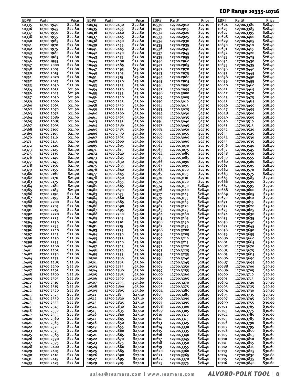## EDP Range 10335-10716

| EDP#           | Part#                    | Price                          | EDP#           | Part#                    | Price               | EDP#           | Part#                    | Price              | EDP#           | Part#                    | Price              |
|----------------|--------------------------|--------------------------------|----------------|--------------------------|---------------------|----------------|--------------------------|--------------------|----------------|--------------------------|--------------------|
| 10335          | 12700.1940               | \$22.80                        | 10434          | 12700.2430               | \$22.80             | 10530          | 12700.2910               | \$27.10            | 10624          | 12700.3380               | \$28.40            |
| 10336          | 12700.1945               | \$22.80                        | 10435          | 12700.2435               | \$22.80             | 10531          | 12700.2915               | \$27.10            | 10625          | 12700.3385               | \$28.40            |
| 10337          | 12700.1950               | S <sub>22.80</sub><br>\$22.80  | 10436          | 12700.2440               | \$22.80<br>\$22.80  | 10532          | 12700.2920               | \$27.10            | 10627          | 12700.3395               | \$28.40            |
| 10338<br>10340 | 12700.1955<br>12700.1965 | \$22.80                        | 10437<br>10438 | 12700.2445<br>12700.2450 | \$22.80             | 10533<br>10534 | 12700.2925<br>12700.2930 | \$27.10<br>\$27.10 | 10628<br>10629 | 12700.3400<br>12700.3405 | \$28.40<br>\$28.40 |
| 10341          | 12700.1970               | \$22.80                        | 10439          | 12700.2455               | \$22.80             | 10535          | 12700.2935               | \$27.10            | 10630          | 12700.3410               | \$28.40            |
| 10342          | 12700.1975               | \$22.80                        | 10441          | 12700.2465               | \$22.80             | 10536          | 12700.2940               | \$27.10            | 10631          | 12700.3415               | \$28.40            |
| 10343          | 12700.1980               | \$22.80                        | 10442          | 12700.2470               | \$22.80             | 10537          | 12700.2945               | \$27.10            | 10632          | 12700.3420               | \$28.40            |
| 10344          | 12700.1985               | \$22.80                        | 10443          | 12700.2475               | \$22.80             | 10539          | 12700.2955               | \$27.10            | 10633          | 12700.3425               | \$28.40            |
| 10346          | 12700.1995               | \$22.80                        | 10444          | 12700.2480               | \$22.80             | 10540          | 12700.2960               | \$27.10            | 10634          | 12700.3430               | \$28.40            |
| 10347          | 12700.2000               | \$22.80                        | 10445          | 12700.2485               | \$22.80             | 10541          | 12700.2965               | \$27.10            | 10635          | 12700.3435               | \$28.40            |
| 10348          | 12700.2005               | \$22.80                        | 10447          | 12700.2495               | S <sub>19</sub> .80 | 10542          | 12700.2970               | \$27.10            | 10636          | 12700.3440               | \$28.40            |
| 10350          | 12700.2015               | \$22.80                        | 10449          | 12700.2505               | \$25.60             | 10543          | 12700.2975               | \$27.10            | 10637          | 12700.3445               | \$28.40            |
| 10351          | 12700.2020               | \$22.80                        | 10451          | 12700.2515               | \$25.60             | 10544          | 12700.2980               | \$27.10            | 10638          | 12700.3450               | \$28.40            |
| 10352          | 12700.2025               | \$22.80<br>\$22.80             | 10452          | 12700.2520               | \$25.60<br>\$25.60  | 10545          | 12700.2985               | \$27.10<br>\$27.10 | 10639<br>10640 | 12700.3455<br>12700.3460 | \$28.40<br>\$28.40 |
| 10353<br>10354 | 12700.2030<br>12700.2035 | \$21.90                        | 10453<br>10454 | 12700.2525<br>12700.2530 | \$25.60             | 10546<br>10547 | 12700.2990<br>12700.2995 | \$27.10            | 10641          | 12700.3465               | \$28.40            |
| 10356          | 12700.2045               | \$21.90                        | 10455          | 12700.2535               | \$25.60             | 10548          | 12700.3000               | \$27.10            | 10642          | 12700.3470               | \$28.40            |
| 10357          | 12700.2050               | \$21.90                        | 10456          | 12700.2540               | \$25.60             | 10549          | 12700.3005               | \$27.10            | 10643          | 12700.3475               | \$28.40            |
| 10359          | 12700.2060               | \$21.90                        | 10457          | 12700.2545               | \$25.60             | 10550          | 12700.3010               | \$27.10            | 10645          | 12700.3485               | \$28.40            |
| 10360          | 12700.2065               | \$21.90                        | 10458          | 12700.2550               | \$25.60             | 10551          | 12700.3015               | \$27.10            | 10646          | 12700.3490               | \$28.40            |
| 10362          | 12700.2070               | \$21.90                        | 10459          | 12700.2555               | \$25.60             | 10553          | 12700.3025               | \$27.10            | 10647          | 12700.3495               | \$28.40            |
| 10363          | 12700.2075               | \$21.90                        | 10460          | 12700.2560               | \$25.60             | 10554          | 12700.3030               | \$27.10            | 10648          | 12700.3500               | \$28.40            |
| 10364          | 12700.2080               | \$21.90                        | 10461          | 12700.2565               | \$25.60             | 10555          | 12700.3035               | \$27.10            | 10649          | 12700.3505               | \$28.40            |
| 10365          | 12700.2085               | \$21.90                        | 10463          | 12700.2575               | \$25.60             | 10556          | 12700.3040               | \$27.10            | 10650          | 12700.3510               | \$28.40            |
| 10367          | 12700.2095               | \$21.90                        | 10464          | 12700.2580               | \$25.60             | 10557          | 12700.3045               | \$27.10            | 10651          | 12700.3515               | \$28.40            |
| 10368          | 12700.2100               | \$21.90                        | 10465          | 12700.2585               | \$25.60             | 10558          | 12700.3050               | \$27.10            | 10652          | 12700.3520               | \$28.40            |
| 10369          | 12700.2105               | S <sub>21</sub> ,90<br>\$21.90 | 10466<br>10467 | 12700.2590               | \$25.60<br>\$25.60  | 10559<br>10560 | 12700.3055<br>12700.3060 | \$27.10<br>\$27.10 | 10653<br>10654 | 12700.3525<br>12700.3530 | \$28.40<br>\$28.40 |
| 10370<br>10371 | 12700.2110<br>12700.2115 | \$21.90                        | 10468          | 12700.2595<br>12700.2600 | \$25.60             | 10561          | 12700.3065               | \$27.10            | 10655          | 12700.3535               | \$28.40            |
| 10372          | 12700.2120               | \$21.90                        | 10469          | 12700.2605               | \$25.60             | 10562          | 12700.3070               | \$27.10            | 10656          | 12700.3540               | \$28.40            |
| 10373          | 12700.2125               | \$21.90                        | 10471          | 12700.2615               | \$25.60             | 10563          | 12700.3075               | \$27.10            | 10657          | 12700.3545               | \$28.40            |
| 10375          | 12700.2135               | \$21.90                        | 10472          | 12700.2620               | \$25.60             | 10564          | 12700.3080               | \$27.10            | 10658          | 12700.3550               | \$28.40            |
| 10376          | 12700.2140               | \$21.90                        | 10473          | 12700.2625               | \$25.60             | 10565          | 12700.3085               | \$27.10            | 10659          | 12700.3555               | \$28.40            |
| 10377          | 12700.2145               | \$21.90                        | 10474          | 12700.2630               | \$25.60             | 10566          | 12700.3090               | \$27.10            | 10660          | 12700.3560               | \$28.40            |
| 10378          | 12700.2150               | \$21.90                        | 10475          | 12700.2635               | \$25.60             | 10567          | 12700.3095               | \$27.10            | 10661          | 12700.3565               | \$28.40            |
| 10379          | 12700.2155               | \$21.90                        | 10476          | 12700.2640               | \$25.60             | 10568          | 12700.3100               | \$27.10            | 10662          | 12700.3570               | \$28.40            |
| 10380          | 12700.2160               | \$21.90                        | 10477          | 12700.2645               | \$25.60             | 10569          | 12700.3105               | \$27.10            | 10663          | 12700.3575               | \$28.40            |
| 10382          | 12700.2170               | \$21.90                        | 10478          | 12700.2650               | \$25.60             | 10570          | 12700.3110               | \$27.10            | 10665          | 12700.3585               | \$29.10            |
| 10383          | 12700.2175               | \$21.90                        | 10479          | 12700.2655               | \$25.60             | 10572          | 12700.3120               | \$27.10            | 10666          | 12700.3590               | \$29.10            |
| 10384<br>10385 | 12700.2180               | \$21.90<br>\$21.90             | 10481<br>10482 | 12700.2665<br>12700.2670 | \$25.60<br>\$25.60  | 10574          | 12700.3130               | \$28.40<br>\$28.40 | 10667<br>10668 | 12700.3595<br>12700.3600 | \$29.10<br>\$29.10 |
| 10386          | 12700.2185<br>12700.2190 | \$22.80                        | 10483          | 12700.2675               | \$25.60             | 10576<br>10577 | 12700.3140<br>12700.3145 | \$28.40            | 10669          | 12700.3605               | \$29.10            |
| 10387          | 12700.2195               | \$22.80                        | 10484          | 12700.2680               | \$25.60             | 10579          | 12700.3155               | \$28.40            | 10670          | 12700.3610               | \$29.10            |
| 10388          | 12700.2200               | \$22.80                        | 10485          | 12700.2685               | \$25.60             | 10581          | 12700.3165               | \$28.40            | 10671          | 12700.3615               | \$29.10            |
| 10389          | 12700.2205               | \$22.80                        | 10486          | 12700.2690               | \$25.60             | 10582          | 12700.3170               | \$28.40            | 10672          | 12700.3620               | \$29.10            |
| 10391          | 12700.2215               | \$22.80                        | 10487          | 12700.2695               | \$25.60             | 10583          | 12700.3175               | \$28.40            | 10673          | 12700.3625               | S29.10             |
| 10392          | 12700.2220               | \$22.80                        | 10488          | 12700.2700               | \$25.60             | 10584          | 12700.3180               | \$28.40            | 10674          | 12700.3630               | \$29.10            |
| 10393          | 12700.2225               | \$22.80                        | 10489          | 12700.2705               | \$25.60             | 10585          | 12700.3185               | \$28.40            | 10675          | 12700.3635               | \$29.10            |
| 10394          | 12700.2230               | \$22.80                        | 10490          | 12700.2710               | \$25.60             | 10586          | 12700.3190               | \$28.40            | 10676          | 12700.3640               | \$29.10            |
| 10395          | 12700.2235               | \$22.80                        | 10491          | 12700.2715               | \$25.60             | 10587          | 12700.3195               | \$28.40            | 10677          | 12700.3645               | \$29.10            |
| 10396          | 12700.2240               | \$22.80<br>\$22.80             | 10493          | 12700.2725               | \$25.60<br>\$25.60  | 10588<br>10589 | 12700.3200               | \$28.40<br>\$28.40 | 10678<br>10679 | 12700.3650<br>12700.3655 | \$29.10<br>\$29.10 |
| 10397<br>10398 | 12700.2245<br>12700.2250 | \$22.80                        | 10494<br>10495 | 12700.2730<br>12700.2735 | \$25.60             | 10590          | 12700.3205<br>12700.3210 | \$28.40            | 10680          | 12700.3660               | \$29.10            |
| 10399          | 12700.2255               | \$22.80                        | 10496          | 12700.2740               | \$25.60             | 10591          | 12700.3215               | \$28.40            | 10681          | 12700.3665               | \$29.10            |
| 10400          | 12700.2260               | \$22.80                        | 10497          | 12700.2745               | \$25.60             | 10592          | 12700.3220               | \$28.40            | 10682          | 12700.3670               | \$29.10            |
| 10401          | 12700.2265               | \$22.80                        | 10498          | 12700.2750               | \$25.60             | 10593          | 12700.3225               | \$28.40            | 10683          | 12700.3675               | \$29.10            |
| 10402          | 12700.2270               | \$22.80                        | 10499          | 12700.2755               | \$25.60             | 10595          | 12700.3235               | \$28.40            | 10685          | 12700.3685               | \$29.10            |
| 10404          | 12700.2275               | \$22.80                        | 10500          | 12700.2760               | \$25.60             | 10596          | 12700.3240               | \$28.40            | 10686          | 12700.3690               | \$29.10            |
| 10405          | 12700.2285               | \$22.80                        | 10501          | 12700.2765               | \$25.60             | 10597          | 12700.3245               | \$28.40            | 10687          | 12700.3695               | \$29.10            |
| 10406          | 12700.2290               | \$22.80                        | 10503          | 12700.2775               | \$25.60             | 10598          | 12700.3250               | \$28.40            | 10688          | 12700.3700               | \$29.10            |
| 10407          | 12700.2295               | \$22.80                        | 10504          | 12700.2780               | \$25.60             | 10599          | 12700.3255               | \$28.40            | 10689          | 12700.3705               | \$29.10            |
| 10408          | 12700.2300               | \$22.80                        | 10505          | 12700.2785               | \$25.60<br>\$25.60  | 10600          | 12700.3260               | \$28.40<br>\$28.40 | 10690          | 12700.3710               | \$29.10            |
| 10409<br>10410 | 12700.2305<br>12700.2310 | \$22.80<br>\$22.80             | 10506<br>10507 | 12700.2790<br>12700.2795 | \$25.60             | 10601<br>10602 | 12700.3265<br>12700.3270 | \$28.40            | 10691<br>10692 | 12700.3715<br>12700.3720 | \$29.10<br>\$29.10 |
| 10411          | 12700.2315               | \$22.80                        | 10508          | 12700.2800               | \$25.60             | 10603          | 12700.3275               | \$28.40            | 10693          | 12700.3725               | \$29.10            |
| 10412          | 12700.2320               | \$22.80                        | 10509          | 12700.2805               | \$25.60             | 10604          | 12700.3280               | \$28.40            | 10694          | 12700.3730               | \$29.10            |
| 10413          | 12700.2325               | \$22.80                        | 10511          | 12700.2815               | \$27.10             | 10605          | 12700.3285               | \$28.40            | 10695          | 12700.3735               | \$29.10            |
| 10414          | 12700.2330               | \$22.80                        | 10512          | 12700.2820               | \$27.10             | 10606          | 12700.3290               | \$28.40            | 10697          | 12700.3745               | \$29.10            |
| 10415          | 12700.2335               | \$22.80                        | 10513          | 12700.2825               | \$27.10             | 10607          | 12700.3295               | \$28.40            | 10699          | 12700.3755               | \$30.60            |
| 10417          | 12700.2345               | \$22.80                        | 10514          | 12700.2830               | \$27.10             | 10608          | 12700.3300               | \$28.40            | 10701          | 12700.3765               | \$30.60            |
| 10418          | 12700.2350               | \$22.80                        | 10515          | 12700.2835               | \$27.10             | 10609          | 12700.3305               | \$28.40            | 10703          | 12700.3775               | \$30.60            |
| 10419          | 12700.2355               | \$22.80                        | 10516          | 12700.2840               | \$27.10             | 10610          | 12700.3310               | \$28.40            | 10704          | 12700.3780               | \$30.60            |
| 10420          | 12700.2360               | \$22.80                        | 10517          | 12700.2845               | \$27.10             | 10611          | 12700.3315               | \$28.40            | 10705          | 12700.3785               | \$30.60            |
| 10421          | 12700.2365               | \$22.80<br>\$22.80             | 10518          | 12700.2850               | \$27.10             | 10613          | 12700.3325               | \$28.40            | 10706          | 12700.3790               | \$30.60            |
| 10422<br>10423 | 12700.2370<br>12700.2375 | \$22.80                        | 10519<br>10520 | 12700.2855<br>12700.2860 | \$27.10<br>\$27.10  | 10614<br>10615 | 12700.3330<br>12700.3335 | \$28.40<br>\$28.40 | 10707<br>10708 | 12700.3795<br>12700.3800 | \$30.60<br>\$30.60 |
| 10425          | 12700.2385               | \$22.80                        | 10521          | 12700.2865               | \$27.10             | 10616          | 12700.3340               | \$28.40            | 10709          | 12700.3805               | \$30.60            |
| 10426          | 12700.2390               | \$22.80                        | 10522          | 12700.2870               | \$27.10             | 10617          | 12700.3345               | \$28.40            | 10710          | 12700.3810               | \$30.60            |
| 10427          | 12700.2395               | \$22.80                        | 10523          | 12700.2875               | \$27.10             | 10618          | 12700.3350               | \$28.40            | 10711          | 12700.3815               | \$30.60            |
| 10428          | 12700.2400               | \$22.80                        | 10524          | 12700.2880               | \$27.10             | 10619          | 12700.3355               | \$28.40            | 10712          | 12700.3820               | \$30.60            |
| 10429          | 12700.2405               | \$22.80                        | 10525          | 12700.2885               | \$27.10             | 10620          | 12700.3360               | \$28.40            | 10713          | 12700.3825               | \$30.60            |
| 10430          | 12700.2410               | \$22.80                        | 10526          | 12700.2890               | \$27.10             | 10621          | 12700.3365               | \$28.40            | 10714          | 12700.3830               | \$30.60            |
| 10431          | 12700.2415               | \$22.80                        | 10527          | 12700.2895               | \$27.10             | 10622          | 12700.3370               | \$28.40            | 10715          | 12700.3835               | \$30.60            |
| 10433          | 12700.2425               | \$22.80                        | 10529          | 12700.2905               | \$27.10             | 10623          | 12700.3375               | \$28.40            | 10716          | 12700.3840               | \$30.60            |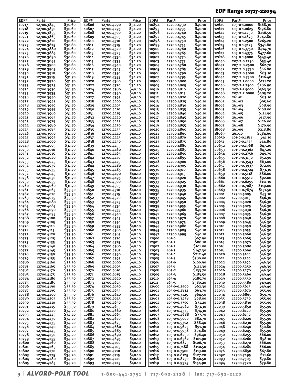## EDP Range 10717-22094

| EDP#           | Part#                    | Price              | EDP#           | Part#                    | Price              | EDP#           | Part#                        | Price                | EDP#           | Part#                        | Price               |
|----------------|--------------------------|--------------------|----------------|--------------------------|--------------------|----------------|------------------------------|----------------------|----------------|------------------------------|---------------------|
| 10717          | 12700.3845               | \$30.60            | 10806          | 12700.4290               | \$34.20            | 10894          | 12700.4730                   | \$40.10              | 12620          | 105-0-1.0000                 | \$168.30            |
| 10718          | 12700.3850               | \$30.60            | 10807          | 12700.4295               | \$34.20            | 10895          | 12700.4735                   | \$40.10              | 12621          | 105-0-1.0625                 | S196.80             |
| 10719          | 12700.3855               | \$30.60            | 10808          | 12700.4300               | \$34.20            | 10896          | 12700.4740                   | \$40.10              | 12622          | 105-0-1.1250                 | \$216.50            |
| 10721          | 12700.3865               | \$30.60            | 10809          | 12700.4305               | \$34.20            | 10897          | 12700.4745                   | \$40.10              | 12623          | 105-0-1.1875                 | \$242.80            |
| 10722          | 12700.3870               | \$30.60            | 10810          | 12700.4310               | \$34.20            | 10898          | 12700.4750                   | \$40.10              | 12624          | 105-0-1.2500                 | \$265.20            |
| 10723          | 12700.3875               | \$30.60            | 10811          | 12700.4315               | \$34.20            | 10899          | 12700.4755                   | \$40.10              | 12625          | 105-0-1.3125                 | \$341.80            |
| 10724          | 12700.3880               | \$30.60            | 10812          | 12700.4320               | \$34.20            | 10900          | 12700.4760                   | \$40.10              | 12626          | 105-0-1.3750                 | \$414.70            |
| 10725<br>10726 | 12700.3885<br>12700.3890 | \$30.60<br>\$30.60 | 10813<br>10814 | 12700.4325<br>12700.4330 | \$34.20<br>\$34.20 | 10901<br>10902 | 12700.4765<br>12700.4770     | \$40.10<br>\$40.10   | 12627<br>12628 | 105-0-1.4375<br>105-0-1.5000 | \$477.60<br>5543.40 |
| 10727          | 12700.3895               | \$30.60            | 10815          | 12700.4335               | \$34.20            | 10903          | 12700.4775                   | \$40.10              | 18040          | 207-2-0.1250                 | \$53.40             |
| 10728          | 12700.3900               | 530.60             | 10816          | 12700.4340               | \$34.20            | 10904          | 12700.4780                   | \$40.10              | 18041          | 207-2-0.2500                 | \$62.70             |
| 10729          | 12700.3905               | \$30.60            | 10817          | 12700.4345               | \$34.20            | 10905          | 12700.4785                   | \$40.10              | 18042          | 207-2-0.3750                 | S66.80              |
| 10730          | 12700.3910               | \$30.60            | 10818          | 12700.4350               | \$34.20            | 10906          | 12700.4790                   | \$40.10              | 18043          | 207-2-0.5000                 | \$83.10             |
| 10731          | 12700.3915               | \$31.70            | 10819          | 12700.4355               | \$34.20            | 10907          | 12700.4795                   | \$40.10              | 18044          | 207-2-0.7500                 | \$116.40            |
| 10732          | 12700.3920               | \$31.70            | 10820          | 12700.4360               | \$34.20            | 10908          | 12700.4800                   | \$40.10              | 18045          | 207-2-1.0000                 | \$171.20            |
| 10733          | 12700.3925               | \$31.70            | 10822          | 12700.4370               | \$34.20            | 10909          | 12700.4805                   | \$40.10              | 18046          | 207-2-1.2500                 | \$286.90            |
| 10734          | 12700.3930               | \$31.70            | 10824          | 12700.4380               | \$40.10            | 10910          | 12700.4810                   | \$40.10              | 18047          | 207-2-1.5000                 | 5363.30             |
| 10735          | 12700.3935               | \$31.70            | 10826          | 12700.4390               | \$40.10            | 10911          | 12700.4815                   | \$40.10              | 18048          | 207-2-2.0000                 | \$485.20            |
| 10736          | 12700.3940               | \$31.70            | 10827          | 12700.4395               | \$40.10            | 10912          | 12700.4820                   | \$40.10              | 18060          | 261-01                       | \$83.10             |
| 10737          | 12700.3945               | \$31.70            | 10828          | 12700.4400               | \$40.10            | 10913          | 12700.4825                   | \$40.10              | 18061          | 261-02                       | \$95.60             |
| 10738          | 12700.3950               | \$31.70            | 10829<br>10830 | 12700.4405               | \$40.10<br>\$40.10 | 10914<br>10915 | 12700.4830<br>12700.4835     | \$40.10<br>\$40.10   | 18062<br>18063 | 261-03<br>261-04             | \$98.90<br>\$108.00 |
| 10739<br>10740 | 12700.3955<br>12700.3960 | \$31.70<br>\$31.70 | 10831          | 12700.4410<br>12700.4415 | \$40.10            | 10916          | 12700.4840                   | \$40.10              | 18064          | 261-05                       | \$111.90            |
| 10741          | 12700.3965               | \$31.70            | 10832          | 12700.4420               | \$40.10            | 10917          | 12700.4845                   | \$40.10              | 18065          | 261-06                       | \$117.90            |
| 10743          | 12700.3975               | \$31.70            | 10833          | 12700.4425               | \$40.10            | 10918          | 12700.4850                   | \$40.10              | 18066          | 261-07                       | \$126.00            |
| 10744          | 12700.3980               | \$31.70            | 10834          | 12700.4430               | \$40.10            | 10919          | 12700.4855                   | \$40.10              | 18067          | 261-08                       | \$170.90            |
| 10745          | 12700.3985               | \$31.70            | 10835          | 12700.4435               | \$40.10            | 10920          | 12700.4860                   | 540.10               | 18068          | 261-09                       | <b>S218.80</b>      |
| 10746          | 12700.3990               | \$31.70            | 10836          | 12700.4440               | \$40.10            | 10921          | 12700.4865                   | \$40.10              | 18069          | 261-10                       | \$284.60            |
| 10747          | 12700.3995               | \$31.70            | 10837          | 12700.4445               | \$40.10            | 10922          | 12700.4870                   | \$40.10              | 20650          | 101-0-0.1181                 | \$41.10             |
| 10748          | 12700.4000               | \$31.70            | 10838          | 12700.4450               | \$40.10            | 10923          | 12700.4875                   | \$40.10              | 20651          | 101-0-0.1575                 | \$44.80             |
| 10749          | 12700.4005               | \$31.70            | 10839          | 12700.4455               | \$40.10            | 10924          | 12700.4880                   | \$40.10              | 20652          | 101-0-0.1968                 | \$47.20             |
| 10750          | 12700.4010               | \$31.70            | 10840          | 12700.4460               | 540.10             | 10925          | 12700.4885                   | \$40.10              | 20653          | 101-0-0.2362                 | \$47.20             |
| 10751          | 12700.4015               | \$31.70            | 10841          | 12700.4465               | \$40.10            | 10926          | 12700.4890                   | \$40.10              | 20654          | 101-0-0.2756                 | 549.70              |
| 10752          | 12700.4020               | \$31.70            | 10842          | 12700.4470               | \$40.10            | 10927          | 12700.4895                   | \$40.10              | 20655          | 101-0-0.3150                 | \$52.90             |
| 10753          | 12700.4025<br>12700.4030 | \$31.70<br>\$31.70 | 10843<br>10844 | 12700.4475<br>12700.4480 | \$40.10<br>\$40.10 | 10928<br>10929 | 12700.4900<br>12700.4905     | \$40.10<br>\$40.10   | 20656<br>20657 | 101-0-0.3543<br>101-0-0.3937 | 563.00<br>\$72.00   |
| 10754<br>10755 | 12700.4035               | \$31.70            | 10845          | 12700.4485               | \$40.10            | 10930          | 12700.4910                   | \$40.10              | 20658          | 101-0-0.4724                 | 573.30              |
| 10757          | 12700.4045               | \$31.70            | 10846          | 12700.4490               | \$40.10            | 10931          | 12700.4915                   | \$40.10              | 20659          | 101-0-0.5118                 | S86.oo              |
| 10758          | 12700.4050               | \$31.70            | 10847          | 12700.4495               | \$40.10            | 10932          | 12700.4920                   | \$40.10              | 20660          | 101-0-0.5512                 | \$92.00             |
| 10759          | 12700.4055               | \$31.70            | 10848          | 12700.4500               | \$40.10            | 10933          | 12700.4925                   | \$40.10              | 20661          | 101-0-0.6299                 | \$111.10            |
| 10760          | 12700.4060               | \$31.70            | 10849          | 12700.4505               | \$40.10            | 10934          | 12700.4930                   | \$40.10              | 20662          | 101-0-0.7087                 | \$119.00            |
| 10761          | 12700.4065               | 533.50             | 10850          | 12700.4510               | \$40.10            | 10935          | 12700.4935                   | \$40.10              | 20663          | 101-0-0.7874                 | \$151.50            |
| 10762          | 12700.4070               | \$33.50            | 10851          | 12700.4515               | \$40.10            | 10936          | 12700.4940                   | \$40.10              | 22001          | 12700.5005                   | \$43.10             |
| 10763          | 12700.4075               | \$33.50            | 10852          | 12700.4520               | \$40.10            | 10937          | 12700.4945                   | \$40.10              | 22002          | 12700.5015                   | \$46.30             |
| 10764          | 12700.4080               | \$33.50            | 10853          | 12700.4525               | \$40.10            | 10938          | 12700.4950                   | \$40.10              | 22004          | 12700.5020                   | 546.30              |
| 10765          | 12700.4085               | \$33.50            | 10854          | 12700.4530               | \$40.10            | 10939          | 12700.4955                   | \$40.10              | 22005          | 12700.5025                   | \$46.30             |
| 10766          | 12700.4090               | \$33.50            | 10855          | 12700.4535               | \$40.10            | 10940          | 12700.4960                   | \$40.10              | 22006          | 12700.5030                   | \$46.30             |
| 10767<br>10768 | 12700.4095<br>12700.4100 | 533.50<br>533.50   | 10856<br>10857 | 12700.4540<br>12700.4545 | \$40.10<br>\$40.10 | 10941<br>10942 | 12700.4965<br>12700.4970     | \$40.10<br>\$40.10   | 22007<br>22008 | 12700.5035<br>12700.5040     | \$46.30<br>\$46.30  |
| 10769          | 12700.4105               | \$33.50            | 10858          | 12700.4550               | \$40.10            | 10943          | 12700.4975                   | \$40.10              | 22009          | 12700.5045                   | 546.30              |
| 10770          | 12700.4110               | \$33.50            | 10859          | 12700.4555               | \$40.10            | 10944          | 12700.4980                   | \$40.10              | 22010          | 12700.5050                   | \$46.30             |
| 10771          | 12700.4115               | \$33.50            | 10860          | 12700.4560               | <b>S40.10</b>      | 10945          | 12700.4985                   | 540.10               | 22011          | 12700.5055                   | \$46.30             |
| 10772          | 12700.4120               | \$33.50            | 10861          | 12700.4565               | \$40.10            | 10947          | 12700.4995                   | \$40.10              | 22012          | 12700.5060                   | \$46.30             |
| 10773          | 12700.4125               | \$33.50            | 10862          | 12700.4570               | \$40.10            | 12500          | 161-0                        | \$67.90              | 22013          | 12700.5065                   | 546.30              |
| 10775          | 12700.4135               | \$33.50            | 10863          | 12700.4575               | \$40.10            | 12501          | 161-1                        | \$88.10              | 22014          | 12700.5070                   | \$46.30             |
| 10776          | 12700.4140               | \$33.50            | 10864          | 12700.4580               | \$40.10            | 12502          | $161 - 2$                    | \$101.00             | 22016          | 12700.5080                   | \$46.30             |
| 10777          | 12700.4145               | \$33.50            | 10865          | 12700.4585               | \$40.10            | 12503          | 161-3                        | \$147.30             | 22018          | 12700.5090                   | \$46.30             |
| 10778          | 12700.4150               | \$33.50            | 10866          | 12700.4590               | \$40.10            | 12504          | 161-4                        | \$212.40             | 22020          | 12700.5100                   | \$46.30             |
| 10779          | 12700.4155               | \$33.50            | 10867<br>10868 | 12700.4595               | \$40.10            | 12505          | 161-5                        | \$380.00             | 22021<br>22022 | 12700.5140                   | \$46.30             |
| 10780<br>10781 | 12700.4160<br>12700.4165 | \$33.50<br>\$33.50 | 10869          | 12700.4600<br>12700.4605 | \$40.10<br>\$40.10 | 12506<br>12507 | 163-0<br>$163 - 1$           | \$100.90<br>\$111.30 | 22024          | 12700.5190<br>12700.5250     | \$46.30<br>\$46.30  |
| 10782          | 12700.4170               | \$33.50            | 10870          | 12700.4610               | \$40.10            | 12508          | 163-2                        | \$133.70             | 22026          | 12700.5270                   | \$46.30             |
| 10783          | 12700.4175               | \$33.50            | 10871          | 12700.4615               | \$40.10            | 12509          | 163-3                        | \$183.50             | 22028          | 12700.5460                   | \$49.40             |
| 10784          | 12700.4180               | \$33.50            | 10872          | 12700.4620               | \$40.10            | 12510          | 163-4                        | \$285.70             | 22029          | 12700.5550                   | \$49.40             |
| 10785          | 12700.4185               | \$33.50            | 10873          | 12700.4625               | \$40.10            | 12511          | 163-5                        | \$580.20             | 22030          | 12700.5580                   | \$49.40             |
| 10786          | 12700.4190               | \$33.50            | 10874          | 12700.4630               | \$40.10            | 12600          | 105-0-0.2500                 | \$62.30              | 22032          | 12700.5615                   | 549.40              |
| 10787          | 12700.4195               | \$33.50            | 10875          | 12700.4635               | \$40.10            | 12601          | 105-0-0.2812                 | \$63.70              | 22033          | 12700.5670                   | \$55.90             |
| 10788          | 12700.4200               | \$33.50            | 10876          | 12700.4640               | \$40.10            | 12602          | 105-0-0.3125                 | \$64.50              | 22034          | 12700.6865                   | \$59.70             |
| 10789          | 12700.4205               | \$33.50            | 10877          | 12700.4645               | \$40.10            | 12603          | 105-0-0.3438                 | \$68.00              | 22035          | 12700.5750                   | \$55.90             |
| 10790          | 12700.4210               | \$33.50            | 10878          | 12700.4650               | \$40.10            | 12604          | 105-0-0.3750                 | \$71.20              | 22038          | 12700.5830                   | \$55.90             |
| 10791<br>10792 | 12700.4215<br>12700.4220 | \$33.50<br>\$34.20 | 10879<br>10880 | 12700.4655<br>12700.4660 | \$40.10<br>\$40.10 | 12605<br>12606 | 105-0-0.4062<br>105-0-0.4375 | 573.30<br>574.30     | 22039<br>22042 | 12700.5850<br>12700.6120     | \$55.90<br>\$55.90  |
| 10793          | 12700.4225               | \$34.20            | 10881          | 12700.4665               | \$40.10            | 12607          | 105-0-0.4688                 | \$77.70              | 22043          | 12700.6150                   | \$55.90             |
| 10794          | 12700.4230               | \$34.20            | 10882          | 12700.4670               | \$40.10            | 12608          | 105-0-0.5000                 | \$82.70              | 22045          | 12700.6220                   | \$55.90             |
| 10795          | 12700.4235               | \$34.20            | 10883          | 12700.4675               | \$40.10            | 12609          | 105-0-0.5312                 | \$88.40              | 22046          | 12700.6230                   | \$55.90             |
| 10796          | 12700.4240               | \$34.20            | 10884          | 12700.4680               | \$40.10            | 12610          | 105-0-0.5625                 | \$91.30              | 22048          | 12700.6240                   | S50.80              |
| 10797          | 12700.4245               | \$34.20            | 10885          | 12700.4685               | \$40.10            | 12611          | 105-0-0.5938                 | \$94.80              | 22049          | 12700.6245                   | \$55.90             |
| 10798          | 12700.4250               | \$34.20            | 10886          | 12700.4690               | \$40.10            | 12612          | 105-0-0.6250                 | \$96.40              | 22050          | 12700.6255                   | \$66.00             |
| 10799          | 12700.4255               | \$34.20            | 10887          | 12700.4695               | \$40.10            | 12613          | 105-0-0.6562                 | \$101.90             | 22052          | 12700.6260                   | \$58.10             |
| 10800          | 12700.4260               | \$34.20            | 10888          | 12700.4700               | \$40.10            | 12614          | 105-0-0.6875                 | \$106.70             | 22053          | 12700.6270                   | \$66.00             |
| 10801          | 12700.4265               | \$34.20            | 10889          | 12700.4705               | \$40.10            | 12615          | 105-0-0.7188                 | \$110.50             | 22054          | 12700.6280                   | \$66.00             |
| 10802<br>10803 | 12700.4270               | \$34.20            | 10890<br>10891 | 12700.4710               | \$40.10            | 12616          | 105-0-0.7500                 | \$113.00             | 22076          | 12700.6850                   | \$67.80             |
| 10804          | 12700.4275<br>12700.4280 | \$34.20<br>\$34.20 | 10892          | 12700.4715<br>12700.4720 | \$40.10<br>\$40.10 | 12617<br>12618 | 105-0-0.8125<br>105-0-0.8750 | \$127.20<br>\$140.50 | 22092<br>22093 | 12700.7495<br>12700.7505     | \$71.60<br>\$79.80  |
| 10805          | 12700.4285               | \$34.20            | 10893          | 12700.4725               | \$40.10            | 12619          | 105-0-0.9375                 | \$154.90             | 22094          | 12700.7520                   | \$79.80             |
|                |                          |                    |                |                          |                    |                |                              |                      |                |                              |                     |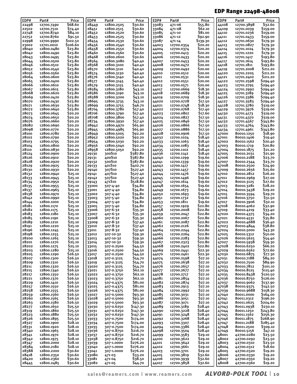## EDP Range 22498-48008

| EDP#           | Part#                    | Price               | EDP#           | Part#                    | Price                | EDP#           | Part#                    | Price              | EDP#           | Part#                    | Price                |
|----------------|--------------------------|---------------------|----------------|--------------------------|----------------------|----------------|--------------------------|--------------------|----------------|--------------------------|----------------------|
| 22498          | 12700.7490               | <b>S68.60</b>       | 28449          | 12800.2505               | \$30.60              | 33083          | 471-06                   | \$55.80            | 44108          | 12700.3898               | \$32.60              |
| 22502          | 12700.7510               | 574.40              | 28451          | 12800.2515               | \$30.60              | 33084          | 471-08                   | \$62.10            | 44109          | 12701.0039               | \$159.00             |
| 22748          | 12700.8740               | \$84.10             | 28452          | 12800.2520               | \$30.60              | 33085          | 471-10                   | \$81.00            | 44110          | 12701.0236               | \$159.00             |
| 22752          | 12700.8760               | \$91.50             | 28453          | 12800.2525               | \$30.60              | 33086          | 471-12                   | \$92.90            | 44111          | 12701.0433               | S <sub>159</sub> .00 |
| 22998          | 12700.9990               | \$102.50            | 28454          | 12800.2530               | \$30.60              | 33087          | 471-14                   | \$139.30           | 44112          | 12701.0630               | \$179.30             |
| 23002          | 12701.0010               | \$106.60            | 28456          | 12800.2540               | 530.60               | 44003          | 12700.0354               | \$20.20            | 44113          | 12701.0827               | \$179.30             |
| 28040          | 12800.0480               | \$23.80             | 28458          | 12800.2550               | \$30.60              | 44004          | 12700.0374               | \$20.20            | 44114          | 12701.1024               | \$179.30             |
| 28042          | 12800.0490               | \$23.80             | 28460          | 12800.2560               | \$30.60              | 44005          | 12700.0413               | \$20.20            | 44115          | 12701.1220               | \$179.30             |
| 28043          | 12800.0495               | \$23.80             | 28468          | 12800.2600               | \$30.60              | 44006          | 12700.0433               | \$20.20            | 44116          | 12701.1417               | \$193.80             |
| 28044<br>28046 | 12800.0500<br>12800.0510 | \$23.80<br>\$23.80  | 28564<br>28568 | 12800.3080<br>12800.3100 | \$40.40              | 44007          | 12700.0453               | \$20.20<br>\$20.00 | 44117          | 12701.1614<br>12701.1811 | \$193.80<br>\$193.80 |
| 28052          | 12800.0540               | \$23.80             | 28570          | 12800.3110               | \$40.40<br>\$40.40   | 44008<br>44009 | 12700.0472<br>12700.0492 | \$20.00            | 44118<br>44119 | 12701.2008               | \$211.20             |
| 28056          | 12800.0560               | \$23.80             | 28574          | 12800.3130               | \$40.40              | 44010          | 12700.0512               | \$20.00            | 44120          | 12701.2205               | \$211.20             |
| 28064          | 12800.0600               | \$23.80             | 28576          | 12800.3140               | \$40.40              | 44011          | 12700.0531               | \$20.00            | 44121          | 12701.2402               | 5211.20              |
| 28065          | 12800.0400               | \$23.80             | 28577          | 12800.3145               | <b>S40.40</b>        | 44012          | 12700.0551               | \$20.00            | 44122          | 12701.2598               | \$294.40             |
| 28066          | 12800.0610               | \$23.80             | 28579          | 12800.3155               | <b>S40.40</b>        | 44013          | 12700.0571               | \$20.00            | 44123          | 12701.2795               | \$294.40             |
| 28067          | 12800.0615               | 523.80              | 28584          | 12800.3180               | \$43.10              | 44017          | 12700.0669               | \$18.30            | 44124          | 12701.2992               | \$294.40             |
| 28068          | 12800.0620               | \$23.80             | 28586          | 12800.3190               | \$43.10              | 44018          | 12700.0689               | \$18.30            | 44125          | 12701.3189               | \$294.40             |
| 28069          | 12800.0420               | \$23.80             | 28588          | 12800.3200               | 543.10               | 44019          | 12700.0709               | \$18.30            | 44126          | 12701.3386               | 5294.40              |
| 28070          | 12800.0430               | \$23.80             | 28695          | 12800.3735               | \$43.10              | 44020          | 12700.0728               | \$17.50            | 44127          | 12701.3583               | \$294.40             |
| 28071          | 12800.0630               | \$23.80             | 28699          | 12800.3755               | \$46.70              | 44021          | 12700.0748               | \$18.30            | 44128          | 12701.3780               | \$319.00             |
| 28072          | 12800.0640               | \$23.80             | 28704          | 12800.3780               | \$57.40              | 44022          | 12700.0768               | \$17.40            | 44129          | 12701.3976               | \$319.00             |
| 28073          | 12800.0645               | <b>S20.20</b>       | 28706          | 12800.3790               | \$57.40              | 44023          | 12700.0807               | \$17.60            | 44130          | 12701.4173               | 5319.00              |
| 28074          | 12800.0650               | 520.20              | 28708          | 12800.3800               | \$57.40              | 44024          | 12700.0827               | \$17.50            | 44131          | 12701.4370               | \$319.00             |
| 28076          | 12800.0660               | S <sub>20</sub> .20 | 28734          | 12800.3930               | \$57.40              | 44025          | 12700.0846               | \$17.50            | 44132          | 12701.4567               | 5343.80              |
| 28082          | 12800.0690               | <b>S20.20</b>       | 28942          | 12800.4970               | 565.90               | 44026          | 12700.0866               | \$17.50            | 44133          | 12701.4764               | 5343.80              |
| 28098<br>28100 | 12800.0770<br>12800.0780 | 520.20<br>520.20    | 28945          | 12800.4985               | \$65.90<br>\$92.20   | 44027          | 12700.0886<br>12700.0906 | \$17.50<br>\$17.50 | 44134          | 12701.4961<br>80010.1250 | 5343.80<br>\$18.90   |
| 28102          | 12800.0790               | <b>S20.20</b>       | 28949<br>28952 | 12800.5005<br>12800.5020 | \$92.20              | 44028          | 12700.1024               | \$18.40            | 47000          | 80010.1406               | \$19.40              |
| 28103          | 12800.0795               | 520.20              | 28954          | 12800.5030               | \$92.20              | 44032<br>44033 | 12700.1063               | \$18.40            | 47001<br>47002 | 80010.1562               | \$20.40              |
| 28104          | 12800.0800               | 520.20              | 28956          | 12800.5040               | \$92.20              | 44034          | 12700.1083               | \$18.40            | 47003          | 80010.1719               | Ş20.80               |
| 28110          | 12800.0830               | \$20.20             | 28958          | 12800.5050               | \$92.20              | 44035          | 12700.1102               | \$18.40            | 47004          | 80010.1875               | \$21.20              |
| 28124          | 12800.0900               | \$20.20             | 29130          | 300S10                   | \$387.80             | 44036          | 12700.1142               | \$18.40            | 47005          | 80010.2031               | \$21.90              |
| 28126          | 12800.0910               | <b>S20.20</b>       | 29131          | 400S10                   | \$387.80             | 44040          | 12700.1299               | \$19.60            | 47006          | 80010.2188               | \$23.70              |
| 28128          | 12800.0920               | \$20.20             | 29132          | 500S10                   | \$387.80             | 44041          | 12700.1339               | \$19.60            | 47007          | 80010.2344               | \$23.70              |
| 28129          | 12800.0925               | <b>S20.20</b>       | 29133          | 401S10                   | \$402.70             | 44042          | 12700.1417               | \$19.60            | 47008          | 80010.2500               | \$24.90              |
| 28130          | 12800.0930               | 520.20              | 29140          | 307510                   | 5527.40              | 44043          | 12700.1457               | \$19.60            | 47009          | 80010.2656               | \$25.60              |
| 28132          | 12800.0940               | \$25.10             | 29141          | 407S10                   | 5527.40              | 44044          | 12700.1476               | \$19.60            | 47010          | 80010.2812               | S26.20               |
| 28133          | 12800.0945               | \$25.10             | 29142          | 507S10                   | 5527.40              | 44045          | 12700.1496               | \$19.60            | 47011          | 80010.2969               | \$27.00              |
| 28134          | 12800.0950               | \$25.10             | 29143          | 471510                   | \$518.80             | 44047          | 12700.1614               | \$19.60            | 47012          | 80010.3125               | \$27.60              |
| 28135          | 12800.0955               | \$25.10             | 33000          | 507-4-40                 | \$34.80              | 44048          | 12700.1654               | \$19.60            | 47013          | 80010.3281               | S28.20               |
| 28137          | 12800.0965               | \$25.10             | 33001          | 407-4-40                 | 534.80               | 44049          | 12700.1673               | \$19.60            | 47014          | 80010.3438               | \$29.20              |
| 28138          | 12800.0970               | \$25.10             | 33002          | 307-4-40                 | \$34.80              | 44050          | 12700.1693               | \$19.60            | 47015          | 80010.3594               | \$29.70              |
| 28142<br>28144 | 12800.0990<br>12800.1000 | \$25.10<br>\$25.10  | 33003<br>33004 | 507-5-40<br>407-5-40     | \$34.80<br>534.80    | 44051<br>44053 | 12700.1732<br>12700.1811 | \$19.60<br>\$19.60 | 47016<br>47017 | 80010.3750<br>80010.3906 | 531.50<br>\$32.10    |
| 28181          | 12800.1170               | \$25.10             | 33005          | 307-5-40                 | 534.80               | 44057          | 12700.1929               | \$22.80            | 47018          | 80010.4062               | 532.90               |
| 28182          | 12800.1175               | \$25.10             | 33006          | 507-6-32                 | \$35.30              | 44058          | 12700.2008               | \$22.80            | 47019          | 80010.4219               | \$33.40              |
| 28183          | 12800.1180               | \$25.10             | 33007          | 407-6-32                 | \$35.30              | 44059          | 12700.2047               | 522.80             | 47020          | 80010.4375               | \$34.20              |
| 28185          | 12800.1190               | \$25.10             | 33008          | 307-6-32                 | \$35.30              | 44060          | 12700.2067               | <b>S22.80</b>      | 47021          | 80010.4531               | \$35.80              |
| 28189          | 12800.1210               | \$25.10             | 33009          | 507-8-32                 | \$37.40              | 44061          | 12700.2087               | \$22.80            | 47022          | 80010.4688               | \$36.40              |
| 28191          | 12800.1220               | \$25.10             | 33010          | 407-8-32                 | \$37.40              | 44062          | 12700.2126               | \$22.80            | 47023          | 80010.4844               | S38.80               |
| 28196          | 12800.1245               | \$25.10             | 33011          | 307-8-32                 | \$37.40              | 44064          | 12700.2244               | \$22.80            | 47024          | 80010.5000               | \$43.30              |
| 28198          | 12800.1255               | \$25.10             | 33012          | 507-10-32                | 539.30               | 44065          | 12700.2264               | \$22.80            | 47025          | 80010.5312               | \$50.00              |
| 28200          | 12800.1265               | \$25.10             | 33013          | 407-10-32                | \$39.30              | 44066          | 12700.2283               | \$22.80            | 47026          | 80010.5625               | \$54.40              |
| 28201          | 12800.1270               | \$25.10             | 33014          | 307-10-32                | \$39.30              | 44067          | 12700.2323               | \$22.80            | 47027          | 80010.5938               | \$59.30              |
| 28202          | 12800.1275               | \$25.10             | 33015          | 507-0.2500               | \$44.50              | 44068          | 12700.2402               | \$22.80            | 47028          | 80010.6250               | \$66.20              |
| 28203          | 12800.1280               | \$25.10             | 33016          | 407-0.2500               | \$44.50              | 44069          | 12700.2441               | \$22.30            | 47029          | 80010.6562               | \$72.60              |
| 28205<br>28207 | 12800.1290<br>12800.1300 | \$26.50<br>\$26.50  | 33017          | 307-0.2500               | \$44.50<br>\$54.70   | 44070          | 12700.2461<br>12700.2598 | \$22.30<br>\$27.10 | 47030          | 80010.6875<br>80010.7188 | \$77.30<br>\$84.20   |
| 28209          | 12800.1310               | \$26.50             | 33018<br>33019 | 507-0.3125<br>407-0.3125 | \$54.70              | 44074<br>44075 | 12700.2638               | \$27.10            | 47031<br>47032 | 80010.7500               | 589.90               |
| 28211          | 12800.1320               | \$26.50             | 33020          | 307-0.3125               | \$54.70              | 44076          | 12700.2657               | \$27.10            | 47033          | 80010.7812               | \$101.10             |
| 28215          | 12800.1340               | \$26.50             | 33021          | 507-0.3750               | \$62.10              | 44077          | 12700.2677               | \$27.10            | 47034          | 80010.8125               | \$115.40             |
| 28217          | 12800.1350               | \$26.50             | 33022          | 407-0.3750               | \$62.10              | 44078          | 12700.2717               | \$27.10            | 47035          | 80010.8438               | \$120.50             |
| 28221          | 12800.1370               | \$26.50             | 33023          | 307-0.3750               | \$62.10              | 44081          | 12700.2854               | \$27.10            | 47036          | 80010.8750               | \$126.00             |
| 28229          | 12800.1410               | \$26.50             | 33024          | 507-0.4375               | <b>\$81.00</b>       | 44082          | 12700.2874               | \$27.10            | 47037          | 80010.9062               | \$137.90             |
| 28257          | 12800.1550               | \$26.50             | 33025          | 407-0.4375               | <b>\$81.00</b>       | 44083          | 12700.2913               | \$27.10            | 47038          | 80010.9375               | \$142.50             |
| 28258          | 12800.1555               | \$26.50             | 33026          | 307-0.4375               | \$81.00              | 44084          | 12700.2992               | \$27.10            | 47039          | 80010.9688               | \$158.30             |
| 28259          | 12800.1560               | \$26.50             | 33027          | 507-0.5000               | \$93.30              | 44085          | 12700.3031               | \$27.10            | 47040          | 80011.0000               | \$164.00             |
| 28260          | 12800.1565               | \$26.50             | 33028          | 407-0.5000               | 593.30               | 44086          | 12700.3051               | \$27.10            | 47041          | 80011.0312               | \$196.20             |
| 28263          | 12800.1580               | \$26.50             | 33029          | 307-0.5000               | 593.30               | 44087          | 12700.3071               | \$27.10            | 47042          | 80011.0625               | \$204.60             |
| 28277          | 12800.1650               | \$25.50             | 33030          | 507-0.6250               | \$147.30             | 44089          | 12700.3189               | \$28.40            | 47043          | 80011.0938               | \$230.10             |
| 28319<br>28323 | 12800.1860<br>12800.1880 | \$25.50<br>\$25.50  | 33031          | 407-0.6250<br>307-0.6250 | \$147.30<br>\$147.30 | 44090          | 12700.3228<br>12700.3248 | \$28.40<br>\$28.40 | 47044          | 80011.1250<br>80011.1562 | \$243.80<br>\$256.30 |
| 28326          | 12800.1895               | \$25.50             | 33032<br>33033 | 507-0.7500               | \$174.00             | 44091<br>44092 | 12700.3268               | \$28.40            | 47045<br>47046 | 80011.1875               | \$268.90             |
| 28327          | 12800.1900               | \$28.10             | 33034          | 407-0.7500               | \$174.00             | 44093          | 12700.3307               | \$28.40            | 47047          | 80011.2188               | \$285.40             |
| 28331          | 12800.1920               | \$28.10             | 33035          | 307-0.7500               | \$174.00             | 44094          | 12700.3386               | \$28.40            | 47048          | 80011.2500               | \$309.10             |
| 28340          | 12800.1965               | \$28.10             | 33036          | 507-0.8750               | \$216.70             | 44098          | 12700.3504               | \$28.40            | 47049          | 80010.5156               | \$47.10              |
| 28341          | 12800.1970               | \$28.10             | 33037          | 407-0.8750               | \$216.70             | 44099          | 12700.3583               | \$29.10            | 48001          | 42700.0280               | \$23.50              |
| 28342          | 12800.1975               | <b>\$28.10</b>      | 33038          | 307-0.8750               | \$216.70             | 44100          | 12700.3622               | \$29.10            | 48002          | 42700.0292               | \$23.50              |
| 28347          | 12800.2000               | \$28.10             | 33039          | 507-1.0000               | \$276.20             | 44101          | 12700.3642               | \$29.10            | 48003          | 42700.0310               | \$23.50              |
| 28384          | 12800.2180               | \$28.10             | 33040          | 407-1.0000               | \$276.20             | 44102          | 12700.3661               | \$29.10            | 48004          | 42700.0312               | \$18.60              |
| 28388          | 12800.2200               | \$30.60             | 33041          | 307-1.0000               | \$276.20             | 44103          | 12700.3701               | \$29.10            | 48005          | 42700.0320               | \$19.20              |
| 28418          | 12800.2350               | \$30.60             | 33080          | 471-03                   | \$33.20              | 44105          | 12700.3819               | \$32.60            | 48006          | 42700.0330               | \$19.20              |
| 28420          | 12800.2360               | \$30.60             | 33081          | 471-04                   | 538.50               | 44106          | 12700.3939               | \$32.60            | 48007          | 42700.0350               | \$19.20              |
| 28445          | 12800.2485               | \$30.60             | 33082          | 471-05                   | \$44.70              | 44107          | 12700.3858               | \$32.60            | 48008          | 42700.0360               | \$19.20              |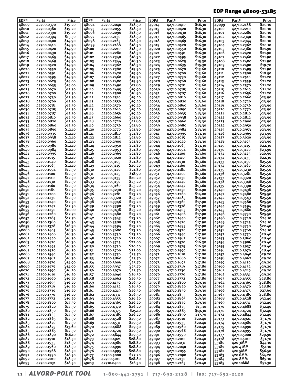## EDP Range 48009-53185

| EDP#           | Part#                    | Price              | EDP#           | Part#                    | Price              | EDP#           | Part#                    | Price              | EDP#           | Part#                    | Price              |
|----------------|--------------------------|--------------------|----------------|--------------------------|--------------------|----------------|--------------------------|--------------------|----------------|--------------------------|--------------------|
| 48009          | 42700.0370               | \$19.20            | 48094          | 42700.2040               | \$18.50            | 49014          | 42710.0410               | \$16.30            | 49099          | 42710.2188               | \$20.10            |
| 48010          | 42700.0380               | \$19.20            | 48095          | 42700.2055               | \$18.50            | 49015          | 42710.0420               | \$16.30            | 49100          | 42710.2210               | S20.10             |
| 48011          | 42700.0390               | \$19.20            | 48096          | 42700.2090               | \$18.50            | 49016          | 42710.0430               | \$16.30            | 49101          | 42710.2280               | S20.10             |
| 48012          | 42700.0394               | \$13.50            | 48097          | 42700.2130               | \$18.50            | 49017          | 42710.0465               | \$16.30            | 49102          | 42710.2340               | \$20.10            |
| 48013          | 42700.0400               | \$14.90            | 48098          | 42700.2165               | \$18.50            | 49018          | 42710.0469               | \$16.30            | 49103          | 42710.2344               | \$20.10            |
| 48014          | 42700.0410               | \$14.90            | 48099          | 42700.2188               | \$18.30            | 49019          | 42710.0520               | \$16.30            | 49104          | 42710.2362               | <b>S20.10</b>      |
| 48015          | 42700.0420               | \$14.90            | 48100          | 42700.2210               | \$18.30            | 49020          | 42710.0550               | \$16.30            | 49105          | 42710.2380               | \$21.90            |
| 48016          | 42700.0430               | \$14.90            | 48101          | 42700.2280               | \$18.30            | 49021          | 42710.0591               | \$16.30            | 49106          | 42710.2420               | 521.90             |
| 48017          | 42700.0465               | \$14.90            | 48102          | 42700.2340               | \$18.30            | 49022          | 42710.0595               | \$16.30            | 49107          | 42710.2460               | \$21.90            |
| 48018          | 42700.0469               | \$14.90            | 48103          | 42700.2344               | \$18.30            | 49023          | 42710.0625               | \$15.30            | 49108          | 42710.2480               | \$21.90            |
| 48019          | 42700.0520               | \$14.90            | 48104          | 42700.2362               | \$18.30            | 49024          | 42710.0635               | \$15.30            | 49109          | 42710.2490               | S19.70             |
| 48020          | 42700.0550               | \$14.90            | 48105          | 42700.2380               | \$19.90            | 49025          | 42710.0670               | \$13.60            | 49110          | 42710.2495               | \$21.90            |
| 48021          | 42700.0591               | \$14.90            | 48106          | 42700.2420               | \$19.90            | 49026          | 42710.0700               | \$13.60            | 49111          | 42710.2500               | \$18.50            |
| 48022          | 42700.0595               | \$14.90            | 48107          | 42700.2460               | \$19.90            | 49027          | 42710.0730               | \$13.60            | 49112          | 42710.2510               | \$21.20            |
| 48023          | 42700.0625               | \$14.00            | 48108          | 42700.2480               | \$19.90            | 49028          | 42710.0760               | \$13.60            | 49113          | 42710.2559               | \$21.20            |
| 48024          | 42700.0635               | \$14.00            | 48109          | 42700.2490               | \$17.80            | 49029          | 42710.0781               | \$13.60            | 49114          | 42710.2570               | \$21.20            |
| 48025          | 42700.0670               | \$12.50            | 48110          | 42700.2495               | \$19.90            | 49030          | 42710.0785               | \$13.60            | 49115          | 42710.2610               | S21.20             |
| 48026          | 42700.0700               | \$12.50            | 48111          | 42700.2500               | \$16.90            | 49031          | 42710.0787               | \$13.60            | 49116          | 42710.2656               | \$21.20            |
| 48027          | 42700.0730               | \$12.50            | 48112          | 42700.2510               | \$19.40            | 49032          | 42710.0810               | \$13.60            | 49117          | 42710.2660               | \$23.90            |
| 48028          | 42700.0760               | \$12.50            | 48113          | 42700.2559               | \$19.40            | 49033          | 42710.0820               | \$13.60            | 49118          | 42710.2720               | \$23.90            |
| 48029          | 42700.0781               | \$12.50            | 48114          | 42700.2570               | \$19.40            | 49034          | 42710.0860               | \$13.60            | 49119          | 42710.2756               | \$23.90            |
| 48030          | 42700.0785               | \$12.50<br>\$12.50 | 48115<br>48116 | 42700.2610               | \$19.40<br>\$19.40 | 49035          | 42710.0890               | \$13.30            | 49120          | 42710.2770               | \$23.90<br>\$23.90 |
| 48031<br>48032 | 42700.0787<br>42700.0810 | \$12.50            | 48117          | 42700.2656<br>42700.2660 | <b>S21.80</b>      | 49036<br>49037 | 42710.0935<br>42710.0938 | \$13.30<br>\$13.30 | 49121<br>49122 | 42710.2810<br>42710.2812 | \$23.90            |
| 48033          | 42700.0820               | \$12.50            | 48118          | 42700.2720               | \$21.80            | 49038          | 42710.0960               | \$13.30            | 49123          | 42710.2900               | \$23.90            |
| 48034          | 42700.0860               | \$12.50            | 48119          | 42700.2756               | \$21.80            | 49039          | 42710.0980               | \$13.30            | 49124          | 42710.2950               | \$23.90            |
| 48035          | 42700.0890               | \$12.10            | 48120          | 42700.2770               | <b>S21.80</b>      |                | 42710.0984               | \$13.30            |                |                          | 523.90             |
| 48036          | 42700.0935               | \$12.10            | 48121          | 42700.2810               | S <sub>21.80</sub> | 49040<br>49041 | 42710.0995               | \$13.30            | 49125<br>49126 | 42710.2953<br>42710.2969 | \$23.90            |
| 48037          | 42700.0938               | \$12.10            | 48122          | 42700.2812               | S <sub>21.80</sub> | 49042          | 42710.1015               | \$13.30            | 49127          | 42710.3020               | 523.90             |
| 48038          | 42700.0960               | \$12.10            | 48123          | 42700.2900               | \$21.80            | 49043          | 42710.1040               | \$13.30            | 49128          | 42710.3105               | 523.90             |
| 48039          | 42700.0980               | \$12.10            | 48124          | 42700.2950               | <b>S21.80</b>      | 49044          | 42710.1065               | \$13.30            | 49129          | 42710.3115               | \$22.30            |
| 48040          | 42700.0984               | \$12.10            | 48125          | 42700.2953               | \$21.80            | 49045          | 42710.1094               | \$13.60            | 49130          | 42710.3120               | \$23.90            |
| 48041          | 42700.0995               | \$12.10            | 48126          | 42700.2969               | S <sub>21.80</sub> | 49046          | 42710.1100               | \$13.60            | 49131          | 42710.3125               | \$20.90            |
| 48042          | 42700.1015               | \$12.10            | 48127          | 42700.3020               | <b>S21.80</b>      | 49047          | 42710.1110               | \$13.60            | 49132          | 42710.3135               | \$22.30            |
| 48043          | 42700.1040               | \$12.10            | 48128          | 42700.3105               | <b>S21.80</b>      | 49048          | 42710.1130               | \$13.60            | 49133          | 42710.3150               | \$25.50            |
| 48044          | 42700.1065               | \$12.10            | 48129          | 42700.3115               | S20.20             | 49049          | 42710.1160               | \$13.60            | 49134          | 42710.3160               | \$25.50            |
| 48045          | 42700.1094               | \$12.50            | 48130          | 42700.3120               | \$21.80            | 49050          | 42710.1181               | \$13.60            | 49135          | 42710.3230               | \$25.50            |
| 48046          | 42700.1100               | \$12.50            | 48131          | 42700.3125               | <b>\$18.90</b>     | 49051          | 42710.1200               | \$13.60            | 49136          | 42710.3281               | \$25.50            |
| 48047          | 42700.1110               | \$12.50            | 48132          | 42700.3135               | \$20.20            | 49052          | 42710.1230               | \$13.60            | 49137          | 42710.3320               | \$25.50            |
| 48048          | 42700.1130               | \$12.50            | 48133          | 42700.3150               | \$23.20            | 49053          | 42710.1240               | \$13.60            | 49138          | 42710.3346               | \$25.50            |
| 48049          | 42700.1160               | \$12.50            | 48134          | 42700.3160               | \$23.20            | 49054          | 42710.1247               | \$13.60            | 49139          | 42710.3390               | \$25.50            |
| 48050          | 42700.1181               | \$12.50            | 48135          | 42700.3230               | 523.20             | 49055          | 42710.1250               | \$10.90            | 49140          | 42710.3438               | \$25.50            |
| 48051          | 42700.1200               | \$12.50            | 48136          | 42700.3281               | \$23.20            | 49056          | 42710.1260               | \$14.00            | 49141          | 42710.3480               | \$25.50            |
| 48052          | 42700.1230               | \$12.50            | 48137          | 42700.3320               | \$23.20            | 49057          | 42710.1285               | \$14.00            | 49142          | 42710.3543               | \$25.50            |
| 48053          | 42700.1240               | \$12.50            | 48138          | 42700.3346               | \$23.20            | 49058          | 42710.1360               | \$17.90            | 49143          | 42710.3580               | \$25.50            |
| 48054          | 42700.1247               | \$12.50            | 48139          | 42700.3390               | \$23.20            | 49059          | 42710.1378               | \$17.90            | 49144          | 42710.3594               | \$25.50            |
| 48055          | 42700.1250               | \$10.00            | 48140          | 42700.3438               | 523.20             | 49060          | 42710.1405               | \$17.90            | 49145          | 42710.3680               | \$25.50            |
| 48056          | 42700.1260               | \$12.70            | 48141          | 42700.3480               | \$23.20            | 49061          | 42710.1406               | \$17.90            | 49146          | 42710.3730               | \$25.50            |
| 48057          | 42700.1285               | \$12.70            | 48142          | 42700.3543               | \$23.20            | 49062          | 42710.1440               | \$17.90            | 49148          | 42710.3740               | \$24.10            |
| 48058          | 42700.1360               | \$16.30            | 48143          | 42700.3580               | \$23.20            | 49063          | 42710.1470               | \$17.90            | 49149          | 42710.3745               | \$24.10            |
| 48059          | 42700.1378               | \$16.30            | 48144          | 42700.3594               | \$23.20            | 49064          | 42710.1495               | \$17.90            | 49150          | 42710.3750               | S22.40             |
| 48060          | 42700.1405               | \$16.30            | 48145          | 42700.3680               | \$23.20            | 49065          | 42710.1520               | \$17.90            | 49151          | 42710.3760               | \$24.10            |
| 48061          | 42700.1406               | \$16.30            | 48146          | 42700.3730               | \$23.20            | 49066          | 42710.1540               | \$17.90            | 49152          | 42710.3770               | \$28.40            |
| 48062          | 42700.1440               | \$16.30            | 48148          | 42700.3740               | \$22.00            | 49067          | 42710.1562               | \$17.90            | 49153          | 42710.3860               | \$28.40            |
| 48063          | 42700.1470               | \$16.30            | 48149          | 42700.3745               | \$22.00            | 49068          | 42710.1570               | \$16.30            | 49154          | 42710.3906               | \$28.40            |
| 48064          | 42700.1495               | \$16.30            | 48150          | 42700.3750               | \$20.40            | 49069          | 42710.1575               | \$16.30            | 49155          | 42710.3937               | \$28.40            |
| 48065          | 42700.1520               | \$16.30            | 48151          | 42700.3760               | \$22.00            | 49070          | 42710.1590               | \$17.80            | 49156          | 42710.3970               | \$28.40            |
| 48066          | 42700.1540               | \$16.30            | 48152          | 42700.3770               | \$25.70            | 49071          | 42710.1610               | \$17.80            | 49157          | 42710.4040               | \$29.20            |
| 48067          | 42700.1562               | \$16.30            | 48153          | 42700.3860               | \$25.70            | 49072          | 42710.1660               | \$17.80            | 49158          | 42710.4062               | \$29.20            |
| 48068          | 42700.1570               | \$14.90            | 48154          | 42700.3906               | \$25.70            | 49073          | 42710.1695               | \$17.80            | 49159          | 42710.4130               | \$29.20            |
| 48069          | 42700.1575               | \$14.90            | 48155          | 42700.3937               | \$25.70            | 49074          | 42710.1719               | \$17.80            | 49160          | 42710.4134               | \$29.20            |
| 48070          | 42700.1590               | \$16.20            | 48156          | 42700.3970               | \$25.70            | 49075          | 42710.1730               | \$17.80            | 49161          | 42710.4219               | \$29.20            |
| 48071          | 42700.1610               | \$16.20            | 48157          | 42700.4040               | \$26.50            | 49076          | 42710.1770               | \$17.80            | 49162          | 42710.4331               | \$29.20            |
| 48072          | 42700.1660               | \$16.20<br>\$16.20 | 48158          | 42700.4062               | \$26.50            | 49077          | 42710.1772<br>42710.1800 | \$17.80            | 49163          | 42710.4355               | \$28.80<br>\$28.80 |
| 48073          | 42700.1695               |                    | 48159          | 42700.4130               | \$26.50            | 49078          |                          | \$19.30            | 49164          | 42710.4365               | \$28.80            |
| 48074          | 42700.1719               | \$16.20            | 48160          | 42700.4134               | \$26.50            | 49079          | 42710.1820               | \$19.30            | 49165          | 42710.4370               | \$27.60            |
| 48075          | 42700.1730               | <b>\$16.20</b>     | 48161          | 42700.4219               | \$26.50            | 49080          | 42710.1850               | \$19.30            | 49166          | 42710.4375               | \$28.80            |
| 48076<br>48077 | 42700.1770               | \$16.20<br>\$16.20 | 48162<br>48163 | 42700.4331               | \$26.50<br>\$26.20 | 49081<br>49082 | 42710.1855               | \$19.30<br>\$19.30 | 49167          | 42710.4385               | \$32.40            |
| 48078          | 42700.1772<br>42700.1800 | \$17.50            | 48164          | 42700.4355<br>42700.4365 | Ş26.20             | 49083          | 42710.1865<br>42710.1870 | \$19.30            | 49168<br>49169 | 42710.4528<br>42710.4531 | \$32.40            |
| 48079          | 42700.1820               | \$17.50            | 48165          | 42700.4370               | \$26.20            | 49084          | 42710.1875               | \$15.10            | 49170          | 42710.4688               | \$32.40            |
| 48080          | 42700.1850               | \$17.50            | 48166          | 42700.4375               | \$25.10            | 49085          | 42710.1885               | \$19.30            | 49171          | 42710.4724               | \$32.40            |
| 48081          | 42700.1855               | \$17.50            | 48167          | 42700.4385               | Ş26.20             | 49086          | 42710.1890               | \$17.70            | 49172          | 42710.4844               | \$32.40            |
| 48082          | 42700.1865               | \$17.50            | 48168          | 42700.4528               | \$29.50            | 49087          | 42710.1910               | \$20.40            | 49173          | 42710.4921               | \$31.70            |
| 48083          | 42700.1870               | \$17.50            | 48169          | 42700.4531               | \$29.50            | 49088          | 42710.1935               | \$20.40            | 49174          | 42710.4980               | \$31.70            |
| 48084          | 42700.1875               | \$13.60            | 48170          | 42700.4688               | \$29.50            | 49089          | 42710.1960               | \$20.40            | 49175          | 42710.4990               | \$31.70            |
| 48085          | 42700.1885               | \$17.50            | 48171          | 42700.4724               | \$29.50            | 49090          | 42710.1968               | \$20.40            | 49176          | 42710.4995               | \$31.70            |
| 48086          | 42700.1890               | \$16.10            | 48172          | 42700.4844               | \$29.50            | 49091          | 42710.1990               | \$20.40            | 49177          | 42710.5000               | \$29.90            |
| 48087          | 42700.1910               | \$18.50            | 48173          | 42700.4921               | \$28.80            | 49092          | 42710.2010               | \$20.40            | 49178          | 42710.5010               | \$31.70            |
| 48088          | 42700.1935               | \$18.50            | 48174          | 42700.4980               | \$28.80            | 49093          | 42710.2031               | \$20.40            | 53180          | 420 3MM                  | \$44.10            |
| 48089          | 42700.1960               | \$18.50            | 48175          | 42700.4990               | \$28.80            | 49094          | 42710.2040               | \$20.40            | 53181          | 420 4 MM                 | \$51.10            |
| 48090          | 42700.1968               | \$18.50            | 48176          | 42700.4995               | \$28.80            | 49095          | 42710.2055               | \$20.40            | 53182          | 420 5MM                  | \$56.50            |
| 48091          | 42700.1990               | \$18.50            | 48177          | 42700.5000               | \$27.20            | 49096          | 42710.2090               | \$20.40            | 53183          | 420 6MM                  | \$64.20            |
| 48092          | 42700.2010               | \$18.50            | 48178          | 42700.5010               | \$28.80            | 49097          | 42710.2130               | \$20.40            | 53184          | 420 8MM                  | 569.10             |
| 48093          | 42700.2031               | \$18.50            | 49013          | 42710.0400               | \$16.30            | 49098          | 42710.2165               | \$20.40            | 53185          | 420 10MM                 | \$91.30            |
|                |                          |                    |                |                          |                    |                |                          |                    |                |                          |                    |

11 | **ALVORD-POLK TOOL 1-800-441-2751** | 717-692-2128 | fax: 717-692-2120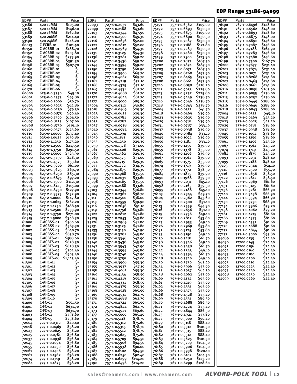## EDP Range 53186-94099

| EDP#           | Part#                        | Price                           | EDP#           | Part#                        | Price               | EDP#           | Part#                        | Price                | EDP#           | Part#                        | Price                |
|----------------|------------------------------|---------------------------------|----------------|------------------------------|---------------------|----------------|------------------------------|----------------------|----------------|------------------------------|----------------------|
| 53186          | 420 12MM                     | \$105.00                        | 72093          | 727-1-0.2031                 | \$43.60             | 75191          | 757-1-0.6562                 | \$109.00             | 76190          | 767-1-0.6496                 | \$128.60             |
| 53187<br>53188 | 420 14MM<br>420 16MM         | \$146.10<br>\$162.60            | 72099<br>72103 | 727-1-0.2188<br>727-1-0.2344 | \$43.60<br>547.90   | 75192<br>75193 | 757-1-0.6693<br>757-1-0.6875 | \$130.50<br>\$109.00 | 76191<br>76192 | 767-1-0.6562<br>767-1-0.6693 | \$148.00<br>\$128.60 |
| 53189          | 420 20MM                     | \$214.40                        | 72111          | 727-1-0.2500                 | 549.30              | 75194          | 757-1-0.6890                 | \$130.50             | 76193          | 767-1-0.6875                 | \$148.00             |
| 53190          | 420 24MM                     | \$246.20                        | 72116          | 727-1-0.2656                 | \$52.00             | 75195          | 757-1-0.7087                 | \$130.50             | 76194          | 767-1-0.6890                 | \$146.60             |
| 60013          | C-FCRB-01                    | \$101.50                        | 72122          | 727-1-0.2812                 | \$52.00             | 75196          | 757-1-0.7188                 | \$121.80             | 76195          | 767-1-0.7087                 | \$146.60             |
| 60150<br>60152 | C-ACBRB-01<br>C-ACBRB-02     | \$188.70<br>\$205.80            | 72126<br>72131 | 727-1-0.2969<br>727-1-0.3125 | \$54.30             | 75197          | 757-1-0.7283<br>757-1-0.7480 | \$130.50<br>\$130.50 | 76196<br>76197 | 767-1-0.7188<br>767-1-0.7283 | \$164.90<br>\$146.60 |
| 60154          | C-ACBRB-03                   | \$273.90                        | 72136          | 727-1-0.3281                 | \$54.30<br>559.20   | 75198<br>75199 | 757-1-0.7500                 | \$123.90             | 76198          | 767-1-0.7480                 | \$146.60             |
| 60156          | C-ACBRB-04                   | \$391.30                        | 72140          | 727-1-0.3438                 | 559.20              | 75200          | 757-1-0.7677                 | \$187.50             | 76199          | 767-1-0.7500                 | \$167.70             |
| 60158          | C-ACBRB-05                   | \$507.70                        | 72144          | 727-1-0.3594                 | 559.20              | 75202          | 757-1-0.7874                 | \$187.50             | 76200          | 767-1-0.7677                 | \$231.40             |
| 60160          | C-AHCRB-01                   | S-                              | 72150          | 727-1-0.3750                 | \$60.90             | 75203          | 757-1-0.8071                 | \$187.50             | 76202          | 767-1-0.7874                 | \$231.40             |
| 60163<br>60165 | C-AHCRB-02<br>C-AHCRB-03     | s-<br>\$.                       | 72154<br>72158 | 727-1-0.3906<br>727-1-0.4062 | 569.70<br>569.70    | 75205<br>75207 | 757-1-0.8268<br>757-1-0.8465 | \$197.90<br>\$197.90 | 76203<br>76205 | 767-1-0.8071<br>767-1-0.8268 | \$231.40<br>\$241.80 |
| 60167          | C-AHCRB-04                   | S-                              | 72161          | 727-1-0.4219                 | \$72.10             | 75208          | 757-1-0.8661                 | \$197.90             | 76207          | 767-1-0.8465                 | \$241.80             |
| 60169          | C-AHCRB-05                   | \$-                             | 72166          | 727-1-0.4375                 | \$72.10             | 75210          | 757-1-0.8858                 | \$218.20             | 76208          | 767-1-0.8661                 | \$241.80             |
| 60178          | C-AHCRB-06                   | \$-                             | 72169          | 727-1-0.4531                 | <b>S81.70</b>       | 75211          | 757-1-0.9055                 | \$225.80             | 76210          | 767-1-0.8858                 | \$263.90             |
| 60800<br>60801 | 625-0-0.3750<br>625-0-0.4375 | \$45.10<br>\$49.80              | 72170<br>72172 | 727-1-0.4688<br>727-1-0.4844 | \$81.70<br>\$81.70  | 75213<br>75215 | 757-1-0.9252<br>757-1-0.9449 | \$225.80<br>\$238.70 | 76211<br>76213 | 767-1-0.9055<br>767-1-0.9252 | \$276.00<br>\$276.00 |
| 60802          | 625-0-0.5000                 | \$56.70                         | 72177          | 727-1-0.5000                 | 585.20              | 75216          | 757-1-0.9646                 | \$238.70             | 76215          | 767-1-0.9449                 | \$288.00             |
| 60803          | 625-0-0.5625                 | \$64.80                         | 75004          | 757-1-0.0312                 | 530.80              | 75218          | 757-1-0.9843                 | \$238.70             | 76216          | 767-1-0.9646                 | \$288.00             |
| 60804          | 625-0-0.6250                 | \$79.30                         | 75018          | 757-1-0.0469                 | 529.30              | 76004          | 767-1-0.0312                 | \$41.70              | 76218          | 767-1-0.9843                 | \$288.00             |
| 60805<br>60806 | 625-0-0.6875<br>625-0-0.7500 | \$90.40<br>\$104.50             | 75023          | 757-1-0.0625<br>757-1-0.0781 | 529.30<br>529.30    | 76018<br>76023 | 767-1-0.0469<br>767-1-0.0625 | \$39.90              | 77004          | 777-1-0.0312                 | \$45.10              |
| 60807          | 625-0-0.8125                 | \$107.00                        | 75029<br>75031 | 757-1-0.0787                 | 529.30              | 76029          | 767-1-0.0781                 | \$39.90<br>\$39.90   | 77018<br>77023 | 777-1-0.0469<br>777-1-0.0625 | 543.20<br>543.20     |
| 60808          | 625-0-0.8750                 | \$119.10                        | 75037          | 757-1-0.0938                 | 529.30              | 76031          | 767-1-0.0787                 | \$33.10              | 77029          | 777-1-0.0781                 | 538.60               |
| 60809          | 625-0-0.9375                 | \$123.60                        | 75040          | 757-1-0.0984                 | \$29.30             | 76037          | 767-1-0.0938                 | \$39.90              | 77037          | 777-1-0.0938                 | 538.60               |
| 60810          | 625-0-1.0000                 | \$137.40                        | 75045          | 757-1-0.1094                 | 529.30              | 76040          | 767-1-0.0984                 | \$33.10              | 77045          | 777-1-0.1094                 | 538.60               |
| 60811<br>60812 | 625-0-1.0625<br>625-0-1.1250 | \$150.80<br>\$175.20            | 75050          | 757-1-0.1181                 | 529.30<br>529.30    | 76045<br>76050 | 767-1-0.1094<br>767-1-0.1181 | \$39.90<br>\$33.10   | 77055          | 777-1-0.1250<br>777-1-0.1406 | 538.60<br>543.20     |
| 60813          | 625-0-1.2500                 | \$217.50                        | 75055<br>75059 | 757-1-0.1250<br>757-1-0.1378 | \$31.00             | 76055          | 767-1-0.1250                 | \$39.90              | 77061<br>77067 | 777-1-0.1562                 | 543.20               |
| 60814          | 625-0-1.3750                 | \$291.50                        | 75061          | 757-1-0.1406                 | 529.30              | 76059          | 767-1-0.1378                 | \$35.00              | 77074          | 777-1-0.1719                 | \$43.20              |
| 60815          | 625-0-1.5000                 | \$323.90                        | 75067          | 757-1-0.1562                 | 529.30              | 76061          | 767-1-0.1406                 | \$39.90              | 77084          | 777-1-0.1875                 | 543.20               |
| 60900          | 627-2-0.3750                 | \$48.30                         | 75069          | 757-1-0.1575                 | \$31.00             | 76067          | 767-1-0.1562                 | \$39.90              | 77093          | 777-1-0.2031                 | \$48.40              |
| 60901<br>60902 | 627-2-0.4375<br>627-2-0.5000 | \$53.60<br>\$61.00              | 75074<br>75077 | 757-1-0.1719<br>757-1-0.1772 | 529.30<br>534.30    | 76069<br>76074 | 767-1-0.1575<br>767-1-0.1719 | \$35.00<br>\$39.90   | 77099<br>77103 | 777-1-0.2188<br>777-1-0.2344 | \$48.40<br>\$54.10   |
| 60903          | 627-2-0.5625                 | \$69.70                         | 75084          | 757-1-0.1875                 | 529.30              | 76077          | 767-1-0.1772                 | \$38.30              | 77111          | 777-1-0.2500                 | \$55.70              |
| 60904          | 627-2-0.6250                 | \$85.30                         | 75090          | 757-1-0.1968                 | \$35.50             | 76084          | 767-1-0.1875                 | \$39.90              | 77116          | 777-1-0.2656                 | 558.50               |
| 60905          | 627-2-0.6875                 | \$97.20                         | 75093          | 757-1-0.2031                 | \$33.60             | 76090          | 767-1-0.1968                 | \$39.30              | 77122          | 777-1-0.2812                 | S58.50               |
| 60906<br>60907 | 627-2-0.7500<br>627-2-0.8125 | \$112.30<br>\$115.00            | 75098<br>75099 | 757-1-0.2165<br>757-1-0.2188 | \$35.50<br>\$33.60  | 76093<br>76098 | 767-1-0.2031<br>767-1-0.2165 | \$45.10<br>\$39.30   | 77126          | 777-1-0.2969                 | \$61.60<br>\$61.60   |
| 60908          | 627-2-0.8750                 | \$127.90                        | 75103          | 757-1-0.2344                 | 536.80              | 76099          | 767-1-0.2188                 | \$45.10              | 77131<br>77136 | 777-1-0.3125<br>777-1-0.3281 | S66.90               |
| 60909          | 627-2-0.9375                 | \$132.90                        | 75104          | 757-1-0.2362                 | \$38.70             | 76103          | 767-1-0.2344                 | \$49.70              | 77140          | 777-1-0.3438                 | S66.90               |
| 60910          | 627-2-1.0000                 | \$147.80                        | 75111          | 757-1-0.2500                 | 538.00              | 76104          | 767-1-0.2362                 | \$43.60              | 77144          | 777-1-0.3594                 | S66.90               |
| 60911<br>60912 | 627-2-1.0625                 | \$162.20<br>\$188.50            | 75113          | 757-1-0.2559                 | 539.90              | 76111<br>76113 | 767-1-0.2500                 | \$51.10              | 77150          | 777-1-0.3750<br>777-1-0.3906 | \$68.90              |
| 60913          | 627-2-1.1250<br>627-2-1.2500 | \$233.90                        | 75116<br>75119 | 757-1-0.2656<br>757-1-0.2756 | \$51.10<br>543.80   | 76116          | 767-1-0.2559<br>767-1-0.2656 | \$44.90<br>\$51.10   | 77154<br>77158 | 777-1-0.4062                 | 579.20<br>579.20     |
| 60914          | 627-2-1.3750                 | \$271.00                        | 75122          | 757-1-0.2812                 | \$41.80             | 76119          | 767-1-0.2756                 | \$49.10              | 77161          | 777-1-0.4219                 | \$81.60              |
| 60915          | 627-2-1.5000                 | \$348.30                        | 75125          | 757-1-0.2953                 | 543.80              | 76122          | 767-1-0.2812                 | \$53.80              | 77166          | 777-1-0.4375                 | \$81.60              |
| 61000          | C-ACBSS-01                   | \$560.60                        | 75126          | 757-1-0.2969                 | \$41.80             | 76125          | 767-1-0.2953                 | \$49.10              | 77169          | 777-1-0.4531                 | \$91.60              |
| 61001<br>61002 | C-ACBSS-02<br>C-ACBSS-03     | \$563.30<br>\$640.70            | 75131<br>75133 | 757-1-0.3125<br>757-1-0.3150 | \$41.80<br>547.90   | 76126<br>76131 | 767-1-0.2969<br>767-1-0.3125 | \$53.80<br>553.80    | 77170<br>77172 | 777-1-0.4688<br>777-1-0.4844 | \$91.60<br>\$91.60   |
| 61003          | C-ACBSS-04                   | \$838.70                        | 75136          | 757-1-0.3281                 | \$45.80             | 76133          | 767-1-0.3150                 | \$49.10              | 77177          | 777-1-0.5000                 | 595.80               |
| 61004          | C-ACBTS-01                   | \$588.60                        | 75138          | 757-1-0.3346                 | \$47.90             | 76136          | 767-1-0.3281                 | \$61.70              | 94089          | 12700.0135                   | \$24.40              |
| 61005          | C-ACBTS-02                   | \$628.30                        | 75140          | 757-1-0.3438                 | \$45.80             | 76138          | 767-1-0.3346                 | 549.10               | 94090          | 12700.0145                   | \$24.40              |
| 61006<br>61007 | C-ACBTS-03<br>C-ACBTS-04     | \$628.30<br>\$704.40            | 75142<br>75144 | 757-1-0.3543<br>757-1-0.3594 | \$47.90<br>\$45.80  | 76140<br>76142 | 767-1-0.3438<br>767-1-0.3543 | \$61.70<br>549.10    | 94091<br>94092 | 12700.0156<br>12700.0160     | \$24.40<br>\$24.40   |
| 61008          | C-ACBTS-05                   | \$903.40                        | 75148          | 757-1-0.3740                 | \$47.90             | 76144          | 767-1-0.3594                 | \$61.70              | 94093          | 12700.0180                   | \$24.40              |
| 61009          | C-ACBTS-06                   | \$1,143.40                      | 75150          | 757-1-0.3750                 | \$47.00             | 76148          | 767-1-0.3740                 | \$49.10              | 94094          | 12700.0200                   | \$24.40              |
| 61300          | C-AHC-01                     | s-                              | 75154          | 757-1-0.3906                 | \$55.30             | 76150          | 767-1-0.3750                 | \$63.40              | 94095          | 12700.0210                   | \$24.40              |
| 61301<br>61302 | C-AHC-02<br>C-AHC-03         | \$-                             | 75155<br>75158 | 757-1-0.3937<br>757-1-0.4062 | \$57.10<br>\$55.30  | 76154<br>76155 | 767-1-0.3906<br>767-1-0.3937 | \$73.00<br>\$64.30   | 94096<br>94097 | 12700.0225<br>12700.0240     | \$24.40<br>\$24.40   |
| 61303          | C-AHC-04                     | <b>s</b><br>sp: sp: sp: sp: sp: | 75160          | 757-1-0.4134                 | 558.50              | 76158          | 767-1-0.4062                 | \$73.00              | 94098          | 12700.0250                   | \$24.40              |
| 61304          | C-AHC-05                     |                                 | 75161          | 757-1-0.4219                 | \$55.30             | 76160          | 767-1-0.4134                 | \$65.60              | 94099          | 12700.0260                   | \$24.40              |
| 61305          | C-AHC-06                     |                                 | 75162          | 757-1-0.4331                 | 558.50              | 76161          | 767-1-0.4219                 | 573.00               |                |                              |                      |
| 61306<br>61307 | C-AHC-07<br>C-AHC-08         |                                 | 75166          | 757-1-0.4375<br>757-1-0.4528 | \$55.30             | 76162<br>76166 | 767-1-0.4331<br>767-1-0.4375 | \$65.60              |                |                              |                      |
| 61308          | C-AHC-09                     | \$.                             | 75168<br>75169 | 757-1-0.4531                 | \$65.90<br>\$62.70  | 76168          | 767-1-0.4528                 | \$73.00<br>\$73.40   |                |                              |                      |
| 61309          | C-AHC-10                     | \$-                             | 75170          | 757-1-0.4688                 | \$62.70             | 76169          | 767-1-0.4531                 | \$86.30              |                |                              |                      |
| 61400          | $C$ -F $C$ -01               | \$551.50                        | 75171          | 757-1-0.4724                 | 565.90              | 76170          | 767-1-0.4688                 | \$86.30              |                |                              |                      |
| 61401          | $C-FC-02$                    | \$631.70                        | 75172          | 757-1-0.4844                 | \$62.70             | 76171          | 767-1-0.4724                 | \$73.40              |                |                              |                      |
| 61402<br>61403 | $C-FC-03$<br>$C$ -FC-04      | \$631.70<br>\$758.60            | 75173<br>75177 | 757-1-0.4921<br>757-1-0.5000 | 569.60<br>\$65.40   | 76172<br>76173 | 767-1-0.4844<br>767-1-0.4921 | \$86.30<br>\$77.80   |                |                              |                      |
| 61404          | $C-FC-05$                    | \$758.60                        | 75179          | 757-1-0.5118                 | \$78.70             | 76177          | 767-1-0.5000                 | \$90.40              |                |                              |                      |
| 72004          | 727-1-0.0312                 | \$40.40                         | 75180          | 757-1-0.5312                 | \$75.60             | 76179          | 767-1-0.5118                 | \$88.40              |                |                              |                      |
| 72018          | 727-1-0.0469                 | \$38.20                         | 75181          | 757-1-0.5315                 | \$78.70             | 76180          | 767-1-0.5312                 | \$101.50             |                |                              |                      |
| 72023<br>72029 | 727-1-0.0625<br>727-1-0.0781 | \$38.20<br>\$36.80              | 75182<br>75183 | 757-1-0.5512<br>757-1-0.5625 | \$78.70<br>\$75.60  | 76181<br>76182 | 767-1-0.5315<br>767-1-0.5512 | \$88.40<br>\$88.40   |                |                              |                      |
| 72037          | 727-1-0.0938                 | \$36.80                         | 75184          | 757-1-0.5709                 | 594.50              | 76183          | 767-1-0.5625                 | \$101.50             |                |                              |                      |
| 72045          | 727-1-0.1094                 | \$36.80                         | 75185          | 757-1-0.5906                 | 594.50              | 76184          | 767-1-0.5709                 | \$104.50             |                |                              |                      |
| 72055          | 727-1-0.1250                 | \$36.80                         | 75186          | 757-1-0.5938                 | \$90.00             | 76185          | 767-1-0.5906                 | \$104.50             |                |                              |                      |
| 72061          | 727-1-0.1406                 | \$38.20                         | 75187          | 757-1-0.6102                 | \$94.50             | 76186<br>76187 | 767-1-0.5938<br>767-1-0.6102 | \$120.10<br>\$104.50 |                |                              |                      |
| 72067<br>72074 | 727-1-0.1562<br>727-1-0.1719 | \$38.20<br>\$38.20              | 75188<br>75189 | 757-1-0.6250<br>757-1-0.6299 | \$92.40<br>\$114.20 | 76188          | 767-1-0.6250                 | \$123.20             |                |                              |                      |
| 72084          | 727-1-0.1875                 | \$38.20                         | 75190          | 757-1-0.6496                 | \$114.20            | 76189          | 767-1-0.6299                 | \$128.60             |                |                              |                      |
|                |                              |                                 |                |                              |                     |                |                              |                      |                |                              |                      |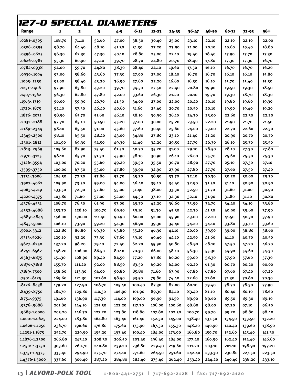| 127-0 SPECIAL DIAMETERS |        |        |        |         |        |        |           |        |        |        |           |        |
|-------------------------|--------|--------|--------|---------|--------|--------|-----------|--------|--------|--------|-----------|--------|
| Range                   | 1      | 2      | 3      | $4 - 5$ | 6-11   | 12-23  | $24 - 35$ | 36-47  | 48-59  | 60-71  | $72 - 95$ | 96+    |
| .0281-.0305             | 108.70 | 71.10  | 52.60  | 47.00   | 38.50  | 30.40  | 25.00     | 23.10  | 22.10  | 22.10  | 22.10     | 22.00  |
| .0306-.0395             | 98.70  | 64.40  | 48.10  | 41.30   | 31.30  | 27.20  | 23.90     | 21.00  | 20.10  | 19.60  | 19.40     | 18.80  |
| .0396-.0625             | 96.30  | 62.30  | 47.30  | 40.10   | 28.80  | 25.00  | 22.10     | 19.40  | 18.40  | 17.90  | 17.70     | 17.30  |
| .0626-.0781             | 95.30  | 60.90  | 47.10  | 39.70   | 28.70  | 24.80  | 20.70     | 18.40  | 17.80  | 17.30  | 17.30     | 16.70  |
| .0782-.0938             | 94.00  | 59.70  | 44.80  | 38.30   | 28.40  | 24.10  | 19.60     | 17.50  | 16.10  | 16.70  | 16.70     | 16.20  |
| .0939-.1094             | 93.00  | 58.60  | 43.60  | 37.30   | 27.90  | 23.00  | 18.40     | 16.70  | 16.70  | 16.10  | 16.10     | 15.80  |
| .1095-.1250             | 91.90  | 58.40  | 43.20  | 36.90   | 27.60  | 22.20  | 16.60     | 16.30  | 16.10  | 15.70  | 15.40     | 15.30  |
| .1251-.1406             | 97.90  | 63.80  | 43.20  | 39.70   | 34.50  | 27.50  | 22.40     | 20.80  | 19.90  | 19.50  | 19.30     | 18.50  |
| .1407-.1562             | 96.30  | 62.80  | 47.80  | 42.00   | 33.60  | 26.30  | 21.20     | 20.10  | 19.70  | 19.30  | 18.70     | 18.30  |
| .1563-.1719             | 96.00  | 59.90  | 46.70  | 41.50   | 34.00  | 27.00  | 22.00     | 20.40  | 20.10  | 19.80  | 19.60     | 19.30  |
| .1720-.1875             | 92.10  | 57.50  | 46.40  | 40.60   | 31.60  | 25.40  | 20.70     | 20.50  | 20.10  | 19.90  | 19.40     | 19.20  |
| .1876-.2031             | 98.50  | 65.70  | 51.60  | 46.10   | 38.10  | 30.90  | 26.10     | 24.30  | 23.00  | 22.60  | 22.30     | 22.20  |
| .2032-.2188             | 97.70  | 65.10  | 50.50  | 45.20   | 37.00  | 30.00  | 25.20     | 23.50  | 22.20  | 21.90  | 21.70     | 21.50  |
| .2189-.2344             | 98.10  | 65.50  | 51.00  | 45.60   | 37.60  | 30.40  | 25.60     | 24.00  | 23.00  | 22.70  | 22.60     | 22.30  |
| .2345-.2500             | 98.10  | 65.50  | 48.40  | 43.00   | 34.80  | 27.80  | 23.10     | 21.40  | 21.20  | 20.90  | 20.70     | 20.70  |
| .2501-.2812             | 101.90 | 69.30  | 54.50  | 49.30   | 41.40  | 34.20  | 29.50     | 27.70  | 26.30  | 26.10  | 25.70     | 25.50  |
| .2813-.2969             | 105.60 | 87.90  | 75.40  | 61.50   | 40.70  | 35.20  | 31.00     | 29.10  | 28.50  | 28.10  | 27.30     | 27.80  |
| .2970-.3125             | 98.10  | 65.70  | 51.30  | 45.90   | 38.10  | 30.90  | 26.10     | 26.00  | 25.70  | 25.60  | 25.50     | 25.30  |
| .3126-.3594             | 103.00 | 70.20  | 55.60  | 49.20   | 39.50  | 35.50  | 30.70     | 28.90  | 27.70  | 25.10  | 27.30     | 27.10  |
| $.3595 - .3750$         | 100.00 | 67.50  | 53.00  | 47.80   | 39.90  | 32.90  | 27.90     | 27.80  | 27.70  | 27.60  | 27.50     | 27.40  |
| -3751--3906             | 104.50 | 72.30  | 57.80  | 52.70   | 45.20  | 38.50  | 33.70     | 32.10  | 30.30  | 30.20  | 30.00     | 29.70  |
| -3907--4062             | 105.90 | 73.50  | 59.00  | 54.00   | 46.40  | 39.10  | 34.40     | 32.90  | 31.50  | 31.10  | 30.90     | 30.90  |
| .4063-.4219             | 133.50 | 72.30  | 57.60  | 55.00   | 51.40  | 38.00  | 33.30     | 32.50  | 31.70  | 31.60  | 31.00     | 30.90  |
| .4220-.4375             | 103.80 | 71.60  | 57.00  | 52.00   | 44.50  | 37.10  | 32.30     | 32.10  | 31.90  | 31.80  | 31.10     | 30.80  |
| .4376-.4531             | 108.70 | 76.50  | 61.90  | 57.00   | 49.70  | 42.20  | 36.60     | 35.90  | 34.70  | 34.40  | 34.10     | 33.80  |
| -4532-.4688             | 153.70 | 128.10 | 109.70 | 89.50   | 59.10  | 51.30  | 45.30     | 42.30  | 41.50  | 40.90  | 39.60     | 37.90  |
| .4689-.4844             | 156.00 | 130.00 | 111.40 | 90.90   | 60.00  | 52.00  | 45.90     | 43.00  | 42.20  | 41.50  | 40.30     | 37.90  |
| .4845-.5000             | 106.10 | 73.90  | 59.20  | 54.30   | 46.90  | 39.30  | 34.40     | 34.20  | 34.10  | 33.80  | 33.70     | 33.60  |
| .5001-.5312             | 122.80 | 86.80  | 69.30  | 63.80   | 55.20  | 46.30  | 41.10     | 40.00  | 39.50  | 39.00  | 38.80     | 38.60  |
| .5313-.5626             | 129.10 | 92.20  | 73.30  | 67.60   | 59.10  | 49.40  | 44.10     | 42.50  | 41.60  | 41.10  | 40.70     | 40.50  |
| .5627-.6250             | 137.20 | 98.20  | 79.10  | 72.40   | 62.20  | 55.90  | 50.80     | 48.90  | 48.10  | 47.50  | 47.20     | 46.70  |
| .6251-.6562             | 148.20 | 106.00 | 86.50  | 80.10   | 70.30  | 66.00  | 58.10     | 56.30  | 55.30  | 54.90  | 54.60     | 54.30  |
| .6563-.6875             | 151.30 | 108.90 | 89.40  | 84.50   | 77.20  | 67.80  | 60.20     | 59.00  | 58.30  | 57.90  | 57.60     | 57.30  |
| .6876-.7188             | 155.70 | 111.20 | 92.00  | 88.50   | 83.50  | 69.20  | 64.00     | 62.20  | 61.30  | 60.70  | 60.20     | 60.00  |
| .7189-.7500             | 158.60 | 113.30 | 94.00  | 90.80   | 85.80  | 71.60  | 67.90     | 67.80  | 67.80  | 67.60  | 67.40     | 67.20  |
| .7501-.8125             | 169.60 | 121.30 | 101.80 | 98.50   | 93.50  | 79.80  | 74.40     | 72.60  | 71.80  | 71.30  | 70.80     | 70.30  |
| .8126-.8438             | 179.20 | 127.90 | 108.70 | 105.40  | 100.40 | 87.30  | 82.00     | 80.10  | 79.40  | 78.70  | 78.30     | 77.90  |
| .8439-.8750             | 181.70 | 129.80 | 110.30 | 106.90  | 101.90 | 89.30  | 84.10     | 83.40  | 81.10  | 80.40  | 80.10     | 78.60  |
| .8751-.9375             | 191.60 | 136.90 | 117.30 | 114.00  | 109.00 | 96.90  | 91.50     | 89.90  | 89.60  | 89.50  | 89.30     | 89.10  |
| .9376-.9688             | 201.80 | 144.10 | 125.50 | 122.20  | 117.30 | 106.00 | 100.60    | 98.80  | 98.00  | 97.20  | 97.10     | 96.50  |
| .9689-1.0000            | 205.20 | 146.70 | 127.20 | 123.80  | 118.80 | 107.80 | 102.50    | 100.70 | 99.70  | 99.20  | 98.80     | 98.40  |
| 1.0001-1.0625           | 224.00 | 183.80 | 164.80 | 163.40  | 161.40 | 152.30 | 145.00    | 138.40 | 137.50 | 134.50 | 133.50    | 132.20 |
| 1.0626-1.1250           | 236.70 | 196.60 | 176.80 | 175.60  | 173.90 | 167.30 | 155.30    | 148.20 | 140.90 | 140.40 | 139.60    | 138.90 |
| 1.1251-1.1875           | 252.70 | 229.90 | 195.20 | 193.40  | 190.40 | 184.00 | 173.90    | 166.80 | 159.70 | 152.60 | 145.40    | 141.30 |
| 1.1876-1.2500           | 266.80 | 243.10 | 208.30 | 206.50  | 203.40 | 196.40 | 184.00    | 177.40 | 169.90 | 162.40 | 154.40    | 146.60 |
| 1.2501-1.3750           | 303.60 | 260.70 | 240.80 | 239.20  | 236.80 | 229.40 | 219.60    | 211.20 | 203.10 | 201.10 | 198.90    | 197.20 |
| 1.3751-1.4375           | 335.40 | 294.90 | 275.70 | 274.10  | 271.60 | 264.50 | 251.60    | 242.40 | 233.30 | 230.80 | 227.50    | 223.50 |
| 1.4376-1.5000           | 337.60 | 306.40 | 287.20 | 284.80  | 282.40 | 275.40 | 262.40    | 253.40 | 244.20 | 240.40 | 238.20    | 233.10 |

**13** | **ALVORD-POLK TOOL 1-800-441-2751** | 717-692-2128 | fax: 717-692-2120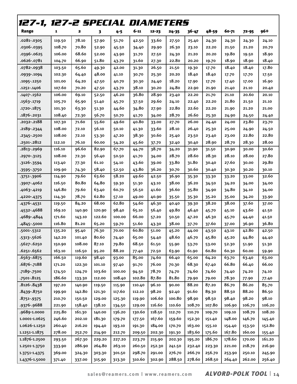| 127-1, 127-2 SPECIAL DIAMETERS |        |        |        |        |        |           |        |           |        |        |           |        |
|--------------------------------|--------|--------|--------|--------|--------|-----------|--------|-----------|--------|--------|-----------|--------|
| Range                          | 1      | 2      | 3      | 4-5    | 6-11   | $12 - 23$ | 24-35  | $36 - 47$ | 48-59  | 60-71  | $72 - 95$ | 96+    |
| .0281-.0305                    | 119.50 | 78.10  | 57.90  | 51.70  | 42.50  | 33.60     | 27.50  | 25.40     | 24.30  | 24.30  | 24.30     | 24.10  |
| .0306-.0395                    | 108.70 | 70.80  | 52.90  | 45.50  | 34.40  | 29.90     | 26.30  | 23.10     | 22.20  | 21.50  | 21.20     | 20.70  |
| .0396-.0625                    | 106.00 | 68.60  | 52.00  | 43.90  | 31.70  | 27.50     | 24.30  | 21.20     | 20.20  | 19.80  | 19.50     | 18.90  |
| .0626-.0781                    | 104.70 | 66.90  | 51.80  | 43.70  | 31.60  | 27.30     | 22.80  | 20.20     | 19.70  | 18.90  | 18.90     | 18.40  |
| .0782-.0938                    | 103.50 | 65.60  | 49.30  | 42.00  | 31.30  | 26.50     | 21.50  | 19.30     | 17.70  | 18.40  | 18.40     | 17.80  |
| .0939-.1094                    | 102.30 | 64.40  | 48.00  | 41.10  | 30.70  | 25.30     | 20.20  | 18.40     | 18.40  | 17.70  | 17.70     | 17.50  |
| .1095-.1250                    | 101.00 | 64.20  | 47.50  | 40.70  | 30.30  | 24.40     | 18.20  | 17.90     | 17.70  | 17.40  | 17.00     | 16.90  |
| .1251-.1406                    | 107.60 | 70.20  | 47.50  | 43.70  | 38.10  | 30.20     | 24.80  | 22.90     | 21.90  | 21.40  | 21.10     | 20.40  |
| .1407-.1562                    | 106.00 | 69.10  | 52.50  | 46.20  | 36.80  | 28.90     | 23.40  | 22.20     | 21.70  | 21.10  | 20.60     | 20.10  |
| .1563-.1719                    | 105.70 | 65.90  | 51.40  | 45.70  | 37.50  | 29.60     | 24.10  | 22.40     | 22.20  | 21.80  | 21.50     | 21.10  |
| .1720-.1875                    | 101.30 | 63.30  | 51.30  | 44.60  | 34.80  | 27.90     | 22.80  | 22.60     | 22.20  | 21.90  | 21.20     | 21.00  |
| .1876-.2031                    | 108.40 | 72.30  | 56.70  | 50.70  | 41.70  | 34.00     | 28.70  | 26.60     | 25.30  | 24.90  | 24.50     | 24.40  |
| .2032-.2188                    | 107.30 | 71.60  | 55.60  | 49.60  | 40.80  | 33.00     | 27.70  | 26.00     | 24.40  | 24.00  | 23.80     | 23.70  |
| .2189-.2344                    | 108.00 | 72.10  | 56.10  | 50.10  | 41.30  | 33.60     | 28.10  | 26.40     | 25.30  | 25.00  | 24.90     | 24.50  |
| $.2345-.2500$                  | 108.00 | 72.10  | 53.30  | 47.20  | 38.30  | 30.60     | 25.40  | 23.50     | 23.40  | 23.00  | 22.80     | 22.80  |
| .2501-.2812                    | 112.10 | 76.10  | 60.00  | 54.20  | 45.60  | 37.70     | 32.40  | 30.40     | 28.90  | 28.70  | 28.30     | 28.00  |
| .2813-.2969                    | 116.10 | 96.60  | 82.90  | 67.70  | 44.70  | 38.70     | 34.20  | 31.90     | 31.50  | 30.90  | 30.00     | 30.60  |
| .2970-.3125                    | 108.00 | 72.30  | 56.40  | 50.50  | 41.70  | 34.00     | 28.70  | 28.60     | 28.30  | 28.10  | 28.00     | 27.80  |
| $.3126 - .3594$                | 113.40 | 77.30  | 61.10  | 54.10  | 43.60  | 39.00     | 33.80  | 31.80     | 30.40  | 27.60  | 30.00     | 29.80  |
| $.3595 - .3750$                | 109.90 | 74.30  | 58.40  | 52.50  | 43.80  | 36.20     | 30.70  | 30.60     | 30.40  | 30.30  | 30.20     | 30.10  |
| .3751-.3906                    | 114.90 | 79.60  | 63.60  | 58.20  | 49.60  | 42.50     | 36.90  | 35.30     | 33.30  | 33.20  | 33.00     | 32.60  |
| -3907--4062                    | 116.50 | 80.80  | 64.80  | 59.30  | 51.30  | 43.10     | 38.00  | 36.20     | 34.50  | 34.20  | 34.00     | 34.00  |
| .4063-.4219                    | 146.80 | 79.60  | 63.40  | 60.70  | 56.50  | 41.60     | 36.60  | 35.80     | 34.90  | 34.80  | 34.10     | 34.00  |
| .4220-.4375                    | 114.30 | 78.70  | 62.80  | 57.10  | 49.00  | 40.90     | 35.50  | 35.30     | 35.20  | 35.00  | 34.20     | 33.90  |
| $.4376 - .4531$                | 119.50 | 84.20  | 68.00  | 62.80  | 54.60  | 46.30     | 40.40  | 39.30     | 38.20  | 38.00  | 37.60     | 37.00  |
| -4532-.4688                    | 169.10 | 140.90 | 120.90 | 98.40  | 65.10  | 56.40     | 49.80  | 46.40     | 45.70  | 45.10  | 43.60     | 41.50  |
| .4689-.4844                    | 171.60 | 143.10 | 122.60 | 100.00 | 66.00  | 57.20     | 50.50  | 47.20     | 46.30  | 45.70  | 44.40     | 41.50  |
| .4845-.5000                    | 116.80 | 81.20  | 65.20  | 59.70  | 51.60  | 43.30     | 38.00  | 37.70     | 37.60  | 37.00  | 36.90     | 36.80  |
| .5001-.5312                    | 135.20 | 95.40  | 76.30  | 70.00  | 60.80  | 51.00     | 45.20  | 44.00     | 43.50  | 43.10  | 42.80     | 42.50  |
| .5313-.5626                    | 142.20 | 101.40 | 80.60  | 74.40  | 65.00  | 54.40     | 48.60  | 46.70     | 45.80  | 45.20  | 44.80     | 44.40  |
| .5627-.6250                    | 150.90 | 108.00 | 87.10  | 79.80  | 68.50  | 61.50     | 55.90  | 53.70     | 53.00  | 52.30  | 51.90     | 51.30  |
| .6251-.6562                    | 163.10 | 116.50 | 95.20  | 88.20  | 77.40  | 72.50     | 63.90  | 61.90     | 60.80  | 60.30  | 60.00     | 59.90  |
| .6563-.6875                    | 166.50 | 119.60 | 98.40  | 93.00  | 85.00  | 74.60     | 66.40  | 65.00     | 64.20  | 63.70  | 63.40     | 63.00  |
| .6876-.7188                    | 171.20 | 122.30 | 101.10 | 97.40  | 91.70  | 76.00     | 70.30  | 68.30     | 67.40  | 66.80  | 66.40     | 66.00  |
| .7189-.7500                    | 174.50 | 124.70 | 103.60 | 100.00 | 94.50  | 78.70     | 74.70  | 74.60     | 74.60  | 74.40  | 74.20     | 74.10  |
| .7501-.8125                    | 186.60 | 133.30 | 112.00 | 108.40 | 102.80 | 87.80     | 81.80  | 79.90     | 79.00  | 78.30  | 77.90     | 77.40  |
| .8126-.8438                    | 197.20 | 140.90 | 119.50 | 115.90 | 110.40 | 96.10     | 90.00  | 88.20     | 87.20  | 86.70  | 86.20     | 85.70  |
| .8439-.8750                    | 199.90 | 142.80 | 121.30 | 117.60 | 112.10 | 98.20     | 92.40  | 91.60     | 89.30  | 88.50  | 88.20     | 86.50  |
| .8751-.9375                    | 210.70 | 150.50 | 129.00 | 125.30 | 119.90 | 106.60    | 100.80 | 98.90     | 98.50  | 98.40  | 98.20     | 98.10  |
| .9376-.9688                    | 221.90 | 158.40 | 138.10 | 134.50 | 129.00 | 116.60    | 110.60 | 108.70    | 107.80 | 106.90 | 106.70    | 106.20 |
| .9689-1.0000                   | 225.80 | 161.30 | 140.00 | 136.20 | 130.60 | 118.50    | 112.70 | 110.70    | 109.70 | 109.10 | 108.70    | 108.20 |
| 1.0001-1.0625                  | 246.60 | 202.10 | 181.30 | 179.70 | 177.50 | 167.60    | 159.60 | 152.30    | 151.40 | 148.00 | 146.70    | 145.40 |
| 1.0626-1.1250                  | 260.40 | 216.20 | 194.40 | 193.10 | 191.30 | 184.00    | 170.70 | 163.00    | 155.10 | 154.40 | 153.50    | 152.80 |
| 1.1251-1.1875                  | 278.00 | 252.70 | 214.90 | 212.70 | 209.50 | 202.30    | 191.30 | 183.60    | 175.60 | 167.80 | 160.00    | 155.40 |
| 1.1876-1.2500                  | 293.50 | 267.30 | 229.20 | 227.20 | 223.70 | 215.90    | 202.30 | 195.20    | 186.70 | 178.60 | 170.00    | 161.20 |
| 1.2501-1.3750                  | 333.90 | 286.90 | 264.80 | 263.10 | 260.50 | 252.30    | 241.50 | 232.40    | 223.30 | 221.00 | 218.70    | 216.90 |
| 1.3751-1.4375                  | 369.00 | 324.30 | 303.30 | 301.50 | 298.70 | 291.00    | 276.70 | 266.70    | 256.70 | 253.90 | 250.10    | 245.90 |
| 1.4376-1.5000                  | 371.40 | 337.00 | 315.90 | 313.30 | 310.60 | 302.90    | 288.50 | 278.60    | 268.50 | 264.40 | 262.00    | 256.40 |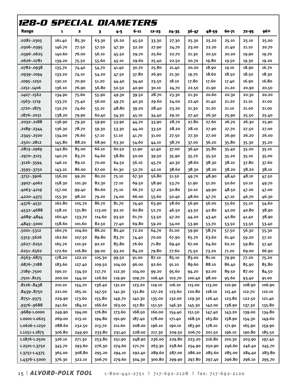| <b>128-0 SPECIAL DIAMETERS</b> |        |        |        |         |        |        |        |        |        |        |        |        |
|--------------------------------|--------|--------|--------|---------|--------|--------|--------|--------|--------|--------|--------|--------|
| Range                          | 1      | 2      | 3      | $4 - 5$ | 6-11   | 12-23  | 24-35  | 36-47  | 48-59  | 60-71  | 72-95  | 96+    |
| .0281-.0305                    | 161.40 | 85.30  | 63.30  | 56.20   | 45.50  | 33.30  | 27.30  | 25.30  | 25.20  | 25.10  | 25.10  | 25.00  |
| .0306-.0395                    | 146.70 | 77.50  | 57.50  | 47.30   | 32.20  | 27.90  | 24.70  | 23.00  | 22.20  | 21.40  | 21.10  | 20.70  |
| .0396-.0625                    | 140.60 | 76.00  | 56.10  | 45.50   | 29.70  | 25.60  | 22.70  | 21.30  | 20.50  | 20.20  | 19.90  | 19.70  |
| .0626-.0781                    | 139.20 | 75.50  | 55.60  | 45.10   | 29.60  | 25.40  | 22.50  | 20.70  | 19.80  | 19.50  | 19.30  | 19.20  |
| .0782-.0938                    | 135.70 | 74.40  | 54.70  | 41.40   | 30.70  | 25.80  | 21.40  | 20.20  | 18.90  | 19.10  | 18.90  | 16.70  |
| .0939-.1094                    | 133.20 | 74.10  | 54.20  | 47.50   | 37.80  | 26.90  | 21.30  | 19.70  | 18.60  | 18.50  | 18.50  | 18.30  |
| .1095 -. 1250                  | 130.10 | 70.90  | 51.20  | 44.40   | 34.40  | 23.50  | 18.10  | 17.80  | 17.60  | 17.40  | 16.90  | 16.80  |
| .1251-.1406                    | 136.10 | 76.90  | 56.80  | 50.50   | 40.90  | 30.10  | 24.70  | 22.50  | 21.90  | 21.20  | 20.90  | 20.50  |
| .1407-.1562                    | 134.90 | 75.60  | 55.90  | 49.30   | 39.50  | 28.70  | 23.30  | 21.30  | 20.60  | 20.30  | 20.30  | 20.20  |
| .1563-.1719                    | 133.70 | 75.40  | 56.00  | 49.70   | 40.30  | 29.60  | 24.00  | 22.40  | 21.40  | 21.20  | 21.10  | 21.00  |
| .1720-.1875                    | 132.70 | 74.60  | 55.10  | 48.80   | 39.20  | 28.40  | 23.20  | 21.30  | 21.20  | 21.10  | 21.00  | 21.00  |
| .1876-.2031                    | 138.20 | 79.90  | 60.40  | 54.30   | 45.10  | 34.40  | 29.10  | 27.40  | 26.30  | 25.90  | 25.50  | 25.40  |
| .2032-.2188                    | 136.90 | 79.30  | 59.90  | 53.90   | 44.70  | 33.90  | 28.70  | 27.80  | 27.60  | 26.70  | 26.30  | 25.90  |
| .2189-.2344                    | 136.30 | 78.70  | 59.30  | 53.30   | 44.20  | 33.50  | 28.20  | 28.10  | 27.90  | 27.70  | 27.50  | 27.00  |
| .2345-.2500                    | 134.00 | 76.60  | 57.10  | 51.10   | 41.70  | 31.00  | 27.50  | 27.30  | 27.00  | 26.90  | 26.20  | 26.00  |
| .2501-.2812                    | 145.80 | 88.20  | 68.90  | 63.30   | 54.60  | 44.10  | 38.70  | 37.00  | 36.20  | 35.80  | 35.30  | 35.20  |
| .2813-.2969                    | 142.80 | 85.00  | 66.10  | 60.50   | 51.90  | 41.40  | 37.00  | 36.40  | 35.80  | 35.40  | 35.20  | 35.10  |
| .2970-.3125                    | 140.70 | 83.70  | 64.60  | 58.80   | 50.00  | 39.50  | 35.90  | 35.70  | 35.50  | 35.20  | 35.10  | 35.00  |
| $.3126 - .3594$                | 146.10 | 89.10  | 70.00  | 64.50   | 56.10  | 45.70  | 40.30  | 38.60  | 38.30  | 38.10  | 37.80  | 37.60  |
| $.3595 - .3750$                | 143.10 | 86.00  | 67.00  | 61.30   | 52.70  | 42.10  | 38.60  | 38.30  | 38.20  | 38.20  | 38.20  | 38.10  |
| -3751--3906                    | 156.20 | 99.20  | 80.20  | 75.10   | 67.30  | 56.80  | 51.50  | 49.70  | 48.90  | 48.40  | 48.10  | 47.50  |
| .3907-.4062                    | 158.30 | 101.30 | 82.30  | 77.10   | 69.50  | 58.90  | 53.70  | 51.90  | 51.20  | 50.60  | 50.10  | 49.70  |
| .4063-.4219                    | 157.00 | 99.40  | 80.60  | 75.10   | 66.70  | 57.20  | 50.80  | 50.10  | 49.90  | 48.50  | 47.20  | 47.00  |
| .4220-.4375                    | 155.30 | 98.20  | 79.20  | 74.00   | 66.00  | 55.60  | 50.40  | 48.60  | 47.70  | 47.10  | 46.70  | 46.30  |
| $.4376 - .4531$                | 162.80 | 105.70 | 86.70  | 81.70   | 74.40  | 63.90  | 58.60  | 56.90  | 56.00  | 55.60  | 55.10  | 54.60  |
| .4532-.4688                    | 158.10 | 131.80 | 113.00 | 92.10   | 60.80  | 52.70  | 46.50  | 43.50  | 42.80  | 42.00  | 40.80  | 38.90  |
| .4689-.4844                    | 160.40 | 133.70 | 114.60 | 93.50   | 61.70  | 53.50  | 47.20  | 44.20  | 43.40  | 42.80  | 41.40  | 38.90  |
| .4845-.5000                    | 158.60 | 101.60 | 82.50  | 77.40   | 69.80  | 59.20  | 54.00  | 53.90  | 53.70  | 53.50  | 53.50  | 53.40  |
| .5001-.5312                    | 160.70 | 104.60 | 86.20  | 80.40   | 72.20  | 64.70  | 61.00  | 59.90  | 58.70  | 57.50  | 56.30  | 55.30  |
| .5313-.5626                    | 162.60 | 107.50 | 89.80  | 83.70   | 74.40  | 70.00  | 67.90  | 65.70  | 63.60  | 61.40  | 59.20  | 57.10  |
| .5627-.6250                    | 165.70 | 110.30 | 92.10  | 85.80   | 76.60  | 71.80  | 69.40  | 67.00  | 64.60  | 62.10  | 59.80  | 57.40  |
| .6251-.6562                    | 172.60 | 116.80 | 99.00  | 93.20   | 84.20  | 79.80  | 77.60  | 75.50  | 73.20  | 71.20  | 69.00  | 66.90  |
| .6563-.6875                    | 178.20 | 122.10 | 105.30 | 99.50   | 91.00  | 87.10  | 85.10  | 83.00  | 81.10  | 79.90  | 77.20  | 75.20  |
| .6876-.7188                    | 183.60 | 127.40 | 109.50 | 104.00  | 96.00  | 92.60  | 91.10  | 89.60  | 88.10  | 86.40  | 85.90  | 85.80  |
| .7189-.7500                    | 190.10 | 134.50 | 117.70 | 112.30  | 104.00 | 99.20  | 95.60  | 94.20  | 92.00  | 89.50  | 87.00  | 84.50  |
| .7501-.8125                    | 200.00 | 144.10 | 126.60 | 119.90  | 109.70 | 106.40 | 102.70 | 100.40 | 98.00  | 95.60  | 93.40  | 91.00  |
| .8126-.8438                    | 210.10 | 154.70 | 136.40 | 131.20  | 123.20 | 119.10 | 116.10 | 115.00 | 113.00 | 110.90 | 108.90 | 106.90 |
| .8439-.8750                    | 221.00 | 165.10 | 147.50 | 141.30  | 131.80 | 127.20 | 123.60 | 120.80 | 118.10 | 115.40 | 112.70 | 110.10 |
| .8751-.9375                    | 229.90 | 173.60 | 155.80 | 149.70  | 140.30 | 135.00 | 132.00 | 129.30 | 126.40 | 123.80 | 122.50 | 121.40 |
| .9376-.9688                    | 241.60 | 184.10 | 166.60 | 163.00  | 157.80 | 151.50 | 146.30 | 145.30 | 142.00 | 138.90 | 137.30 | 135.80 |
| .9689-1.0000                   | 249.90 | 194.00 | 176.80 | 173.60  | 168.50 | 160.00 | 154.40 | 151.50 | 147.40 | 143.20 | 139.00 | 134.80 |
| 1.0001-1.0625                  | 269.00 | 213.10 | 194.80 | 191.90  | 187.40 | 178.00 | 171.40 | 168.50 | 163.80 | 158.90 | 154.30 | 149.60 |
| 1.0626-1.1250                  | 288.60 | 232.50 | 213.70 | 211.60  | 208.00 | 196.10 | 190.10 | 183.90 | 178.10 | 171.90 | 165.90 | 159.90 |
| 1.1251-1.1875                  | 306.80 | 249.90 | 233.80 | 231.40  | 228.00 | 217.30 | 209.50 | 206.70 | 201.50 | 196.10 | 190.80 | 185.50 |
| 1.1876-1.2500                  | 326.10 | 271.30 | 253.80 | 251.90  | 248.90 | 236.00 | 229.80 | 223.20 | 216.80 | 210.30 | 203.90 | 197.40 |
| 1.2501-1.3750                  | 345.70 | 293.60 | 276.30 | 274.60  | 271.70 | 263.30 | 258.60 | 254.90 | 250.90 | 246.60 | 246.40 | 245.70 |
| 1.3751-1.4375                  | 365.00 | 308.80 | 295.20 | 294.10  | 292.40 | 289.60 | 287.00 | 286.20 | 285.60 | 285.00 | 284.40 | 283.80 |
| 1.4376-1.5000                  | 376.30 | 322.10 | 306.70 | 279.60  | 304.30 | 300.80 | 299.90 | 297.80 | 297.40 | 296.80 | 296.10 | 295.70 |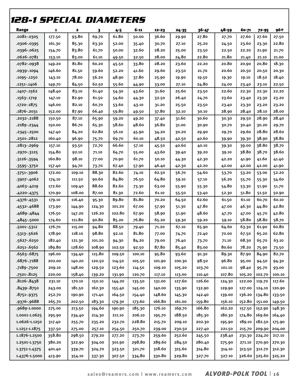| <i>128-1 SPECIAL DIAMETERS</i> |        |        |        |         |        |           |           |        |        |        |                      |        |
|--------------------------------|--------|--------|--------|---------|--------|-----------|-----------|--------|--------|--------|----------------------|--------|
| Range                          | 1      | 2      | 3      | $4 - 5$ | 6-11   | $12 - 23$ | $24 - 35$ | 36-47  | 48-59  | 60-71  | $72 - 95$            | 96+    |
| .0281-.0305                    | 177.50 | 93.80  | 69.70  | 61.80   | 50.00  | 36.60     | 29.90     | 27.80  | 27.70  | 27.60  | 27.60                | 27.50  |
| .0306-.0395                    | 161.30 | 85.30  | 63.30  | 52.00   | 35.40  | 30.70     | 27.10     | 25.20  | 24.50  | 23.60  | 23.30                | 22.80  |
| .0396-.0625                    | 154.70 | 83.80  | 61.70  | 50.00   | 32.60  | 28.20     | 25.00     | 23.50  | 22.50  | 22.20  | 21.90                | 21.70  |
| .0626-.0781                    | 153.10 | 83.00  | 61.10  | 49.50   | 32.50  | 28.00     | 24.80     | 22.80  | 21.80  | 21.40  | 21.10                | 21.00  |
| .0782-.0938                    | 149.20 | 81.80  | 60.20  | 45.50   | 33.80  | 28.20     | 23.60     | 22.20  | 20.80  | 20.90  | 20.80                | 18.30  |
| .0939-.1094                    | 146.60 | 81.50  | 59.60  | 52.20   | 41.60  | 29.60     | 23.50     | 21.70  | 20.60  | 20.50  | 20.50                | 20.30  |
| .1095-.1250                    | 143.10 | 78.00  | 56.20  | 48.90   | 37.80  | 25.90     | 19.90     | 19.50  | 19.30  | 19.10  | 18.50                | 18.40  |
| .1251-.1406                    | 149.70 | 84.50  | 62.50  | 55.60   | 44.90  | 33.00     | 27.10     | 24.80  | 24.00  | 23.40  | 23.10                | 22.50  |
| .1407-.1562                    | 148.40 | 83.10  | 61.40  | 54.30   | 43.60  | 31.60     | 25.60     | 23.50  | 22.60  | 22.30  | 22.30                | 22.20  |
| .1563-.1719                    | 147.10 | 82.90  | 61.50  | 54.60   | 44.30  | 32.50     | 26.40     | 24.70  | 23.60  | 23.40  | 23.30                | 23.20  |
| .1720-.1875                    | 146.00 | 82.10  | 60.70  | 53.60   | 43.10  | 31.20     | 25.50     | 23.50  | 23.40  | 23.30  | 23.20                | 23.20  |
| .1876-.2031                    | 152.00 | 87.90  | 66.40  | 59.80   | 49.50  | 37.80     | 32.10     | 30.10  | 28.90  | 28.40  | 28.10                | 28.00  |
| .2032-.2188                    | 150.50 | 87.10  | 65.90  | 59.20   | 49.20  | 37.40     | 31.60     | 30.60  | 30.30  | 29.50  | 28.90                | 28.40  |
| .2189-.2344                    | 150.00 | 86.70  | 65.30  | 58.60   | 48.60  | 36.80     | 31.00     | 30.90  | 30.70  | 30.40  | 30.20                | 29.70  |
| .2345 - .2500                  | 147.40 | 84.20  | 62.80  | 56.10   | 45.90  | 34.20     | 30.20     | 29.90  | 29.70  | 29.60  | 28.80                | 28.60  |
| .2501-.2812                    | 160.40 | 96.90  | 75.70  | 69.70   | 60.10  | 48.50     | 42.50     | 40.60  | 39.90  | 39.30  | 38.90                | 38.80  |
| .2813-.2969                    | 157.10 | 93.50  | 72.70  | 66.60   | 57.10  | 45.50     | 40.60     | 40.10  | 39.30  | 39.00  | 38.80                | 38.70  |
| .2970-.3125                    | 154.80 | 92.10  | 71.10  | 64.70   | 55.00  | 43.60     | 39.40     | 39.20  | 39.10  | 38.80  | 38.70                | 38.60  |
| .3126-.3594                    | 160.80 | 98.10  | 77.00  | 70.90   | 61.70  | 50.10     | 44.30     | 42.30  | 42.20  | 41.90  | 41.60                | 41.40  |
| -3595 - 3750                   | 157.40 | 94.70  | 73.70  | 67.40   | 57.90  | 46.40     | 42.30     | 42.20  | 42.00  | 42.00  | 42.00                | 41.90  |
| -3751-.3906                    | 172.00 | 109.10 | 88.30  | 82.60   | 74.10  | 62.50     | 56.70     | 54.60  | 53.70  | 53.20  | 53.00                | 52.20  |
| .3907-.4062                    | 174.10 | 111.50 | 90.60  | 84.80   | 76.50  | 64.80     | 59.10     | 57.10  | 56.20  | 55.70  | 55.30                | 54.60  |
| .4063-.4219                    | 172.60 | 109.40 | 88.60  | 82.60   | 73.30  | 63.00     | 55.90     | 55.30  | 54.80  | 53.30  | 51.90                | 51.70  |
| -4220--4375                    | 170.90 | 108.00 | 87.00  | 81.30   | 72.60  | 61.10     | 55.50     | 53.40  | 52.30  | 51.80  | 51.50                | 50.90  |
| .4376-.4531                    | 179.10 | 116.40 | 95.30  | 89.80   | 81.80  | 70.20     | 64.50     | 62.60  | 61.50  | 61.10  | 60.70                | 60.10  |
| .4532-.4688                    | 173.90 | 144.90 | 124.30 | 101.20  | 67.00  | 57.90     | 51.30     | 47.80  | 47.00  | 46.30  | 44.80                | 42.80  |
| .4689-.4844                    | 176.50 | 147.20 | 126.20 | 102.80  | 67.90  | 58.90     | 51.90     | 48.60  | 47.70  | 47.00  | 45.70                | 42.80  |
| .4845-.5000                    | 174.60 | 111.80 | 90.80  | 85.20   | 76.80  | 65.20     | 59.30     | 59.20  | 59.10  | 58.80  | 58.80                | 58.70  |
| .5001-.5312                    | 176.70 | 115.00 | 94.80  | 88.50   | 79.40  | 71.20     | 67.10     | 65.90  | 64.60  | 63.30  | 61.90                | 60.80  |
| .5313-.5626                    | 178.90 | 118.10 | 98.80  | 92.10   | 81.80  | 77.00     | 74.70     | 72.40  | 70.00  | 67.50  | 65.20                | 62.80  |
| .5627-.6250                    | 182.40 | 121.30 | 101.20 | 94.30   | 84.20  | 79.00     | 76.40     | 73.70  | 71.10  | 68.30  | 65.70                | 63.10  |
| .6251-.6562                    | 189.80 | 128.60 | 108.90 | 102.50  | 92.50  | 87.80     | 85.40     | 83.00  | 80.60  | 78.20  | 75.90                | 73.50  |
| .6563-.6875                    | 196.00 | 134.40 | 115.80 | 109.50  | 100.10 | 95.80     | 93.60     | 91.30  | 89.30  | 87.90  | 84.90                | 82.70  |
| .6876-.7188                    | 202.00 | 140.20 | 120.50 | 114.50  | 105.50 | 101.90    | 100.30    | 98.50  | 96.80  | 95.00  | 94.50                | 94.30  |
| .7189-.7500                    | 209.10 | 148.00 | 129.50 | 123.60  | 114.50 | 109.10    | 105.20    | 103.70 | 101.10 | 98.40  | 95.70                | 93.00  |
| .7501-.8125                    | 220.00 | 158.40 | 139.20 | 131.90  | 120.70 | 117.10    | 113.00    | 110.40 | 107.80 | 105.20 | 102.70               | 100.10 |
| .8126-.8438                    | 231.10 | 170.10 | 150.10 | 144.20  | 135.50 | 131.00    | 127.60    | 126.60 | 124.30 | 122.00 | 119.70               | 117.60 |
| .8439-.8750                    | 243.00 | 181.50 | 162.30 | 155.40  | 145.00 | 140.00    | 135.90    | 132.90 | 129.90 | 127.00 | 124.10               | 120.90 |
| .8751-.9375                    | 252.70 | 190.90 | 171.40 | 164.50  | 154.40 | 148.60    | 145.30    | 142.40 | 139.00 | 136.20 | 134.80               | 133.50 |
| .9376-.9688                    | 265.70 | 202.50 | 183.30 | 179.30  | 173.60 | 166.80    | 161.00    | 159.80 | 156.10 | 152.80 | 151.00               | 149.50 |
| .9689-1.0000                   | 275.00 | 213.50 | 194.60 | 190.90  | 185.30 | 176.10    | 169.70    | 166.80 | 162.20 | 157.50 | 152.90               | 148.30 |
| 1.0001-1.0625                  | 295.90 | 234.40 | 214.30 | 211.10  | 206.10 | 195.70    | 188.50    | 185.30 | 180.30 | 174.80 | 169.60               | 164.40 |
| 1.0626-1.1250                  | 317.40 | 255.70 | 235.20 | 232.70  | 228.80 | 215.70    | 209.10    | 202.30 | 195.90 | 189.10 | 182.50               | 175.90 |
| 1.1251-1.1875                  | 337.50 | 275.00 | 257.10 | 254.50  | 250.70 | 239.00    | 230.50    | 227.40 | 221.50 | 215.70 | 209.90               | 204.00 |
| 1.1876-1.2500                  | 358.80 | 298.50 | 279.20 | 277.20  | 273.70 | 259.60    | 252.60    | 245.50 | 238.40 | 231.30 | 224.20               | 217.10 |
| 1.2501-1.3750                  | 380.20 | 322.90 | 304.00 | 301.90  | 298.80 | 289.60    | 284.50    | 280.40 | 275.90 | 271.10 | 270.90               | 270.30 |
| 1.3751-1.4375                  | 401.40 | 339.70 | 324.70 | 323.50  | 321.70 | 318.60    | 315.60    | 314.80 | 314.10 | 313.50 | 312.70               | 312.30 |
| 1.4376-1.5000                  | 413.90 | 354.10 | 337.30 | 307.50  | 334.80 | 330.80    | 329.80    | 327.70 | 327.10 |        | 326.60 325.60 325.20 |        |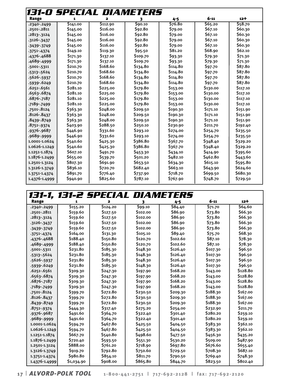|                 |          | 131-0 SPECIAL DIAMETERS |          |          |          |          |
|-----------------|----------|-------------------------|----------|----------|----------|----------|
| Range           | 1        | 2                       | 3        | 4-5      | $6 - 11$ | $12+$    |
| .2340-.2499     | \$141.00 | 5112.90                 | \$90.10  | 576.80   | 565.20   | \$58.70  |
| .2501-.2811     | \$145.00 | \$116.00                | \$92.80  | \$79.00  | \$67.10  | \$60.30  |
| .2813-.3124     | \$145.00 | \$116.00                | \$92.80  | \$79.00  | \$67.10  | \$60.30  |
| .3126-.3437     | \$145.00 | \$116.00                | \$92.80  | \$79.00  | \$67.10  | \$60.30  |
| $.3439 - .3749$ | \$145.00 | \$116.00                | \$92.80  | \$79.00  | \$67.10  | \$60.30  |
| $.3751 - .4374$ | \$149.10 | \$119.30                | \$95.50  | \$81.20  | \$68.90  | \$62.10  |
| .4376-.4688     | \$171.30 | \$137.10                | \$109.70 | \$93.30  | \$79.30  | \$71.30  |
| .4689-.4999     | \$171.30 | \$137.10                | \$109.70 | \$93.30  | \$79.30  | \$71.30  |
| .5001-.5311     | \$210.70 | \$168.60                | \$134.80 | \$114.80 | \$97.70  | \$87.80  |
| $.5313 - .5624$ | \$210.70 | \$168.60                | \$134.80 | \$114.80 | \$97.70  | \$87.80  |
| .5626-.5937     | \$210.70 | S <sub>168.60</sub>     | \$134.80 | \$114.80 | \$97.70  | \$87.80  |
| .5939-.6249     | \$210.70 | S <sub>168.60</sub>     | \$134.80 | \$114.80 | \$97.70  | \$87.80  |
| .6251-.6561     | \$281.10 | \$225.00                | \$179.80 | \$153.00 | \$130.00 | \$117.10 |
| .6563-.6874     | \$281.10 | \$225.00                | \$179.80 | \$153.00 | \$130.00 | \$117.10 |
| .6876-.7187     | \$281.10 | \$225.00                | \$179.80 | \$153.00 | \$130.00 | \$117.10 |
| .7189-.7499     | \$281.10 | \$225.00                | \$179.80 | \$153.00 | \$130.00 | \$117.10 |
| .7501-.8124     | \$363.30 | \$248.00                | \$209.50 | \$190.30 | \$171.10 | \$151.90 |
| .8126-.8437     | \$363.30 | \$248.00                | \$209.50 | \$190.30 | \$171.10 | \$151.90 |
| .8439-.8749     | \$363.30 | \$248.00                | \$209.50 | \$190.30 | \$171.10 | \$151.90 |
| .8751-.9374     | \$403.90 | \$288.50                | \$250.10 | \$230.90 | \$211.70 | \$192.40 |
| .9376-.9687     | \$446.90 | \$331.60                | \$293.10 | \$274.00 | \$254.70 | \$235.50 |
| .9689-.9999     | \$446.90 | \$331.60                | \$293.10 | \$274.00 | \$254.70 | \$235.50 |
| 1.0001-1.0624   | \$540.60 | \$425.30                | \$386.80 | \$367.70 | \$348.40 | \$329.20 |
| 1.0626-1.1249   | \$540.60 | \$425.30                | \$386.80 | \$367.70 | \$348.40 | \$329.20 |
| 1.1251-1.1874   | \$607.10 | \$491.70                | \$453.30 | \$434.10 | \$414.90 | \$395.60 |
| 1.1876-1.2499   | \$655.00 | \$539.70                | \$501.20 | \$482.10 | \$462.80 | \$443.60 |
| 1.2501-1.3124   | \$807.30 | \$691.90                | \$653.50 | \$634.30 | \$615.10 | \$595.80 |
| 1.3126-1.3749   | \$836.10 | \$720.70                | \$682.40 | \$663.10 | \$643.90 | \$624.60 |
| 1.3751-1.4374   | \$891.70 | \$776.40                | \$737.90 | \$718.70 | \$699.50 | \$680.30 |
| 1.4376-1.4999   | \$940.90 | \$825.60                | \$787.10 | \$767.90 | \$748.70 | \$729.50 |

# **131-1, 131-2 SPECIAL Diameters**

| Range           | 1                     | $\overline{\mathbf{2}}$ | 3        | $4 - 5$  | $6 - 11$ | $12 +$   |
|-----------------|-----------------------|-------------------------|----------|----------|----------|----------|
| .2340-.2499     | $\overline{5}$ 155.20 | $\overline{5}$ 124.20   | \$99.10  | \$84.40  | 571.70   | \$64.60  |
| .2501-.2811     | \$159.60              | \$127.50                | \$102.00 | \$86.90  | \$73.80  | \$66.30  |
| .2813-.3124     | \$159.60              | \$127.50                | \$102.00 | \$86.90  | \$73.80  | \$66.30  |
| 3126-3437       | \$159.60              | \$127.50                | \$102.00 | \$86.90  | \$73.80  | \$66.30  |
| $.3439 - .3749$ | \$159.60              | \$127.50                | \$102.00 | \$86.90  | \$73.80  | \$66.30  |
| $.3751 - .4374$ | \$164.00              | \$131.30                | \$105.10 | \$89.40  | \$75.70  | \$68.30  |
| .4376-.4688     | \$188.40              | \$150.80                | \$120.70 | \$102.60 | \$87.10  | \$78.30  |
| .4689-.4999     | \$188.40              | \$150.80                | \$120.70 | \$102.60 | \$87.10  | \$78.30  |
| .5001-.5311     | \$231.80              | \$185.30                | \$148.30 | \$126.40 | \$107.30 | \$96.50  |
| $.5313 - .5624$ | \$231.80              | \$185.30                | \$148.30 | \$126.40 | \$107.30 | \$96.50  |
| .5626-.5937     | \$231.80              | \$185.30                | \$148.30 | \$126.40 | \$107.30 | \$96.50  |
| .5939 - .6249   | \$231.80              | \$185.30                | \$148.30 | \$126.40 | \$107.30 | \$96.50  |
| .6251-.6561     | \$309.30              | \$247.30                | \$197.90 | \$168.20 | \$143.00 | \$128.80 |
| .6563-.6874     | \$309.30              | \$247.30                | \$197.90 | \$168.20 | \$143.00 | \$128.80 |
| .6876 - .7187   | \$309.30              | \$247.30                | \$197.90 | \$168.20 | \$143.00 | \$128.80 |
| .7189-.7499     | \$309.30              | \$247.30                | \$197.90 | \$168.20 | \$143.00 | \$128.80 |
| .7501-.8124     | \$399.70              | \$272.80                | \$230.50 | \$209.30 | \$188.30 | \$167.00 |
| .8126-.8437     | \$399.70              | \$272.80                | \$230.50 | \$209.30 | \$188.30 | \$167.00 |
| .8439-.8749     | \$399.70              | \$272.80                | \$230.50 | \$209.30 | \$188.30 | \$167.00 |
| .8751-.9374     | \$444.30              | \$317.40                | \$275.20 | \$254.00 | \$232.90 | \$211.70 |
| .9376-.9687     | \$491.60              | \$364.70                | \$322.40 | \$301.40 | \$280.20 | \$259.10 |
| .9689-.9999     | \$491.60              | \$364.70                | \$322.40 | \$301.40 | \$280.20 | \$259.10 |
| 1.0001-1.0624   | \$594.70              | \$467.80                | \$425.50 | \$404.50 | \$383.30 | \$362.10 |
| 1.0626-1.1249   | \$594.70              | \$467.80                | \$425.50 | \$404.50 | \$383.30 | \$362.10 |
| 1.1251-1.1874   | \$667.70              | \$540.80                | \$498.60 | \$477.50 | \$456.30 | \$435.20 |
| 1.1876-1.2499   | \$720.40              | \$593.50                | \$551.30 | \$530.20 | \$509.00 | \$487.90 |
| 1.2501-1.3124   | \$888.00              | \$761.20                | \$718.90 | \$697.80 | \$676.60 | \$655.40 |
| 1.3126-1.3749   | \$919.70              | \$792.80                | \$750.60 | \$729.50 | \$708.30 | \$687.10 |
| 1.3751-1.4374   | \$980.80              | \$854.10                | \$811.70 | \$790.50 | \$769.40 | \$748.30 |
| 1.4376-1.4999   | \$1,034.90            | \$908.00                | \$865.80 | \$844.70 | \$823.50 | \$802.40 |

**1 7** | *Alvord-polk tool* **1 - 8 0 0 - 4 4 1 - 2 7 5 1 | 7 1 7 - 6 9 2 - 2 1 2 8 | f a x : 7 1 7 - 6 9 2 - 2 1 2 0**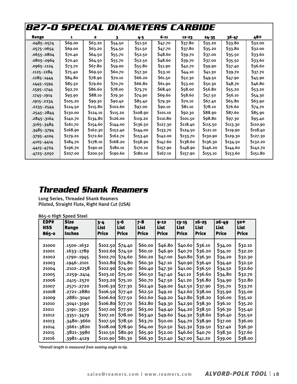| 827-0 SPECIAL DIAMETERS CARBIDE |          |          |          |          |          |           |           |           |          |
|---------------------------------|----------|----------|----------|----------|----------|-----------|-----------|-----------|----------|
| Range                           | 1        | 2        | 3        | 4-5      | $6 - 11$ | $12 - 23$ | $24 - 35$ | $36 - 47$ | 48+      |
| .0485-.0574                     | \$69.00  | \$63.20  | \$54.50  | \$51.50  | \$47.70  | \$37.80   | \$35.20   | \$33.80   | \$32.00  |
| .0575-.0654                     | \$69.00  | \$63.20  | \$54.50  | \$51.50  | \$47.70  | \$37.80   | \$35.20   | \$33.80   | \$32.00  |
| .0655-.0804                     | \$70.40  | \$64.50  | \$55.70  | \$52.50  | \$48.60  | \$39.70   | \$37.00   | \$35.50   | \$33.60  |
| .0805-.0964                     | \$70.40  | \$64.50  | \$55.70  | \$52.50  | \$48.60  | \$39.70   | \$37.00   | \$35.50   | \$33.60  |
| .0965-.1124                     | \$73.70  | \$67.80  | \$59.00  | \$55.80  | \$51.90  | \$42.70   | \$39.90   | \$37.40   | \$36.60  |
| .1125-.1284                     | \$75.40  | \$69.50  | \$60.70  | \$57.30  | \$53.10  | \$44.10   | \$41.30   | \$39.70   | \$37.70  |
| .1285-.1444                     | \$84.80  | \$78.90  | \$70.10  | \$66.20  | \$61.50  | \$52.30   | \$49.50   | \$47.90   | \$45.90  |
| .1445-.1594                     | \$85.50  | \$79.60  | \$70.70  | \$66.80  | \$61.90  | \$53.00   | \$50.30   | \$48.70   | \$46.80  |
| .1595 - .1744                   | \$92.70  | \$86.60  | \$78.00  | \$73.70  | \$68.40  | \$58.00   | \$56.80   | \$55.20   | \$53.20  |
| .1745-.1914                     | \$93.90  | \$88.10  | \$79.30  | \$74.90  | \$69.60  | \$58.60   | \$57.50   | \$56.10   | \$54.30  |
| .1915 - .2234                   | \$105.20 | \$99.30  | \$90.40  | \$85.40  | \$79.30  | \$70.10   | \$67.40   | \$65.80   | \$63.90  |
| $.2235-.2544$                   | \$124.50 | \$115.80 | \$102.60 | \$97.00  | \$90.10  | \$81.10   | \$78.10   | \$76.60   | \$74.70  |
| .2545-.2844                     | \$130.00 | \$124.10 | \$115.20 | \$108.90 | \$101.10 | \$92.30   | \$88.90   | \$87.60   | \$85.90  |
| .2845-.3164                     | \$140.70 | \$134.80 | \$126.00 | \$119.20 | \$110.80 | \$101.50  | \$98.80   | \$97.30   | \$95.40  |
| .3165-.3484                     | \$161.70 | \$154.60 | \$144.00 | \$136.50 | \$127.30 | \$118.40  | \$115.50  | \$113.30  | \$110.90 |
| -3485--3794                     | \$168.90 | \$162.30 | \$152.40 | \$144.00 | \$133.70 | \$124.50  | \$121.10  | \$119.90  | \$118.40 |
| $.3795 - .4104$                 | \$179.20 | \$172.60 | \$162.70 | \$153.40 | \$142.00 | \$133.70  | \$130.90  | \$129.30  | \$127.30 |
| .4105 - .4414                   | \$184.70 | \$178.10 | \$168.20 | \$158.90 | \$147.60 | \$138.60  | \$136.30  | \$134.50  | \$132.20 |
| $.4415 - .4724$                 | \$196.70 | \$190.10 | \$180.10 | \$170.10 | \$157.90 | \$148.90  | \$146.20  | \$144.60  | \$142.70 |
| -4725 - 5050                    | \$207.00 | \$200.50 | \$190.60 | \$180.10 | \$167.10 | \$157.90  | \$155.10  | \$153.60  | \$151.80 |

## **Threaded Shank Reamers**

Long Series, Threaded Shank Reamers Piloted, Straight Flute, Right Hand Cut (USA)

865-0 High Speed Steel

| EDP#<br><b>HSS</b><br>865-0 | <b>Size</b><br>Range<br><b>Inches</b> | $3 - 4$<br>List<br><b>Price</b> | 5-6<br>List<br><b>Price</b> | $7 - 8$<br>List<br><b>Price</b> | $9 - 12$<br>List<br>Price | $13 - 15$<br>List<br><b>Price</b> | 16-25<br>List<br>Price | 26-49<br>List<br>Price | 50 <sup>+</sup><br>List<br>Price |
|-----------------------------|---------------------------------------|---------------------------------|-----------------------------|---------------------------------|---------------------------|-----------------------------------|------------------------|------------------------|----------------------------------|
|                             |                                       |                                 |                             |                                 |                           |                                   |                        |                        |                                  |
| 21000                       | .1500-.1632                           | \$102.50                        | \$74.40                     | \$60.00                         | \$46.80                   | \$40.60                           | \$36.10                | \$34.00                | \$32.10                          |
| 21001                       | .1633-.1789                           | <b>\$102.60</b>                 | \$74.50                     | \$60.10                         | \$46.90                   | \$40.70                           | \$36.20                | \$34.10                | \$32.20                          |
| 21002                       | .1790-.1945                           | \$102.70                        | \$74.60                     | \$60.20                         | \$47.00                   | \$40.80                           | \$36.30                | \$34.20                | \$32.30                          |
| 21003                       | .1946-.2101                           | <b>\$102.80</b>                 | \$74.80                     | \$60.30                         | \$47.10                   | \$40.90                           | \$36.40                | \$34.40                | \$32.50                          |
| 21004                       | .2102-.2258                           | <b>\$102.90</b>                 | \$74.90                     | \$60.40                         | \$47.30                   | \$41.00                           | \$36.50                | \$34.50                | \$32.60                          |
| 21005                       | .2259-.2414                           | \$103.10                        | <b>S75.00</b>               | \$60.50                         | \$47.40                   | \$41.10                           | \$36.60                | \$34.80                | \$32.70                          |
| 21006                       | .2415-.2570                           | \$103.20                        | \$75.10                     | \$60.70                         | \$47.50                   | \$41.20                           | \$36.80                | \$34.90                | \$32.80                          |
| 21007                       | .2571-.2720                           | \$106.30                        | \$77.30                     | \$62.40                         | \$49.00                   | \$42.50                           | \$37.90                | \$35.70                | \$33.70                          |
| 21008                       | .2721-.2880                           | <b>\$106.50</b>                 | \$77.40                     | \$62.50                         | \$49.10                   | \$42.60                           | \$38.00                | \$35.90                | \$35.00                          |
| 21009                       | .2881-.3040                           | \$106.60                        | \$77.50                     | \$62.60                         | \$49.20                   | \$42.80                           | \$38.20                | \$36.00                | \$35.10                          |
| 21010                       | .3041-.3190                           | \$106.80                        | \$77.70                     | \$62.80                         | \$49.30                   | \$42.90                           | \$38.30                | \$36.10                | \$35.20                          |
| 21011                       | .3191-.3350                           | \$107.00                        | \$77.90                     | \$63.00                         | \$49.40                   | \$44.20                           | \$38.50                | \$36.30                | \$35.40                          |
| 21012                       | $-3351 - 3479$                        | \$107.10                        | \$78.00                     | \$63.40                         | \$49.60                   | \$44.30                           | \$38.60                | \$36.40                | \$35.50                          |
| 21013                       | .3480-.3660                           | <b>S107.50</b>                  | \$78.50                     | \$63.70                         | \$50.00                   | \$44.70                           | \$38.90                | \$37.00                | \$36.00                          |
| 21014                       | .3661-.3820                           | <b>\$108.00</b>                 | \$78.90                     | \$64.00                         | S50.50                    | \$45.30                           | \$39.50                | \$37.40                | \$36.30                          |
| 21015                       | .3821-.3980                           | \$110.50                        | \$80.90                     | \$65.90                         | \$52.00                   | \$46.60                           | \$40.70                | \$38.30                | \$37.60                          |
| 21016                       | .3981-.4129                           | \$110.90                        | \$81.30                     | \$66.30                         | \$52.40                   | \$47.00                           | \$41.20                | \$39.00                | \$38.00                          |

*\*Overall length is measured from seating angle to tip.*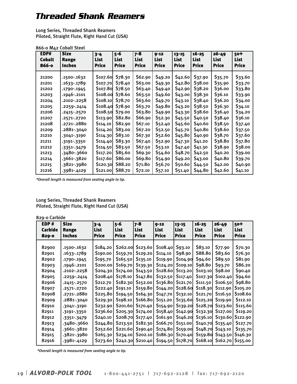## **Threaded Shank Reamers**

Long Series, Threaded Shank Reamers Piloted, Straight Flute, Right Hand Cut (USA)

#### 866-0 M42 Cobalt Steel

| EDP#<br><b>Cobalt</b><br>866-0 | <b>Size</b><br>Range<br><b>Inches</b> | $3 - 4$<br><b>List</b><br>Price | 5-6<br><b>List</b><br><b>Price</b> | $7 - 8$<br><b>List</b><br><b>Price</b> | $9 - 12$<br><b>List</b><br><b>Price</b> | $13 - 15$<br>List<br><b>Price</b> | $16 - 25$<br><b>List</b><br><b>Price</b> | $26 - 49$<br><b>List</b><br><b>Price</b> | 50 <sup>+</sup><br>List<br><b>Price</b> |
|--------------------------------|---------------------------------------|---------------------------------|------------------------------------|----------------------------------------|-----------------------------------------|-----------------------------------|------------------------------------------|------------------------------------------|-----------------------------------------|
| 21200                          | .1500-.1632                           | \$107.60                        | \$78.30                            | \$62.90                                | \$49.20                                 | \$42.60                           | \$37.90                                  | \$35.70                                  | \$33.60                                 |
| 21201                          | .1633-.1789                           | \$107.70                        | \$78.40                            | \$63.00                                | \$49.30                                 | \$42.80                           | \$38.00                                  | \$35.90                                  | \$33.70                                 |
| 21202                          | .1790-.1945                           | \$107.80                        | \$78.50                            | \$63.40                                | \$49.40                                 | \$42.90                           | \$38.20                                  | \$36.00                                  | \$33.80                                 |
| 21203                          | .1946-.2101                           | \$108.00                        | \$78.60                            | \$63.50                                | \$49.60                                 | \$43.00                           | \$38.30                                  | \$36.10                                  | \$33.90                                 |
| 21204                          | .2102-.2258                           | \$108.10                        | \$78.70                            | \$63.60                                | \$49.70                                 | \$43.10                           | \$38.40                                  | \$36.20                                  | \$34.00                                 |
| 21205                          | .2259-.2414                           | \$108.40                        | \$78.90                            | \$63.70                                | \$49.80                                 | \$43.20                           | \$38.50                                  | \$36.30                                  | \$34.10                                 |
| 21206                          | .2415-.2570                           | \$108.50                        | \$79.00                            | \$63.80                                | \$49.90                                 | \$43.30                           | \$38.60                                  | \$36.40                                  | \$34.20                                 |
| 21207                          | .2571-.2720                           | \$113.90                        | \$82.80                            | \$66.90                                | \$52.30                                 | \$45.50                           | \$40.50                                  | \$38.40                                  | \$36.10                                 |
| 21208                          | .2721-.2880                           | \$114.10                        | \$82.90                            | \$67.10                                | \$52.40                                 | \$45.60                           | \$40.60                                  | \$38.50                                  | \$37.40                                 |
| 21209                          | .2881-.3040                           | \$114.20                        | \$83.00                            | \$67.20                                | \$52.50                                 | \$45.70                           | \$40.80                                  | \$38.60                                  | \$37.50                                 |
| 21210                          | .3041-.3190                           | \$114.30                        | \$83.10                            | \$67.30                                | \$52.60                                 | \$45.80                           | \$40.90                                  | \$38.70                                  | \$37.60                                 |
| 21211                          | .3191-.3350                           | \$114.40                        | \$83.30                            | \$67.40                                | \$52.90                                 | \$47.30                           | \$41.20                                  | \$38.80                                  | \$37.80                                 |
| 21212                          | -3351--3479                           | \$114.50                        | \$83.50                            | \$67.50                                | \$53.10                                 | \$47.40                           | \$41.30                                  | \$38.90                                  | \$38.00                                 |
| 21213                          | .3480-.3660                           | \$117.20                        | \$85.60                            | \$69.30                                | \$54.60                                 | \$48.70                           | \$42.50                                  | \$40.20                                  | \$39.00                                 |
| 21214                          | .3661-.3820                           | \$117.60                        | \$86.00                            | \$69.80                                | \$54.90                                 | \$49.20                           | \$43.00                                  | \$40.80                                  | \$39.70                                 |
| 21215                          | .3821-.3980                           | \$120.30                        | \$88.20                            | <b>\$71.80</b>                         | \$56.70                                 | \$50.60                           | \$44.50                                  | \$42.00                                  | \$40.90                                 |
| 21216                          | .3981-.4129                           | S <sub>121.00</sub>             | \$88.70                            | \$72.10                                | \$57.10                                 | \$51.40                           | \$44.80                                  | \$42.60                                  | \$41.10                                 |

*\*Overall length is measured from seating angle to tip.*

#### Long Series, Threaded Shank Reamers Piloted, Straight Flute, Right Hand Cut (USA)

#### 829-0 Carbide

| EDP#           | <b>Size</b>     | $3 - 4$              | 5-6                              | 7-8          | $9 - 12$     | 13-15           | $16 - 25$    | $26 - 49$            | $50+$        |
|----------------|-----------------|----------------------|----------------------------------|--------------|--------------|-----------------|--------------|----------------------|--------------|
| <b>Carbide</b> | Range           | List                 | List                             | List         | <b>List</b>  | List            | List         | <b>List</b>          | <b>List</b>  |
| $829 - 0$      | <b>Inches</b>   | <b>Price</b>         | Price                            | <b>Price</b> | <b>Price</b> | <b>Price</b>    | <b>Price</b> | <b>Price</b>         | <b>Price</b> |
| 82900          | .1500-.1632     | \$184.20             | \$262.00                         | \$123.60     | \$108.40     | \$93.10         | \$83.10      | \$77.90              | \$70.30      |
| 82901          | .1633-.1789     | S <sub>190</sub> .00 | \$159.70                         | \$129.20     | \$114.10     | \$98.90         | \$88.80      | \$83.60              | \$76.30      |
| 82902          | .1790-.1945     | \$195.70             | \$165.50                         | \$135.10     | \$119.90     | \$104.90        | \$94.60      | \$89.50              | \$81.90      |
| 82903          | .1946-.2101     | <b>S200.00</b>       | \$169.70                         | \$139.30     | \$124.20     | \$109.10        | \$98.80      | \$93.70              | \$86.20      |
| 82904          | .2102-.2258     | \$204.30             | \$174.00                         | \$143.50     | \$128.60     | \$113.20        | \$103.10]    | \$98.00              | \$90.40      |
| 82905          | $.2259 - .2414$ | S <sub>20</sub> 8.40 | S <sub>17</sub> 8. <sub>10</sub> | \$147.80     | \$132.50     | \$117.40        | \$107.30     | S <sub>102</sub> .40 | \$94.60      |
| 82906          | .2415-.2570     | <b>\$212.70</b>      | \$182.30                         | \$152.00     | \$136.80     | \$121.70        | \$111.50     | \$106.50             | \$98.80      |
| 82907          | .2571-.2720     | \$222.40             | \$191.10                         | \$159.80     | \$144.20     | <b>\$128.60</b> | \$118.30     | \$112.90             | \$105.20     |
| 82908          | .2721-.2880     | S225.80              | \$194.50                         | \$164.30     | \$147.70     | \$132.10        | \$121.70     | \$116.50             | \$108.60     |
| 82909          | .2881-.3040     | S229.30              | \$198.10                         | \$166.80     | \$151.20     | <b>\$135.60</b> | \$125.20     | \$119.90             | \$112.10     |
| 82910          | .3041-.3190     | 5232.90              | \$201.60                         | \$170.40     | \$154.90     | \$139.20        | \$128.70     | \$123.60             | \$115.60     |
| 82911          | .3191-.3350     | S236.60              | \$205.30                         | \$174.00     | \$158.40     | \$142.90        | \$132.30     | \$127.00             | \$119.20     |
| 82912          | $-3351 - 3479$  | S <sub>240.10</sub>  | \$208.70                         | \$177.40     | \$161.90     | \$146.20        | \$136.10     | \$130.60             | \$122.90     |
| 82913          | .3480-.3660     | \$244.80             | \$213.50                         | \$182.30     | \$166.70     | \$151.00        | \$140.70     | \$135.40             | \$127.70     |
| 82914          | .3661-.3820     | S <sub>252.60</sub>  | \$221.60                         | \$190.40     | \$174.80     | \$159.00        | \$148.70     | \$143.10             | \$135.70     |
| 82915          | .3821-.3980     | \$265.30             | \$234.10                         | \$202.10     | \$186.30     | \$170.40        | \$159.80     | \$143.50             | \$146.30     |
| 82916          | .3981-.4129     | \$273.60             | \$242.30                         | \$210.40     | \$194.50     | \$178.70        | \$168.10     | \$162.70             | \$155.00     |

*\*Overall length is measured from seating angle to tip.*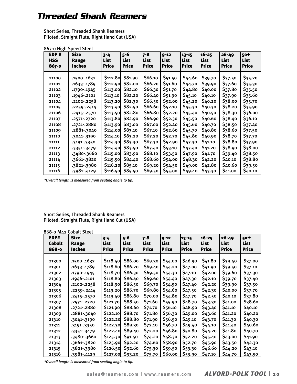## **Threaded Shank Reamers**

Short Series, Threaded Shank Reamers Piloted, Straight Flute, Right Hand Cut (USA)

| EDP#       | <b>Size</b>     | $3 - 4$         | 5-6          | $7 - 8$      | $9 - 12$     | $13 - 15$    | $16 - 25$    | $26 - 49$    | 50+          |
|------------|-----------------|-----------------|--------------|--------------|--------------|--------------|--------------|--------------|--------------|
| <b>HSS</b> | Range           | List            | <b>List</b>  | <b>List</b>  | List         | List         | <b>List</b>  | <b>List</b>  | <b>List</b>  |
| 867-0      | Inches          | <b>Price</b>    | <b>Price</b> | <b>Price</b> | <b>Price</b> | <b>Price</b> | <b>Price</b> | <b>Price</b> | <b>Price</b> |
| 21100      | .1500-.1632     | <b>S112.80</b>  | \$81.90      | \$66.10      | \$51.50      | \$44.60      | \$39.70      | \$37.50      | \$35.20      |
| 21101      | .1633-.1789     | <b>\$112.90</b> | \$82.00      | \$66.20      | \$51.60      | \$44.70      | \$39.90      | \$37.60      | \$35.30      |
| 21102      | .1790-.1945     | \$113.00        | \$82.10      | \$66.30      | \$51.70      | \$44.80      | \$40.00      | \$37.80      | \$35.50      |
| 21103      | .1946-.2101     | \$113.10        | \$82.20      | \$66.40      | \$51.90      | \$45.10      | \$40.10      | \$37.90      | \$35.60      |
| 21104      | .2102-.2258     | \$113.20        | \$82.30      | \$66.50      | \$52.00      | \$45.20      | \$40.20      | \$38.00      | \$35.70      |
| 21105      | .2259-.2414     | \$113.40        | \$82.50      | \$66.60      | \$52.10      | \$45.30      | \$40.30      | \$38.20      | \$35.90      |
| 21106      | $.2415-.2570$   | \$113.50        | \$82.80      | \$66.80      | \$52.20      | \$45.40      | \$40.50      | \$38.30      | \$36.00      |
| 21107      | .2571-.2720     | \$113.80        | \$82.90      | \$66.90      | \$52.30      | \$45.50      | \$40.60      | \$38.40      | \$36.10      |
| 21108      | .2721-.2880     | \$113.90        | \$83.00      | \$67.00      | \$52.40      | \$45.60      | \$40.70      | \$38.50      | \$37.40      |
| 21109      | .2881-.3040     | \$114.00        | \$83.10      | \$67.10      | \$52.60      | \$45.70      | \$40.80      | \$38.60      | \$37.50      |
| 21110      | .3041-.3190     | \$114.10        | \$83.20      | \$67.20      | \$52.70      | \$45.80      | \$40.90      | \$38.70      | \$37.70      |
| 21111      | .3191-.3350     | \$114.30        | \$83.30      | \$67.30      | \$52.90      | \$47.30      | \$41.10      | \$38.80      | \$37.90      |
| 21112      | $.3351 - .3479$ | \$114.40        | \$83.50      | \$67.40      | \$53.10      | \$47.40      | \$41.20      | \$38.90      | \$38.00      |
| 21113      | .3480-.3660     | \$115.00        | \$83.90      | \$68.10      | \$53.50      | \$47.90      | \$41.70      | \$39.40      | \$38.50      |
| 21114      | .3661-.3820     | \$115.50        | \$84.40      | \$68.60      | \$54.00      | \$48.30      | \$42.20      | \$40.10      | \$38.80      |
| 21115      | .3821-.3980     | \$116.20        | \$85.10      | \$69.20      | \$54.50      | \$49.00      | \$42.80      | \$40.60      | \$39.50      |
| 21116      | .3981-.4129     | \$116.50        | \$85.50      | \$69.50      | \$55.00      | \$49.40      | \$43.30      | \$41.00      | \$40.10      |

867-0 High Speed Steel

*\*Overall length is measured from seating angle to tip.*

#### Short Series, Threaded Shank Reamers Piloted, Straight Flute, Right Hand Cut (USA)

|                                | 868-0 M42 Cobalt Steel                |                                 |                                        |                                        |                                         |                                   |                                   |                                   |                                    |
|--------------------------------|---------------------------------------|---------------------------------|----------------------------------------|----------------------------------------|-----------------------------------------|-----------------------------------|-----------------------------------|-----------------------------------|------------------------------------|
| EDP#<br><b>Cobalt</b><br>868-0 | <b>Size</b><br>Range<br><b>Inches</b> | $3 - 4$<br>List<br><b>Price</b> | $5 - 6$<br><b>List</b><br><b>Price</b> | $7 - 8$<br><b>List</b><br><b>Price</b> | $9 - 12$<br><b>List</b><br><b>Price</b> | $13 - 15$<br>List<br><b>Price</b> | $16 - 25$<br>List<br><b>Price</b> | $26 - 49$<br>List<br><b>Price</b> | 50+<br><b>List</b><br><b>Price</b> |
|                                |                                       |                                 |                                        |                                        |                                         |                                   |                                   |                                   |                                    |
| 21300                          | .1500-.1632                           | \$118.40                        | \$86.00                                | \$69.30                                | \$54.00                                 | \$46.90                           | \$41.80                           | \$39.40                           | \$37.00                            |
| 21301                          | .1633-.1789                           | <b>S118.60</b>                  | \$86.20                                | \$69.40                                | \$54.20                                 | \$47.00                           | \$41.90                           | S39.50                            | \$37.10                            |
| 21302                          | .1790-.1945                           | \$118.70                        | \$86.30                                | \$69.50                                | \$54.30                                 | \$47.10                           | \$42.00                           | \$39.60                           | \$37.30                            |
| 21303                          | .1946-.2101                           | S118.80                         | \$86.40                                | \$69.60                                | \$54.40                                 | \$47.30                           | \$42.10                           | \$39.70                           | \$37.40                            |
| 21304                          | .2102-.2258                           | \$118.90                        | \$86.50                                | \$69.70                                | \$54.50                                 | \$47.40                           | \$42.20                           | S39.90                            | \$37.50                            |
| 21305                          | $.2259 - .2414$                       | \$119.20                        | \$86.70                                | \$69.80                                | \$54.60                                 | \$47.50                           | \$42.30                           | \$40.00                           | \$37.70                            |
| 21306                          | .2415-.2570                           | \$119.40                        | \$86.80                                | \$70.00                                | \$54.80                                 | \$47.70                           | \$42.50                           | \$40.10                           | \$37.80                            |
| 21307                          | .2571-.2720                           | \$121.70                        | \$88.50                                | \$71.60                                | \$55.90                                 | \$48.70                           | \$43.30                           | \$41.00                           | \$38.60                            |
| 21308                          | .2721-.2880                           | \$121.90                        | <b>\$88.60</b>                         | \$71.70                                | \$56.10                                 | \$48.90                           | \$43.40                           | \$41.10                           | \$40.10                            |
| 21309                          | .2881-.3040                           | 5122.10                         | \$88.70                                | \$71.80                                | \$56.30                                 | \$49.00                           | \$43.60                           | \$41.20                           | \$40.20                            |
| 21310                          | .3041-.3190                           | \$122.20                        | \$88.80                                | \$71.90                                | \$56.50                                 | \$49.10                           | \$43.70                           | \$41.30                           | \$40.30                            |
| 21311                          | .3191-.3350                           | \$122.30                        | \$89.30                                | \$72.10                                | \$56.70                                 | \$49.40                           | \$44.10                           | \$41.40                           | \$40.60                            |
| 21312                          | $-3351 - 3479$                        | \$122.40                        | \$89.40                                | \$72.20                                | \$56.80                                 | \$50.80                           | \$44.20                           | \$41.80                           | \$40.70                            |
| 21313                          | .3480-.3660                           | \$125.30                        | \$91.50                                | \$74.20                                | \$58.30                                 | \$52.20                           | \$45.40                           | \$43.00                           | \$41.90                            |
| 21314                          | .3661-.3820                           | \$125.90                        | \$92.20                                | \$74.60                                | \$58.90                                 | \$52.70                           | \$45.90                           | \$43.50                           | \$42.30                            |
| 21315                          | .3821-.3980                           | \$126.50                        | \$92.60                                | \$75.30                                | \$59.50                                 | \$53.30                           | \$46.60                           | \$44.20                           | \$43.10                            |
| 21316                          | .3981-.4129                           | \$127.00                        | \$93.20                                | \$75.70                                | \$60.00                                 | \$53.90                           | \$47.10                           | <u>\$44.70</u>                    | <u>\$43.50</u>                     |

*\*Overall length is measured from seating angle to tip.*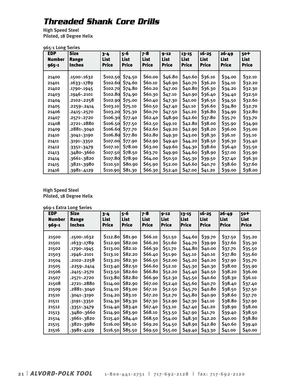## **Threaded Shank Core Drills**

High Speed Steel Piloted, 18 Degree Helix

| 965-1 Long Series |
|-------------------|
|-------------------|

| <b>EDP</b><br>Number<br>965-1 | <b>Size</b><br>Range<br><b>Inches</b> | $3 - 4$<br>List<br><b>Price</b> | 5-6<br>List<br><b>Price</b> | $7 - 8$<br><b>List</b><br><b>Price</b> | $9 - 12$<br>List<br>Price | $13 - 15$<br>List<br><b>Price</b> | $16 - 25$<br>List<br><b>Price</b> | $26 - 49$<br>List<br><b>Price</b> | $50+$<br><b>List</b><br><b>Price</b> |
|-------------------------------|---------------------------------------|---------------------------------|-----------------------------|----------------------------------------|---------------------------|-----------------------------------|-----------------------------------|-----------------------------------|--------------------------------------|
| 21400                         | .1500-.1632                           | S102.50                         | \$74.50                     | \$60.00                                | \$46.80                   | \$40.60                           | \$36.10                           | \$34.00                           | \$32.10                              |
| 21401                         | .1633-.1789                           | \$102.60                        | \$74.60                     | \$60.10                                | \$46.90                   | \$40.70                           | \$36.20                           | \$34.10                           | \$32.20                              |
| 21402                         | .1790-.1945                           | \$102.70                        | \$74.80                     | \$60.20                                | \$47.00                   | \$40.80                           | \$36.30                           | \$34.20                           | \$32.30                              |
| 21403                         | .1946-.2101                           | \$102.80                        | \$74.90                     | \$60.30                                | \$47.10                   | \$40.90                           | \$36.40                           | \$34.40                           | \$32.50                              |
| 21404                         | .2102-.2258                           | \$102.90                        | \$75.00                     | \$60.40                                | \$47.30                   | \$41.00                           | \$36.50                           | \$34.50                           | \$32.60                              |
| 21405                         | .2259-.2414                           | \$103.10                        | \$75.10                     | \$60.50                                | \$47.40                   | \$41.10                           | \$36.60                           | \$34.80                           | \$32.70                              |
| 21406                         | .2415-.2570                           | \$103.20                        | \$75.30                     | \$60.70                                | \$47.50                   | \$41.20                           | \$36.80                           | \$34.90                           | \$32.80                              |
| 21407                         | .2571-.2720                           | \$106.30                        | \$77.40                     | \$62.40                                | \$48.90                   | \$42.60                           | \$37.80                           | \$35.70                           | \$33.70                              |
| 21408                         | .2721-.2880                           | <b>\$106.50</b>                 | \$77.50                     | \$62.50                                | \$49.10                   | \$42.80                           | \$38.00                           | \$35.90                           | \$34.90                              |
| 21409                         | .2881-.3040                           | <b>\$106.60</b>                 | \$77.70                     | \$62.60                                | \$49.20                   | \$42.90                           | \$38.20                           | \$36.00                           | \$35.00                              |
| 21410                         | .3041-.3190                           | \$106.80                        | \$77.80                     | \$62.80                                | \$49.30                   | \$43.00                           | \$38.30                           | \$36.10                           | \$35.10                              |
| 21411                         | .3191-.3350                           | <b>S107.00</b>                  | \$77.90                     | \$62.90                                | \$49.40                   | \$44.20                           | \$38.50                           | \$36.30                           | \$35.40                              |
| 21412                         | $-3351 - 3479$                        | \$107.10                        | \$78.00                     | \$63.00                                | \$49.60                   | \$44.30                           | \$38.60                           | \$36.40                           | \$35.50                              |
| 21413                         | .3480-.3660                           | <b>\$107.50</b>                 | <b>\$78.50</b>              | \$63.70                                | \$49.90                   | \$44.60                           | \$38.90                           | \$37.00                           | \$35.90                              |
| 21414                         | .3661-.3820                           | <b>\$107.80</b>                 | <b>\$78.90</b>              | \$64.00                                | \$50.50                   | \$45.30                           | \$39.50                           | \$37.40                           | \$36.30                              |
| 21415                         | .3821-.3980                           | \$110.50                        | \$80.90                     | \$65.90                                | \$52.00                   | \$46.60                           | \$40.70                           | \$38.60                           | \$37.60                              |
| 21416                         | .3981-.4129                           | S110.90                         | \$81.30                     | \$66.30                                | \$52.40                   | \$47.00                           | \$41.20                           | \$39.00                           | \$38.00                              |

High Speed Steel Piloted, 18 Degree Helix

969-1 Extra Long Series

| <b>EDP</b><br>Number | <b>Size</b><br>Range | $3 - 4$<br>List | 5-6<br><b>List</b> | 7-8<br><b>List</b> | $9 - 12$<br><b>List</b> | 13-15<br>lList. | $16 - 25$<br><b>List</b> | $26 - 49$<br><b>List</b> | $50+$<br><b>List</b> |
|----------------------|----------------------|-----------------|--------------------|--------------------|-------------------------|-----------------|--------------------------|--------------------------|----------------------|
| 969-1                | <b>Inches</b>        | Price           | Price              | <b>Price</b>       | <b>Price</b>            | Price           | <b>Price</b>             | <b>Price</b>             | <b>Price</b>         |
| 21500                | .1500-.1632          | \$112.80        | \$81.90            | \$66.10            | \$51.50                 | \$44.60         | \$39.70                  | \$37.50                  | \$35.20              |
| 21501                | .1633-.1789          | \$112.90        | \$82.00            | \$66.20            | \$51.60                 | \$44.70         | \$39.90                  | \$37.60                  | \$35.30              |
| 21502                | .1790-.1945          | \$113.00        | \$82.10            | \$66.30            | \$51.70                 | \$44.80         | \$40.00                  | \$37.70                  | \$35.50              |
| 21503                | .1946-.2101          | \$113.10        | \$82.20            | \$66.40            | \$51.90                 | \$45.10         | \$40.10                  | \$37.80                  | \$35.60              |
| 21504                | .2102-.2258          | \$113.20        | \$82.30            | \$66.50            | \$52.00                 | \$45.20         | \$40.20                  | \$37.90                  | \$35.70              |
| 21505                | .2259-.2414          | \$113.40        | \$82.50            | \$66.60            | \$52.10                 | \$45.30         | \$40.30                  | \$38.00                  | \$35.90              |
| 21506                | .2415-.2570          | \$113.50        | \$82.60            | \$66.80            | \$52.20                 | \$45.40         | \$40.50                  | \$38.20                  | \$36.00              |
| 21507                | .2571-.2720          | \$113.80        | \$82.80            | \$66.90            | \$52.30                 | \$45.50         | \$40.60                  | \$38.30                  | \$36.10              |
| 21508                | .2721-.2880          | \$114.00        | \$82.90            | \$67.00            | \$52.40                 | \$45.60         | \$40.70                  | \$38.40                  | \$37.40              |
| 21509                | .2881-.3040          | \$114.10        | \$83.00            | \$67.10            | \$52.50                 | \$45.70         | \$40.80                  | \$38.50                  | \$37.50              |
| 21510                | .3041-.3190          | \$114.20        | \$83.10            | \$67.20            | \$52.70                 | \$45.80         | \$40.90                  | \$38.60                  | \$37.70              |
| 21511                | .3191-.3350          | \$114.30        | \$83.30            | \$67.30            | \$52.90                 | \$47.30         | \$41.10                  | <b>Ş38.80</b>            | \$37.90              |
| 21512                | $-3351 - 3479$       | \$114.40        | \$83.40            | \$67.40            | \$53.10                 | \$47.40         | \$41.20                  | \$38.90                  | \$38.00              |
| 21513                | .3480-.3660          | \$114.90        | \$83.90            | \$68.10            | \$53.50                 | \$47.90         | \$41.70                  | \$39.40                  | \$38.50              |
| 21514                | .3661-.3820          | \$115.40        | \$84.40            | \$68.50            | \$54.00                 | \$48.30         | \$42.20                  | \$40.00                  | \$38.80              |
| 21515                | .3821-.3980          | \$116.00        | \$85.10            | \$69.20            | \$54.50                 | \$48.90         | \$42.80                  | \$40.60                  | \$39.40              |
| 21516                | .3981-.4129          | \$116.50        | \$85.50            | \$69.50            | \$55.00                 | \$49.40         | \$43.30                  | \$41.00                  | \$40.00              |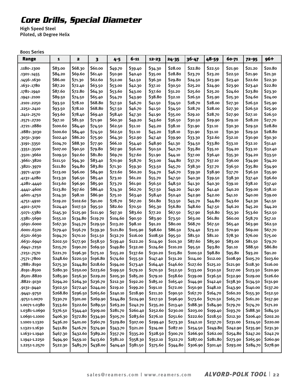# **Core Drills, Special Diameter**

High Speed Steel Piloted, 18 Degree Helix

| 8001 Series   |              |                         |                         |          |          |           |           |           |          |          |           |          |
|---------------|--------------|-------------------------|-------------------------|----------|----------|-----------|-----------|-----------|----------|----------|-----------|----------|
| Range         | $\mathbf{1}$ | $\overline{\mathbf{2}}$ | $\overline{\mathbf{3}}$ | $4 - 5$  | $6 - 11$ | $12 - 23$ | $24 - 35$ | $36 - 47$ | 48-59    | 60-71    | $72 - 95$ | $96+$    |
| .1180-.1300   | \$83.00      | \$68.30                 | \$60.00                 | \$49.70  | \$39.40  | \$34.30   | \$28.00   | \$22.80   | \$22.50  | \$21.90  | \$21.20   | \$20.80  |
| .1301-.1455   | \$84.20      | \$69.60                 | \$61.40                 | \$50.90  | \$40.40  | \$35.00   | \$28.80   | \$23.70   | \$23.20  | \$22.50  | \$21.90   | \$21.30  |
| .1456-.1630   | \$86.00      | \$71.30                 | \$62.60                 | \$52.00  | \$41.50  | \$36.30   | \$29.80   | \$24.50   | \$23.90  | \$23.40  | \$22.60   | \$22.30  |
| .1631-.1780   | \$87.20      | \$72.40                 | \$63.50                 | \$53.00  | \$42.30  | \$37.10   | \$30.50   | \$25.20   | \$24.90  | \$23.90  | \$23.40   | \$22.80  |
| .1781-.1940   | \$87.60      | \$72.80                 | \$64.30                 | \$53.60  | \$43.00  | \$37.60   | \$31.20   | \$25.60   | \$25.20  | \$24.60  | \$23.80   | \$23.30  |
| .1941-.2100   | \$89.50      | \$74.50                 | \$65.40                 | \$54.70  | \$43.90  | \$38.80   | \$32.10   | \$26.50   | \$25.90  | \$25.30  | \$24.60   | \$24.00  |
| .2101-.2250   | \$93.50      | \$78.10                 | \$68.80                 | \$57.50  | \$46.70  | \$41.50   | \$34.50   | \$28.70   | \$28.00  | \$27.30  | \$26.50   | \$25.90  |
| .2251-.2410   | \$93.50      | \$78.10                 | \$68.80                 | \$57.50  | \$46.70  | \$41.50   | \$34.50   | \$28.70   | \$28.00  | \$27.30  | \$26.50   | \$25.90  |
| .2411-.2570   | \$93.60      | \$78.40                 | \$69.40                 | \$58.40  | \$47.30  | \$41.90   | \$35.00   | \$29.10   | \$28.70  | \$27.90  | \$27.10   | \$26.50  |
| .2571-.2720   | \$97.10      | \$81.50                 | \$71.90                 | \$60.30  | \$49.20  | \$43.60   | \$36.50   | \$30.50   | \$29.90  | \$29.10  | \$28.20   | \$27.70  |
| .2721-.2880   | \$100.60     | \$84.40                 | \$74.50                 | \$62.50  | \$51.10  | \$45.20   | \$38.10   | \$31.90   | \$31.10  | \$30.30  | \$29.50   | \$28.80  |
| .2881-.3030   | \$100.60     | \$84.40                 | \$74.50                 | \$62.50  | \$51.10  | \$45.20   | \$38.10   | \$31.90   | \$31.10  | \$30.30  | \$29.50   | \$28.80  |
| .3031-.3190   | \$102.40     | \$86.20                 | \$75.90                 | \$64.30  | \$52.90  | \$47.40   | \$39.90   | \$33.30   | \$32.60  | \$32.10  | \$30.90   | \$30.30  |
| .3191-.3350   | \$104.70     | \$88.30                 | \$77.90                 | \$66.10  | \$54.40  | \$48.90   | \$41.30   | \$34.50   | \$33.80  | \$33.10  | \$32.10   | \$31.40  |
| -3351-.3500   | \$107.00     | \$90.50                 | \$79.80                 | \$67.90  | \$56.00  | \$50.50   | \$42.70   | \$35.80   | \$35.10  | \$34.20  | \$33.10   | \$32.40  |
| .3501-.3660   | \$109.50     | \$92.60                 | \$81.80                 | \$69.70  | \$57.60  | \$51.90   | \$44.10   | \$37.00   | \$36.40  | \$35.30  | \$34.20   | \$33.50  |
| .3661-.3820   | \$111.50     | \$94.30                 | \$83.40                 | \$70.90  | \$58.70  | \$53.00   | \$44.80   | \$37.70   | \$37.10  | \$36.00  | \$34.90   | \$34.20  |
| .3821-.3970   | \$111.80     | \$94.80                 | \$83.80                 | \$71.30  | \$59.30  | \$53.50   | \$45.70   | \$38.30   | \$37.70  | \$36.50  | \$35.80   | \$34.90  |
| -3971-.4130   | \$113.00     | \$96.00                 | \$84.90                 | \$72.60  | \$60.20  | \$54.70   | \$46.70   | \$39.30   | \$38.90  | \$37.70  | \$36.50   | \$35.90  |
| .4131-.4280   | \$113.30     | \$96.50                 | \$85.40                 | \$73.10  | \$61.20  | \$55.70   | \$47.50   | \$40.30   | \$39.50  | \$38.30  | \$37.40   | \$36.60  |
| .4281-.4440   | \$113.60     | \$96.90                 | \$85.90                 | \$73.70  | \$61.90  | \$56.50   | \$48.50   | \$41.30   | \$40.30  | \$39.10  | \$38.10   | \$37.40  |
| .4441-.4600   | \$113.80     | \$97.60                 | \$86.40                 | \$74.30  | \$62.70  | \$57.50   | \$49.20   | \$41.90   | \$41.40  | \$40.20  | \$39.00   | \$38.10  |
| .4601-.4750   | \$114.30     | \$98.10                 | \$86.90                 | \$75.10  | \$63.40  | \$58.40   | \$50.40   | \$42.90   | \$42.00  | \$41.10  | \$40.00   | \$39.00  |
| -4751-.4910   | \$119.20     | \$102.60                | \$91.00                 | \$78.70  | \$67.20  | \$61.80   | \$53.50   | \$45.70   | \$44.80  | \$43.60  | \$42.30   | \$41.50  |
| -4911-.5070   | \$124.40     | \$107.50                | \$95.50                 | \$82.60  | \$70.50  | \$65.30   | \$56.80   | \$48.60   | \$47.50  | \$46.20  | \$45.20   | \$44.20  |
| .5071-.5380   | \$145.30     | \$125.90                | \$111.90                | \$97.30  | \$83.60  | \$77.20   | \$67.50   | \$57.90   | \$56.80  | \$55.30  | \$53.60   | \$52.50  |
| .5381-.5690   | \$155.10     | \$134.80                | \$119.70                | \$104.60 | \$90.50  | \$83.90   | \$73.50   | \$63.00   | \$61.80  | \$60.00  | \$58.70   | \$57.10  |
| .5691-.6000   | \$167.30     | \$145.70                | \$129.50                | \$113.20 | \$98.10  | \$91.20   | \$80.00   | \$68.70   | \$67.50  | \$65.40  | \$63.90   | \$62.50  |
| .6001-.6320   | \$179.40     | \$156.70                | \$139.30                | \$121.80 | \$105.90 | \$98.60   | \$86.50   | \$74.40   | \$73.10  | \$70.90  | \$69.00   | \$67.70  |
| .6321-.6630   | \$194.70     | \$170.10                | \$151.50                | \$132.70 | \$116.00 | \$108.50  | \$95.50   | \$81.50   | \$81.10  | \$78.30  | \$76.00   | \$75.00  |
| .6631-.6940   | \$202.50     | \$177.90                | \$158.50                | \$139.40 | \$122.20 | \$114.90  | \$101.30  | \$87.60   | \$85.90  | \$83.00  | \$81.50   | \$79.70  |
| .6941-.7250   | \$215.70     | \$190.20                | \$169.50                | \$149.80 | \$132.00 | \$124.60  | \$110.20  | \$95.50   | \$93.80  | \$91.10  | \$88.50   | \$86.80  |
| .7251-.7570   | \$221.70     | \$196.30                | \$175.10                | \$155.20 | \$137.60 | \$130.20  | \$115.80  | \$100.50  | \$98.80  | \$95.80  | \$93.20   | \$91.20  |
| -7571-.7800   | \$248.60     | \$220.50                | \$196.80                | \$174.60 | \$155.50 | \$147.40  | \$131.20  | \$114.00  | \$112.00 | \$108.90 | \$105.70  | \$103.60 |
| .7881-.8190   | \$275.30     | \$244.80                | \$218.60                | \$194.00 | \$173.40 | \$164.40  | \$146.60  | \$127.60  | \$125.10 | \$121.90 | \$118.30  | \$116.00 |
| .8191-.8500   | \$280.30     | \$250.00                | \$223.60                | \$199.50 | \$179.10 | \$170.50  | \$152.50  | \$133.00  | \$130.50 | \$127.00 | \$123.50  | \$120.90 |
| .8501-.8820   | \$285.90     | \$256.30                | \$229.20                | \$205.30 | \$185.20 | \$179.10  | \$158.60  | \$139.00  | \$136.50 | \$132.90 | \$129.00  | \$126.60 |
| .8821-.9130   | \$294.20     | \$264.30                | \$236.70                | \$212.30 | \$192.20 | \$185.10  | \$165.40  | \$144.90  | \$142.40 | \$138.30 | \$134.50  | \$131.90 |
| .9131-.9440   | \$302.50     | \$272.40                | \$244.00                | \$219.10 | \$199.20 | \$191.10  | \$172.00  | \$150.90  | \$148.10 | \$143.90 | \$140.00  | \$137.20 |
| .9441-.9750   | \$268.80     | \$296.50                | \$265.60                | \$240.10 | \$218.90 | \$211.20  | \$190.50  | \$167.70  | \$164.70 | \$160.20 | \$155.30  | \$152.50 |
| .9751-1.0070  | \$330.70     | \$301.00                | \$269.90                | \$244.80 | \$224.90 | \$217.50  | \$196.90  | \$173.60  | \$170.50 | \$165.70 | \$161.20  | \$157.90 |
| 1.0071-1.0380 | \$353.60     | \$322.60                | \$289.50                | \$263.20 | \$242.70 | \$235.20  | \$213.40  | \$188.30  | \$184.90 | \$179.70 | \$174.70  | \$171.20 |
| 1.0381-1.0690 | \$376.50     | \$344.40                | \$309.00                | \$281.70 | \$260.40 | \$252.60  | \$230.00  | \$203.00  | \$199.40 | \$193.70 | \$188.30  | \$184.50 |
| 1.0691-1.1000 | \$406.30     | \$372.80                | \$334.90                | \$305.70 | \$283.60 | \$276.10  | \$251.60  | \$222.60  | \$218.50 | \$212.30 | \$206.40  | \$202.20 |
| 1.1001-1.1320 | \$436.20     | \$401.00                | \$360.70                | \$329.80 | \$307.00 | \$299.40  | \$273.30  | \$242.10  | \$237.70 | \$231.00 | \$224.50  | \$220.00 |
| 1.1321-1.1630 | \$451.80     | \$416.70                | \$374.90                | \$343.70 | \$321.20 | \$314.00  | \$287.10  | \$254.50  | \$249.80 | \$242.90 | \$235.90  | \$231.30 |
| 1.1631-1.1940 | \$467.30     | \$432.60                | \$389.20                | \$357.70 | \$335.20 | \$328.50  | \$300.70  | \$266.90  | \$262.00 | \$254.80 | \$247.20  | \$242.70 |
| 1.1941-1.2250 | \$494.90     | \$459.10                | \$413.60                | \$381.10 | \$358.30 | \$352.10  | \$322.70  | \$287.00  | \$281.80 | \$273.90 | \$265.90  | \$260.90 |
| 1.2251-1.2570 | \$522.30     | \$485.70                | \$438.00                | \$404.40 | \$381.50 | \$375.60  | \$344.80  | \$306.90  | \$301.40 | \$293.00 | \$284.70  | \$278.90 |
|               |              |                         |                         |          |          |           |           |           |          |          |           |          |